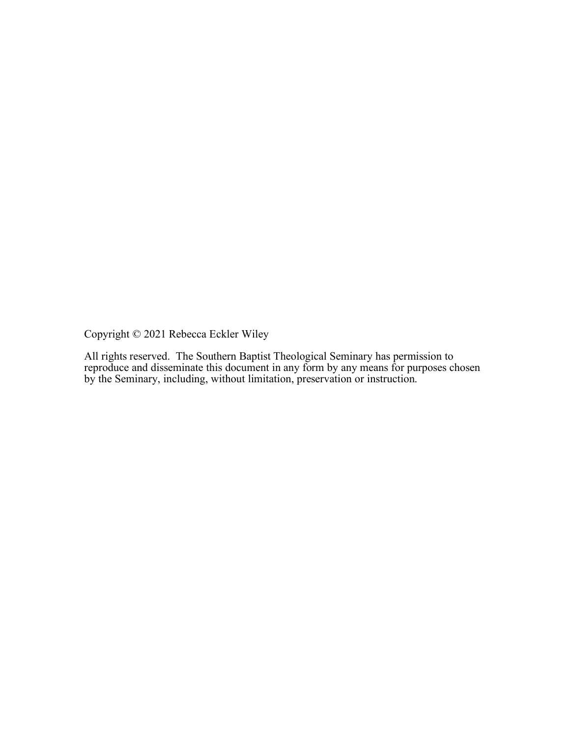Copyright © 2021 Rebecca Eckler Wiley

All rights reserved. The Southern Baptist Theological Seminary has permission to reproduce and disseminate this document in any form by any means for purposes chosen by the Seminary, including, without limitation, preservation or instruction.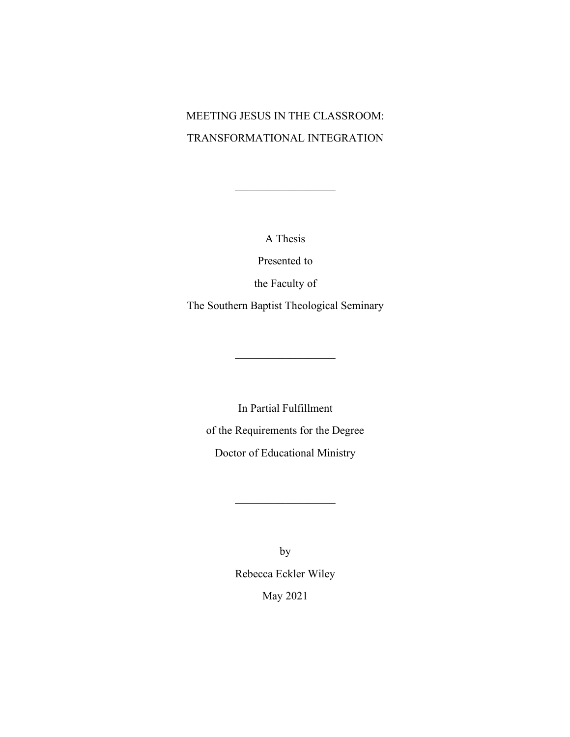# MEETING JESUS IN THE CLASSROOM: TRANSFORMATIONAL INTEGRATION

A Thesis

 $\overline{\phantom{a}}$  , where  $\overline{\phantom{a}}$ 

Presented to

the Faculty of

The Southern Baptist Theological Seminary

 $\overline{\phantom{a}}$  , where  $\overline{\phantom{a}}$ 

In Partial Fulfillment of the Requirements for the Degree Doctor of Educational Ministry

 $\overline{\phantom{a}}$  , where  $\overline{\phantom{a}}$ 

by Rebecca Eckler Wiley May 2021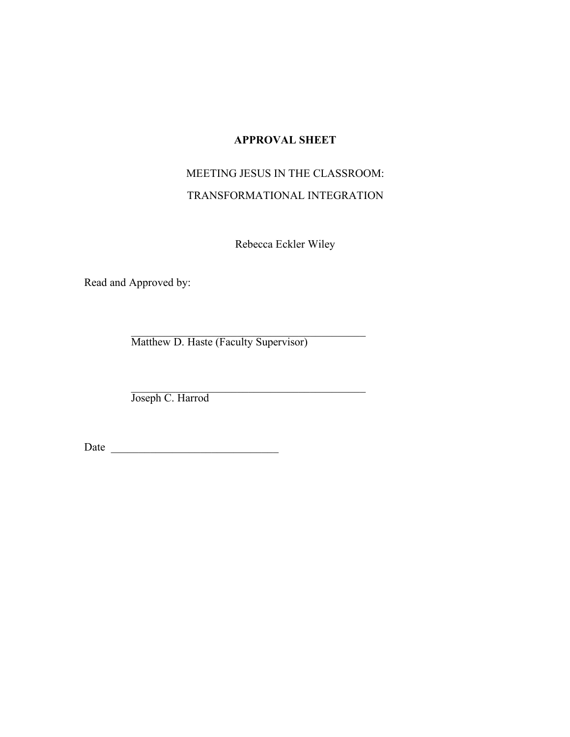# **APPROVAL SHEET**

# MEETING JESUS IN THE CLASSROOM:

# TRANSFORMATIONAL INTEGRATION

Rebecca Eckler Wiley

Read and Approved by:

\_\_\_\_\_\_\_\_\_\_\_\_\_\_\_\_\_\_\_\_\_\_\_\_\_\_\_\_\_\_\_\_\_\_\_\_\_\_\_\_\_\_ Matthew D. Haste (Faculty Supervisor)

\_\_\_\_\_\_\_\_\_\_\_\_\_\_\_\_\_\_\_\_\_\_\_\_\_\_\_\_\_\_\_\_\_\_\_\_\_\_\_\_\_\_ Joseph C. Harrod

Date \_\_\_\_\_\_\_\_\_\_\_\_\_\_\_\_\_\_\_\_\_\_\_\_\_\_\_\_\_\_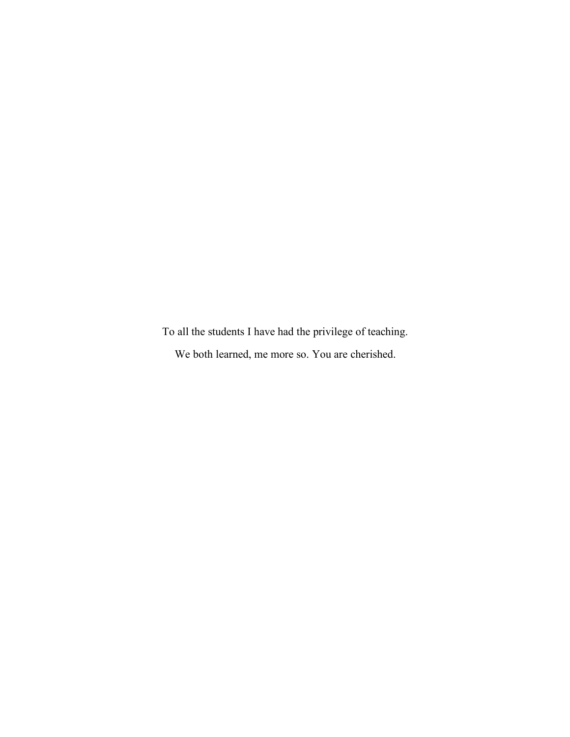To all the students I have had the privilege of teaching. We both learned, me more so. You are cherished.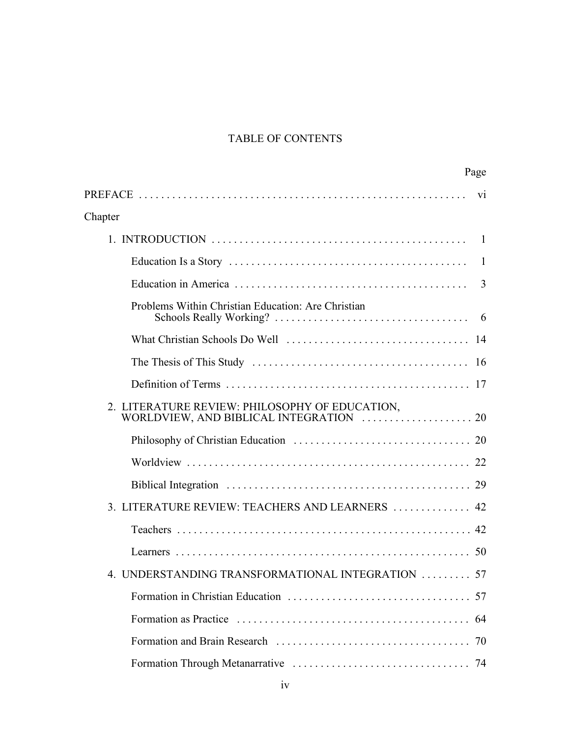# TABLE OF CONTENTS

|                                                     | Page |
|-----------------------------------------------------|------|
|                                                     | V1   |
| Chapter                                             |      |
|                                                     |      |
|                                                     | -1   |
|                                                     | 3    |
| Problems Within Christian Education: Are Christian  |      |
|                                                     |      |
|                                                     |      |
|                                                     |      |
| 2. LITERATURE REVIEW: PHILOSOPHY OF EDUCATION,      |      |
|                                                     |      |
|                                                     |      |
|                                                     |      |
| 3. LITERATURE REVIEW: TEACHERS AND LEARNERS  42     |      |
|                                                     |      |
|                                                     | 50   |
| UNDERSTANDING TRANSFORMATIONAL INTEGRATION  57<br>4 |      |
|                                                     | 57   |
|                                                     | 64   |
|                                                     | 70   |
|                                                     | 74   |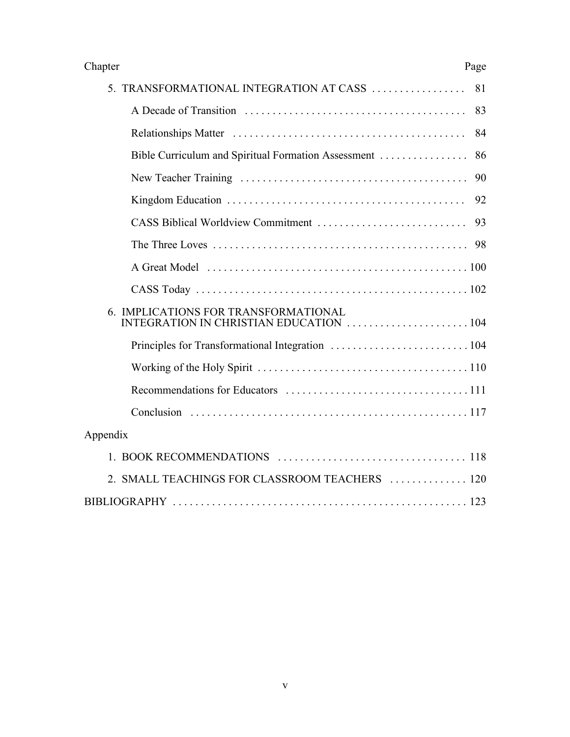| Chapter                                                                                                                                                                                                                        | Page |
|--------------------------------------------------------------------------------------------------------------------------------------------------------------------------------------------------------------------------------|------|
| 5. TRANSFORMATIONAL INTEGRATION AT CASS                                                                                                                                                                                        | 81   |
|                                                                                                                                                                                                                                | 83   |
|                                                                                                                                                                                                                                | 84   |
|                                                                                                                                                                                                                                |      |
|                                                                                                                                                                                                                                | 90   |
|                                                                                                                                                                                                                                | 92   |
|                                                                                                                                                                                                                                | 93   |
|                                                                                                                                                                                                                                |      |
| A Great Model (a) and the contract of the contract of the contract of the contract of the contract of the contract of the contract of the contract of the contract of the contract of the contract of the contract of the cont |      |
|                                                                                                                                                                                                                                |      |
| 6. IMPLICATIONS FOR TRANSFORMATIONAL<br>INTEGRATION IN CHRISTIAN EDUCATION 104                                                                                                                                                 |      |
|                                                                                                                                                                                                                                |      |
|                                                                                                                                                                                                                                |      |
|                                                                                                                                                                                                                                |      |
|                                                                                                                                                                                                                                |      |
| Appendix                                                                                                                                                                                                                       |      |
|                                                                                                                                                                                                                                |      |
| 2. SMALL TEACHINGS FOR CLASSROOM TEACHERS  120                                                                                                                                                                                 |      |
|                                                                                                                                                                                                                                |      |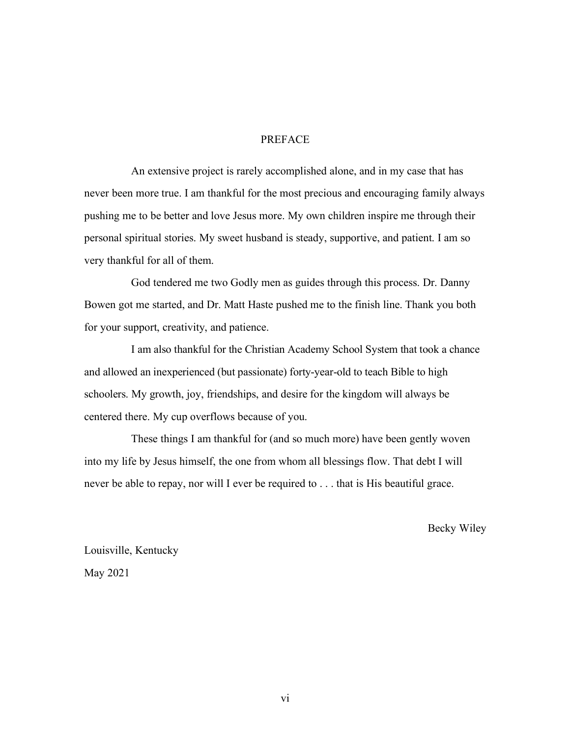## PREFACE

An extensive project is rarely accomplished alone, and in my case that has never been more true. I am thankful for the most precious and encouraging family always pushing me to be better and love Jesus more. My own children inspire me through their personal spiritual stories. My sweet husband is steady, supportive, and patient. I am so very thankful for all of them.

God tendered me two Godly men as guides through this process. Dr. Danny Bowen got me started, and Dr. Matt Haste pushed me to the finish line. Thank you both for your support, creativity, and patience.

I am also thankful for the Christian Academy School System that took a chance and allowed an inexperienced (but passionate) forty-year-old to teach Bible to high schoolers. My growth, joy, friendships, and desire for the kingdom will always be centered there. My cup overflows because of you.

These things I am thankful for (and so much more) have been gently woven into my life by Jesus himself, the one from whom all blessings flow. That debt I will never be able to repay, nor will I ever be required to . . . that is His beautiful grace.

Becky Wiley

Louisville, Kentucky May 2021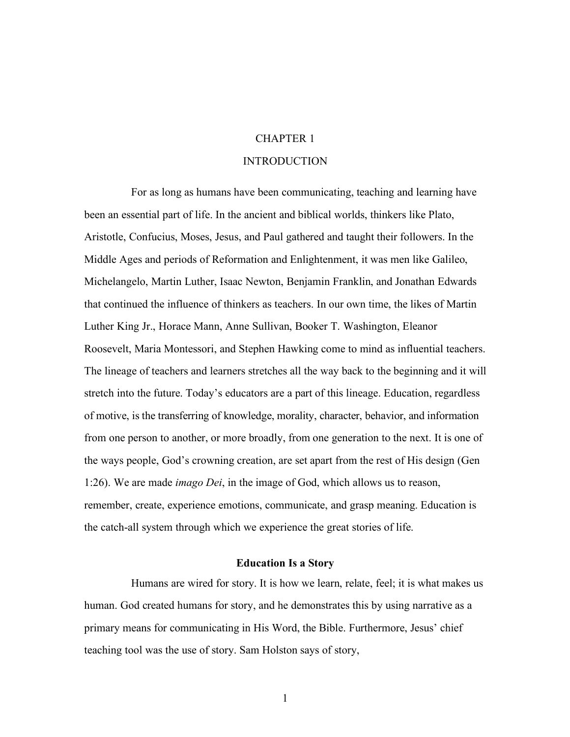# CHAPTER 1

#### **INTRODUCTION**

For as long as humans have been communicating, teaching and learning have been an essential part of life. In the ancient and biblical worlds, thinkers like Plato, Aristotle, Confucius, Moses, Jesus, and Paul gathered and taught their followers. In the Middle Ages and periods of Reformation and Enlightenment, it was men like Galileo, Michelangelo, Martin Luther, Isaac Newton, Benjamin Franklin, and Jonathan Edwards that continued the influence of thinkers as teachers. In our own time, the likes of Martin Luther King Jr., Horace Mann, Anne Sullivan, Booker T. Washington, Eleanor Roosevelt, Maria Montessori, and Stephen Hawking come to mind as influential teachers. The lineage of teachers and learners stretches all the way back to the beginning and it will stretch into the future. Today's educators are a part of this lineage. Education, regardless of motive, is the transferring of knowledge, morality, character, behavior, and information from one person to another, or more broadly, from one generation to the next. It is one of the ways people, God's crowning creation, are set apart from the rest of His design (Gen 1:26). We are made *imago Dei*, in the image of God, which allows us to reason, remember, create, experience emotions, communicate, and grasp meaning. Education is the catch-all system through which we experience the great stories of life.

#### **Education Is a Story**

Humans are wired for story. It is how we learn, relate, feel; it is what makes us human. God created humans for story, and he demonstrates this by using narrative as a primary means for communicating in His Word, the Bible. Furthermore, Jesus' chief teaching tool was the use of story. Sam Holston says of story,

1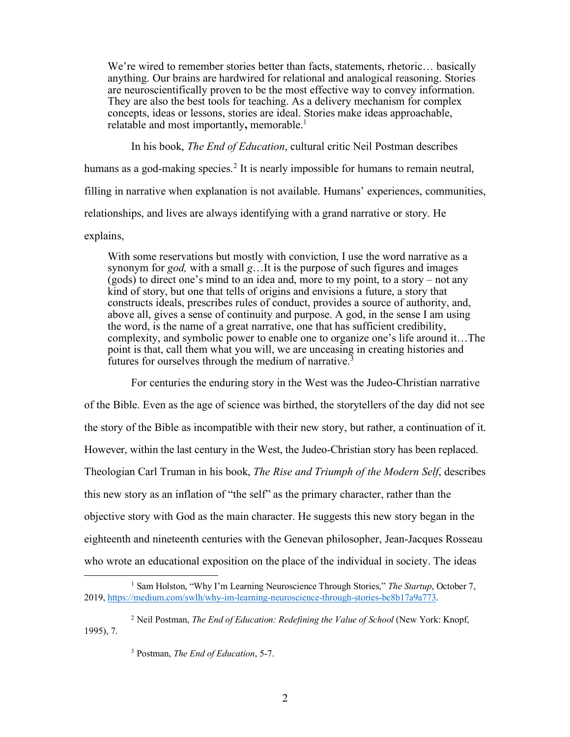We're wired to remember stories better than facts, statements, rhetoric... basically anything. Our brains are hardwired for relational and analogical reasoning. Stories are neuroscientifically proven to be the most effective way to convey information. They are also the best tools for teaching. As a delivery mechanism for complex concepts, ideas or lessons, stories are ideal. Stories make ideas approachable, relatable and most importantly**,** memorable.1

In his book, *The End of Education*, cultural critic Neil Postman describes humans as a god-making species.<sup>2</sup> It is nearly impossible for humans to remain neutral, filling in narrative when explanation is not available. Humans' experiences, communities, relationships, and lives are always identifying with a grand narrative or story. He

explains,

With some reservations but mostly with conviction, I use the word narrative as a synonym for *god,* with a small *g*…It is the purpose of such figures and images (gods) to direct one's mind to an idea and, more to my point, to a story – not any kind of story, but one that tells of origins and envisions a future, a story that constructs ideals, prescribes rules of conduct, provides a source of authority, and, above all, gives a sense of continuity and purpose. A god, in the sense I am using the word, is the name of a great narrative, one that has sufficient credibility, complexity, and symbolic power to enable one to organize one's life around it…The point is that, call them what you will, we are unceasing in creating histories and futures for ourselves through the medium of narrative.3

For centuries the enduring story in the West was the Judeo-Christian narrative

of the Bible. Even as the age of science was birthed, the storytellers of the day did not see the story of the Bible as incompatible with their new story, but rather, a continuation of it. However, within the last century in the West, the Judeo-Christian story has been replaced. Theologian Carl Truman in his book, *The Rise and Triumph of the Modern Self*, describes this new story as an inflation of "the self" as the primary character, rather than the objective story with God as the main character. He suggests this new story began in the eighteenth and nineteenth centuries with the Genevan philosopher, Jean-Jacques Rosseau who wrote an educational exposition on the place of the individual in society. The ideas

<sup>&</sup>lt;sup>1</sup> Sam Holston, "Why I'm Learning Neuroscience Through Stories," The Startup, October 7, 2019, https://medium.com/swlh/why-im-learning-neuroscience-through-stories-be8b17a9a773.

<sup>2</sup> Neil Postman, *The End of Education: Redefining the Value of School* (New York: Knopf, 1995), 7.

<sup>3</sup> Postman, *The End of Education*, 5-7.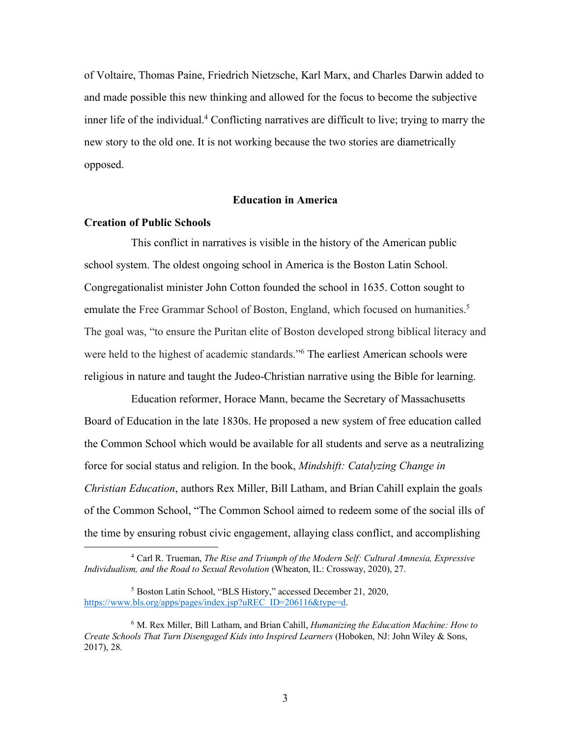of Voltaire, Thomas Paine, Friedrich Nietzsche, Karl Marx, and Charles Darwin added to and made possible this new thinking and allowed for the focus to become the subjective inner life of the individual.<sup>4</sup> Conflicting narratives are difficult to live; trying to marry the new story to the old one. It is not working because the two stories are diametrically opposed.

### **Education in America**

### **Creation of Public Schools**

This conflict in narratives is visible in the history of the American public school system. The oldest ongoing school in America is the Boston Latin School. Congregationalist minister John Cotton founded the school in 1635. Cotton sought to emulate the Free Grammar School of Boston, England, which focused on humanities.<sup>5</sup> The goal was, "to ensure the Puritan elite of Boston developed strong biblical literacy and were held to the highest of academic standards."6 The earliest American schools were religious in nature and taught the Judeo-Christian narrative using the Bible for learning.

Education reformer, Horace Mann, became the Secretary of Massachusetts Board of Education in the late 1830s. He proposed a new system of free education called the Common School which would be available for all students and serve as a neutralizing force for social status and religion. In the book, *Mindshift: Catalyzing Change in Christian Education*, authors Rex Miller, Bill Latham, and Brian Cahill explain the goals of the Common School, "The Common School aimed to redeem some of the social ills of the time by ensuring robust civic engagement, allaying class conflict, and accomplishing

 <sup>4</sup> Carl R. Trueman, *The Rise and Triumph of the Modern Self: Cultural Amnesia, Expressive Individualism, and the Road to Sexual Revolution* (Wheaton, IL: Crossway, 2020), 27.

<sup>5</sup> Boston Latin School, "BLS History," accessed December 21, 2020, https://www.bls.org/apps/pages/index.jsp?uREC\_ID=206116&type=d.

<sup>6</sup> M. Rex Miller, Bill Latham, and Brian Cahill, *Humanizing the Education Machine: How to Create Schools That Turn Disengaged Kids into Inspired Learners* (Hoboken, NJ: John Wiley & Sons, 2017), 28.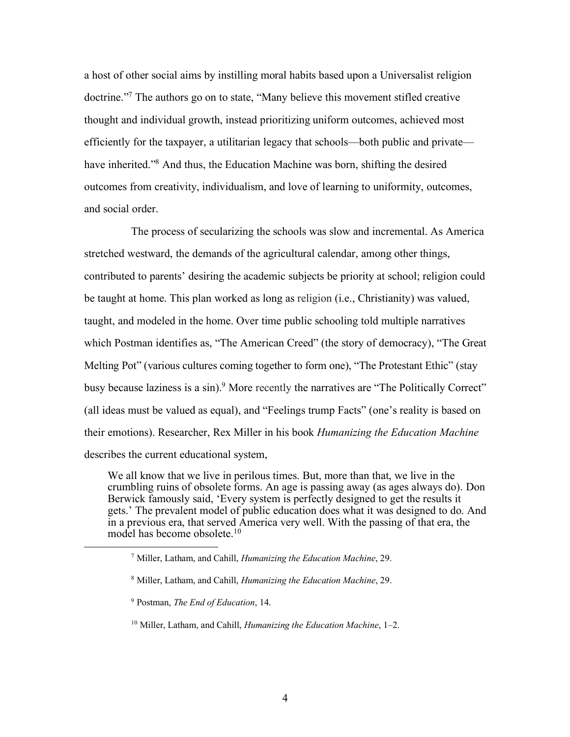a host of other social aims by instilling moral habits based upon a Universalist religion doctrine."7 The authors go on to state, "Many believe this movement stifled creative thought and individual growth, instead prioritizing uniform outcomes, achieved most efficiently for the taxpayer, a utilitarian legacy that schools—both public and private have inherited."<sup>8</sup> And thus, the Education Machine was born, shifting the desired outcomes from creativity, individualism, and love of learning to uniformity, outcomes, and social order.

The process of secularizing the schools was slow and incremental. As America stretched westward, the demands of the agricultural calendar, among other things, contributed to parents' desiring the academic subjects be priority at school; religion could be taught at home. This plan worked as long as religion (i.e., Christianity) was valued, taught, and modeled in the home. Over time public schooling told multiple narratives which Postman identifies as, "The American Creed" (the story of democracy), "The Great Melting Pot" (various cultures coming together to form one), "The Protestant Ethic" (stay busy because laziness is a sin).<sup>9</sup> More recently the narratives are "The Politically Correct" (all ideas must be valued as equal), and "Feelings trump Facts" (one's reality is based on their emotions). Researcher, Rex Miller in his book *Humanizing the Education Machine* describes the current educational system,

We all know that we live in perilous times. But, more than that, we live in the crumbling ruins of obsolete forms. An age is passing away (as ages always do). Don Berwick famously said, 'Every system is perfectly designed to get the results it gets.' The prevalent model of public education does what it was designed to do. And in a previous era, that served America very well. With the passing of that era, the model has become obsolete.<sup>10</sup>

 <sup>7</sup> Miller, Latham, and Cahill, *Humanizing the Education Machine*, 29.

<sup>8</sup> Miller, Latham, and Cahill, *Humanizing the Education Machine*, 29.

<sup>9</sup> Postman, *The End of Education*, 14.

<sup>10</sup> Miller, Latham, and Cahill, *Humanizing the Education Machine*, 1–2.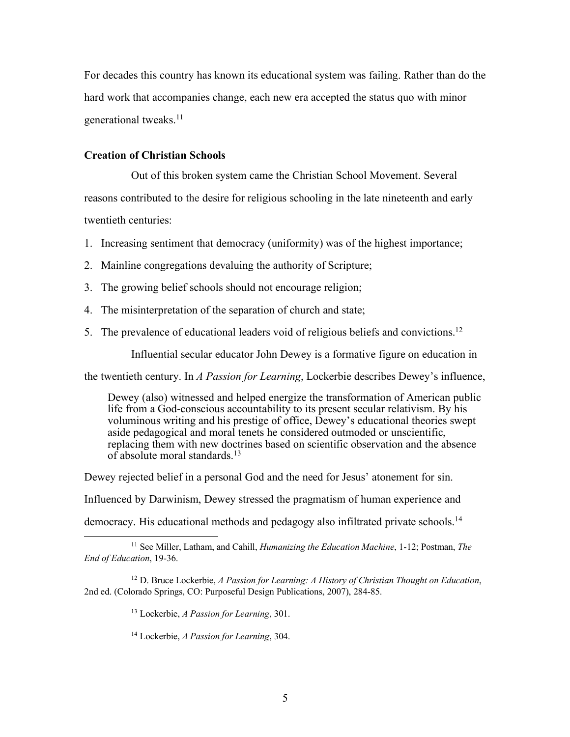For decades this country has known its educational system was failing. Rather than do the hard work that accompanies change, each new era accepted the status quo with minor generational tweaks. 11

#### **Creation of Christian Schools**

Out of this broken system came the Christian School Movement. Several reasons contributed to the desire for religious schooling in the late nineteenth and early twentieth centuries:

- 1. Increasing sentiment that democracy (uniformity) was of the highest importance;
- 2. Mainline congregations devaluing the authority of Scripture;
- 3. The growing belief schools should not encourage religion;
- 4. The misinterpretation of the separation of church and state;
- 5. The prevalence of educational leaders void of religious beliefs and convictions.12

Influential secular educator John Dewey is a formative figure on education in

the twentieth century. In *A Passion for Learning*, Lockerbie describes Dewey's influence,

Dewey (also) witnessed and helped energize the transformation of American public life from a God-conscious accountability to its present secular relativism. By his voluminous writing and his prestige of office, Dewey's educational theories swept aside pedagogical and moral tenets he considered outmoded or unscientific, replacing them with new doctrines based on scientific observation and the absence of absolute moral standards.13

Dewey rejected belief in a personal God and the need for Jesus' atonement for sin.

Influenced by Darwinism, Dewey stressed the pragmatism of human experience and

democracy. His educational methods and pedagogy also infiltrated private schools.<sup>14</sup>

<sup>13</sup> Lockerbie, *A Passion for Learning*, 301.

<sup>14</sup> Lockerbie, *A Passion for Learning*, 304.

 <sup>11</sup> See Miller, Latham, and Cahill, *Humanizing the Education Machine*, 1-12; Postman, *The End of Education*, 19-36.

<sup>12</sup> D. Bruce Lockerbie, *A Passion for Learning: A History of Christian Thought on Education*, 2nd ed. (Colorado Springs, CO: Purposeful Design Publications, 2007), 284-85.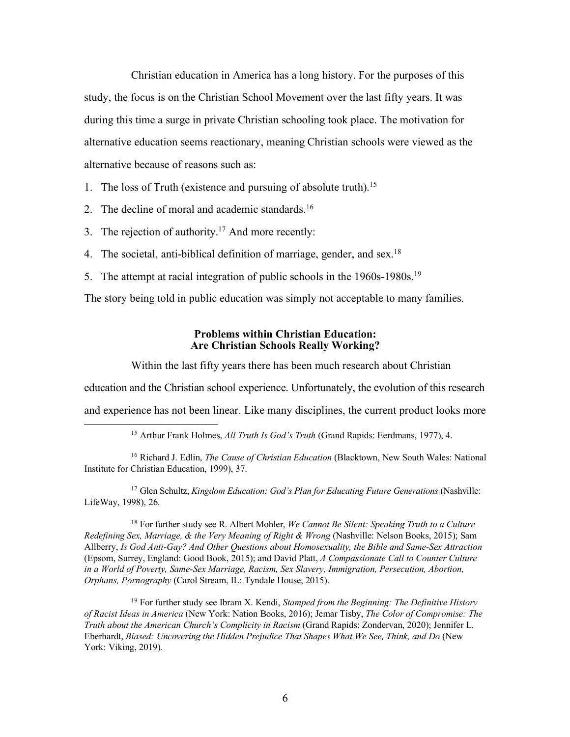Christian education in America has a long history. For the purposes of this study, the focus is on the Christian School Movement over the last fifty years. It was during this time a surge in private Christian schooling took place. The motivation for alternative education seems reactionary, meaning Christian schools were viewed as the alternative because of reasons such as:

- 1. The loss of Truth (existence and pursuing of absolute truth). 15
- 2. The decline of moral and academic standards.<sup>16</sup>
- 3. The rejection of authority.<sup>17</sup> And more recently:
- 4. The societal, anti-biblical definition of marriage, gender, and sex.<sup>18</sup>
- 5. The attempt at racial integration of public schools in the 1960s-1980s.19

The story being told in public education was simply not acceptable to many families.

#### **Problems within Christian Education: Are Christian Schools Really Working?**

Within the last fifty years there has been much research about Christian

education and the Christian school experience. Unfortunately, the evolution of this research

and experience has not been linear. Like many disciplines, the current product looks more

<sup>17</sup> Glen Schultz, *Kingdom Education: God's Plan for Educating Future Generations* (Nashville: LifeWay, 1998), 26.

<sup>18</sup> For further study see R. Albert Mohler, *We Cannot Be Silent: Speaking Truth to a Culture Redefining Sex, Marriage, & the Very Meaning of Right & Wrong* (Nashville: Nelson Books, 2015); Sam Allberry, *Is God Anti-Gay? And Other Questions about Homosexuality, the Bible and Same-Sex Attraction* (Epsom, Surrey, England: Good Book, 2015); and David Platt, *A Compassionate Call to Counter Culture in a World of Poverty, Same-Sex Marriage, Racism, Sex Slavery, Immigration, Persecution, Abortion, Orphans, Pornography* (Carol Stream, IL: Tyndale House, 2015).

<sup>19</sup> For further study see Ibram X. Kendi, *Stamped from the Beginning: The Definitive History of Racist Ideas in America* (New York: Nation Books, 2016); Jemar Tisby, *The Color of Compromise: The Truth about the American Church's Complicity in Racism* (Grand Rapids: Zondervan, 2020); Jennifer L. Eberhardt, *Biased: Uncovering the Hidden Prejudice That Shapes What We See, Think, and Do* (New York: Viking, 2019).

 <sup>15</sup> Arthur Frank Holmes, *All Truth Is God's Truth* (Grand Rapids: Eerdmans, 1977), 4.

<sup>16</sup> Richard J. Edlin, *The Cause of Christian Education* (Blacktown, New South Wales: National Institute for Christian Education, 1999), 37.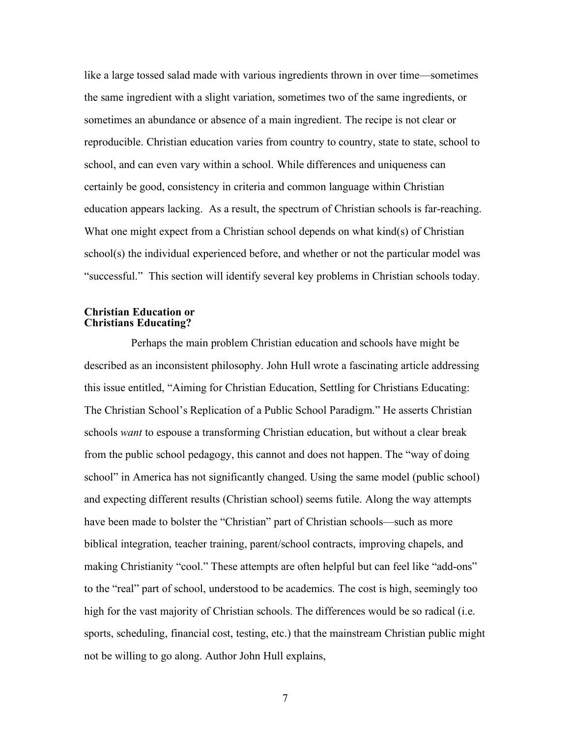like a large tossed salad made with various ingredients thrown in over time—sometimes the same ingredient with a slight variation, sometimes two of the same ingredients, or sometimes an abundance or absence of a main ingredient. The recipe is not clear or reproducible. Christian education varies from country to country, state to state, school to school, and can even vary within a school. While differences and uniqueness can certainly be good, consistency in criteria and common language within Christian education appears lacking. As a result, the spectrum of Christian schools is far-reaching. What one might expect from a Christian school depends on what kind(s) of Christian school(s) the individual experienced before, and whether or not the particular model was "successful." This section will identify several key problems in Christian schools today.

#### **Christian Education or Christians Educating?**

Perhaps the main problem Christian education and schools have might be described as an inconsistent philosophy. John Hull wrote a fascinating article addressing this issue entitled, "Aiming for Christian Education, Settling for Christians Educating: The Christian School's Replication of a Public School Paradigm." He asserts Christian schools *want* to espouse a transforming Christian education, but without a clear break from the public school pedagogy, this cannot and does not happen. The "way of doing school" in America has not significantly changed. Using the same model (public school) and expecting different results (Christian school) seems futile. Along the way attempts have been made to bolster the "Christian" part of Christian schools—such as more biblical integration, teacher training, parent/school contracts, improving chapels, and making Christianity "cool." These attempts are often helpful but can feel like "add-ons" to the "real" part of school, understood to be academics. The cost is high, seemingly too high for the vast majority of Christian schools. The differences would be so radical (i.e. sports, scheduling, financial cost, testing, etc.) that the mainstream Christian public might not be willing to go along. Author John Hull explains,

7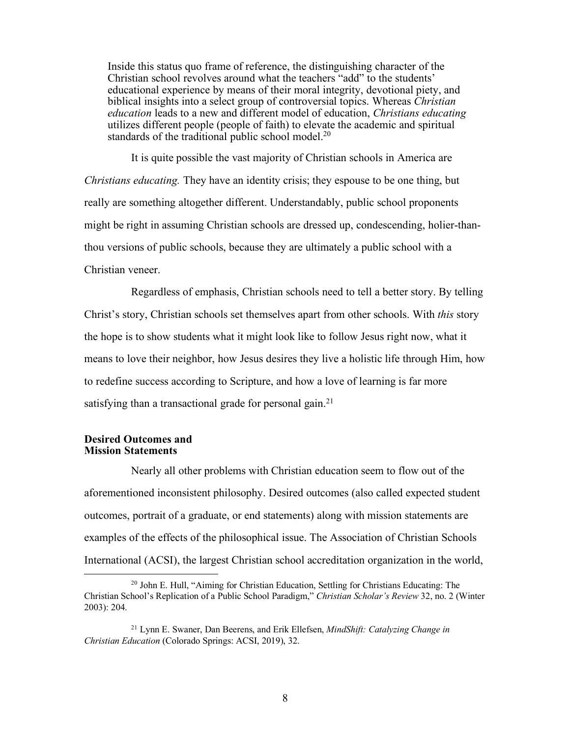Inside this status quo frame of reference, the distinguishing character of the Christian school revolves around what the teachers "add" to the students' educational experience by means of their moral integrity, devotional piety, and biblical insights into a select group of controversial topics. Whereas *Christian education* leads to a new and different model of education, *Christians educating* utilizes different people (people of faith) to elevate the academic and spiritual standards of the traditional public school model.<sup>20</sup>

It is quite possible the vast majority of Christian schools in America are *Christians educating.* They have an identity crisis; they espouse to be one thing, but really are something altogether different. Understandably, public school proponents might be right in assuming Christian schools are dressed up, condescending, holier-thanthou versions of public schools, because they are ultimately a public school with a Christian veneer.

Regardless of emphasis, Christian schools need to tell a better story. By telling Christ's story, Christian schools set themselves apart from other schools. With *this* story the hope is to show students what it might look like to follow Jesus right now, what it means to love their neighbor, how Jesus desires they live a holistic life through Him, how to redefine success according to Scripture, and how a love of learning is far more satisfying than a transactional grade for personal gain.<sup>21</sup>

#### **Desired Outcomes and Mission Statements**

Nearly all other problems with Christian education seem to flow out of the aforementioned inconsistent philosophy. Desired outcomes (also called expected student outcomes, portrait of a graduate, or end statements) along with mission statements are examples of the effects of the philosophical issue. The Association of Christian Schools International (ACSI), the largest Christian school accreditation organization in the world,

 <sup>20</sup> John E. Hull, "Aiming for Christian Education, Settling for Christians Educating: The Christian School's Replication of a Public School Paradigm," *Christian Scholar's Review* 32, no. 2 (Winter 2003): 204.

<sup>21</sup> Lynn E. Swaner, Dan Beerens, and Erik Ellefsen, *MindShift: Catalyzing Change in Christian Education* (Colorado Springs: ACSI, 2019), 32.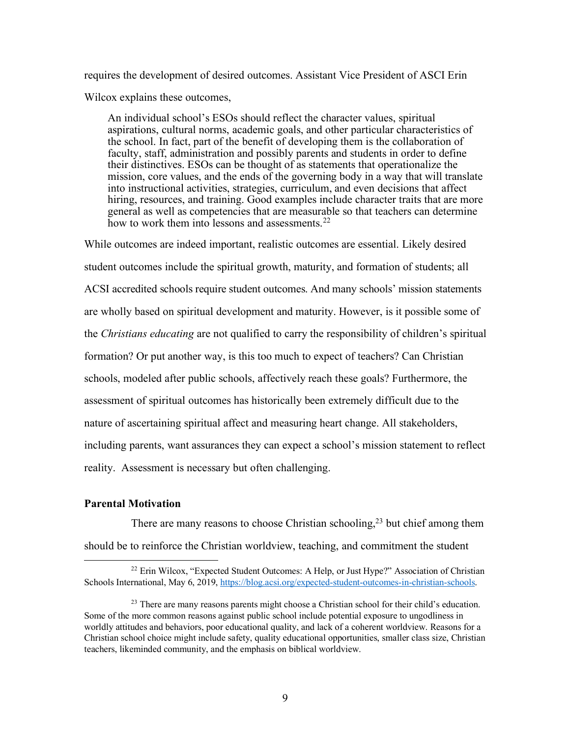requires the development of desired outcomes. Assistant Vice President of ASCI Erin Wilcox explains these outcomes,

An individual school's ESOs should reflect the character values, spiritual aspirations, cultural norms, academic goals, and other particular characteristics of the school. In fact, part of the benefit of developing them is the collaboration of faculty, staff, administration and possibly parents and students in order to define their distinctives. ESOs can be thought of as statements that operationalize the mission, core values, and the ends of the governing body in a way that will translate into instructional activities, strategies, curriculum, and even decisions that affect hiring, resources, and training. Good examples include character traits that are more general as well as competencies that are measurable so that teachers can determine how to work them into lessons and assessments.<sup>22</sup>

While outcomes are indeed important, realistic outcomes are essential. Likely desired student outcomes include the spiritual growth, maturity, and formation of students; all ACSI accredited schools require student outcomes. And many schools' mission statements are wholly based on spiritual development and maturity. However, is it possible some of the *Christians educating* are not qualified to carry the responsibility of children's spiritual formation? Or put another way, is this too much to expect of teachers? Can Christian schools, modeled after public schools, affectively reach these goals? Furthermore, the assessment of spiritual outcomes has historically been extremely difficult due to the nature of ascertaining spiritual affect and measuring heart change. All stakeholders, including parents, want assurances they can expect a school's mission statement to reflect reality. Assessment is necessary but often challenging.

#### **Parental Motivation**

There are many reasons to choose Christian schooling,<sup>23</sup> but chief among them should be to reinforce the Christian worldview, teaching, and commitment the student

 <sup>22</sup> Erin Wilcox, "Expected Student Outcomes: A Help, or Just Hype?" Association of Christian Schools International, May 6, 2019, https://blog.acsi.org/expected-student-outcomes-in-christian-schools.

<sup>&</sup>lt;sup>23</sup> There are many reasons parents might choose a Christian school for their child's education. Some of the more common reasons against public school include potential exposure to ungodliness in worldly attitudes and behaviors, poor educational quality, and lack of a coherent worldview. Reasons for a Christian school choice might include safety, quality educational opportunities, smaller class size, Christian teachers, likeminded community, and the emphasis on biblical worldview.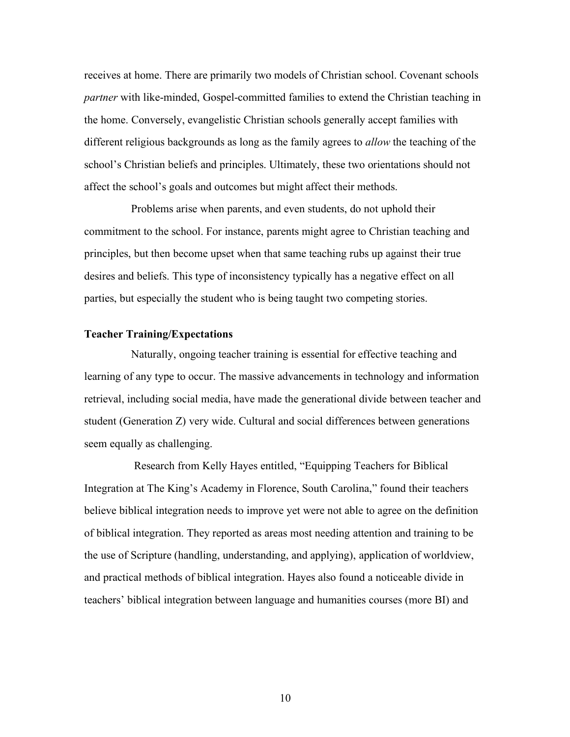receives at home. There are primarily two models of Christian school. Covenant schools *partner* with like-minded, Gospel-committed families to extend the Christian teaching in the home. Conversely, evangelistic Christian schools generally accept families with different religious backgrounds as long as the family agrees to *allow* the teaching of the school's Christian beliefs and principles. Ultimately, these two orientations should not affect the school's goals and outcomes but might affect their methods.

Problems arise when parents, and even students, do not uphold their commitment to the school. For instance, parents might agree to Christian teaching and principles, but then become upset when that same teaching rubs up against their true desires and beliefs. This type of inconsistency typically has a negative effect on all parties, but especially the student who is being taught two competing stories.

# **Teacher Training/Expectations**

Naturally, ongoing teacher training is essential for effective teaching and learning of any type to occur. The massive advancements in technology and information retrieval, including social media, have made the generational divide between teacher and student (Generation Z) very wide. Cultural and social differences between generations seem equally as challenging.

Research from Kelly Hayes entitled, "Equipping Teachers for Biblical Integration at The King's Academy in Florence, South Carolina," found their teachers believe biblical integration needs to improve yet were not able to agree on the definition of biblical integration. They reported as areas most needing attention and training to be the use of Scripture (handling, understanding, and applying), application of worldview, and practical methods of biblical integration. Hayes also found a noticeable divide in teachers' biblical integration between language and humanities courses (more BI) and

10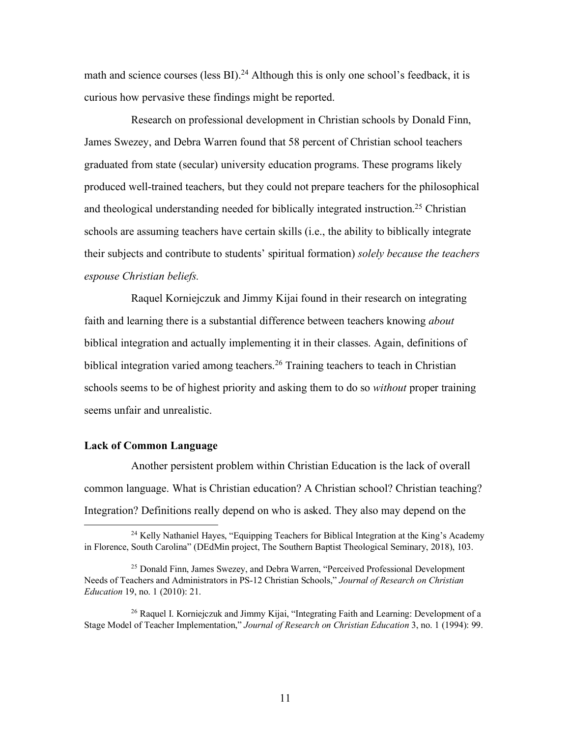math and science courses (less  $BI$ ).<sup>24</sup> Although this is only one school's feedback, it is curious how pervasive these findings might be reported.

Research on professional development in Christian schools by Donald Finn, James Swezey, and Debra Warren found that 58 percent of Christian school teachers graduated from state (secular) university education programs. These programs likely produced well-trained teachers, but they could not prepare teachers for the philosophical and theological understanding needed for biblically integrated instruction.<sup>25</sup> Christian schools are assuming teachers have certain skills (i.e., the ability to biblically integrate their subjects and contribute to students' spiritual formation) *solely because the teachers espouse Christian beliefs.*

Raquel Korniejczuk and Jimmy Kijai found in their research on integrating faith and learning there is a substantial difference between teachers knowing *about* biblical integration and actually implementing it in their classes. Again, definitions of biblical integration varied among teachers.<sup>26</sup> Training teachers to teach in Christian schools seems to be of highest priority and asking them to do so *without* proper training seems unfair and unrealistic.

#### **Lack of Common Language**

Another persistent problem within Christian Education is the lack of overall common language. What is Christian education? A Christian school? Christian teaching? Integration? Definitions really depend on who is asked. They also may depend on the

<sup>&</sup>lt;sup>24</sup> Kelly Nathaniel Hayes, "Equipping Teachers for Biblical Integration at the King's Academy in Florence, South Carolina" (DEdMin project, The Southern Baptist Theological Seminary, 2018), 103.

<sup>&</sup>lt;sup>25</sup> Donald Finn, James Swezey, and Debra Warren, "Perceived Professional Development Needs of Teachers and Administrators in PS-12 Christian Schools," *Journal of Research on Christian Education* 19, no. 1 (2010): 21.

<sup>&</sup>lt;sup>26</sup> Raquel I. Korniejczuk and Jimmy Kijai, "Integrating Faith and Learning: Development of a Stage Model of Teacher Implementation," *Journal of Research on Christian Education* 3, no. 1 (1994): 99.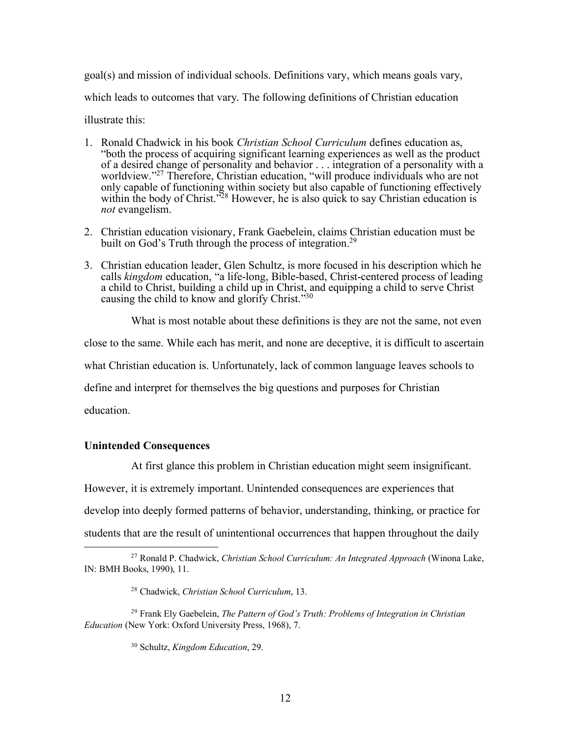goal(s) and mission of individual schools. Definitions vary, which means goals vary, which leads to outcomes that vary. The following definitions of Christian education illustrate this:

1. Ronald Chadwick in his book *Christian School Curriculum* defines education as, "both the process of acquiring significant learning experiences as well as the product of a desired change of personality and behavior . . . integration of a personality with a worldview."27 Therefore, Christian education, "will produce individuals who are not only capable of functioning within society but also capable of functioning effectively within the body of Christ.<sup>528</sup> However, he is also quick to say Christian education is *not* evangelism.

- 2. Christian education visionary, Frank Gaebelein, claims Christian education must be built on God's Truth through the process of integration.<sup>29</sup>
- 3. Christian education leader, Glen Schultz, is more focused in his description which he calls *kingdom* education, "a life-long, Bible-based, Christ-centered process of leading a child to Christ, building a child up in Christ, and equipping a child to serve Christ causing the child to know and glorify Christ.<sup> $30$ </sup>

What is most notable about these definitions is they are not the same, not even close to the same. While each has merit, and none are deceptive, it is difficult to ascertain what Christian education is. Unfortunately, lack of common language leaves schools to define and interpret for themselves the big questions and purposes for Christian education.

#### **Unintended Consequences**

At first glance this problem in Christian education might seem insignificant. However, it is extremely important. Unintended consequences are experiences that develop into deeply formed patterns of behavior, understanding, thinking, or practice for students that are the result of unintentional occurrences that happen throughout the daily

 <sup>27</sup> Ronald P. Chadwick, *Christian School Curriculum: An Integrated Approach* (Winona Lake, IN: BMH Books, 1990), 11.

<sup>28</sup> Chadwick, *Christian School Curriculum*, 13.

<sup>29</sup> Frank Ely Gaebelein, *The Pattern of God's Truth: Problems of Integration in Christian Education* (New York: Oxford University Press, 1968), 7.

<sup>30</sup> Schultz, *Kingdom Education*, 29.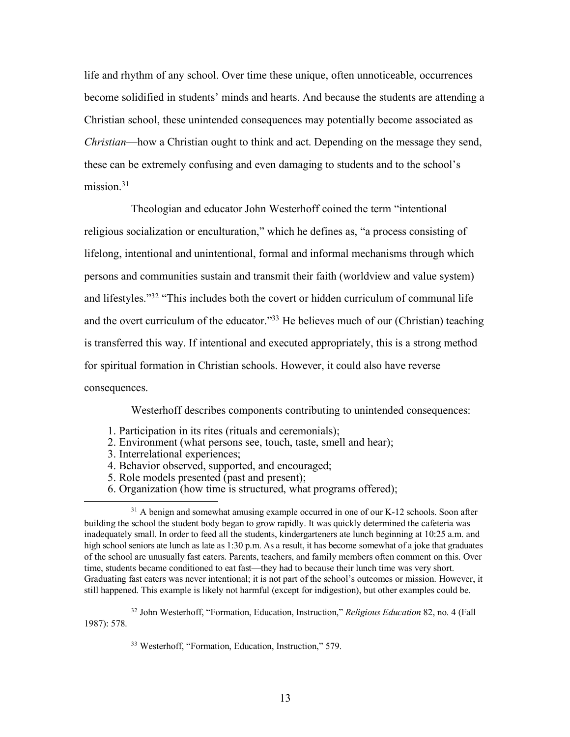life and rhythm of any school. Over time these unique, often unnoticeable, occurrences become solidified in students' minds and hearts. And because the students are attending a Christian school, these unintended consequences may potentially become associated as *Christian*—how a Christian ought to think and act. Depending on the message they send, these can be extremely confusing and even damaging to students and to the school's mission $31$ 

Theologian and educator John Westerhoff coined the term "intentional religious socialization or enculturation," which he defines as, "a process consisting of lifelong, intentional and unintentional, formal and informal mechanisms through which persons and communities sustain and transmit their faith (worldview and value system) and lifestyles."32 "This includes both the covert or hidden curriculum of communal life and the overt curriculum of the educator."33 He believes much of our (Christian) teaching is transferred this way. If intentional and executed appropriately, this is a strong method for spiritual formation in Christian schools. However, it could also have reverse consequences.

Westerhoff describes components contributing to unintended consequences:

- 1. Participation in its rites (rituals and ceremonials);
- 2. Environment (what persons see, touch, taste, smell and hear);
- 3. Interrelational experiences;
- 4. Behavior observed, supported, and encouraged;
- 5. Role models presented (past and present);
- 6. Organization (how time is structured, what programs offered);

<sup>&</sup>lt;sup>31</sup> A benign and somewhat amusing example occurred in one of our K-12 schools. Soon after building the school the student body began to grow rapidly. It was quickly determined the cafeteria was inadequately small. In order to feed all the students, kindergarteners ate lunch beginning at 10:25 a.m. and high school seniors ate lunch as late as 1:30 p.m. As a result, it has become somewhat of a joke that graduates of the school are unusually fast eaters. Parents, teachers, and family members often comment on this. Over time, students became conditioned to eat fast—they had to because their lunch time was very short. Graduating fast eaters was never intentional; it is not part of the school's outcomes or mission. However, it still happened. This example is likely not harmful (except for indigestion), but other examples could be.

<sup>32</sup> John Westerhoff, "Formation, Education, Instruction," *Religious Education* 82, no. 4 (Fall 1987): 578.

<sup>33</sup> Westerhoff, "Formation, Education, Instruction," 579.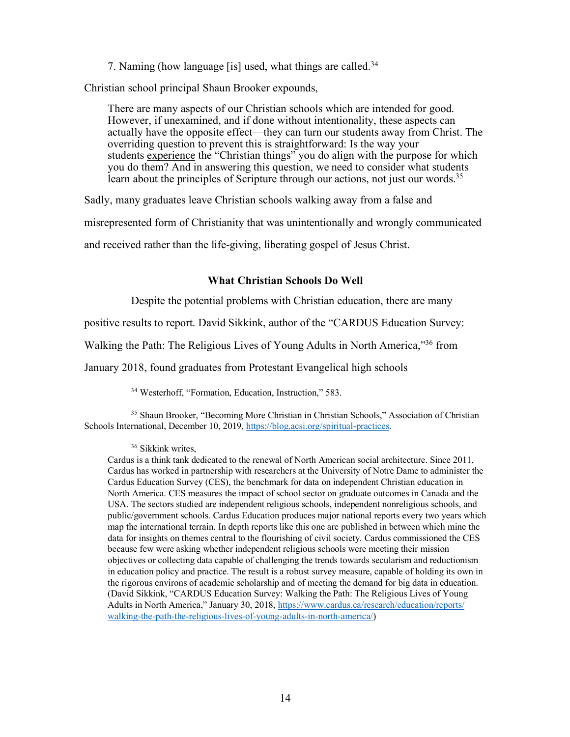7. Naming (how language [is] used, what things are called.<sup>34</sup>

Christian school principal Shaun Brooker expounds,

There are many aspects of our Christian schools which are intended for good. However, if unexamined, and if done without intentionality, these aspects can actually have the opposite effect—they can turn our students away from Christ. The overriding question to prevent this is straightforward: Is the way your students experience the "Christian things" you do align with the purpose for which you do them? And in answering this question, we need to consider what students learn about the principles of Scripture through our actions, not just our words.<sup>35</sup>

Sadly, many graduates leave Christian schools walking away from a false and

misrepresented form of Christianity that was unintentionally and wrongly communicated

and received rather than the life-giving, liberating gospel of Jesus Christ.

### **What Christian Schools Do Well**

Despite the potential problems with Christian education, there are many

positive results to report. David Sikkink, author of the "CARDUS Education Survey:

Walking the Path: The Religious Lives of Young Adults in North America,"36 from

January 2018, found graduates from Protestant Evangelical high schools

34 Westerhoff, "Formation, Education, Instruction," 583.

<sup>35</sup> Shaun Brooker, "Becoming More Christian in Christian Schools," Association of Christian Schools International, December 10, 2019, https://blog.acsi.org/spiritual-practices.

<sup>36</sup> Sikkink writes,

Cardus is a think tank dedicated to the renewal of North American social architecture. Since 2011, Cardus has worked in partnership with researchers at the University of Notre Dame to administer the Cardus Education Survey (CES), the benchmark for data on independent Christian education in North America. CES measures the impact of school sector on graduate outcomes in Canada and the USA. The sectors studied are independent religious schools, independent nonreligious schools, and public/government schools. Cardus Education produces major national reports every two years which map the international terrain. In depth reports like this one are published in between which mine the data for insights on themes central to the flourishing of civil society. Cardus commissioned the CES because few were asking whether independent religious schools were meeting their mission objectives or collecting data capable of challenging the trends towards secularism and reductionism in education policy and practice. The result is a robust survey measure, capable of holding its own in the rigorous environs of academic scholarship and of meeting the demand for big data in education. (David Sikkink, "CARDUS Education Survey: Walking the Path: The Religious Lives of Young Adults in North America," January 30, 2018, https://www.cardus.ca/research/education/reports/ walking-the-path-the-religious-lives-of-young-adults-in-north-america/)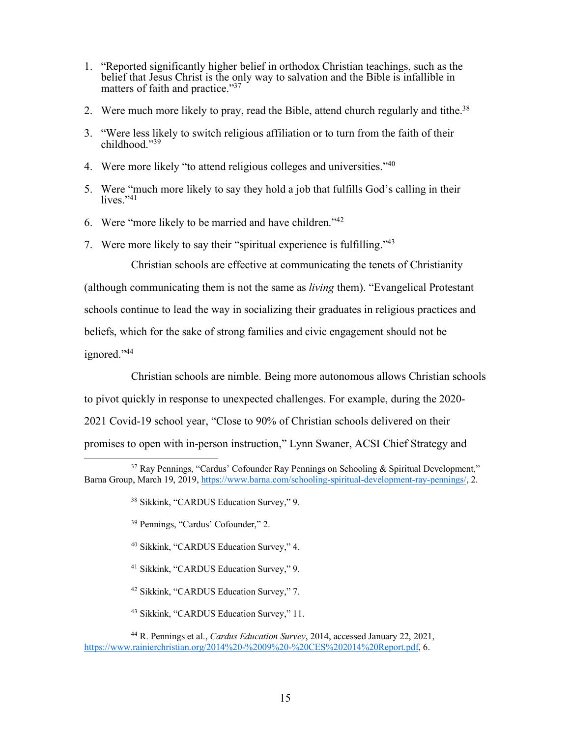- 1. "Reported significantly higher belief in orthodox Christian teachings, such as the belief that Jesus Christ is the only way to salvation and the Bible is infallible in matters of faith and practice."37
- 2. Were much more likely to pray, read the Bible, attend church regularly and tithe.<sup>38</sup>
- 3. "Were less likely to switch religious affiliation or to turn from the faith of their childhood."39
- 4. Were more likely "to attend religious colleges and universities."40
- 5. Were "much more likely to say they hold a job that fulfills God's calling in their lives."41
- 6. Were "more likely to be married and have children."42
- 7. Were more likely to say their "spiritual experience is fulfilling."43

Christian schools are effective at communicating the tenets of Christianity

(although communicating them is not the same as *living* them). "Evangelical Protestant schools continue to lead the way in socializing their graduates in religious practices and beliefs, which for the sake of strong families and civic engagement should not be ignored."44

Christian schools are nimble. Being more autonomous allows Christian schools

to pivot quickly in response to unexpected challenges. For example, during the 2020-

2021 Covid-19 school year, "Close to 90% of Christian schools delivered on their

promises to open with in-person instruction," Lynn Swaner, ACSI Chief Strategy and

- <sup>39</sup> Pennings, "Cardus' Cofounder," 2.
- <sup>40</sup> Sikkink, "CARDUS Education Survey," 4.
- <sup>41</sup> Sikkink, "CARDUS Education Survey," 9.
- <sup>42</sup> Sikkink, "CARDUS Education Survey," 7.
- <sup>43</sup> Sikkink, "CARDUS Education Survey," 11.
- <sup>44</sup> R. Pennings et al., *Cardus Education Survey*, 2014, accessed January 22, 2021, https://www.rainierchristian.org/2014%20-%2009%20-%20CES%202014%20Report.pdf, 6.

<sup>&</sup>lt;sup>37</sup> Ray Pennings, "Cardus' Cofounder Ray Pennings on Schooling & Spiritual Development," Barna Group, March 19, 2019, https://www.barna.com/schooling-spiritual-development-ray-pennings/, 2.

<sup>38</sup> Sikkink, "CARDUS Education Survey," 9.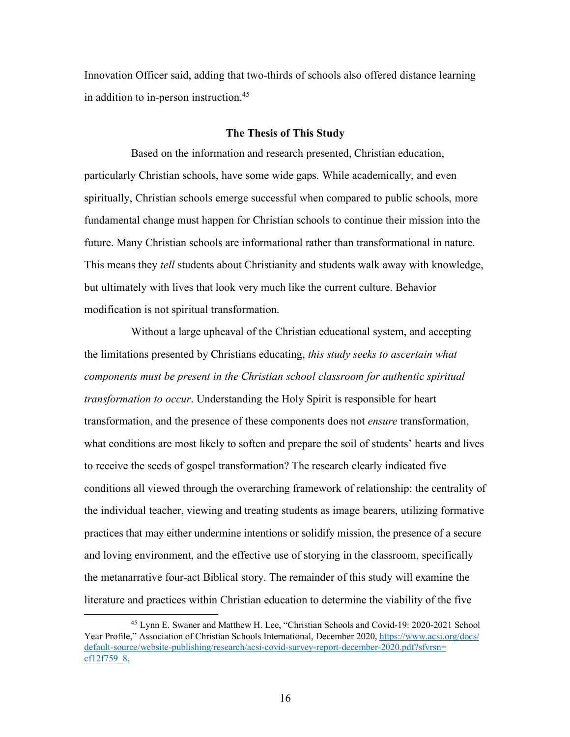Innovation Officer said, adding that two-thirds of schools also offered distance learning in addition to in-person instruction.<sup>45</sup>

#### **The Thesis of This Study**

Based on the information and research presented, Christian education, particularly Christian schools, have some wide gaps. While academically, and even spiritually, Christian schools emerge successful when compared to public schools, more fundamental change must happen for Christian schools to continue their mission into the future. Many Christian schools are informational rather than transformational in nature. This means they *tell* students about Christianity and students walk away with knowledge, but ultimately with lives that look very much like the current culture. Behavior modification is not spiritual transformation.

Without a large upheaval of the Christian educational system, and accepting the limitations presented by Christians educating, *this study seeks to ascertain what components must be present in the Christian school classroom for authentic spiritual transformation to occur*. Understanding the Holy Spirit is responsible for heart transformation, and the presence of these components does not *ensure* transformation, what conditions are most likely to soften and prepare the soil of students' hearts and lives to receive the seeds of gospel transformation? The research clearly indicated five conditions all viewed through the overarching framework of relationship: the centrality of the individual teacher, viewing and treating students as image bearers, utilizing formative practices that may either undermine intentions or solidify mission, the presence of a secure and loving environment, and the effective use of storying in the classroom, specifically the metanarrative four-act Biblical story. The remainder of this study will examine the literature and practices within Christian education to determine the viability of the five

 <sup>45</sup> Lynn E. Swaner and Matthew H. Lee, "Christian Schools and Covid-19: 2020-2021 School Year Profile," Association of Christian Schools International, December 2020, https://www.acsi.org/docs/ default-source/website-publishing/research/acsi-covid-survey-report-december-2020.pdf?sfvrsn= cf12f759\_8.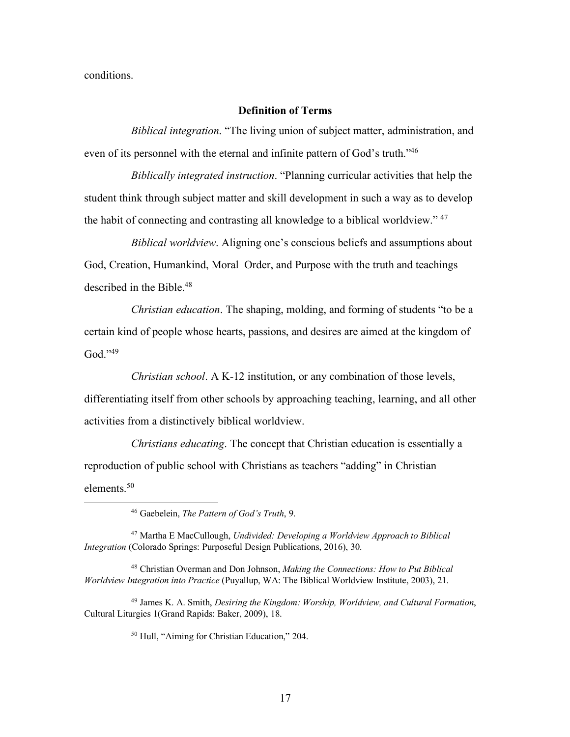conditions.

#### **Definition of Terms**

*Biblical integration*. "The living union of subject matter, administration, and even of its personnel with the eternal and infinite pattern of God's truth."46

*Biblically integrated instruction*. "Planning curricular activities that help the student think through subject matter and skill development in such a way as to develop the habit of connecting and contrasting all knowledge to a biblical worldview." 47

*Biblical worldview*. Aligning one's conscious beliefs and assumptions about God, Creation, Humankind, Moral Order, and Purpose with the truth and teachings described in the Bible.48

*Christian education*. The shaping, molding, and forming of students "to be a certain kind of people whose hearts, passions, and desires are aimed at the kingdom of God."49

*Christian school*. A K-12 institution, or any combination of those levels, differentiating itself from other schools by approaching teaching, learning, and all other activities from a distinctively biblical worldview.

*Christians educating*. The concept that Christian education is essentially a reproduction of public school with Christians as teachers "adding" in Christian elements<sup>50</sup>

<sup>50</sup> Hull, "Aiming for Christian Education," 204.

 <sup>46</sup> Gaebelein, *The Pattern of God's Truth*, 9.

<sup>47</sup> Martha E MacCullough, *Undivided: Developing a Worldview Approach to Biblical Integration* (Colorado Springs: Purposeful Design Publications, 2016), 30.

<sup>48</sup> Christian Overman and Don Johnson, *Making the Connections: How to Put Biblical Worldview Integration into Practice* (Puyallup, WA: The Biblical Worldview Institute, 2003), 21.

<sup>49</sup> James K. A. Smith, *Desiring the Kingdom: Worship, Worldview, and Cultural Formation*, Cultural Liturgies 1(Grand Rapids: Baker, 2009), 18.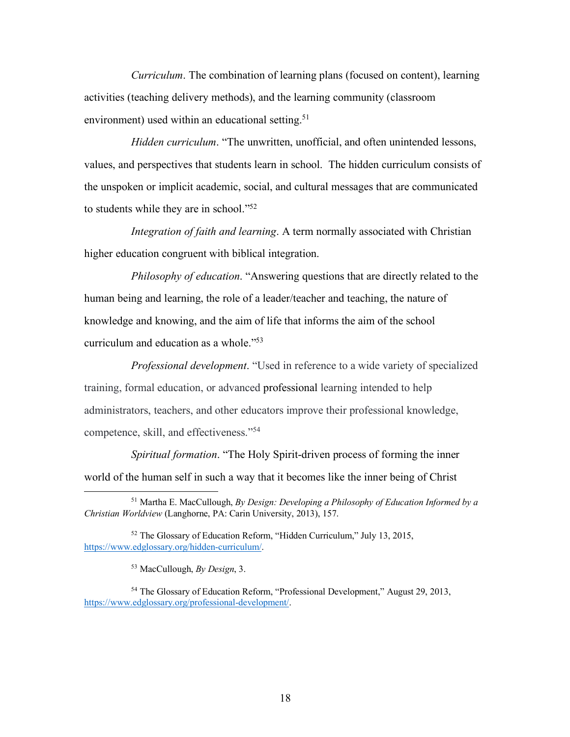*Curriculum*. The combination of learning plans (focused on content), learning activities (teaching delivery methods), and the learning community (classroom environment) used within an educational setting.<sup>51</sup>

*Hidden curriculum*. "The unwritten, unofficial, and often unintended lessons, values, and perspectives that students learn in school. The hidden curriculum consists of the unspoken or implicit academic, social, and cultural messages that are communicated to students while they are in school."52

*Integration of faith and learning*. A term normally associated with Christian higher education congruent with biblical integration.

*Philosophy of education*. "Answering questions that are directly related to the human being and learning, the role of a leader/teacher and teaching, the nature of knowledge and knowing, and the aim of life that informs the aim of the school curriculum and education as a whole."53

*Professional development*. "Used in reference to a wide variety of specialized training, formal education, or advanced professional learning intended to help administrators, teachers, and other educators improve their professional knowledge, competence, skill, and effectiveness."54

*Spiritual formation*. "The Holy Spirit-driven process of forming the inner world of the human self in such a way that it becomes like the inner being of Christ

<sup>53</sup> MacCullough, *By Design*, 3.

<sup>54</sup> The Glossary of Education Reform, "Professional Development," August 29, 2013, https://www.edglossary.org/professional-development/.

 <sup>51</sup> Martha E. MacCullough, *By Design: Developing a Philosophy of Education Informed by a Christian Worldview* (Langhorne, PA: Carin University, 2013), 157.

<sup>52</sup> The Glossary of Education Reform, "Hidden Curriculum," July 13, 2015, https://www.edglossary.org/hidden-curriculum/.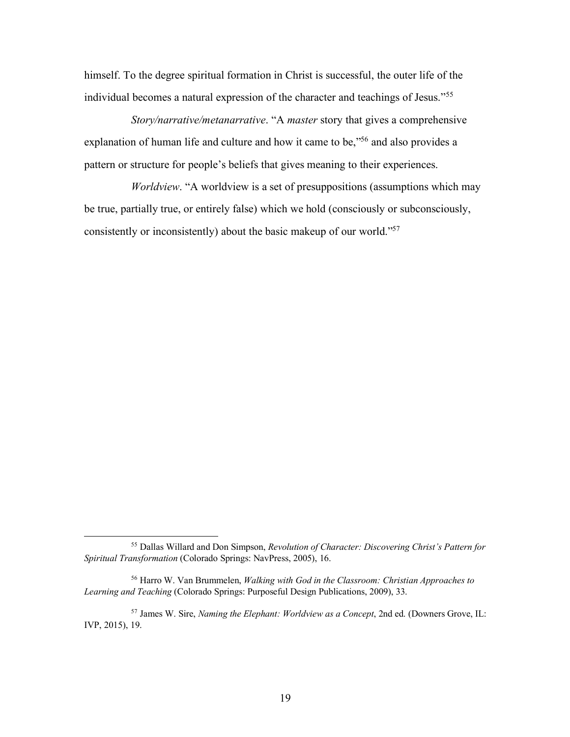himself. To the degree spiritual formation in Christ is successful, the outer life of the individual becomes a natural expression of the character and teachings of Jesus."55

*Story/narrative/metanarrative*. "A *master* story that gives a comprehensive explanation of human life and culture and how it came to be,"56 and also provides a pattern or structure for people's beliefs that gives meaning to their experiences.

*Worldview*. "A worldview is a set of presuppositions (assumptions which may be true, partially true, or entirely false) which we hold (consciously or subconsciously, consistently or inconsistently) about the basic makeup of our world."57

 <sup>55</sup> Dallas Willard and Don Simpson, *Revolution of Character: Discovering Christ's Pattern for Spiritual Transformation* (Colorado Springs: NavPress, 2005), 16.

<sup>56</sup> Harro W. Van Brummelen, *Walking with God in the Classroom: Christian Approaches to Learning and Teaching* (Colorado Springs: Purposeful Design Publications, 2009), 33.

<sup>57</sup> James W. Sire, *Naming the Elephant: Worldview as a Concept*, 2nd ed. (Downers Grove, IL: IVP, 2015), 19.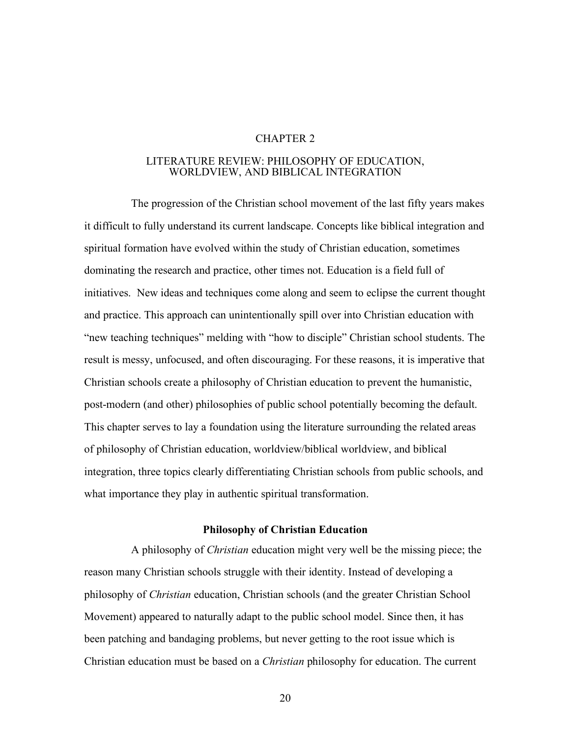#### CHAPTER 2

#### LITERATURE REVIEW: PHILOSOPHY OF EDUCATION, WORLDVIEW, AND BIBLICAL INTEGRATION

The progression of the Christian school movement of the last fifty years makes it difficult to fully understand its current landscape. Concepts like biblical integration and spiritual formation have evolved within the study of Christian education, sometimes dominating the research and practice, other times not. Education is a field full of initiatives. New ideas and techniques come along and seem to eclipse the current thought and practice. This approach can unintentionally spill over into Christian education with "new teaching techniques" melding with "how to disciple" Christian school students. The result is messy, unfocused, and often discouraging. For these reasons, it is imperative that Christian schools create a philosophy of Christian education to prevent the humanistic, post-modern (and other) philosophies of public school potentially becoming the default. This chapter serves to lay a foundation using the literature surrounding the related areas of philosophy of Christian education, worldview/biblical worldview, and biblical integration, three topics clearly differentiating Christian schools from public schools, and what importance they play in authentic spiritual transformation.

## **Philosophy of Christian Education**

A philosophy of *Christian* education might very well be the missing piece; the reason many Christian schools struggle with their identity. Instead of developing a philosophy of *Christian* education, Christian schools (and the greater Christian School Movement) appeared to naturally adapt to the public school model. Since then, it has been patching and bandaging problems, but never getting to the root issue which is Christian education must be based on a *Christian* philosophy for education. The current

20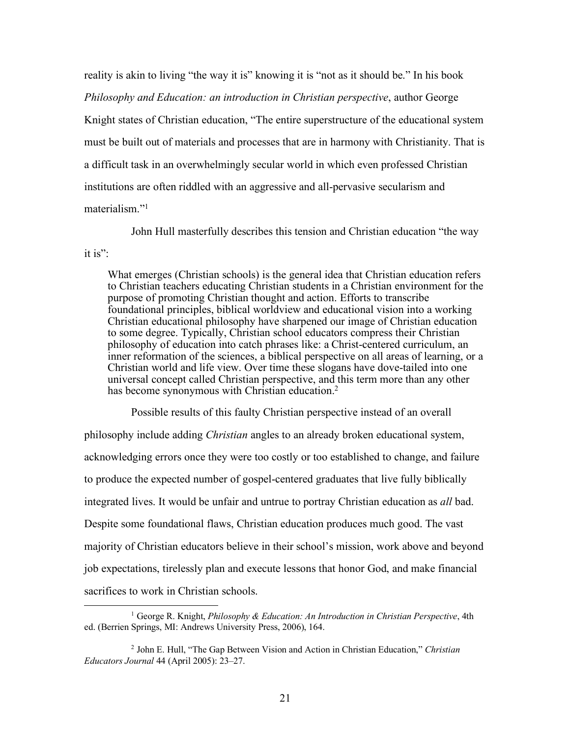reality is akin to living "the way it is" knowing it is "not as it should be." In his book *Philosophy and Education: an introduction in Christian perspective*, author George Knight states of Christian education, "The entire superstructure of the educational system must be built out of materials and processes that are in harmony with Christianity. That is a difficult task in an overwhelmingly secular world in which even professed Christian institutions are often riddled with an aggressive and all-pervasive secularism and materialism<sup>"1</sup>

John Hull masterfully describes this tension and Christian education "the way

it is" $\cdot$ 

What emerges (Christian schools) is the general idea that Christian education refers to Christian teachers educating Christian students in a Christian environment for the purpose of promoting Christian thought and action. Efforts to transcribe foundational principles, biblical worldview and educational vision into a working Christian educational philosophy have sharpened our image of Christian education to some degree. Typically, Christian school educators compress their Christian philosophy of education into catch phrases like: a Christ-centered curriculum, an inner reformation of the sciences, a biblical perspective on all areas of learning, or a Christian world and life view. Over time these slogans have dove-tailed into one universal concept called Christian perspective, and this term more than any other has become synonymous with Christian education.<sup>2</sup>

Possible results of this faulty Christian perspective instead of an overall philosophy include adding *Christian* angles to an already broken educational system, acknowledging errors once they were too costly or too established to change, and failure to produce the expected number of gospel-centered graduates that live fully biblically integrated lives. It would be unfair and untrue to portray Christian education as *all* bad. Despite some foundational flaws, Christian education produces much good. The vast majority of Christian educators believe in their school's mission, work above and beyond job expectations, tirelessly plan and execute lessons that honor God, and make financial sacrifices to work in Christian schools.

 <sup>1</sup> George R. Knight, *Philosophy & Education: An Introduction in Christian Perspective*, 4th ed. (Berrien Springs, MI: Andrews University Press, 2006), 164.

<sup>2</sup> John E. Hull, "The Gap Between Vision and Action in Christian Education," *Christian Educators Journal* 44 (April 2005): 23–27.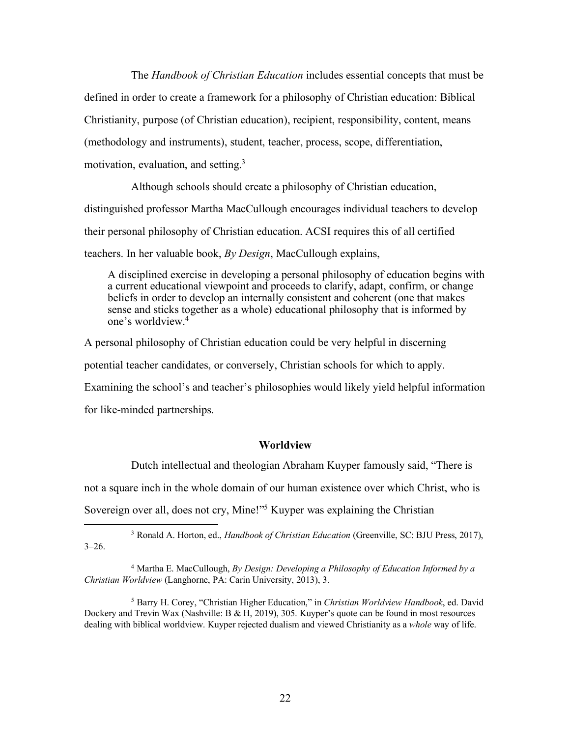The *Handbook of Christian Education* includes essential concepts that must be defined in order to create a framework for a philosophy of Christian education: Biblical Christianity, purpose (of Christian education), recipient, responsibility, content, means (methodology and instruments), student, teacher, process, scope, differentiation, motivation, evaluation, and setting.3

Although schools should create a philosophy of Christian education, distinguished professor Martha MacCullough encourages individual teachers to develop their personal philosophy of Christian education. ACSI requires this of all certified teachers. In her valuable book, *By Design*, MacCullough explains,

A disciplined exercise in developing a personal philosophy of education begins with a current educational viewpoint and proceeds to clarify, adapt, confirm, or change beliefs in order to develop an internally consistent and coherent (one that makes sense and sticks together as a whole) educational philosophy that is informed by one's worldview.4

A personal philosophy of Christian education could be very helpful in discerning potential teacher candidates, or conversely, Christian schools for which to apply. Examining the school's and teacher's philosophies would likely yield helpful information for like-minded partnerships.

#### **Worldview**

Dutch intellectual and theologian Abraham Kuyper famously said, "There is

not a square inch in the whole domain of our human existence over which Christ, who is

Sovereign over all, does not cry, Mine!"5 Kuyper was explaining the Christian

 3 Ronald A. Horton, ed., *Handbook of Christian Education* (Greenville, SC: BJU Press, 2017),  $3 - 26$ .

<sup>4</sup> Martha E. MacCullough, *By Design: Developing a Philosophy of Education Informed by a Christian Worldview* (Langhorne, PA: Carin University, 2013), 3.

<sup>5</sup> Barry H. Corey, "Christian Higher Education," in *Christian Worldview Handbook*, ed. David Dockery and Trevin Wax (Nashville: B & H, 2019), 305. Kuyper's quote can be found in most resources dealing with biblical worldview. Kuyper rejected dualism and viewed Christianity as a *whole* way of life.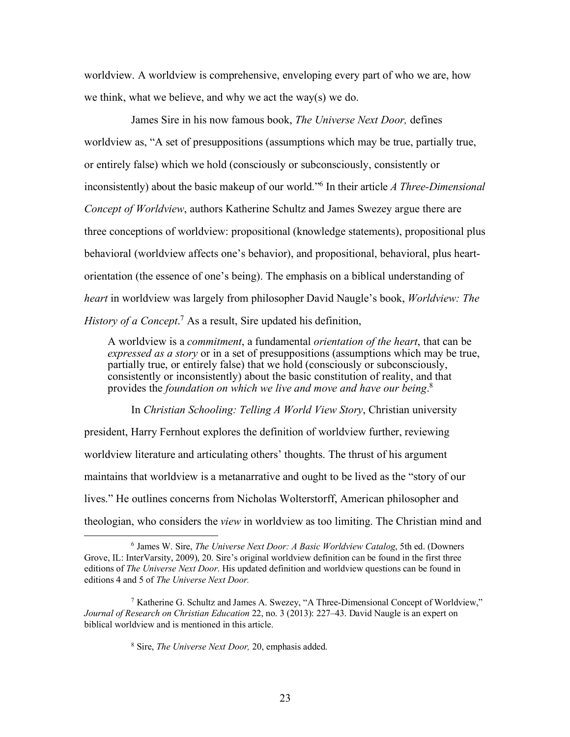worldview. A worldview is comprehensive, enveloping every part of who we are, how we think, what we believe, and why we act the way(s) we do.

James Sire in his now famous book, *The Universe Next Door,* defines worldview as, "A set of presuppositions (assumptions which may be true, partially true, or entirely false) which we hold (consciously or subconsciously, consistently or inconsistently) about the basic makeup of our world."6 In their article *A Three-Dimensional Concept of Worldview*, authors Katherine Schultz and James Swezey argue there are three conceptions of worldview: propositional (knowledge statements), propositional plus behavioral (worldview affects one's behavior), and propositional, behavioral, plus heartorientation (the essence of one's being). The emphasis on a biblical understanding of *heart* in worldview was largely from philosopher David Naugle's book, *Worldview: The History of a Concept*. <sup>7</sup> As a result, Sire updated his definition,

A worldview is a *commitment*, a fundamental *orientation of the heart*, that can be *expressed as a story* or in a set of presuppositions (assumptions which may be true, partially true, or entirely false) that we hold (consciously or subconsciously, consistently or inconsistently) about the basic constitution of reality, and that provides the *foundation on which we live and move and have our being*. 8

In *Christian Schooling: Telling A World View Story*, Christian university president, Harry Fernhout explores the definition of worldview further, reviewing worldview literature and articulating others' thoughts. The thrust of his argument maintains that worldview is a metanarrative and ought to be lived as the "story of our lives." He outlines concerns from Nicholas Wolterstorff, American philosopher and theologian, who considers the *view* in worldview as too limiting. The Christian mind and

 <sup>6</sup> James W. Sire, *The Universe Next Door: A Basic Worldview Catalog*, 5th ed. (Downers Grove, IL: InterVarsity, 2009), 20. Sire's original worldview definition can be found in the first three editions of *The Universe Next Door*. His updated definition and worldview questions can be found in editions 4 and 5 of *The Universe Next Door.*

<sup>7</sup> Katherine G. Schultz and James A. Swezey, "A Three-Dimensional Concept of Worldview," *Journal of Research on Christian Education* 22, no. 3 (2013): 227–43. David Naugle is an expert on biblical worldview and is mentioned in this article.

<sup>8</sup> Sire, *The Universe Next Door,* 20, emphasis added.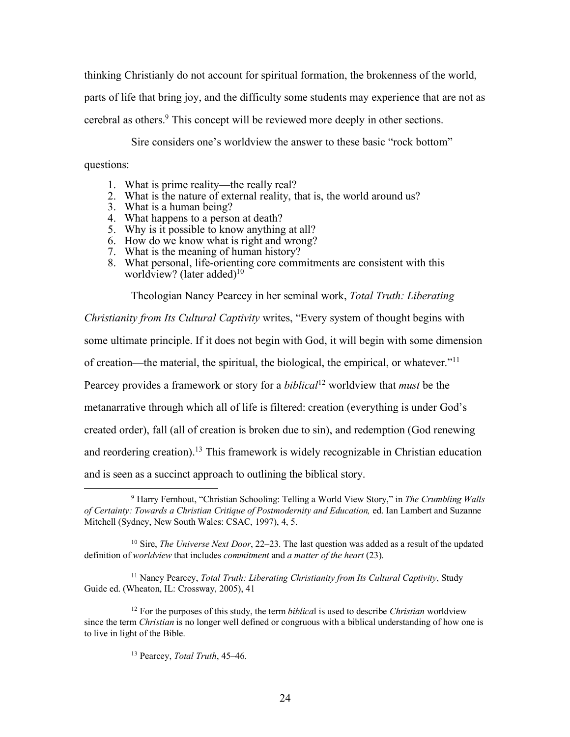thinking Christianly do not account for spiritual formation, the brokenness of the world, parts of life that bring joy, and the difficulty some students may experience that are not as cerebral as others.9 This concept will be reviewed more deeply in other sections.

Sire considers one's worldview the answer to these basic "rock bottom"

questions:

- 1. What is prime reality—the really real?
- 2. What is the nature of external reality, that is, the world around us?
- 3. What is a human being?
- 4. What happens to a person at death?
- 5. Why is it possible to know anything at all?
- 6. How do we know what is right and wrong?
- 7. What is the meaning of human history?
- 8. What personal, life-orienting core commitments are consistent with this worldview? (later added) $10$

Theologian Nancy Pearcey in her seminal work, *Total Truth: Liberating* 

*Christianity from Its Cultural Captivity* writes, "Every system of thought begins with some ultimate principle. If it does not begin with God, it will begin with some dimension of creation—the material, the spiritual, the biological, the empirical, or whatever."11 Pearcey provides a framework or story for a *biblical*<sup>12</sup> worldview that *must* be the metanarrative through which all of life is filtered: creation (everything is under God's created order), fall (all of creation is broken due to sin), and redemption (God renewing and reordering creation).<sup>13</sup> This framework is widely recognizable in Christian education and is seen as a succinct approach to outlining the biblical story.

<sup>11</sup> Nancy Pearcey, *Total Truth: Liberating Christianity from Its Cultural Captivity*, Study Guide ed. (Wheaton, IL: Crossway, 2005), 41

 <sup>9</sup> Harry Fernhout, "Christian Schooling: Telling a World View Story," in *The Crumbling Walls of Certainty: Towards a Christian Critique of Postmodernity and Education,* ed. Ian Lambert and Suzanne Mitchell (Sydney, New South Wales: CSAC, 1997), 4, 5.

<sup>10</sup> Sire, *The Universe Next Door*, 22–23. The last question was added as a result of the updated definition of *worldview* that includes *commitment* and *a matter of the heart* (23).

<sup>12</sup> For the purposes of this study, the term *biblica*l is used to describe *Christian* worldview since the term *Christian* is no longer well defined or congruous with a biblical understanding of how one is to live in light of the Bible.

<sup>13</sup> Pearcey, *Total Truth*, 45–46.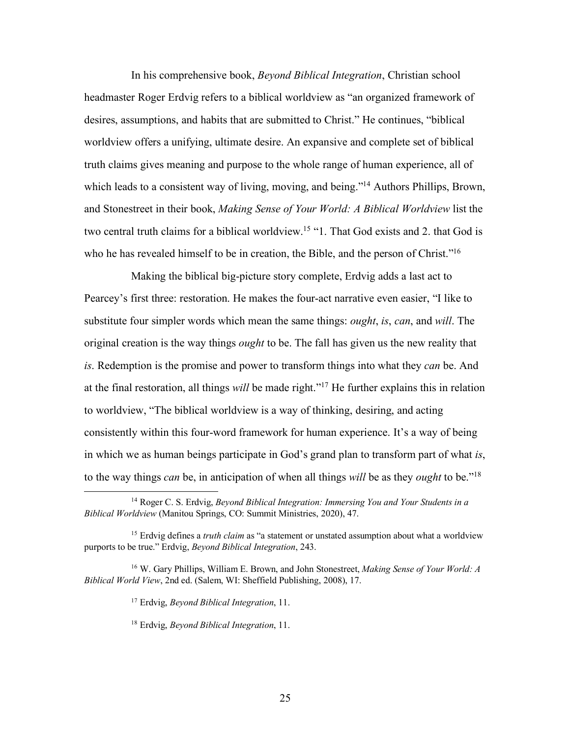In his comprehensive book, *Beyond Biblical Integration*, Christian school headmaster Roger Erdvig refers to a biblical worldview as "an organized framework of desires, assumptions, and habits that are submitted to Christ." He continues, "biblical worldview offers a unifying, ultimate desire. An expansive and complete set of biblical truth claims gives meaning and purpose to the whole range of human experience, all of which leads to a consistent way of living, moving, and being."<sup>14</sup> Authors Phillips, Brown, and Stonestreet in their book, *Making Sense of Your World: A Biblical Worldview* list the two central truth claims for a biblical worldview. <sup>15</sup> "1. That God exists and 2. that God is who he has revealed himself to be in creation, the Bible, and the person of Christ."<sup>16</sup>

Making the biblical big-picture story complete, Erdvig adds a last act to Pearcey's first three: restoration. He makes the four-act narrative even easier, "I like to substitute four simpler words which mean the same things: *ought*, *is*, *can*, and *will*. The original creation is the way things *ought* to be. The fall has given us the new reality that *is*. Redemption is the promise and power to transform things into what they *can* be. And at the final restoration, all things *will* be made right."17 He further explains this in relation to worldview, "The biblical worldview is a way of thinking, desiring, and acting consistently within this four-word framework for human experience. It's a way of being in which we as human beings participate in God's grand plan to transform part of what *is*, to the way things *can* be, in anticipation of when all things *will* be as they *ought* to be."18

 <sup>14</sup> Roger C. S. Erdvig, *Beyond Biblical Integration: Immersing You and Your Students in a Biblical Worldview* (Manitou Springs, CO: Summit Ministries, 2020), 47.

<sup>&</sup>lt;sup>15</sup> Erdvig defines a *truth claim* as "a statement or unstated assumption about what a worldview purports to be true." Erdvig, *Beyond Biblical Integration*, 243.

<sup>16</sup> W. Gary Phillips, William E. Brown, and John Stonestreet, *Making Sense of Your World: A Biblical World View*, 2nd ed. (Salem, WI: Sheffield Publishing, 2008), 17.

<sup>17</sup> Erdvig, *Beyond Biblical Integration*, 11.

<sup>18</sup> Erdvig, *Beyond Biblical Integration*, 11.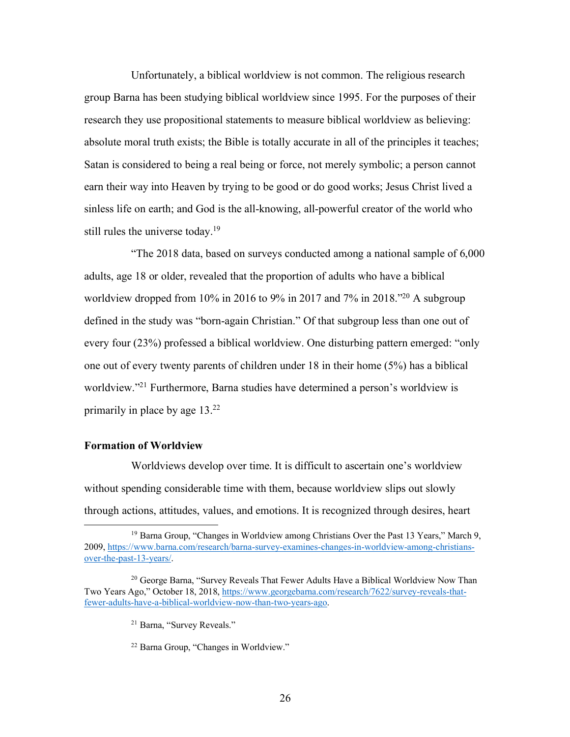Unfortunately, a biblical worldview is not common. The religious research group Barna has been studying biblical worldview since 1995. For the purposes of their research they use propositional statements to measure biblical worldview as believing: absolute moral truth exists; the Bible is totally accurate in all of the principles it teaches; Satan is considered to being a real being or force, not merely symbolic; a person cannot earn their way into Heaven by trying to be good or do good works; Jesus Christ lived a sinless life on earth; and God is the all-knowing, all-powerful creator of the world who still rules the universe today.<sup>19</sup>

"The 2018 data, based on surveys conducted among a national sample of 6,000 adults, age 18 or older, revealed that the proportion of adults who have a biblical worldview dropped from 10% in 2016 to 9% in 2017 and 7% in 2018.<sup>"20</sup> A subgroup defined in the study was "born-again Christian." Of that subgroup less than one out of every four (23%) professed a biblical worldview. One disturbing pattern emerged: "only one out of every twenty parents of children under 18 in their home (5%) has a biblical worldview."<sup>21</sup> Furthermore, Barna studies have determined a person's worldview is primarily in place by age 13.22

## **Formation of Worldview**

Worldviews develop over time. It is difficult to ascertain one's worldview without spending considerable time with them, because worldview slips out slowly through actions, attitudes, values, and emotions. It is recognized through desires, heart

<sup>&</sup>lt;sup>19</sup> Barna Group, "Changes in Worldview among Christians Over the Past 13 Years," March 9, 2009, https://www.barna.com/research/barna-survey-examines-changes-in-worldview-among-christiansover-the-past-13-years/.

<sup>&</sup>lt;sup>20</sup> George Barna, "Survey Reveals That Fewer Adults Have a Biblical Worldview Now Than Two Years Ago," October 18, 2018, https://www.georgebarna.com/research/7622/survey-reveals-thatfewer-adults-have-a-biblical-worldview-now-than-two-years-ago.

<sup>21</sup> Barna, "Survey Reveals."

<sup>22</sup> Barna Group, "Changes in Worldview."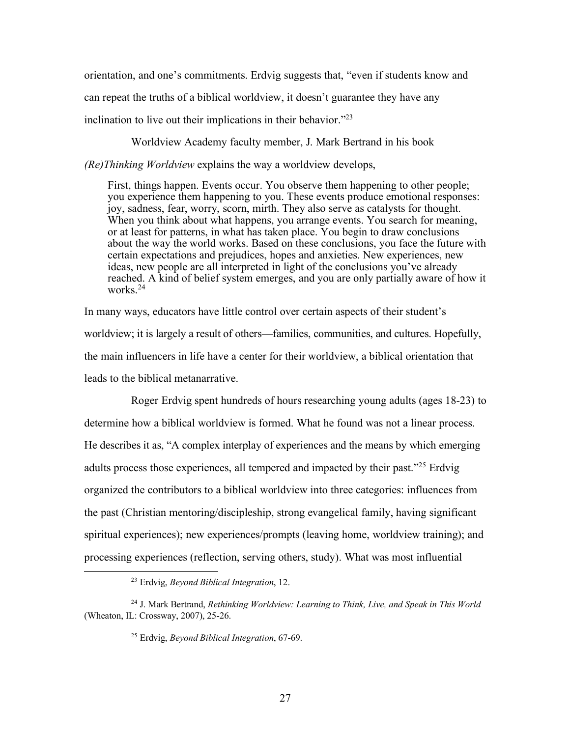orientation, and one's commitments. Erdvig suggests that, "even if students know and can repeat the truths of a biblical worldview, it doesn't guarantee they have any inclination to live out their implications in their behavior."23

Worldview Academy faculty member, J. Mark Bertrand in his book

*(Re)Thinking Worldview* explains the way a worldview develops,

First, things happen. Events occur. You observe them happening to other people; you experience them happening to you. These events produce emotional responses: joy, sadness, fear, worry, scorn, mirth. They also serve as catalysts for thought. When you think about what happens, you arrange events. You search for meaning, or at least for patterns, in what has taken place. You begin to draw conclusions about the way the world works. Based on these conclusions, you face the future with certain expectations and prejudices, hopes and anxieties. New experiences, new ideas, new people are all interpreted in light of the conclusions you've already reached. A kind of belief system emerges, and you are only partially aware of how it works.24

In many ways, educators have little control over certain aspects of their student's worldview; it is largely a result of others—families, communities, and cultures. Hopefully, the main influencers in life have a center for their worldview, a biblical orientation that leads to the biblical metanarrative.

Roger Erdvig spent hundreds of hours researching young adults (ages 18-23) to determine how a biblical worldview is formed. What he found was not a linear process. He describes it as, "A complex interplay of experiences and the means by which emerging adults process those experiences, all tempered and impacted by their past."25 Erdvig organized the contributors to a biblical worldview into three categories: influences from the past (Christian mentoring/discipleship, strong evangelical family, having significant spiritual experiences); new experiences/prompts (leaving home, worldview training); and processing experiences (reflection, serving others, study). What was most influential

 <sup>23</sup> Erdvig, *Beyond Biblical Integration*, 12.

<sup>24</sup> J. Mark Bertrand, *Rethinking Worldview: Learning to Think, Live, and Speak in This World* (Wheaton, IL: Crossway, 2007), 25-26.

<sup>25</sup> Erdvig, *Beyond Biblical Integration*, 67-69.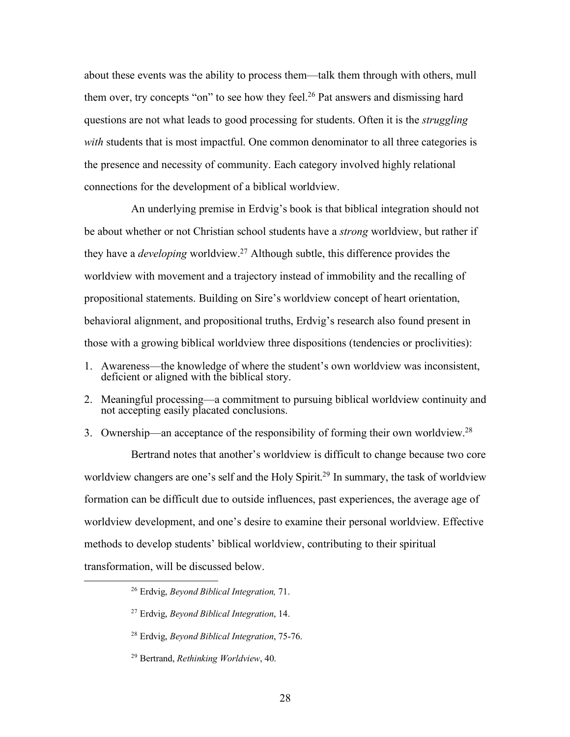about these events was the ability to process them—talk them through with others, mull them over, try concepts "on" to see how they feel.<sup>26</sup> Pat answers and dismissing hard questions are not what leads to good processing for students. Often it is the *struggling with* students that is most impactful. One common denominator to all three categories is the presence and necessity of community. Each category involved highly relational connections for the development of a biblical worldview.

An underlying premise in Erdvig's book is that biblical integration should not be about whether or not Christian school students have a *strong* worldview, but rather if they have a *developing* worldview.27 Although subtle, this difference provides the worldview with movement and a trajectory instead of immobility and the recalling of propositional statements. Building on Sire's worldview concept of heart orientation, behavioral alignment, and propositional truths, Erdvig's research also found present in those with a growing biblical worldview three dispositions (tendencies or proclivities):

- 1. Awareness—the knowledge of where the student's own worldview was inconsistent, deficient or aligned with the biblical story.
- 2. Meaningful processing—a commitment to pursuing biblical worldview continuity and not accepting easily placated conclusions.
- 3. Ownership—an acceptance of the responsibility of forming their own worldview.28

Bertrand notes that another's worldview is difficult to change because two core worldview changers are one's self and the Holy Spirit.<sup>29</sup> In summary, the task of worldview formation can be difficult due to outside influences, past experiences, the average age of worldview development, and one's desire to examine their personal worldview. Effective methods to develop students' biblical worldview, contributing to their spiritual transformation, will be discussed below.

 <sup>26</sup> Erdvig, *Beyond Biblical Integration,* 71.

<sup>27</sup> Erdvig, *Beyond Biblical Integration*, 14.

<sup>28</sup> Erdvig, *Beyond Biblical Integration*, 75-76.

<sup>29</sup> Bertrand, *Rethinking Worldview*, 40.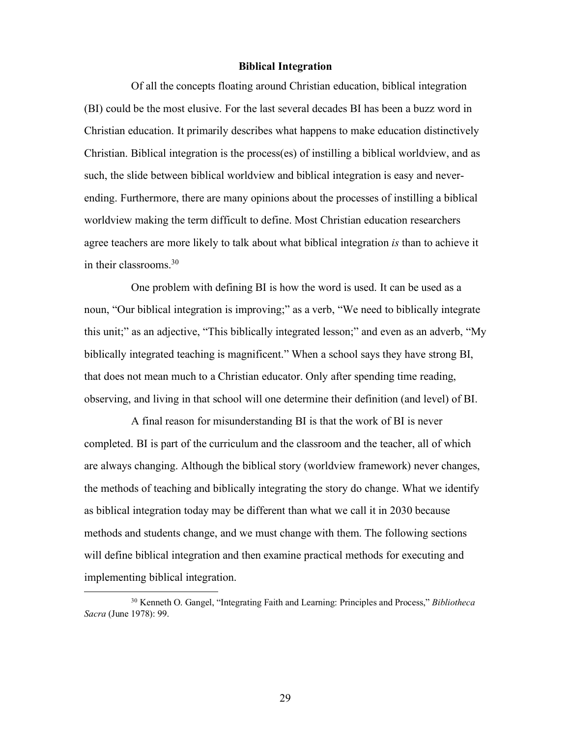#### **Biblical Integration**

Of all the concepts floating around Christian education, biblical integration (BI) could be the most elusive. For the last several decades BI has been a buzz word in Christian education. It primarily describes what happens to make education distinctively Christian. Biblical integration is the process(es) of instilling a biblical worldview, and as such, the slide between biblical worldview and biblical integration is easy and neverending. Furthermore, there are many opinions about the processes of instilling a biblical worldview making the term difficult to define. Most Christian education researchers agree teachers are more likely to talk about what biblical integration *is* than to achieve it in their classrooms.30

One problem with defining BI is how the word is used. It can be used as a noun, "Our biblical integration is improving;" as a verb, "We need to biblically integrate this unit;" as an adjective, "This biblically integrated lesson;" and even as an adverb, "My biblically integrated teaching is magnificent." When a school says they have strong BI, that does not mean much to a Christian educator. Only after spending time reading, observing, and living in that school will one determine their definition (and level) of BI.

A final reason for misunderstanding BI is that the work of BI is never completed. BI is part of the curriculum and the classroom and the teacher, all of which are always changing. Although the biblical story (worldview framework) never changes, the methods of teaching and biblically integrating the story do change. What we identify as biblical integration today may be different than what we call it in 2030 because methods and students change, and we must change with them. The following sections will define biblical integration and then examine practical methods for executing and implementing biblical integration.

29

 <sup>30</sup> Kenneth O. Gangel, "Integrating Faith and Learning: Principles and Process," *Bibliotheca Sacra* (June 1978): 99.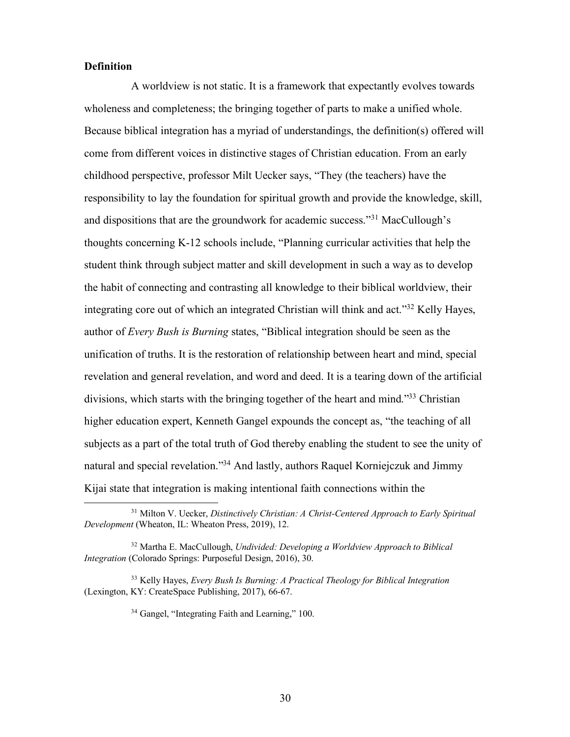### **Definition**

A worldview is not static. It is a framework that expectantly evolves towards wholeness and completeness; the bringing together of parts to make a unified whole. Because biblical integration has a myriad of understandings, the definition(s) offered will come from different voices in distinctive stages of Christian education. From an early childhood perspective, professor Milt Uecker says, "They (the teachers) have the responsibility to lay the foundation for spiritual growth and provide the knowledge, skill, and dispositions that are the groundwork for academic success."31 MacCullough's thoughts concerning K-12 schools include, "Planning curricular activities that help the student think through subject matter and skill development in such a way as to develop the habit of connecting and contrasting all knowledge to their biblical worldview, their integrating core out of which an integrated Christian will think and act."32 Kelly Hayes, author of *Every Bush is Burning* states, "Biblical integration should be seen as the unification of truths. It is the restoration of relationship between heart and mind, special revelation and general revelation, and word and deed. It is a tearing down of the artificial divisions, which starts with the bringing together of the heart and mind."33 Christian higher education expert, Kenneth Gangel expounds the concept as, "the teaching of all subjects as a part of the total truth of God thereby enabling the student to see the unity of natural and special revelation."34 And lastly, authors Raquel Korniejczuk and Jimmy Kijai state that integration is making intentional faith connections within the

 <sup>31</sup> Milton V. Uecker, *Distinctively Christian: A Christ-Centered Approach to Early Spiritual Development* (Wheaton, IL: Wheaton Press, 2019), 12.

<sup>32</sup> Martha E. MacCullough, *Undivided: Developing a Worldview Approach to Biblical Integration* (Colorado Springs: Purposeful Design, 2016), 30.

<sup>33</sup> Kelly Hayes, *Every Bush Is Burning: A Practical Theology for Biblical Integration* (Lexington, KY: CreateSpace Publishing, 2017), 66-67.

<sup>34</sup> Gangel, "Integrating Faith and Learning," 100.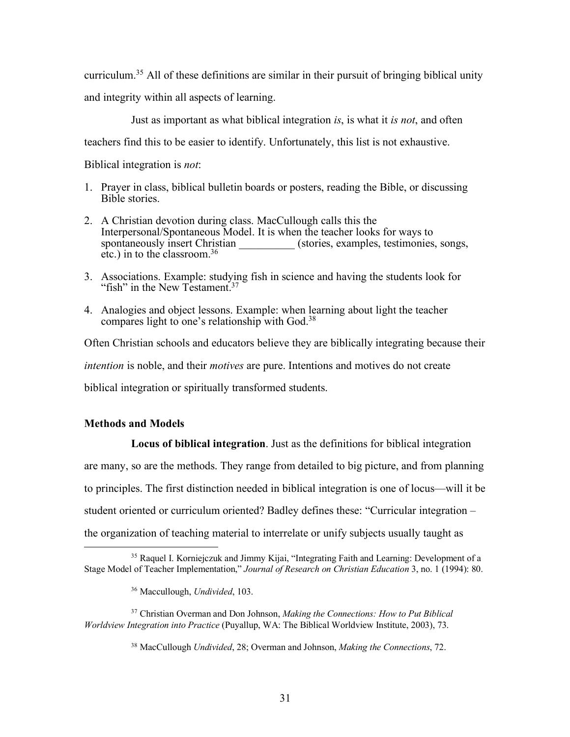curriculum.35 All of these definitions are similar in their pursuit of bringing biblical unity and integrity within all aspects of learning.

Just as important as what biblical integration *is*, is what it *is not*, and often teachers find this to be easier to identify. Unfortunately, this list is not exhaustive.

Biblical integration is *not*:

- 1. Prayer in class, biblical bulletin boards or posters, reading the Bible, or discussing Bible stories.
- 2. A Christian devotion during class. MacCullough calls this the Interpersonal/Spontaneous Model. It is when the teacher looks for ways to spontaneously insert Christian (stories, examples, testimonies, songs, etc.) in to the classroom. 36
- 3. Associations. Example: studying fish in science and having the students look for "fish" in the New Testament.<sup>37</sup>
- 4. Analogies and object lessons. Example: when learning about light the teacher compares light to one's relationship with God.<sup>38</sup>

Often Christian schools and educators believe they are biblically integrating because their *intention* is noble, and their *motives* are pure. Intentions and motives do not create biblical integration or spiritually transformed students.

## **Methods and Models**

**Locus of biblical integration**. Just as the definitions for biblical integration are many, so are the methods. They range from detailed to big picture, and from planning to principles. The first distinction needed in biblical integration is one of locus—will it be student oriented or curriculum oriented? Badley defines these: "Curricular integration – the organization of teaching material to interrelate or unify subjects usually taught as

 <sup>35</sup> Raquel I. Korniejczuk and Jimmy Kijai, "Integrating Faith and Learning: Development of a Stage Model of Teacher Implementation," *Journal of Research on Christian Education* 3, no. 1 (1994): 80.

<sup>36</sup> Maccullough, *Undivided*, 103.

<sup>37</sup> Christian Overman and Don Johnson, *Making the Connections: How to Put Biblical Worldview Integration into Practice* (Puyallup, WA: The Biblical Worldview Institute, 2003), 73.

<sup>38</sup> MacCullough *Undivided*, 28; Overman and Johnson, *Making the Connections*, 72.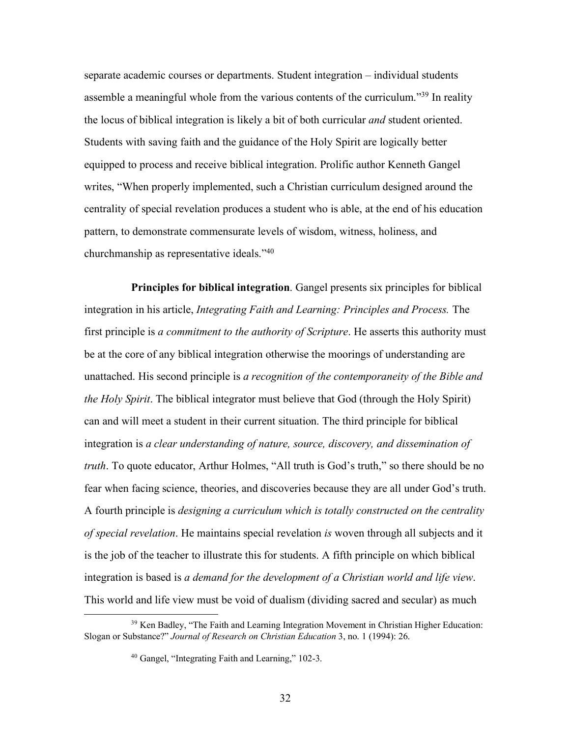separate academic courses or departments. Student integration – individual students assemble a meaningful whole from the various contents of the curriculum."39 In reality the locus of biblical integration is likely a bit of both curricular *and* student oriented. Students with saving faith and the guidance of the Holy Spirit are logically better equipped to process and receive biblical integration. Prolific author Kenneth Gangel writes, "When properly implemented, such a Christian curriculum designed around the centrality of special revelation produces a student who is able, at the end of his education pattern, to demonstrate commensurate levels of wisdom, witness, holiness, and churchmanship as representative ideals."40

**Principles for biblical integration**. Gangel presents six principles for biblical integration in his article, *Integrating Faith and Learning: Principles and Process.* The first principle is *a commitment to the authority of Scripture*. He asserts this authority must be at the core of any biblical integration otherwise the moorings of understanding are unattached. His second principle is *a recognition of the contemporaneity of the Bible and the Holy Spirit*. The biblical integrator must believe that God (through the Holy Spirit) can and will meet a student in their current situation. The third principle for biblical integration is *a clear understanding of nature, source, discovery, and dissemination of truth*. To quote educator, Arthur Holmes, "All truth is God's truth," so there should be no fear when facing science, theories, and discoveries because they are all under God's truth. A fourth principle is *designing a curriculum which is totally constructed on the centrality of special revelation*. He maintains special revelation *is* woven through all subjects and it is the job of the teacher to illustrate this for students. A fifth principle on which biblical integration is based is *a demand for the development of a Christian world and life view*. This world and life view must be void of dualism (dividing sacred and secular) as much

<sup>&</sup>lt;sup>39</sup> Ken Badley, "The Faith and Learning Integration Movement in Christian Higher Education: Slogan or Substance?" *Journal of Research on Christian Education* 3, no. 1 (1994): 26.

<sup>40</sup> Gangel, "Integrating Faith and Learning," 102-3.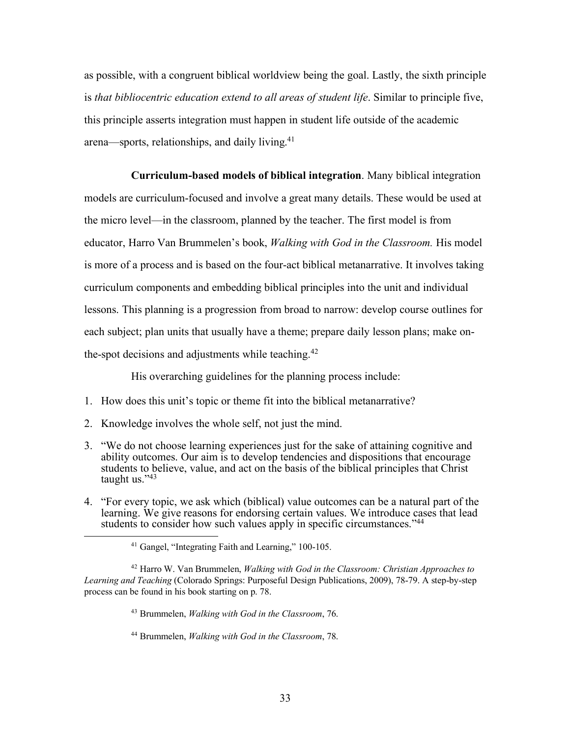as possible, with a congruent biblical worldview being the goal. Lastly, the sixth principle is *that bibliocentric education extend to all areas of student life*. Similar to principle five, this principle asserts integration must happen in student life outside of the academic arena—sports, relationships, and daily living.41

**Curriculum-based models of biblical integration**. Many biblical integration models are curriculum-focused and involve a great many details. These would be used at the micro level—in the classroom, planned by the teacher. The first model is from educator, Harro Van Brummelen's book, *Walking with God in the Classroom.* His model is more of a process and is based on the four-act biblical metanarrative. It involves taking curriculum components and embedding biblical principles into the unit and individual lessons. This planning is a progression from broad to narrow: develop course outlines for each subject; plan units that usually have a theme; prepare daily lesson plans; make onthe-spot decisions and adjustments while teaching.<sup>42</sup>

His overarching guidelines for the planning process include:

- 1. How does this unit's topic or theme fit into the biblical metanarrative?
- 2. Knowledge involves the whole self, not just the mind.
- 3. "We do not choose learning experiences just for the sake of attaining cognitive and ability outcomes. Our aim is to develop tendencies and dispositions that encourage students to believe, value, and act on the basis of the biblical principles that Christ taught us."43
- 4. "For every topic, we ask which (biblical) value outcomes can be a natural part of the learning. We give reasons for endorsing certain values. We introduce cases that lead students to consider how such values apply in specific circumstances."<sup>44</sup>

<sup>42</sup> Harro W. Van Brummelen, *Walking with God in the Classroom: Christian Approaches to Learning and Teaching* (Colorado Springs: Purposeful Design Publications, 2009), 78-79. A step-by-step process can be found in his book starting on p. 78.

<sup>43</sup> Brummelen, *Walking with God in the Classroom*, 76.

<sup>44</sup> Brummelen, *Walking with God in the Classroom*, 78.

 <sup>41</sup> Gangel, "Integrating Faith and Learning," 100-105.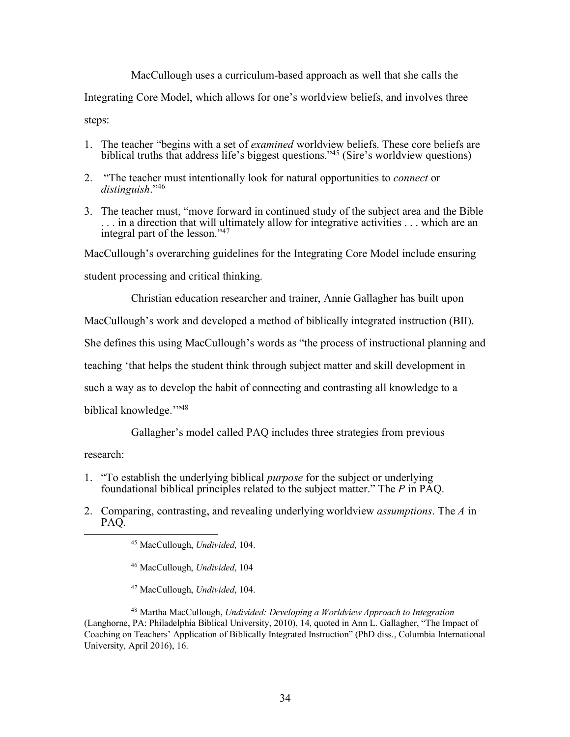MacCullough uses a curriculum-based approach as well that she calls the

Integrating Core Model, which allows for one's worldview beliefs, and involves three

steps:

- 1. The teacher "begins with a set of *examined* worldview beliefs. These core beliefs are biblical truths that address life's biggest questions."45 (Sire's worldview questions)
- 2. "The teacher must intentionally look for natural opportunities to *connect* or *distinguish*."46
- 3. The teacher must, "move forward in continued study of the subject area and the Bible . . . in a direction that will ultimately allow for integrative activities . . . which are an integral part of the lesson."47

MacCullough's overarching guidelines for the Integrating Core Model include ensuring

student processing and critical thinking.

Christian education researcher and trainer, Annie Gallagher has built upon

MacCullough's work and developed a method of biblically integrated instruction (BII).

She defines this using MacCullough's words as "the process of instructional planning and

teaching 'that helps the student think through subject matter and skill development in

such a way as to develop the habit of connecting and contrasting all knowledge to a

biblical knowledge.'"48

Gallagher's model called PAQ includes three strategies from previous

research:

- 1. "To establish the underlying biblical *purpose* for the subject or underlying foundational biblical principles related to the subject matter." The *P* in PAQ.
- 2. Comparing, contrasting, and revealing underlying worldview *assumptions*. The *A* in

- <sup>46</sup> MacCullough, *Undivided*, 104
- <sup>47</sup> MacCullough, *Undivided*, 104.

<sup>&</sup>lt;sup>45</sup> MacCullough, *Undivided*, 104.

<sup>48</sup> Martha MacCullough, *Undivided: Developing a Worldview Approach to Integration* (Langhorne, PA: Philadelphia Biblical University, 2010), 14, quoted in Ann L. Gallagher, "The Impact of Coaching on Teachers' Application of Biblically Integrated Instruction" (PhD diss., Columbia International University, April 2016), 16.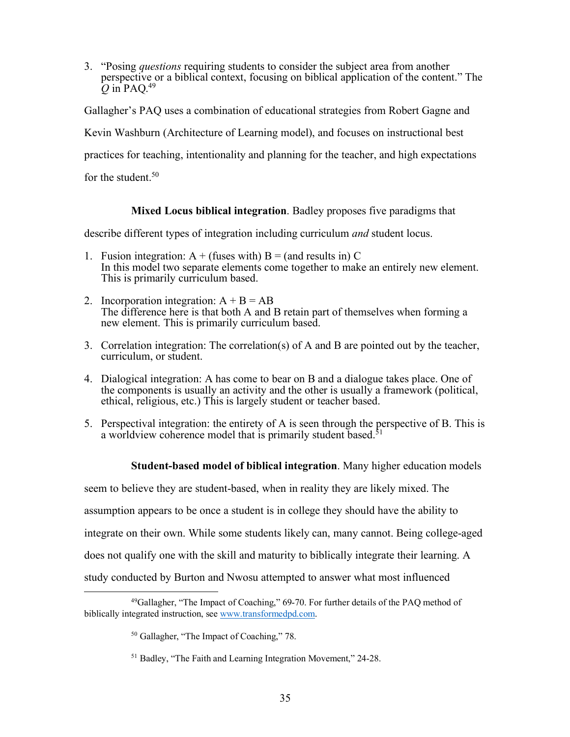3. "Posing *questions* requiring students to consider the subject area from another perspective or a biblical context, focusing on biblical application of the content." The  $\overline{O}$  in PAO.<sup>49</sup>

Gallagher's PAQ uses a combination of educational strategies from Robert Gagne and

Kevin Washburn (Architecture of Learning model), and focuses on instructional best

practices for teaching, intentionality and planning for the teacher, and high expectations

for the student  $50$ .

# **Mixed Locus biblical integration**. Badley proposes five paradigms that

describe different types of integration including curriculum *and* student locus.

- 1. Fusion integration:  $A +$  (fuses with)  $B =$  (and results in) C In this model two separate elements come together to make an entirely new element. This is primarily curriculum based.
- 2. Incorporation integration:  $A + B = AB$ The difference here is that both A and B retain part of themselves when forming a new element. This is primarily curriculum based.
- 3. Correlation integration: The correlation(s) of A and B are pointed out by the teacher, curriculum, or student.
- 4. Dialogical integration: A has come to bear on B and a dialogue takes place. One of the components is usually an activity and the other is usually a framework (political, ethical, religious, etc.) This is largely student or teacher based.
- 5. Perspectival integration: the entirety of A is seen through the perspective of B. This is a worldview coherence model that is primarily student based.<sup>51</sup>

**Student-based model of biblical integration**. Many higher education models

seem to believe they are student-based, when in reality they are likely mixed. The

assumption appears to be once a student is in college they should have the ability to

integrate on their own. While some students likely can, many cannot. Being college-aged

does not qualify one with the skill and maturity to biblically integrate their learning. A

study conducted by Burton and Nwosu attempted to answer what most influenced

 $49$ Gallagher, "The Impact of Coaching," 69-70. For further details of the PAQ method of biblically integrated instruction, see www.transformedpd.com.

<sup>50</sup> Gallagher, "The Impact of Coaching," 78.

<sup>51</sup> Badley, "The Faith and Learning Integration Movement," 24-28.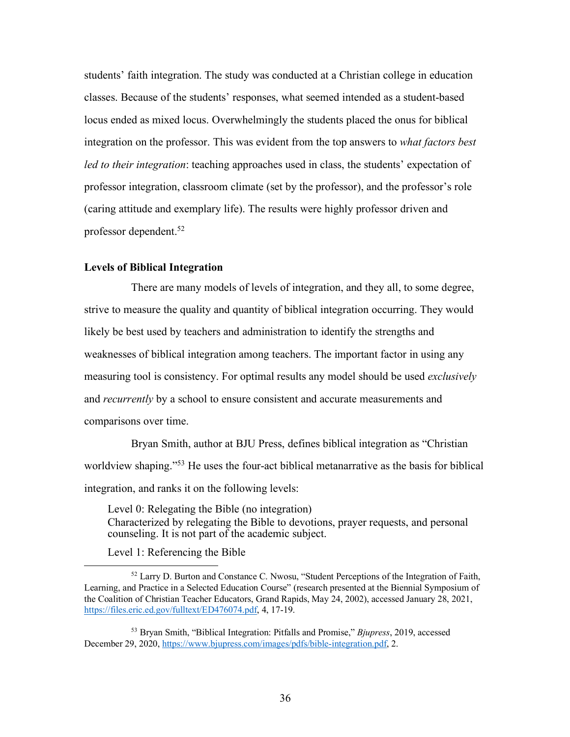students' faith integration. The study was conducted at a Christian college in education classes. Because of the students' responses, what seemed intended as a student-based locus ended as mixed locus. Overwhelmingly the students placed the onus for biblical integration on the professor. This was evident from the top answers to *what factors best led to their integration*: teaching approaches used in class, the students' expectation of professor integration, classroom climate (set by the professor), and the professor's role (caring attitude and exemplary life). The results were highly professor driven and professor dependent.52

### **Levels of Biblical Integration**

There are many models of levels of integration, and they all, to some degree, strive to measure the quality and quantity of biblical integration occurring. They would likely be best used by teachers and administration to identify the strengths and weaknesses of biblical integration among teachers. The important factor in using any measuring tool is consistency. For optimal results any model should be used *exclusively* and *recurrently* by a school to ensure consistent and accurate measurements and comparisons over time.

Bryan Smith, author at BJU Press, defines biblical integration as "Christian worldview shaping."53 He uses the four-act biblical metanarrative as the basis for biblical integration, and ranks it on the following levels:

Level 0: Relegating the Bible (no integration) Characterized by relegating the Bible to devotions, prayer requests, and personal counseling. It is not part of the academic subject.

Level 1: Referencing the Bible

 <sup>52</sup> Larry D. Burton and Constance C. Nwosu, "Student Perceptions of the Integration of Faith, Learning, and Practice in a Selected Education Course" (research presented at the Biennial Symposium of the Coalition of Christian Teacher Educators, Grand Rapids, May 24, 2002), accessed January 28, 2021, https://files.eric.ed.gov/fulltext/ED476074.pdf, 4, 17-19.

<sup>53</sup> Bryan Smith, "Biblical Integration: Pitfalls and Promise," *Bjupress*, 2019, accessed December 29, 2020, https://www.bjupress.com/images/pdfs/bible-integration.pdf, 2.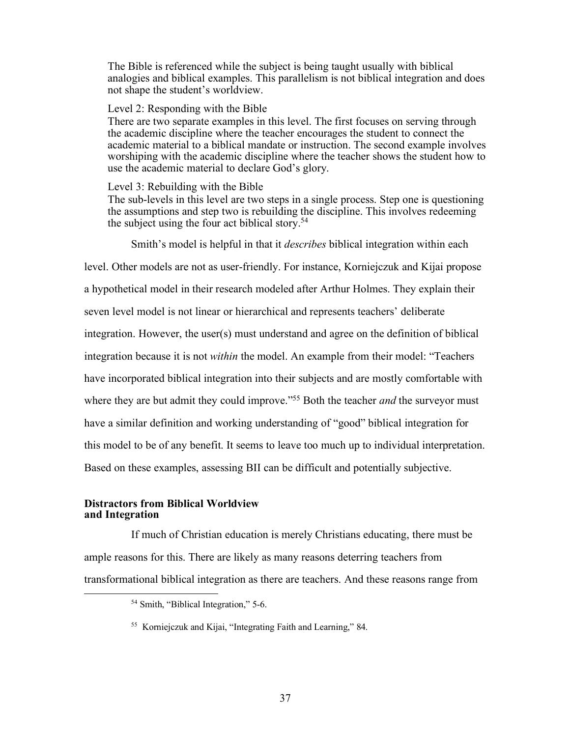The Bible is referenced while the subject is being taught usually with biblical analogies and biblical examples. This parallelism is not biblical integration and does not shape the student's worldview.

### Level 2: Responding with the Bible

There are two separate examples in this level. The first focuses on serving through the academic discipline where the teacher encourages the student to connect the academic material to a biblical mandate or instruction. The second example involves worshiping with the academic discipline where the teacher shows the student how to use the academic material to declare God's glory.

Level 3: Rebuilding with the Bible

The sub-levels in this level are two steps in a single process. Step one is questioning the assumptions and step two is rebuilding the discipline. This involves redeeming the subject using the four act biblical story.54

Smith's model is helpful in that it *describes* biblical integration within each

level. Other models are not as user-friendly. For instance, Korniejczuk and Kijai propose

a hypothetical model in their research modeled after Arthur Holmes. They explain their

seven level model is not linear or hierarchical and represents teachers' deliberate

integration. However, the user(s) must understand and agree on the definition of biblical

integration because it is not *within* the model. An example from their model: "Teachers

have incorporated biblical integration into their subjects and are mostly comfortable with

where they are but admit they could improve.<sup>"55</sup> Both the teacher *and* the surveyor must

have a similar definition and working understanding of "good" biblical integration for

this model to be of any benefit. It seems to leave too much up to individual interpretation.

Based on these examples, assessing BII can be difficult and potentially subjective.

#### **Distractors from Biblical Worldview and Integration**

If much of Christian education is merely Christians educating, there must be ample reasons for this. There are likely as many reasons deterring teachers from transformational biblical integration as there are teachers. And these reasons range from

 <sup>54</sup> Smith, "Biblical Integration," 5-6.

<sup>55</sup> Korniejczuk and Kijai, "Integrating Faith and Learning," 84.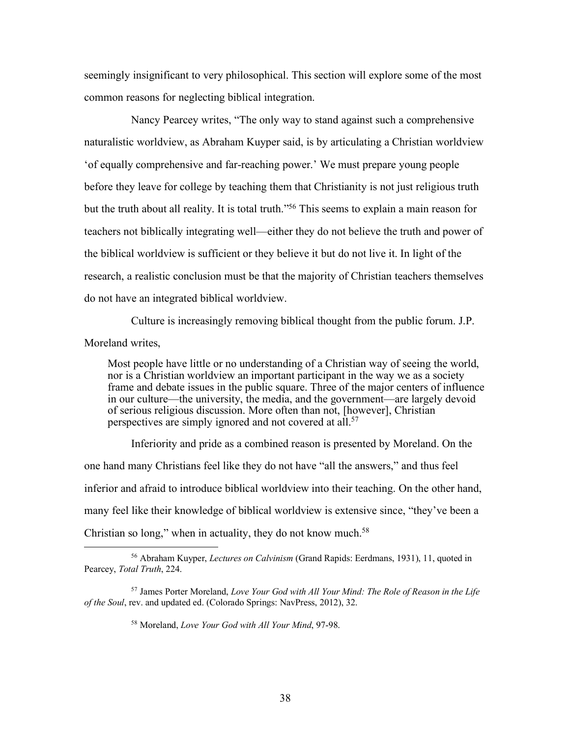seemingly insignificant to very philosophical. This section will explore some of the most common reasons for neglecting biblical integration.

Nancy Pearcey writes, "The only way to stand against such a comprehensive naturalistic worldview, as Abraham Kuyper said, is by articulating a Christian worldview 'of equally comprehensive and far-reaching power.' We must prepare young people before they leave for college by teaching them that Christianity is not just religious truth but the truth about all reality. It is total truth."56 This seems to explain a main reason for teachers not biblically integrating well—either they do not believe the truth and power of the biblical worldview is sufficient or they believe it but do not live it. In light of the research, a realistic conclusion must be that the majority of Christian teachers themselves do not have an integrated biblical worldview.

Culture is increasingly removing biblical thought from the public forum. J.P. Moreland writes,

Most people have little or no understanding of a Christian way of seeing the world, nor is a Christian worldview an important participant in the way we as a society frame and debate issues in the public square. Three of the major centers of influence in our culture—the university, the media, and the government—are largely devoid of serious religious discussion. More often than not, [however], Christian perspectives are simply ignored and not covered at all.<sup>57</sup>

Inferiority and pride as a combined reason is presented by Moreland. On the one hand many Christians feel like they do not have "all the answers," and thus feel inferior and afraid to introduce biblical worldview into their teaching. On the other hand, many feel like their knowledge of biblical worldview is extensive since, "they've been a Christian so long," when in actuality, they do not know much.<sup>58</sup>

 <sup>56</sup> Abraham Kuyper, *Lectures on Calvinism* (Grand Rapids: Eerdmans, 1931), 11, quoted in Pearcey, *Total Truth*, 224.

<sup>57</sup> James Porter Moreland, *Love Your God with All Your Mind: The Role of Reason in the Life of the Soul*, rev. and updated ed. (Colorado Springs: NavPress, 2012), 32.

<sup>58</sup> Moreland, *Love Your God with All Your Mind*, 97-98.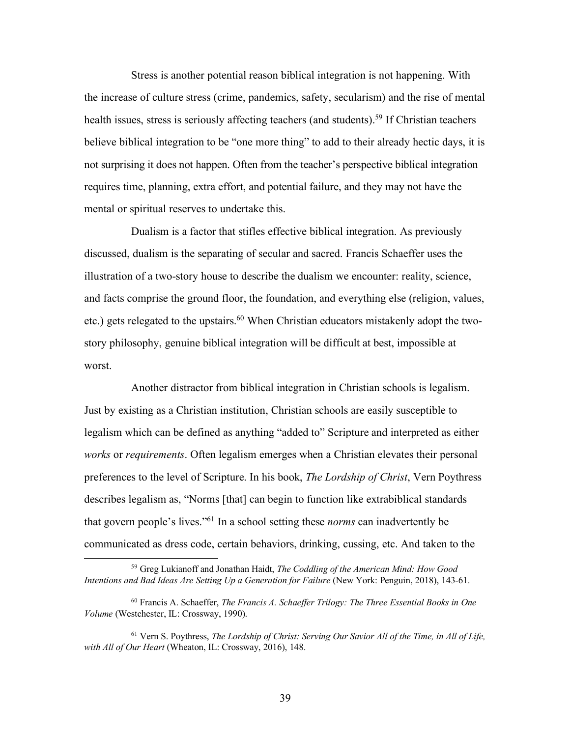Stress is another potential reason biblical integration is not happening. With the increase of culture stress (crime, pandemics, safety, secularism) and the rise of mental health issues, stress is seriously affecting teachers (and students).<sup>59</sup> If Christian teachers believe biblical integration to be "one more thing" to add to their already hectic days, it is not surprising it does not happen. Often from the teacher's perspective biblical integration requires time, planning, extra effort, and potential failure, and they may not have the mental or spiritual reserves to undertake this.

Dualism is a factor that stifles effective biblical integration. As previously discussed, dualism is the separating of secular and sacred. Francis Schaeffer uses the illustration of a two-story house to describe the dualism we encounter: reality, science, and facts comprise the ground floor, the foundation, and everything else (religion, values, etc.) gets relegated to the upstairs.<sup>60</sup> When Christian educators mistakenly adopt the twostory philosophy, genuine biblical integration will be difficult at best, impossible at worst.

Another distractor from biblical integration in Christian schools is legalism. Just by existing as a Christian institution, Christian schools are easily susceptible to legalism which can be defined as anything "added to" Scripture and interpreted as either *works* or *requirements*. Often legalism emerges when a Christian elevates their personal preferences to the level of Scripture. In his book, *The Lordship of Christ*, Vern Poythress describes legalism as, "Norms [that] can begin to function like extrabiblical standards that govern people's lives."61 In a school setting these *norms* can inadvertently be communicated as dress code, certain behaviors, drinking, cussing, etc. And taken to the

 <sup>59</sup> Greg Lukianoff and Jonathan Haidt, *The Coddling of the American Mind: How Good Intentions and Bad Ideas Are Setting Up a Generation for Failure* (New York: Penguin, 2018), 143-61.

<sup>60</sup> Francis A. Schaeffer, *The Francis A. Schaeffer Trilogy: The Three Essential Books in One Volume* (Westchester, IL: Crossway, 1990).

<sup>61</sup> Vern S. Poythress, *The Lordship of Christ: Serving Our Savior All of the Time, in All of Life, with All of Our Heart* (Wheaton, IL: Crossway, 2016), 148.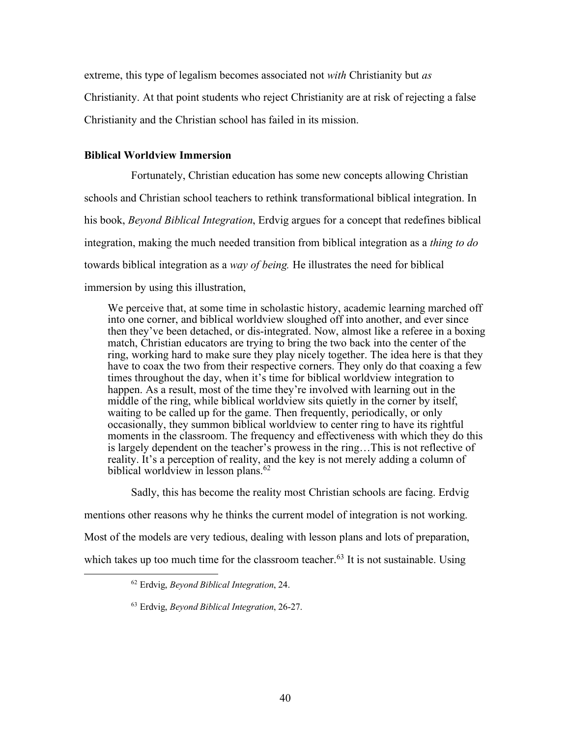extreme, this type of legalism becomes associated not *with* Christianity but *as* Christianity. At that point students who reject Christianity are at risk of rejecting a false Christianity and the Christian school has failed in its mission.

## **Biblical Worldview Immersion**

Fortunately, Christian education has some new concepts allowing Christian schools and Christian school teachers to rethink transformational biblical integration. In his book, *Beyond Biblical Integration*, Erdvig argues for a concept that redefines biblical integration, making the much needed transition from biblical integration as a *thing to do* towards biblical integration as a *way of being.* He illustrates the need for biblical immersion by using this illustration,

We perceive that, at some time in scholastic history, academic learning marched off into one corner, and biblical worldview sloughed off into another, and ever since then they've been detached, or dis-integrated. Now, almost like a referee in a boxing match, Christian educators are trying to bring the two back into the center of the ring, working hard to make sure they play nicely together. The idea here is that they have to coax the two from their respective corners. They only do that coaxing a few times throughout the day, when it's time for biblical worldview integration to happen. As a result, most of the time they're involved with learning out in the middle of the ring, while biblical worldview sits quietly in the corner by itself, waiting to be called up for the game. Then frequently, periodically, or only occasionally, they summon biblical worldview to center ring to have its rightful moments in the classroom. The frequency and effectiveness with which they do this is largely dependent on the teacher's prowess in the ring…This is not reflective of reality. It's a perception of reality, and the key is not merely adding a column of biblical worldview in lesson plans.<sup>62</sup>

Sadly, this has become the reality most Christian schools are facing. Erdvig

mentions other reasons why he thinks the current model of integration is not working. Most of the models are very tedious, dealing with lesson plans and lots of preparation, which takes up too much time for the classroom teacher.<sup>63</sup> It is not sustainable. Using

 <sup>62</sup> Erdvig, *Beyond Biblical Integration*, 24.

<sup>63</sup> Erdvig, *Beyond Biblical Integration*, 26-27.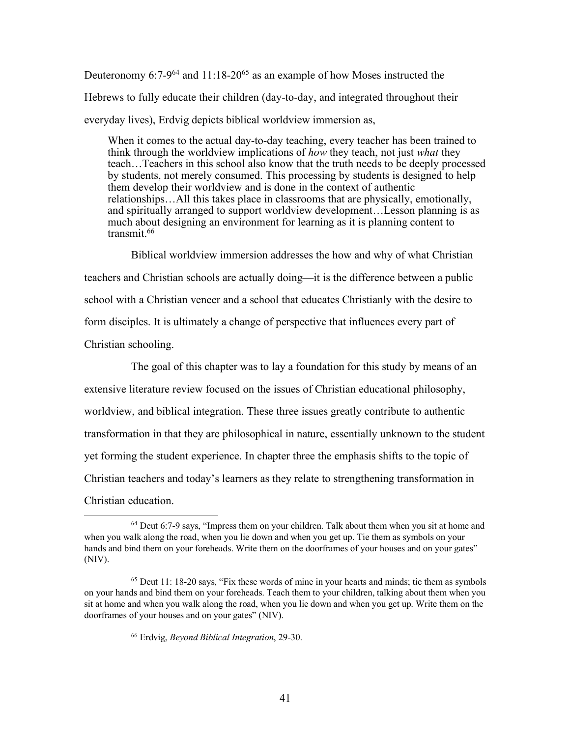Deuteronomy 6:7-9<sup>64</sup> and 11:18-20<sup>65</sup> as an example of how Moses instructed the Hebrews to fully educate their children (day-to-day, and integrated throughout their everyday lives), Erdvig depicts biblical worldview immersion as,

When it comes to the actual day-to-day teaching, every teacher has been trained to think through the worldview implications of *how* they teach, not just *what* they teach…Teachers in this school also know that the truth needs to be deeply processed by students, not merely consumed. This processing by students is designed to help them develop their worldview and is done in the context of authentic relationships…All this takes place in classrooms that are physically, emotionally, and spiritually arranged to support worldview development…Lesson planning is as much about designing an environment for learning as it is planning content to transmit.<sup>66</sup>

Biblical worldview immersion addresses the how and why of what Christian teachers and Christian schools are actually doing—it is the difference between a public school with a Christian veneer and a school that educates Christianly with the desire to form disciples. It is ultimately a change of perspective that influences every part of Christian schooling.

The goal of this chapter was to lay a foundation for this study by means of an extensive literature review focused on the issues of Christian educational philosophy, worldview, and biblical integration. These three issues greatly contribute to authentic transformation in that they are philosophical in nature, essentially unknown to the student yet forming the student experience. In chapter three the emphasis shifts to the topic of Christian teachers and today's learners as they relate to strengthening transformation in Christian education.

 $64$  Deut 6:7-9 says, "Impress them on your children. Talk about them when you sit at home and when you walk along the road, when you lie down and when you get up. Tie them as symbols on your hands and bind them on your foreheads. Write them on the doorframes of your houses and on your gates" (NIV).

 $<sup>65</sup>$  Deut 11: 18-20 says, "Fix these words of mine in your hearts and minds; tie them as symbols</sup> on your hands and bind them on your foreheads. Teach them to your children, talking about them when you sit at home and when you walk along the road, when you lie down and when you get up. Write them on the doorframes of your houses and on your gates" (NIV).

<sup>66</sup> Erdvig, *Beyond Biblical Integration*, 29-30.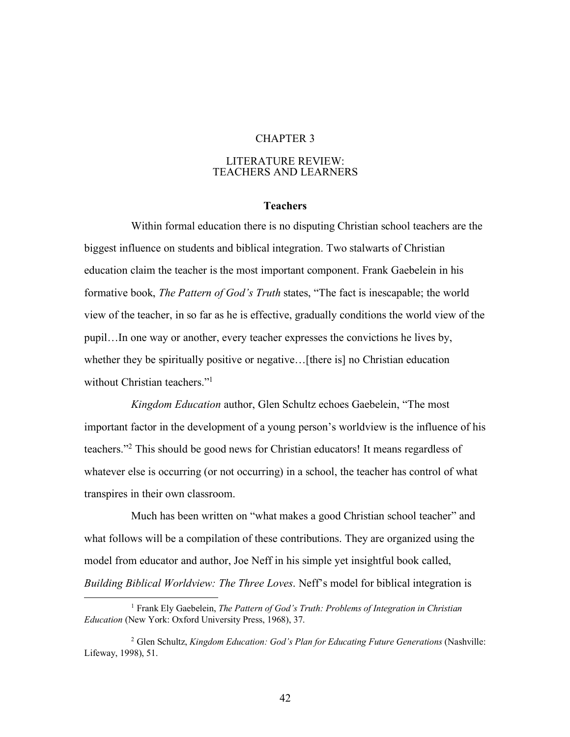## CHAPTER 3

#### LITERATURE REVIEW: TEACHERS AND LEARNERS

## **Teachers**

Within formal education there is no disputing Christian school teachers are the biggest influence on students and biblical integration. Two stalwarts of Christian education claim the teacher is the most important component. Frank Gaebelein in his formative book, *The Pattern of God's Truth* states, "The fact is inescapable; the world view of the teacher, in so far as he is effective, gradually conditions the world view of the pupil…In one way or another, every teacher expresses the convictions he lives by, whether they be spiritually positive or negative... [there is] no Christian education without Christian teachers."<sup>1</sup>

*Kingdom Education* author, Glen Schultz echoes Gaebelein, "The most important factor in the development of a young person's worldview is the influence of his teachers."2 This should be good news for Christian educators! It means regardless of whatever else is occurring (or not occurring) in a school, the teacher has control of what transpires in their own classroom.

Much has been written on "what makes a good Christian school teacher" and what follows will be a compilation of these contributions. They are organized using the model from educator and author, Joe Neff in his simple yet insightful book called, *Building Biblical Worldview: The Three Loves*. Neff's model for biblical integration is

 <sup>1</sup> Frank Ely Gaebelein, *The Pattern of God's Truth: Problems of Integration in Christian Education* (New York: Oxford University Press, 1968), 37.

<sup>2</sup> Glen Schultz, *Kingdom Education: God's Plan for Educating Future Generations* (Nashville: Lifeway, 1998), 51.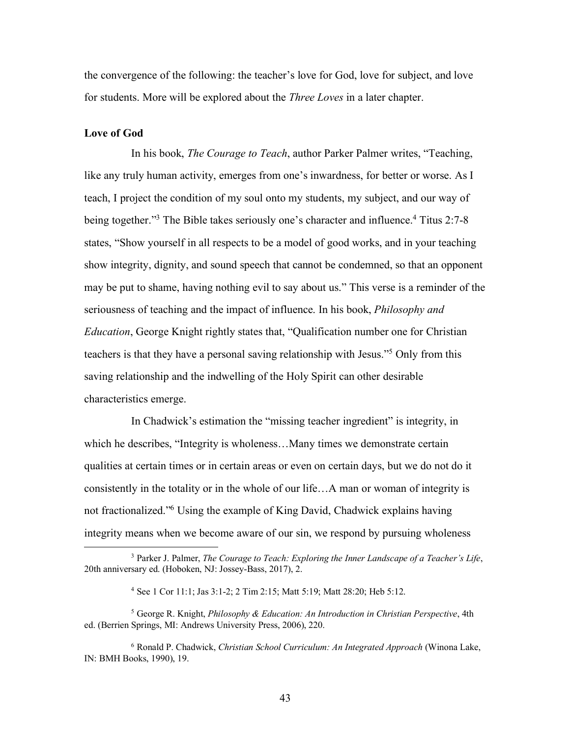the convergence of the following: the teacher's love for God, love for subject, and love for students. More will be explored about the *Three Loves* in a later chapter.

# **Love of God**

In his book, *The Courage to Teach*, author Parker Palmer writes, "Teaching, like any truly human activity, emerges from one's inwardness, for better or worse. As I teach, I project the condition of my soul onto my students, my subject, and our way of being together."<sup>3</sup> The Bible takes seriously one's character and influence.<sup>4</sup> Titus 2:7-8 states, "Show yourself in all respects to be a model of good works, and in your teaching show integrity, dignity, and sound speech that cannot be condemned, so that an opponent may be put to shame, having nothing evil to say about us." This verse is a reminder of the seriousness of teaching and the impact of influence. In his book, *Philosophy and Education*, George Knight rightly states that, "Qualification number one for Christian teachers is that they have a personal saving relationship with Jesus."5 Only from this saving relationship and the indwelling of the Holy Spirit can other desirable characteristics emerge.

In Chadwick's estimation the "missing teacher ingredient" is integrity, in which he describes, "Integrity is wholeness... Many times we demonstrate certain qualities at certain times or in certain areas or even on certain days, but we do not do it consistently in the totality or in the whole of our life…A man or woman of integrity is not fractionalized."6 Using the example of King David, Chadwick explains having integrity means when we become aware of our sin, we respond by pursuing wholeness

 <sup>3</sup> Parker J. Palmer, *The Courage to Teach: Exploring the Inner Landscape of a Teacher's Life*, 20th anniversary ed. (Hoboken, NJ: Jossey-Bass, 2017), 2.

<sup>4</sup> See 1 Cor 11:1; Jas 3:1-2; 2 Tim 2:15; Matt 5:19; Matt 28:20; Heb 5:12.

<sup>5</sup> George R. Knight, *Philosophy & Education: An Introduction in Christian Perspective*, 4th ed. (Berrien Springs, MI: Andrews University Press, 2006), 220.

<sup>6</sup> Ronald P. Chadwick, *Christian School Curriculum: An Integrated Approach* (Winona Lake, IN: BMH Books, 1990), 19.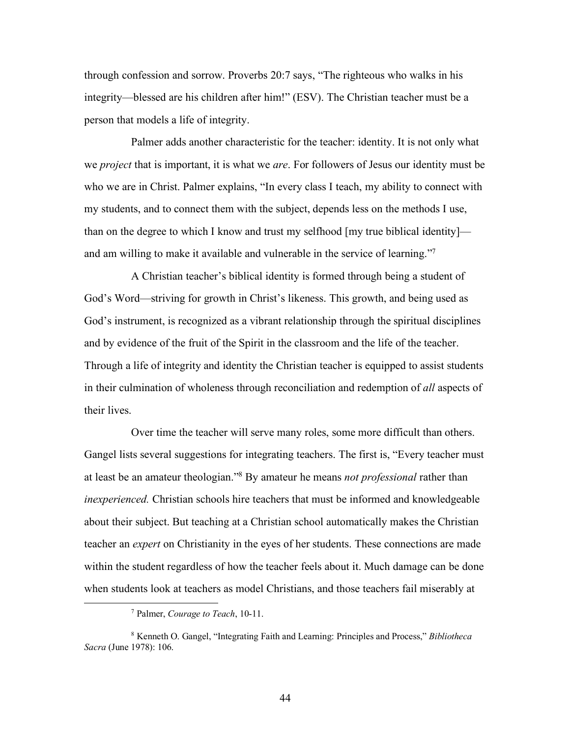through confession and sorrow. Proverbs 20:7 says, "The righteous who walks in his integrity—blessed are his children after him!" (ESV). The Christian teacher must be a person that models a life of integrity.

Palmer adds another characteristic for the teacher: identity. It is not only what we *project* that is important, it is what we *are*. For followers of Jesus our identity must be who we are in Christ. Palmer explains, "In every class I teach, my ability to connect with my students, and to connect them with the subject, depends less on the methods I use, than on the degree to which I know and trust my selfhood [my true biblical identity] and am willing to make it available and vulnerable in the service of learning."7

A Christian teacher's biblical identity is formed through being a student of God's Word—striving for growth in Christ's likeness. This growth, and being used as God's instrument, is recognized as a vibrant relationship through the spiritual disciplines and by evidence of the fruit of the Spirit in the classroom and the life of the teacher. Through a life of integrity and identity the Christian teacher is equipped to assist students in their culmination of wholeness through reconciliation and redemption of *all* aspects of their lives.

Over time the teacher will serve many roles, some more difficult than others. Gangel lists several suggestions for integrating teachers. The first is, "Every teacher must at least be an amateur theologian."8 By amateur he means *not professional* rather than *inexperienced.* Christian schools hire teachers that must be informed and knowledgeable about their subject. But teaching at a Christian school automatically makes the Christian teacher an *expert* on Christianity in the eyes of her students. These connections are made within the student regardless of how the teacher feels about it. Much damage can be done when students look at teachers as model Christians, and those teachers fail miserably at

 <sup>7</sup> Palmer, *Courage to Teach*, 10-11.

<sup>8</sup> Kenneth O. Gangel, "Integrating Faith and Learning: Principles and Process," *Bibliotheca Sacra* (June 1978): 106.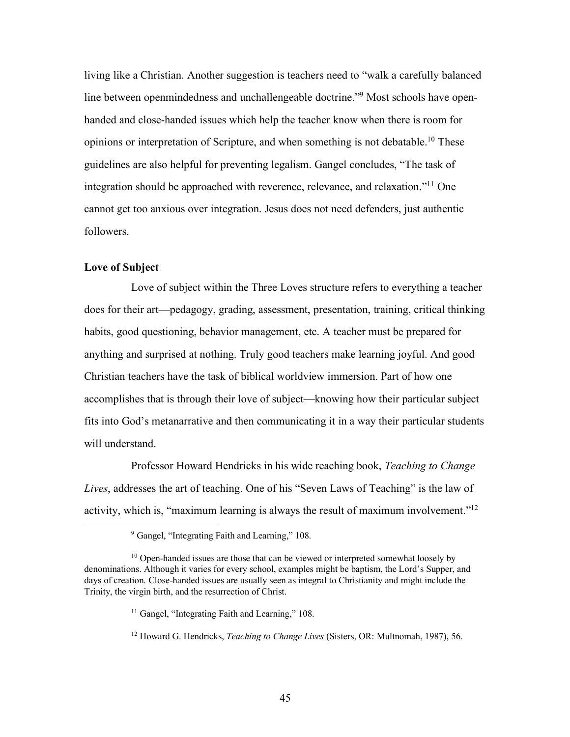living like a Christian. Another suggestion is teachers need to "walk a carefully balanced line between openmindedness and unchallengeable doctrine."9 Most schools have openhanded and close-handed issues which help the teacher know when there is room for opinions or interpretation of Scripture, and when something is not debatable.10 These guidelines are also helpful for preventing legalism. Gangel concludes, "The task of integration should be approached with reverence, relevance, and relaxation."11 One cannot get too anxious over integration. Jesus does not need defenders, just authentic followers.

## **Love of Subject**

Love of subject within the Three Loves structure refers to everything a teacher does for their art—pedagogy, grading, assessment, presentation, training, critical thinking habits, good questioning, behavior management, etc. A teacher must be prepared for anything and surprised at nothing. Truly good teachers make learning joyful. And good Christian teachers have the task of biblical worldview immersion. Part of how one accomplishes that is through their love of subject—knowing how their particular subject fits into God's metanarrative and then communicating it in a way their particular students will understand.

Professor Howard Hendricks in his wide reaching book, *Teaching to Change Lives*, addresses the art of teaching. One of his "Seven Laws of Teaching" is the law of activity, which is, "maximum learning is always the result of maximum involvement."12

<sup>12</sup> Howard G. Hendricks, *Teaching to Change Lives* (Sisters, OR: Multnomah, 1987), 56.

 <sup>9</sup> Gangel, "Integrating Faith and Learning," 108.

<sup>&</sup>lt;sup>10</sup> Open-handed issues are those that can be viewed or interpreted somewhat loosely by denominations. Although it varies for every school, examples might be baptism, the Lord's Supper, and days of creation. Close-handed issues are usually seen as integral to Christianity and might include the Trinity, the virgin birth, and the resurrection of Christ.

<sup>&</sup>lt;sup>11</sup> Gangel, "Integrating Faith and Learning," 108.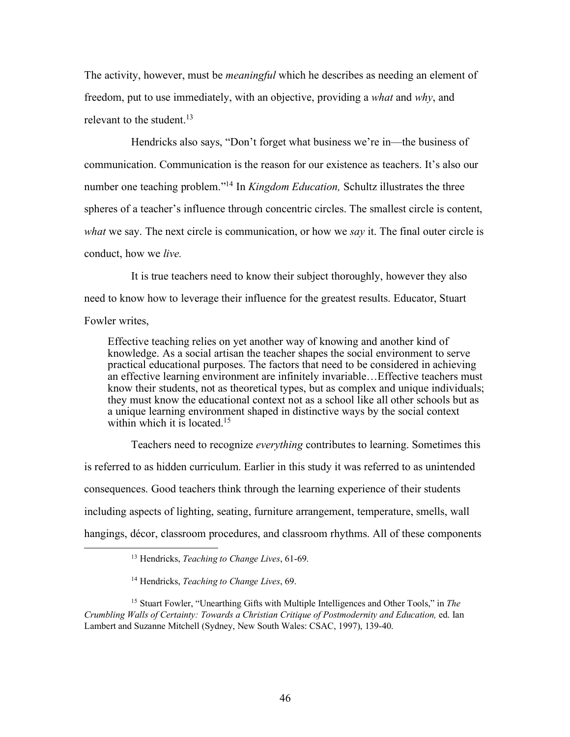The activity, however, must be *meaningful* which he describes as needing an element of freedom, put to use immediately, with an objective, providing a *what* and *why*, and relevant to the student.<sup>13</sup>

Hendricks also says, "Don't forget what business we're in—the business of communication. Communication is the reason for our existence as teachers. It's also our number one teaching problem."14 In *Kingdom Education,* Schultz illustrates the three spheres of a teacher's influence through concentric circles. The smallest circle is content, *what* we say. The next circle is communication, or how we *say* it. The final outer circle is conduct, how we *live.*

It is true teachers need to know their subject thoroughly, however they also need to know how to leverage their influence for the greatest results. Educator, Stuart Fowler writes,

Effective teaching relies on yet another way of knowing and another kind of knowledge. As a social artisan the teacher shapes the social environment to serve practical educational purposes. The factors that need to be considered in achieving an effective learning environment are infinitely invariable…Effective teachers must know their students, not as theoretical types, but as complex and unique individuals; they must know the educational context not as a school like all other schools but as a unique learning environment shaped in distinctive ways by the social context within which it is located.<sup>15</sup>

Teachers need to recognize *everything* contributes to learning. Sometimes this is referred to as hidden curriculum. Earlier in this study it was referred to as unintended consequences. Good teachers think through the learning experience of their students including aspects of lighting, seating, furniture arrangement, temperature, smells, wall hangings, décor, classroom procedures, and classroom rhythms. All of these components

 <sup>13</sup> Hendricks, *Teaching to Change Lives*, 61-69.

<sup>14</sup> Hendricks, *Teaching to Change Lives*, 69.

<sup>15</sup> Stuart Fowler, "Unearthing Gifts with Multiple Intelligences and Other Tools," in *The Crumbling Walls of Certainty: Towards a Christian Critique of Postmodernity and Education,* ed. Ian Lambert and Suzanne Mitchell (Sydney, New South Wales: CSAC, 1997), 139-40.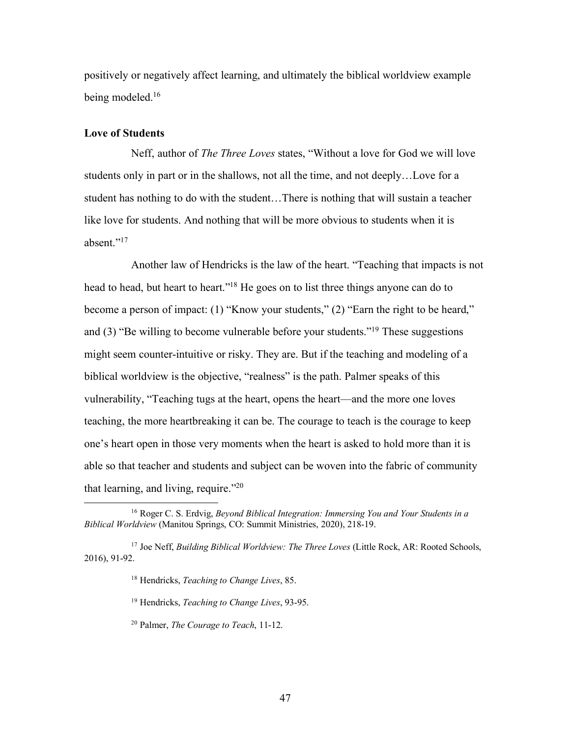positively or negatively affect learning, and ultimately the biblical worldview example being modeled.<sup>16</sup>

# **Love of Students**

Neff, author of *The Three Loves* states, "Without a love for God we will love students only in part or in the shallows, not all the time, and not deeply…Love for a student has nothing to do with the student…There is nothing that will sustain a teacher like love for students. And nothing that will be more obvious to students when it is absent."17

Another law of Hendricks is the law of the heart. "Teaching that impacts is not head to head, but heart to heart."<sup>18</sup> He goes on to list three things anyone can do to become a person of impact: (1) "Know your students," (2) "Earn the right to be heard," and (3) "Be willing to become vulnerable before your students."19 These suggestions might seem counter-intuitive or risky. They are. But if the teaching and modeling of a biblical worldview is the objective, "realness" is the path. Palmer speaks of this vulnerability, "Teaching tugs at the heart, opens the heart—and the more one loves teaching, the more heartbreaking it can be. The courage to teach is the courage to keep one's heart open in those very moments when the heart is asked to hold more than it is able so that teacher and students and subject can be woven into the fabric of community that learning, and living, require."20

 <sup>16</sup> Roger C. S. Erdvig, *Beyond Biblical Integration: Immersing You and Your Students in a Biblical Worldview* (Manitou Springs, CO: Summit Ministries, 2020), 218-19.

<sup>&</sup>lt;sup>17</sup> Joe Neff, *Building Biblical Worldview: The Three Loves* (Little Rock, AR: Rooted Schools, 2016), 91-92.

<sup>18</sup> Hendricks, *Teaching to Change Lives*, 85.

<sup>19</sup> Hendricks, *Teaching to Change Lives*, 93-95.

<sup>20</sup> Palmer, *The Courage to Teach*, 11-12.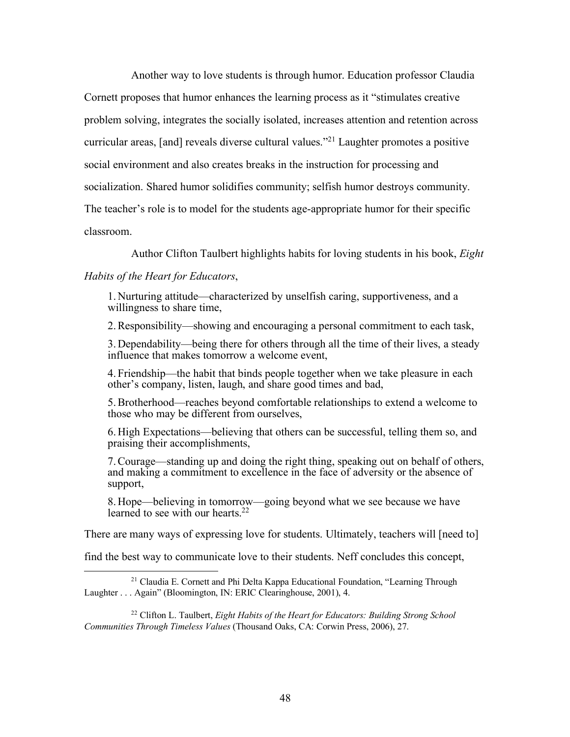Another way to love students is through humor. Education professor Claudia Cornett proposes that humor enhances the learning process as it "stimulates creative problem solving, integrates the socially isolated, increases attention and retention across curricular areas, [and] reveals diverse cultural values."21 Laughter promotes a positive social environment and also creates breaks in the instruction for processing and socialization. Shared humor solidifies community; selfish humor destroys community. The teacher's role is to model for the students age-appropriate humor for their specific classroom.

Author Clifton Taulbert highlights habits for loving students in his book, *Eight* 

# *Habits of the Heart for Educators*,

1. Nurturing attitude—characterized by unselfish caring, supportiveness, and a willingness to share time,

2.Responsibility—showing and encouraging a personal commitment to each task,

3. Dependability—being there for others through all the time of their lives, a steady influence that makes tomorrow a welcome event,

4. Friendship—the habit that binds people together when we take pleasure in each other's company, listen, laugh, and share good times and bad,

5.Brotherhood—reaches beyond comfortable relationships to extend a welcome to those who may be different from ourselves,

6. High Expectations—believing that others can be successful, telling them so, and praising their accomplishments,

7.Courage—standing up and doing the right thing, speaking out on behalf of others, and making a commitment to excellence in the face of adversity or the absence of support,

8. Hope—believing in tomorrow—going beyond what we see because we have learned to see with our hearts.<sup>22</sup>

There are many ways of expressing love for students. Ultimately, teachers will [need to]

find the best way to communicate love to their students. Neff concludes this concept,

<sup>22</sup> Clifton L. Taulbert, *Eight Habits of the Heart for Educators: Building Strong School Communities Through Timeless Values* (Thousand Oaks, CA: Corwin Press, 2006), 27.

<sup>&</sup>lt;sup>21</sup> Claudia E. Cornett and Phi Delta Kappa Educational Foundation, "Learning Through Laughter . . . Again" (Bloomington, IN: ERIC Clearinghouse, 2001), 4.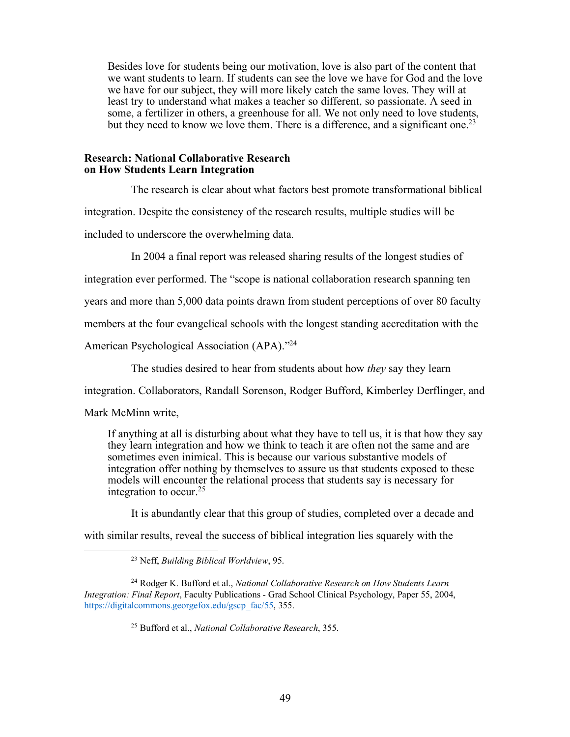Besides love for students being our motivation, love is also part of the content that we want students to learn. If students can see the love we have for God and the love we have for our subject, they will more likely catch the same loves. They will at least try to understand what makes a teacher so different, so passionate. A seed in some, a fertilizer in others, a greenhouse for all. We not only need to love students, but they need to know we love them. There is a difference, and a significant one.<sup>23</sup>

#### **Research: National Collaborative Research on How Students Learn Integration**

The research is clear about what factors best promote transformational biblical integration. Despite the consistency of the research results, multiple studies will be included to underscore the overwhelming data.

In 2004 a final report was released sharing results of the longest studies of

integration ever performed. The "scope is national collaboration research spanning ten

years and more than 5,000 data points drawn from student perceptions of over 80 faculty

members at the four evangelical schools with the longest standing accreditation with the

American Psychological Association (APA)."24

The studies desired to hear from students about how *they* say they learn

integration. Collaborators, Randall Sorenson, Rodger Bufford, Kimberley Derflinger, and

Mark McMinn write,

If anything at all is disturbing about what they have to tell us, it is that how they say they learn integration and how we think to teach it are often not the same and are sometimes even inimical. This is because our various substantive models of integration offer nothing by themselves to assure us that students exposed to these models will encounter the relational process that students say is necessary for integration to occur.25

It is abundantly clear that this group of studies, completed over a decade and

with similar results, reveal the success of biblical integration lies squarely with the

 <sup>23</sup> Neff, *Building Biblical Worldview*, 95.

<sup>24</sup> Rodger K. Bufford et al., *National Collaborative Research on How Students Learn Integration: Final Report*, Faculty Publications - Grad School Clinical Psychology, Paper 55, 2004, https://digitalcommons.georgefox.edu/gscp\_fac/55, 355.

<sup>25</sup> Bufford et al., *National Collaborative Research*, 355.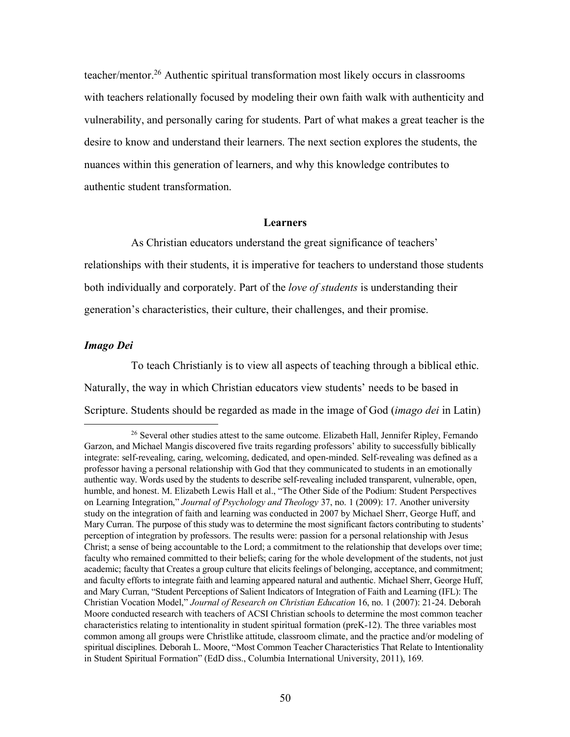teacher/mentor.26 Authentic spiritual transformation most likely occurs in classrooms with teachers relationally focused by modeling their own faith walk with authenticity and vulnerability, and personally caring for students. Part of what makes a great teacher is the desire to know and understand their learners. The next section explores the students, the nuances within this generation of learners, and why this knowledge contributes to authentic student transformation.

## **Learners**

As Christian educators understand the great significance of teachers' relationships with their students, it is imperative for teachers to understand those students both individually and corporately. Part of the *love of students* is understanding their generation's characteristics, their culture, their challenges, and their promise.

# *Imago Dei*

To teach Christianly is to view all aspects of teaching through a biblical ethic. Naturally, the way in which Christian educators view students' needs to be based in Scripture. Students should be regarded as made in the image of God (*imago dei* in Latin)

<sup>&</sup>lt;sup>26</sup> Several other studies attest to the same outcome. Elizabeth Hall, Jennifer Ripley, Fernando Garzon, and Michael Mangis discovered five traits regarding professors' ability to successfully biblically integrate: self-revealing, caring, welcoming, dedicated, and open-minded. Self-revealing was defined as a professor having a personal relationship with God that they communicated to students in an emotionally authentic way. Words used by the students to describe self-revealing included transparent, vulnerable, open, humble, and honest. M. Elizabeth Lewis Hall et al., "The Other Side of the Podium: Student Perspectives on Learning Integration," *Journal of Psychology and Theology* 37, no. 1 (2009): 17. Another university study on the integration of faith and learning was conducted in 2007 by Michael Sherr, George Huff, and Mary Curran. The purpose of this study was to determine the most significant factors contributing to students' perception of integration by professors. The results were: passion for a personal relationship with Jesus Christ; a sense of being accountable to the Lord; a commitment to the relationship that develops over time; faculty who remained committed to their beliefs; caring for the whole development of the students, not just academic; faculty that Creates a group culture that elicits feelings of belonging, acceptance, and commitment; and faculty efforts to integrate faith and learning appeared natural and authentic. Michael Sherr, George Huff, and Mary Curran, "Student Perceptions of Salient Indicators of Integration of Faith and Learning (IFL): The Christian Vocation Model," *Journal of Research on Christian Education* 16, no. 1 (2007): 21-24. Deborah Moore conducted research with teachers of ACSI Christian schools to determine the most common teacher characteristics relating to intentionality in student spiritual formation (preK-12). The three variables most common among all groups were Christlike attitude, classroom climate, and the practice and/or modeling of spiritual disciplines. Deborah L. Moore, "Most Common Teacher Characteristics That Relate to Intentionality in Student Spiritual Formation" (EdD diss., Columbia International University, 2011), 169.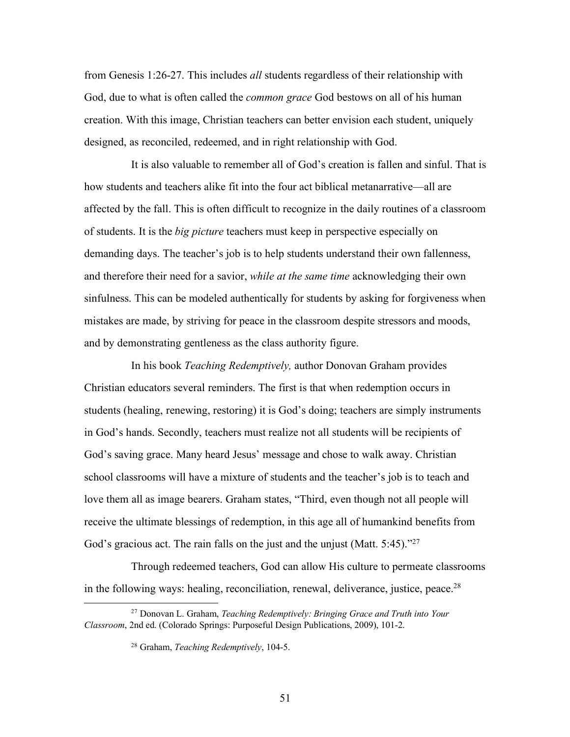from Genesis 1:26-27. This includes *all* students regardless of their relationship with God, due to what is often called the *common grace* God bestows on all of his human creation. With this image, Christian teachers can better envision each student, uniquely designed, as reconciled, redeemed, and in right relationship with God.

It is also valuable to remember all of God's creation is fallen and sinful. That is how students and teachers alike fit into the four act biblical metanarrative—all are affected by the fall. This is often difficult to recognize in the daily routines of a classroom of students. It is the *big picture* teachers must keep in perspective especially on demanding days. The teacher's job is to help students understand their own fallenness, and therefore their need for a savior, *while at the same time* acknowledging their own sinfulness. This can be modeled authentically for students by asking for forgiveness when mistakes are made, by striving for peace in the classroom despite stressors and moods, and by demonstrating gentleness as the class authority figure.

In his book *Teaching Redemptively,* author Donovan Graham provides Christian educators several reminders. The first is that when redemption occurs in students (healing, renewing, restoring) it is God's doing; teachers are simply instruments in God's hands. Secondly, teachers must realize not all students will be recipients of God's saving grace. Many heard Jesus' message and chose to walk away. Christian school classrooms will have a mixture of students and the teacher's job is to teach and love them all as image bearers. Graham states, "Third, even though not all people will receive the ultimate blessings of redemption, in this age all of humankind benefits from God's gracious act. The rain falls on the just and the unjust (Matt. 5:45)."<sup>27</sup>

Through redeemed teachers, God can allow His culture to permeate classrooms in the following ways: healing, reconciliation, renewal, deliverance, justice, peace.<sup>28</sup>

 <sup>27</sup> Donovan L. Graham, *Teaching Redemptively: Bringing Grace and Truth into Your Classroom*, 2nd ed. (Colorado Springs: Purposeful Design Publications, 2009), 101-2.

<sup>28</sup> Graham, *Teaching Redemptively*, 104-5.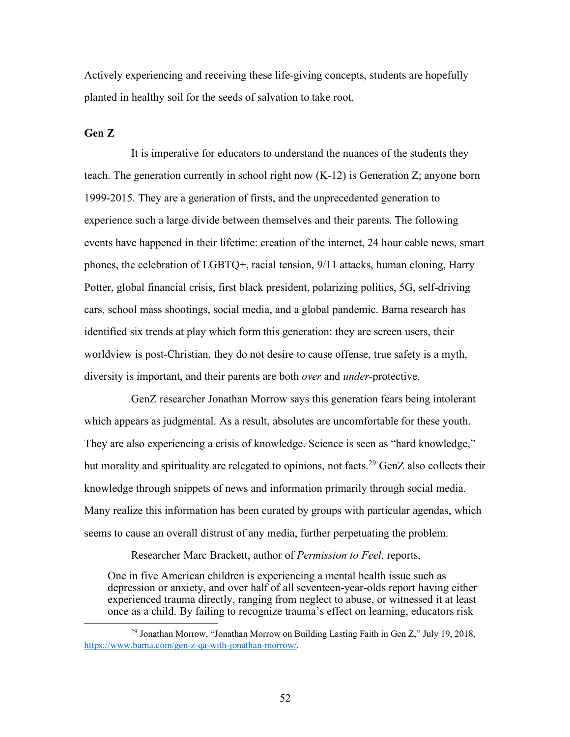Actively experiencing and receiving these life-giving concepts, students are hopefully planted in healthy soil for the seeds of salvation to take root.

## **Gen Z**

It is imperative for educators to understand the nuances of the students they teach. The generation currently in school right now (K-12) is Generation Z; anyone born 1999-2015. They are a generation of firsts, and the unprecedented generation to experience such a large divide between themselves and their parents. The following events have happened in their lifetime: creation of the internet, 24 hour cable news, smart phones, the celebration of LGBTQ+, racial tension, 9/11 attacks, human cloning, Harry Potter, global financial crisis, first black president, polarizing politics, 5G, self-driving cars, school mass shootings, social media, and a global pandemic. Barna research has identified six trends at play which form this generation: they are screen users, their worldview is post-Christian, they do not desire to cause offense, true safety is a myth, diversity is important, and their parents are both *over* and *under*-protective.

GenZ researcher Jonathan Morrow says this generation fears being intolerant which appears as judgmental. As a result, absolutes are uncomfortable for these youth. They are also experiencing a crisis of knowledge. Science is seen as "hard knowledge," but morality and spirituality are relegated to opinions, not facts.<sup>29</sup> GenZ also collects their knowledge through snippets of news and information primarily through social media. Many realize this information has been curated by groups with particular agendas, which seems to cause an overall distrust of any media, further perpetuating the problem.

Researcher Marc Brackett, author of *Permission to Feel*, reports,

One in five American children is experiencing a mental health issue such as depression or anxiety, and over half of all seventeen-year-olds report having either experienced trauma directly, ranging from neglect to abuse, or witnessed it at least once as a child. By failing to recognize trauma's effect on learning, educators risk

 <sup>29</sup> Jonathan Morrow, "Jonathan Morrow on Building Lasting Faith in Gen Z," July 19, 2018, https://www.barna.com/gen-z-qa-with-jonathan-morrow/.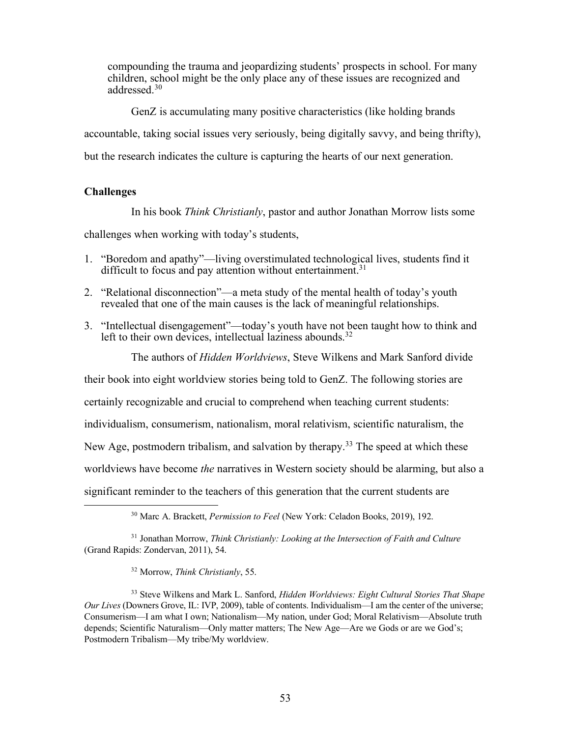compounding the trauma and jeopardizing students' prospects in school. For many children, school might be the only place any of these issues are recognized and addressed<sup>30</sup>

GenZ is accumulating many positive characteristics (like holding brands

accountable, taking social issues very seriously, being digitally savvy, and being thrifty),

but the research indicates the culture is capturing the hearts of our next generation.

# **Challenges**

In his book *Think Christianly*, pastor and author Jonathan Morrow lists some challenges when working with today's students,

- 1. "Boredom and apathy"—living overstimulated technological lives, students find it difficult to focus and pay attention without entertainment.<sup>31</sup>
- 2. "Relational disconnection"—a meta study of the mental health of today's youth revealed that one of the main causes is the lack of meaningful relationships.
- 3. "Intellectual disengagement"—today's youth have not been taught how to think and left to their own devices, intellectual laziness abounds.<sup>32</sup>

The authors of *Hidden Worldviews*, Steve Wilkens and Mark Sanford divide

their book into eight worldview stories being told to GenZ. The following stories are

certainly recognizable and crucial to comprehend when teaching current students:

individualism, consumerism, nationalism, moral relativism, scientific naturalism, the

New Age, postmodern tribalism, and salvation by therapy.<sup>33</sup> The speed at which these

worldviews have become *the* narratives in Western society should be alarming, but also a

significant reminder to the teachers of this generation that the current students are

30 Marc A. Brackett, *Permission to Feel* (New York: Celadon Books, 2019), 192.

<sup>31</sup> Jonathan Morrow, *Think Christianly: Looking at the Intersection of Faith and Culture* (Grand Rapids: Zondervan, 2011), 54.

<sup>32</sup> Morrow, *Think Christianly*, 55.

<sup>33</sup> Steve Wilkens and Mark L. Sanford, *Hidden Worldviews: Eight Cultural Stories That Shape Our Lives* (Downers Grove, IL: IVP, 2009), table of contents. Individualism—I am the center of the universe; Consumerism—I am what I own; Nationalism—My nation, under God; Moral Relativism—Absolute truth depends; Scientific Naturalism—Only matter matters; The New Age—Are we Gods or are we God's; Postmodern Tribalism—My tribe/My worldview.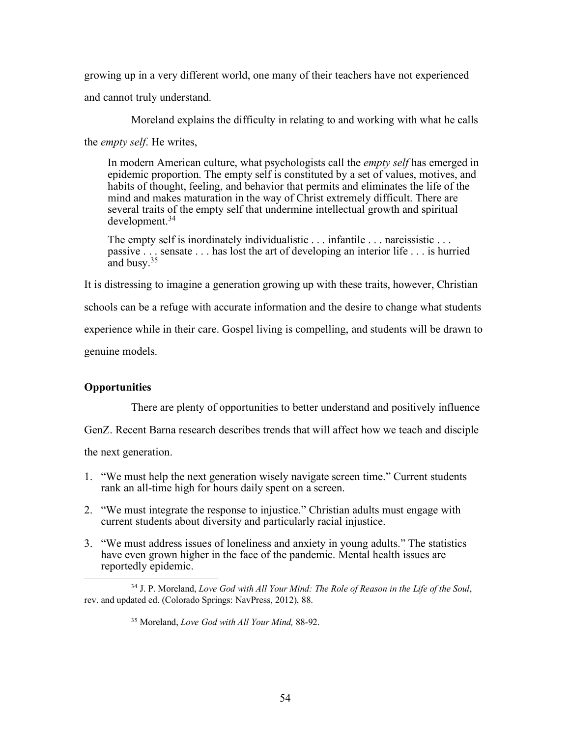growing up in a very different world, one many of their teachers have not experienced

and cannot truly understand.

Moreland explains the difficulty in relating to and working with what he calls

the *empty self*. He writes,

In modern American culture, what psychologists call the *empty self* has emerged in epidemic proportion. The empty self is constituted by a set of values, motives, and habits of thought, feeling, and behavior that permits and eliminates the life of the mind and makes maturation in the way of Christ extremely difficult. There are several traits of the empty self that undermine intellectual growth and spiritual development. 34

The empty self is inordinately individualistic . . . infantile . . . narcissistic . . . passive . . . sensate . . . has lost the art of developing an interior life . . . is hurried and busy.35

It is distressing to imagine a generation growing up with these traits, however, Christian

schools can be a refuge with accurate information and the desire to change what students

experience while in their care. Gospel living is compelling, and students will be drawn to

genuine models.

# **Opportunities**

There are plenty of opportunities to better understand and positively influence

GenZ. Recent Barna research describes trends that will affect how we teach and disciple

the next generation.

- 1. "We must help the next generation wisely navigate screen time." Current students rank an all-time high for hours daily spent on a screen.
- 2. "We must integrate the response to injustice." Christian adults must engage with current students about diversity and particularly racial injustice.
- 3. "We must address issues of loneliness and anxiety in young adults." The statistics have even grown higher in the face of the pandemic. Mental health issues are reportedly epidemic.

<sup>&</sup>lt;sup>34</sup> J. P. Moreland, *Love God with All Your Mind: The Role of Reason in the Life of the Soul*, rev. and updated ed. (Colorado Springs: NavPress, 2012), 88.

<sup>35</sup> Moreland, *Love God with All Your Mind,* 88-92.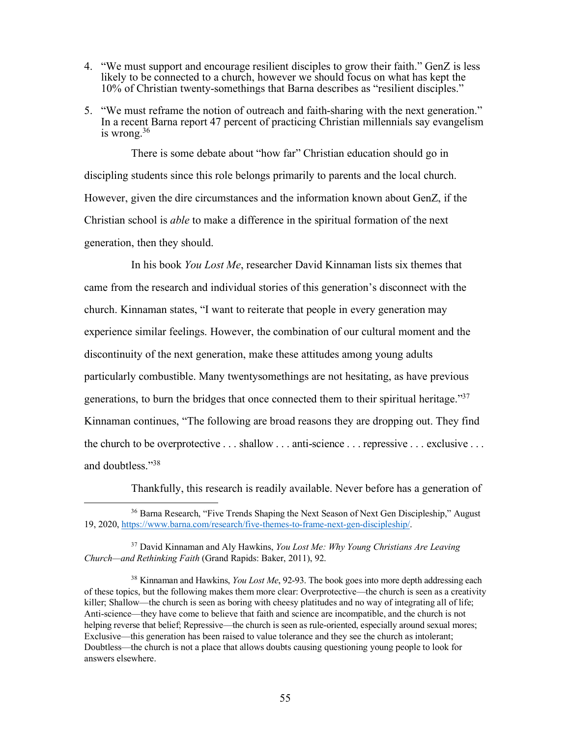- 4. "We must support and encourage resilient disciples to grow their faith." GenZ is less likely to be connected to a church, however we should focus on what has kept the 10% of Christian twenty-somethings that Barna describes as "resilient disciples."
- 5. "We must reframe the notion of outreach and faith-sharing with the next generation." In a recent Barna report 47 percent of practicing Christian millennials say evangelism is wrong. $36$

There is some debate about "how far" Christian education should go in discipling students since this role belongs primarily to parents and the local church. However, given the dire circumstances and the information known about GenZ, if the Christian school is *able* to make a difference in the spiritual formation of the next generation, then they should.

In his book *You Lost Me*, researcher David Kinnaman lists six themes that came from the research and individual stories of this generation's disconnect with the church. Kinnaman states, "I want to reiterate that people in every generation may experience similar feelings. However, the combination of our cultural moment and the discontinuity of the next generation, make these attitudes among young adults particularly combustible. Many twentysomethings are not hesitating, as have previous generations, to burn the bridges that once connected them to their spiritual heritage."37 Kinnaman continues, "The following are broad reasons they are dropping out. They find the church to be overprotective . . . shallow . . . anti-science . . . repressive . . . exclusive . . . and doubtless."38

Thankfully, this research is readily available. Never before has a generation of

<sup>&</sup>lt;sup>36</sup> Barna Research, "Five Trends Shaping the Next Season of Next Gen Discipleship," August 19, 2020, https://www.barna.com/research/five-themes-to-frame-next-gen-discipleship/.

<sup>37</sup> David Kinnaman and Aly Hawkins, *You Lost Me: Why Young Christians Are Leaving Church—and Rethinking Faith* (Grand Rapids: Baker, 2011), 92.

<sup>38</sup> Kinnaman and Hawkins, *You Lost Me*, 92-93. The book goes into more depth addressing each of these topics, but the following makes them more clear: Overprotective—the church is seen as a creativity killer; Shallow—the church is seen as boring with cheesy platitudes and no way of integrating all of life; Anti-science—they have come to believe that faith and science are incompatible, and the church is not helping reverse that belief; Repressive—the church is seen as rule-oriented, especially around sexual mores; Exclusive—this generation has been raised to value tolerance and they see the church as intolerant; Doubtless—the church is not a place that allows doubts causing questioning young people to look for answers elsewhere.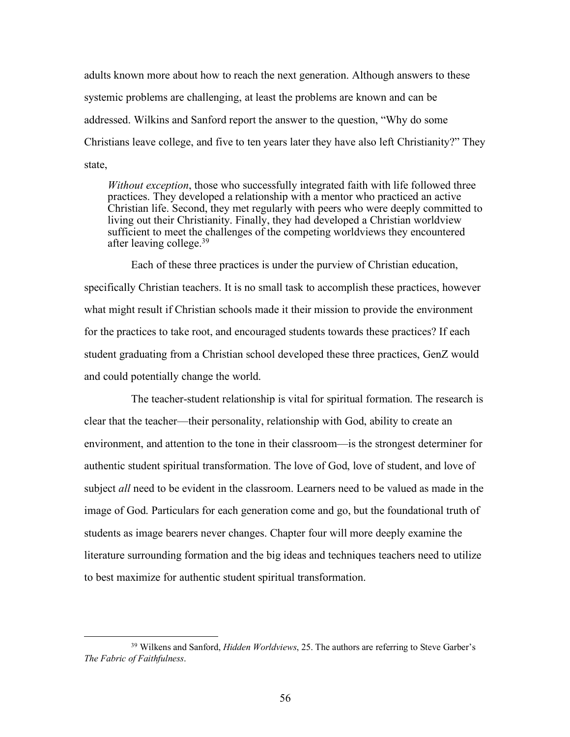adults known more about how to reach the next generation. Although answers to these systemic problems are challenging, at least the problems are known and can be addressed. Wilkins and Sanford report the answer to the question, "Why do some Christians leave college, and five to ten years later they have also left Christianity?" They state,

*Without exception*, those who successfully integrated faith with life followed three practices. They developed a relationship with a mentor who practiced an active Christian life. Second, they met regularly with peers who were deeply committed to living out their Christianity. Finally, they had developed a Christian worldview sufficient to meet the challenges of the competing worldviews they encountered after leaving college.<sup>39</sup>

Each of these three practices is under the purview of Christian education, specifically Christian teachers. It is no small task to accomplish these practices, however what might result if Christian schools made it their mission to provide the environment for the practices to take root, and encouraged students towards these practices? If each student graduating from a Christian school developed these three practices, GenZ would and could potentially change the world.

The teacher-student relationship is vital for spiritual formation. The research is clear that the teacher—their personality, relationship with God, ability to create an environment, and attention to the tone in their classroom—is the strongest determiner for authentic student spiritual transformation. The love of God, love of student, and love of subject *all* need to be evident in the classroom. Learners need to be valued as made in the image of God. Particulars for each generation come and go, but the foundational truth of students as image bearers never changes. Chapter four will more deeply examine the literature surrounding formation and the big ideas and techniques teachers need to utilize to best maximize for authentic student spiritual transformation.

 <sup>39</sup> Wilkens and Sanford, *Hidden Worldviews*, 25. The authors are referring to Steve Garber's *The Fabric of Faithfulness*.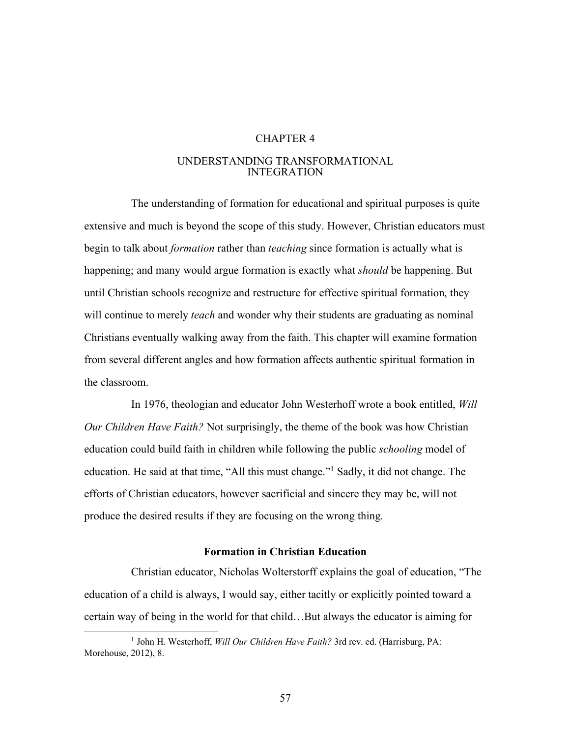## CHAPTER 4

## UNDERSTANDING TRANSFORMATIONAL INTEGRATION

The understanding of formation for educational and spiritual purposes is quite extensive and much is beyond the scope of this study. However, Christian educators must begin to talk about *formation* rather than *teaching* since formation is actually what is happening; and many would argue formation is exactly what *should* be happening. But until Christian schools recognize and restructure for effective spiritual formation, they will continue to merely *teach* and wonder why their students are graduating as nominal Christians eventually walking away from the faith. This chapter will examine formation from several different angles and how formation affects authentic spiritual formation in the classroom.

In 1976, theologian and educator John Westerhoff wrote a book entitled, *Will Our Children Have Faith?* Not surprisingly, the theme of the book was how Christian education could build faith in children while following the public *schooling* model of education. He said at that time, "All this must change."1 Sadly, it did not change. The efforts of Christian educators, however sacrificial and sincere they may be, will not produce the desired results if they are focusing on the wrong thing.

### **Formation in Christian Education**

Christian educator, Nicholas Wolterstorff explains the goal of education, "The education of a child is always, I would say, either tacitly or explicitly pointed toward a certain way of being in the world for that child…But always the educator is aiming for

<sup>&</sup>lt;sup>1</sup> John H. Westerhoff, *Will Our Children Have Faith?* 3rd rev. ed. (Harrisburg, PA: Morehouse, 2012), 8.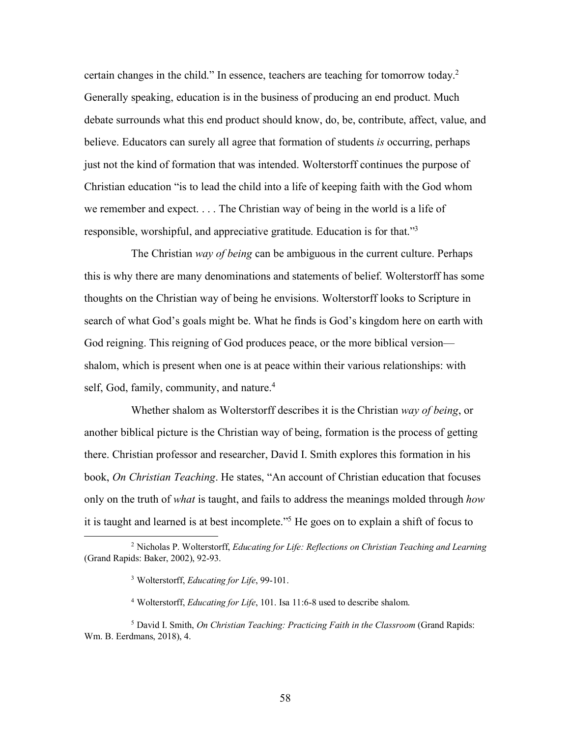certain changes in the child." In essence, teachers are teaching for tomorrow today.2 Generally speaking, education is in the business of producing an end product. Much debate surrounds what this end product should know, do, be, contribute, affect, value, and believe. Educators can surely all agree that formation of students *is* occurring, perhaps just not the kind of formation that was intended. Wolterstorff continues the purpose of Christian education "is to lead the child into a life of keeping faith with the God whom we remember and expect. . . . The Christian way of being in the world is a life of responsible, worshipful, and appreciative gratitude. Education is for that."3

The Christian *way of being* can be ambiguous in the current culture. Perhaps this is why there are many denominations and statements of belief. Wolterstorff has some thoughts on the Christian way of being he envisions. Wolterstorff looks to Scripture in search of what God's goals might be. What he finds is God's kingdom here on earth with God reigning. This reigning of God produces peace, or the more biblical version shalom, which is present when one is at peace within their various relationships: with self, God, family, community, and nature.<sup>4</sup>

Whether shalom as Wolterstorff describes it is the Christian *way of being*, or another biblical picture is the Christian way of being, formation is the process of getting there. Christian professor and researcher, David I. Smith explores this formation in his book, *On Christian Teaching*. He states, "An account of Christian education that focuses only on the truth of *what* is taught, and fails to address the meanings molded through *how* it is taught and learned is at best incomplete."5 He goes on to explain a shift of focus to

 <sup>2</sup> Nicholas P. Wolterstorff, *Educating for Life: Reflections on Christian Teaching and Learning* (Grand Rapids: Baker, 2002), 92-93.

<sup>3</sup> Wolterstorff, *Educating for Life*, 99-101.

<sup>4</sup> Wolterstorff, *Educating for Life*, 101. Isa 11:6-8 used to describe shalom.

<sup>5</sup> David I. Smith, *On Christian Teaching: Practicing Faith in the Classroom* (Grand Rapids: Wm. B. Eerdmans, 2018), 4.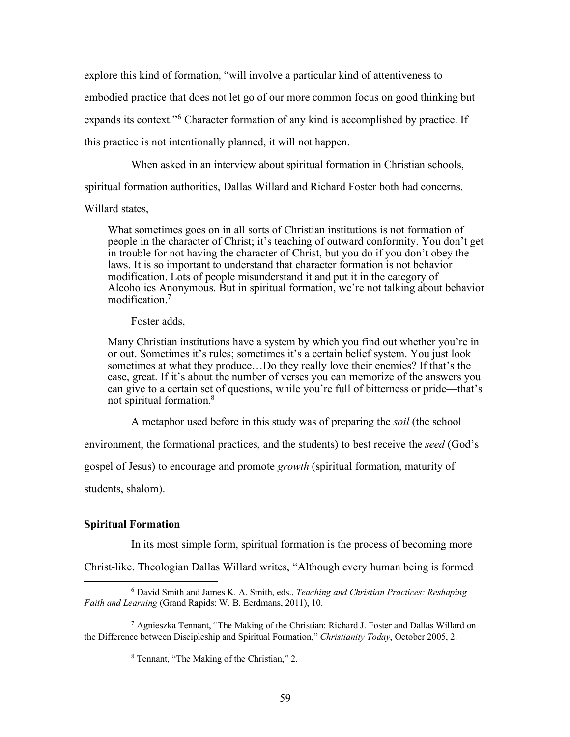explore this kind of formation, "will involve a particular kind of attentiveness to embodied practice that does not let go of our more common focus on good thinking but expands its context."6 Character formation of any kind is accomplished by practice. If this practice is not intentionally planned, it will not happen.

When asked in an interview about spiritual formation in Christian schools,

spiritual formation authorities, Dallas Willard and Richard Foster both had concerns.

Willard states,

What sometimes goes on in all sorts of Christian institutions is not formation of people in the character of Christ; it's teaching of outward conformity. You don't get in trouble for not having the character of Christ, but you do if you don't obey the laws. It is so important to understand that character formation is not behavior modification. Lots of people misunderstand it and put it in the category of Alcoholics Anonymous. But in spiritual formation, we're not talking about behavior modification.7

Foster adds,

Many Christian institutions have a system by which you find out whether you're in or out. Sometimes it's rules; sometimes it's a certain belief system. You just look sometimes at what they produce…Do they really love their enemies? If that's the case, great. If it's about the number of verses you can memorize of the answers you can give to a certain set of questions, while you're full of bitterness or pride—that's not spiritual formation.8

A metaphor used before in this study was of preparing the *soil* (the school

environment, the formational practices, and the students) to best receive the *seed* (God's

gospel of Jesus) to encourage and promote *growth* (spiritual formation, maturity of

students, shalom).

#### **Spiritual Formation**

In its most simple form, spiritual formation is the process of becoming more

Christ-like. Theologian Dallas Willard writes, "Although every human being is formed

 <sup>6</sup> David Smith and James K. A. Smith, eds., *Teaching and Christian Practices: Reshaping Faith and Learning* (Grand Rapids: W. B. Eerdmans, 2011), 10.

<sup>7</sup> Agnieszka Tennant, "The Making of the Christian: Richard J. Foster and Dallas Willard on the Difference between Discipleship and Spiritual Formation," *Christianity Today*, October 2005, 2.

<sup>8</sup> Tennant, "The Making of the Christian," 2.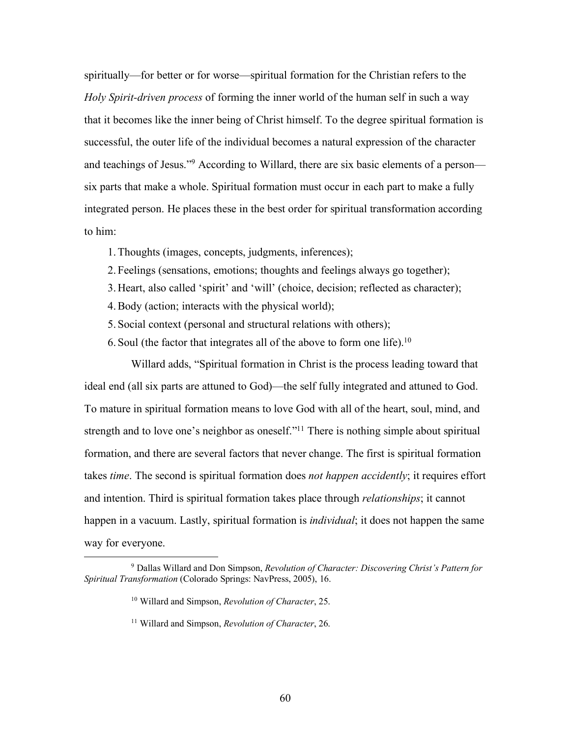spiritually—for better or for worse—spiritual formation for the Christian refers to the *Holy Spirit-driven process* of forming the inner world of the human self in such a way that it becomes like the inner being of Christ himself. To the degree spiritual formation is successful, the outer life of the individual becomes a natural expression of the character and teachings of Jesus."9 According to Willard, there are six basic elements of a person six parts that make a whole. Spiritual formation must occur in each part to make a fully integrated person. He places these in the best order for spiritual transformation according to him:

- 1.Thoughts (images, concepts, judgments, inferences);
- 2. Feelings (sensations, emotions; thoughts and feelings always go together);
- 3. Heart, also called 'spirit' and 'will' (choice, decision; reflected as character);
- 4.Body (action; interacts with the physical world);
- 5. Social context (personal and structural relations with others);
- 6. Soul (the factor that integrates all of the above to form one life).<sup>10</sup>

Willard adds, "Spiritual formation in Christ is the process leading toward that ideal end (all six parts are attuned to God)—the self fully integrated and attuned to God. To mature in spiritual formation means to love God with all of the heart, soul, mind, and strength and to love one's neighbor as oneself."<sup>11</sup> There is nothing simple about spiritual formation, and there are several factors that never change. The first is spiritual formation takes *time*. The second is spiritual formation does *not happen accidently*; it requires effort and intention. Third is spiritual formation takes place through *relationships*; it cannot happen in a vacuum. Lastly, spiritual formation is *individual*; it does not happen the same way for everyone.

 <sup>9</sup> Dallas Willard and Don Simpson, *Revolution of Character: Discovering Christ's Pattern for Spiritual Transformation* (Colorado Springs: NavPress, 2005), 16.

<sup>10</sup> Willard and Simpson, *Revolution of Character*, 25.

<sup>11</sup> Willard and Simpson, *Revolution of Character*, 26.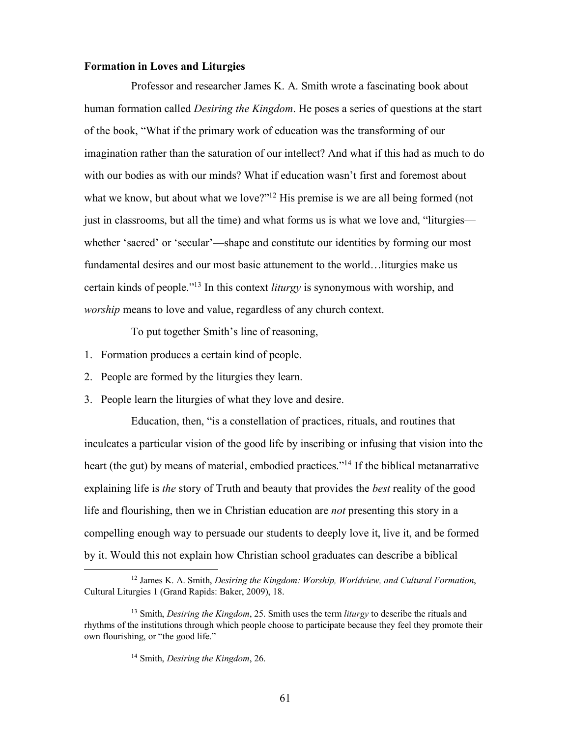#### **Formation in Loves and Liturgies**

Professor and researcher James K. A. Smith wrote a fascinating book about human formation called *Desiring the Kingdom*. He poses a series of questions at the start of the book, "What if the primary work of education was the transforming of our imagination rather than the saturation of our intellect? And what if this had as much to do with our bodies as with our minds? What if education wasn't first and foremost about what we know, but about what we love?"<sup>12</sup> His premise is we are all being formed (not just in classrooms, but all the time) and what forms us is what we love and, "liturgies whether 'sacred' or 'secular'—shape and constitute our identities by forming our most fundamental desires and our most basic attunement to the world…liturgies make us certain kinds of people."13 In this context *liturgy* is synonymous with worship, and *worship* means to love and value, regardless of any church context.

To put together Smith's line of reasoning,

- 1. Formation produces a certain kind of people.
- 2. People are formed by the liturgies they learn.
- 3. People learn the liturgies of what they love and desire.

Education, then, "is a constellation of practices, rituals, and routines that inculcates a particular vision of the good life by inscribing or infusing that vision into the heart (the gut) by means of material, embodied practices."<sup>14</sup> If the biblical metanarrative explaining life is *the* story of Truth and beauty that provides the *best* reality of the good life and flourishing, then we in Christian education are *not* presenting this story in a compelling enough way to persuade our students to deeply love it, live it, and be formed by it. Would this not explain how Christian school graduates can describe a biblical

 <sup>12</sup> James K. A. Smith, *Desiring the Kingdom: Worship, Worldview, and Cultural Formation*, Cultural Liturgies 1 (Grand Rapids: Baker, 2009), 18.

<sup>13</sup> Smith, *Desiring the Kingdom*, 25. Smith uses the term *liturgy* to describe the rituals and rhythms of the institutions through which people choose to participate because they feel they promote their own flourishing, or "the good life."

<sup>14</sup> Smith, *Desiring the Kingdom*, 26.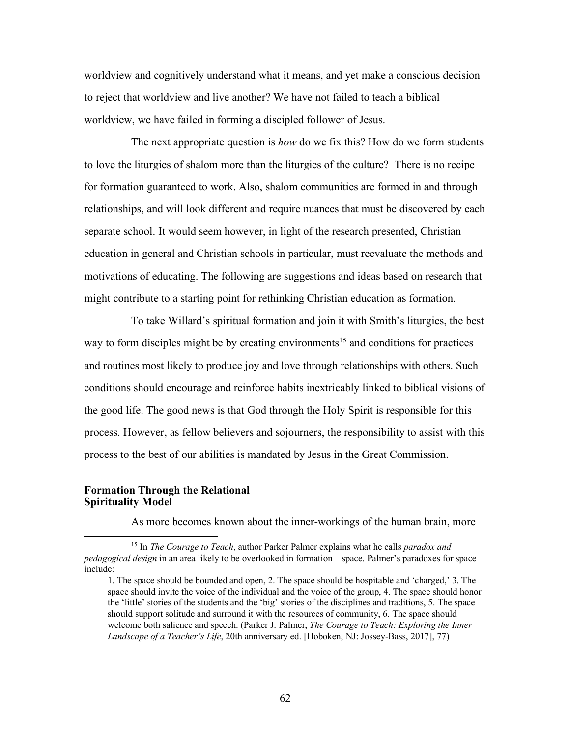worldview and cognitively understand what it means, and yet make a conscious decision to reject that worldview and live another? We have not failed to teach a biblical worldview, we have failed in forming a discipled follower of Jesus.

The next appropriate question is *how* do we fix this? How do we form students to love the liturgies of shalom more than the liturgies of the culture? There is no recipe for formation guaranteed to work. Also, shalom communities are formed in and through relationships, and will look different and require nuances that must be discovered by each separate school. It would seem however, in light of the research presented, Christian education in general and Christian schools in particular, must reevaluate the methods and motivations of educating. The following are suggestions and ideas based on research that might contribute to a starting point for rethinking Christian education as formation.

To take Willard's spiritual formation and join it with Smith's liturgies, the best way to form disciples might be by creating environments<sup>15</sup> and conditions for practices and routines most likely to produce joy and love through relationships with others. Such conditions should encourage and reinforce habits inextricably linked to biblical visions of the good life. The good news is that God through the Holy Spirit is responsible for this process. However, as fellow believers and sojourners, the responsibility to assist with this process to the best of our abilities is mandated by Jesus in the Great Commission.

## **Formation Through the Relational Spirituality Model**

As more becomes known about the inner-workings of the human brain, more

 <sup>15</sup> In *The Courage to Teach*, author Parker Palmer explains what he calls *paradox and pedagogical design* in an area likely to be overlooked in formation—space. Palmer's paradoxes for space include:

<sup>1.</sup> The space should be bounded and open, 2. The space should be hospitable and 'charged,' 3. The space should invite the voice of the individual and the voice of the group, 4. The space should honor the 'little' stories of the students and the 'big' stories of the disciplines and traditions, 5. The space should support solitude and surround it with the resources of community, 6. The space should welcome both salience and speech. (Parker J. Palmer, *The Courage to Teach: Exploring the Inner Landscape of a Teacher's Life*, 20th anniversary ed. [Hoboken, NJ: Jossey-Bass, 2017], 77)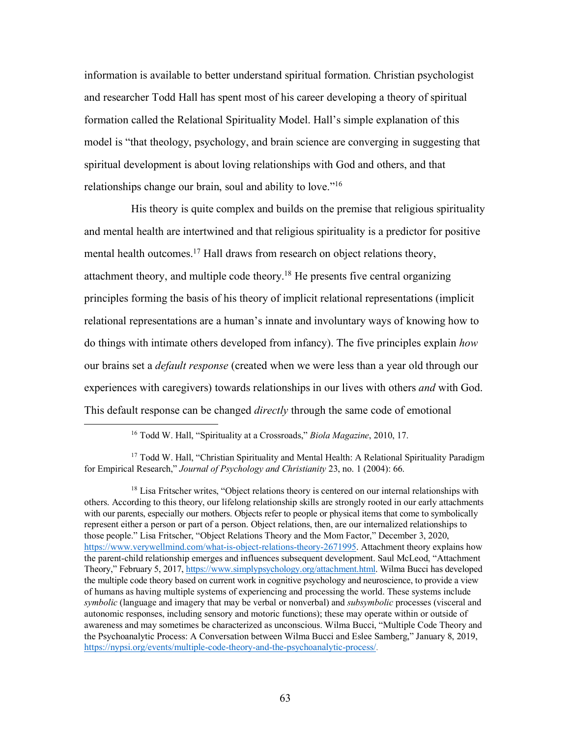information is available to better understand spiritual formation. Christian psychologist and researcher Todd Hall has spent most of his career developing a theory of spiritual formation called the Relational Spirituality Model. Hall's simple explanation of this model is "that theology, psychology, and brain science are converging in suggesting that spiritual development is about loving relationships with God and others, and that relationships change our brain, soul and ability to love."16

His theory is quite complex and builds on the premise that religious spirituality and mental health are intertwined and that religious spirituality is a predictor for positive mental health outcomes.<sup>17</sup> Hall draws from research on object relations theory, attachment theory, and multiple code theory.18 He presents five central organizing principles forming the basis of his theory of implicit relational representations (implicit relational representations are a human's innate and involuntary ways of knowing how to do things with intimate others developed from infancy). The five principles explain *how*  our brains set a *default response* (created when we were less than a year old through our experiences with caregivers) towards relationships in our lives with others *and* with God. This default response can be changed *directly* through the same code of emotional

 <sup>16</sup> Todd W. Hall, "Spirituality at a Crossroads," *Biola Magazine*, 2010, 17.

<sup>&</sup>lt;sup>17</sup> Todd W. Hall, "Christian Spirituality and Mental Health: A Relational Spirituality Paradigm for Empirical Research," *Journal of Psychology and Christianity* 23, no. 1 (2004): 66.

<sup>&</sup>lt;sup>18</sup> Lisa Fritscher writes, "Object relations theory is centered on our internal relationships with others. According to this theory, our lifelong relationship skills are strongly rooted in our early attachments with our parents, especially our mothers. Objects refer to people or physical items that come to symbolically represent either a person or part of a person. Object relations, then, are our internalized relationships to those people." Lisa Fritscher, "Object Relations Theory and the Mom Factor," December 3, 2020, https://www.verywellmind.com/what-is-object-relations-theory-2671995. Attachment theory explains how the parent-child relationship emerges and influences subsequent development. Saul McLeod, "Attachment Theory," February 5, 2017, https://www.simplypsychology.org/attachment.html. Wilma Bucci has developed the multiple code theory based on current work in cognitive psychology and neuroscience, to provide a view of humans as having multiple systems of experiencing and processing the world. These systems include *symbolic* (language and imagery that may be verbal or nonverbal) and *subsymbolic* processes (visceral and autonomic responses, including sensory and motoric functions); these may operate within or outside of awareness and may sometimes be characterized as unconscious. Wilma Bucci, "Multiple Code Theory and the Psychoanalytic Process: A Conversation between Wilma Bucci and Eslee Samberg," January 8, 2019, https://nypsi.org/events/multiple-code-theory-and-the-psychoanalytic-process/.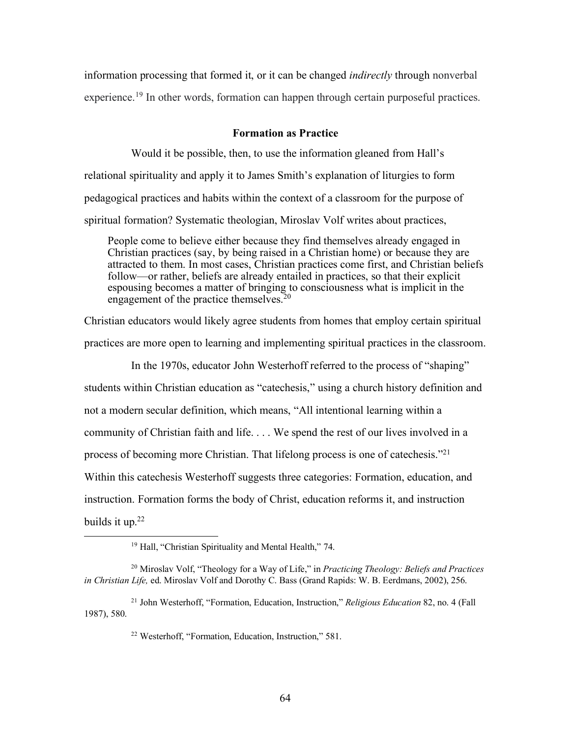information processing that formed it, or it can be changed *indirectly* through nonverbal experience.<sup>19</sup> In other words, formation can happen through certain purposeful practices.

## **Formation as Practice**

Would it be possible, then, to use the information gleaned from Hall's relational spirituality and apply it to James Smith's explanation of liturgies to form pedagogical practices and habits within the context of a classroom for the purpose of spiritual formation? Systematic theologian, Miroslav Volf writes about practices,

People come to believe either because they find themselves already engaged in Christian practices (say, by being raised in a Christian home) or because they are attracted to them. In most cases, Christian practices come first, and Christian beliefs follow—or rather, beliefs are already entailed in practices, so that their explicit espousing becomes a matter of bringing to consciousness what is implicit in the engagement of the practice themselves.<sup>20</sup>

Christian educators would likely agree students from homes that employ certain spiritual practices are more open to learning and implementing spiritual practices in the classroom.

In the 1970s, educator John Westerhoff referred to the process of "shaping" students within Christian education as "catechesis," using a church history definition and not a modern secular definition, which means, "All intentional learning within a community of Christian faith and life. . . . We spend the rest of our lives involved in a process of becoming more Christian. That lifelong process is one of catechesis."21 Within this catechesis Westerhoff suggests three categories: Formation, education, and instruction. Formation forms the body of Christ, education reforms it, and instruction builds it up. $22$ 

 <sup>19</sup> Hall, "Christian Spirituality and Mental Health," 74.

<sup>20</sup> Miroslav Volf, "Theology for a Way of Life," in *Practicing Theology: Beliefs and Practices in Christian Life,* ed. Miroslav Volf and Dorothy C. Bass (Grand Rapids: W. B. Eerdmans, 2002), 256.

<sup>21</sup> John Westerhoff, "Formation, Education, Instruction," *Religious Education* 82, no. 4 (Fall 1987), 580.

<sup>22</sup> Westerhoff, "Formation, Education, Instruction," 581.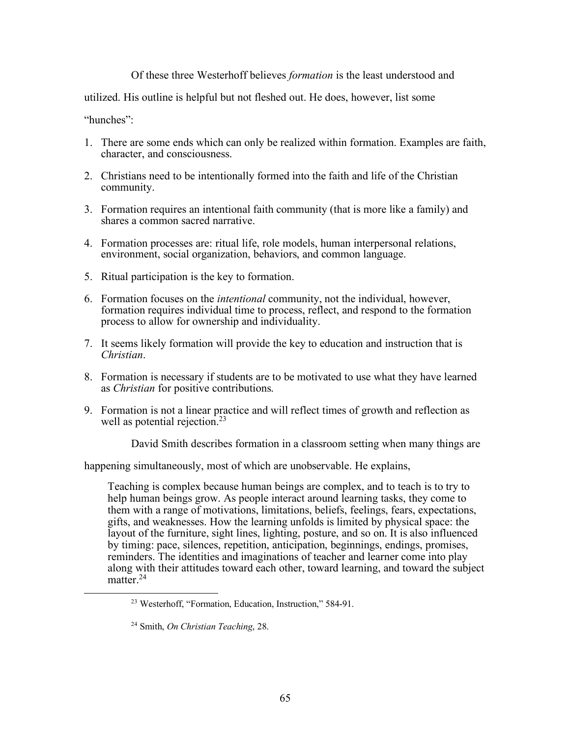# Of these three Westerhoff believes *formation* is the least understood and

utilized. His outline is helpful but not fleshed out. He does, however, list some

"hunches":

- 1. There are some ends which can only be realized within formation. Examples are faith, character, and consciousness.
- 2. Christians need to be intentionally formed into the faith and life of the Christian community.
- 3. Formation requires an intentional faith community (that is more like a family) and shares a common sacred narrative.
- 4. Formation processes are: ritual life, role models, human interpersonal relations, environment, social organization, behaviors, and common language.
- 5. Ritual participation is the key to formation.
- 6. Formation focuses on the *intentional* community, not the individual, however, formation requires individual time to process, reflect, and respond to the formation process to allow for ownership and individuality.
- 7. It seems likely formation will provide the key to education and instruction that is *Christian*.
- 8. Formation is necessary if students are to be motivated to use what they have learned as *Christian* for positive contributions.
- 9. Formation is not a linear practice and will reflect times of growth and reflection as well as potential rejection.<sup>23</sup>

David Smith describes formation in a classroom setting when many things are

happening simultaneously, most of which are unobservable. He explains,

Teaching is complex because human beings are complex, and to teach is to try to help human beings grow. As people interact around learning tasks, they come to them with a range of motivations, limitations, beliefs, feelings, fears, expectations, gifts, and weaknesses. How the learning unfolds is limited by physical space: the layout of the furniture, sight lines, lighting, posture, and so on. It is also influenced by timing: pace, silences, repetition, anticipation, beginnings, endings, promises, reminders. The identities and imaginations of teacher and learner come into play along with their attitudes toward each other, toward learning, and toward the subject matter.<sup>24</sup>

 <sup>23</sup> Westerhoff, "Formation, Education, Instruction," 584-91.

<sup>24</sup> Smith, *On Christian Teaching*, 28.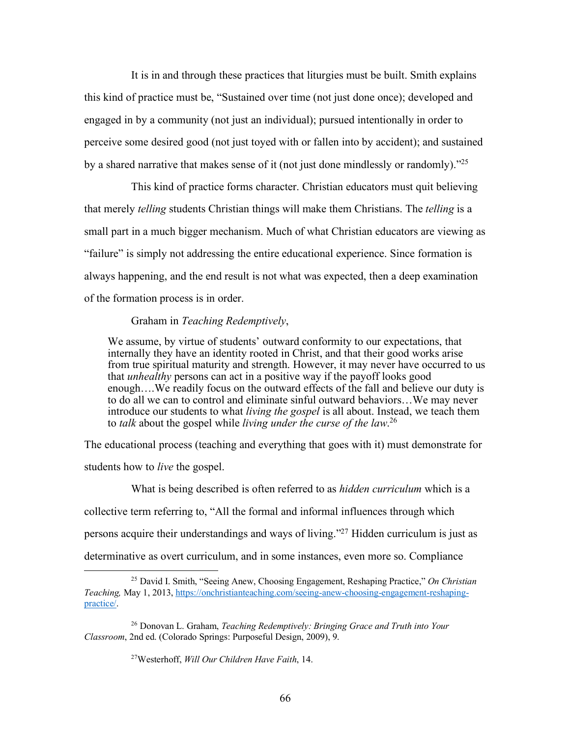It is in and through these practices that liturgies must be built. Smith explains this kind of practice must be, "Sustained over time (not just done once); developed and engaged in by a community (not just an individual); pursued intentionally in order to perceive some desired good (not just toyed with or fallen into by accident); and sustained by a shared narrative that makes sense of it (not just done mindlessly or randomly)."25

This kind of practice forms character. Christian educators must quit believing that merely *telling* students Christian things will make them Christians. The *telling* is a small part in a much bigger mechanism. Much of what Christian educators are viewing as "failure" is simply not addressing the entire educational experience. Since formation is always happening, and the end result is not what was expected, then a deep examination of the formation process is in order.

### Graham in *Teaching Redemptively*,

We assume, by virtue of students' outward conformity to our expectations, that internally they have an identity rooted in Christ, and that their good works arise from true spiritual maturity and strength. However, it may never have occurred to us that *unhealthy* persons can act in a positive way if the payoff looks good enough….We readily focus on the outward effects of the fall and believe our duty is to do all we can to control and eliminate sinful outward behaviors…We may never introduce our students to what *living the gospel* is all about. Instead, we teach them to *talk* about the gospel while *living under the curse of the law*. 26

The educational process (teaching and everything that goes with it) must demonstrate for students how to *live* the gospel.

What is being described is often referred to as *hidden curriculum* which is a collective term referring to, "All the formal and informal influences through which persons acquire their understandings and ways of living."27 Hidden curriculum is just as determinative as overt curriculum, and in some instances, even more so. Compliance

27Westerhoff, *Will Our Children Have Faith*, 14.

 <sup>25</sup> David I. Smith, "Seeing Anew, Choosing Engagement, Reshaping Practice," *On Christian Teaching,* May 1, 2013, https://onchristianteaching.com/seeing-anew-choosing-engagement-reshapingpractice/.

<sup>26</sup> Donovan L. Graham, *Teaching Redemptively: Bringing Grace and Truth into Your Classroom*, 2nd ed. (Colorado Springs: Purposeful Design, 2009), 9.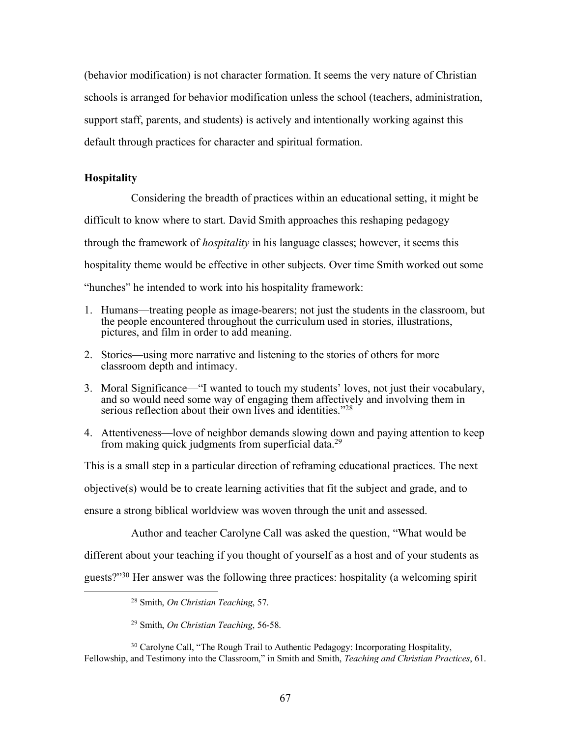(behavior modification) is not character formation. It seems the very nature of Christian schools is arranged for behavior modification unless the school (teachers, administration, support staff, parents, and students) is actively and intentionally working against this default through practices for character and spiritual formation.

### **Hospitality**

Considering the breadth of practices within an educational setting, it might be difficult to know where to start. David Smith approaches this reshaping pedagogy through the framework of *hospitality* in his language classes; however, it seems this hospitality theme would be effective in other subjects. Over time Smith worked out some "hunches" he intended to work into his hospitality framework:

- 1. Humans—treating people as image-bearers; not just the students in the classroom, but the people encountered throughout the curriculum used in stories, illustrations, pictures, and film in order to add meaning.
- 2. Stories—using more narrative and listening to the stories of others for more classroom depth and intimacy.
- 3. Moral Significance—"I wanted to touch my students' loves, not just their vocabulary, and so would need some way of engaging them affectively and involving them in serious reflection about their own lives and identities."<sup>28</sup>
- 4. Attentiveness—love of neighbor demands slowing down and paying attention to keep from making quick judgments from superficial data.29

This is a small step in a particular direction of reframing educational practices. The next objective(s) would be to create learning activities that fit the subject and grade, and to ensure a strong biblical worldview was woven through the unit and assessed.

Author and teacher Carolyne Call was asked the question, "What would be different about your teaching if you thought of yourself as a host and of your students as guests?"30 Her answer was the following three practices: hospitality (a welcoming spirit

<sup>30</sup> Carolyne Call, "The Rough Trail to Authentic Pedagogy: Incorporating Hospitality, Fellowship, and Testimony into the Classroom," in Smith and Smith, *Teaching and Christian Practices*, 61.

 <sup>28</sup> Smith, *On Christian Teaching*, 57.

<sup>29</sup> Smith, *On Christian Teaching*, 56-58.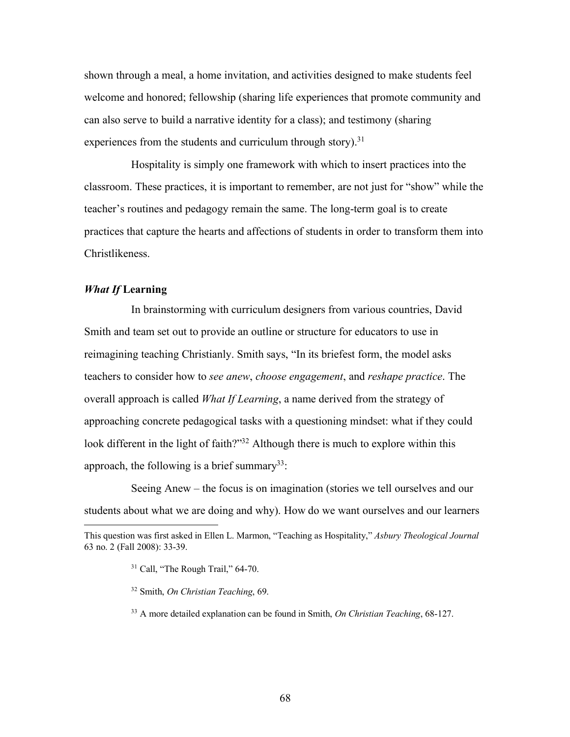shown through a meal, a home invitation, and activities designed to make students feel welcome and honored; fellowship (sharing life experiences that promote community and can also serve to build a narrative identity for a class); and testimony (sharing experiences from the students and curriculum through story).<sup>31</sup>

Hospitality is simply one framework with which to insert practices into the classroom. These practices, it is important to remember, are not just for "show" while the teacher's routines and pedagogy remain the same. The long-term goal is to create practices that capture the hearts and affections of students in order to transform them into Christlikeness.

# *What If* **Learning**

In brainstorming with curriculum designers from various countries, David Smith and team set out to provide an outline or structure for educators to use in reimagining teaching Christianly. Smith says, "In its briefest form, the model asks teachers to consider how to *see anew*, *choose engagement*, and *reshape practice*. The overall approach is called *What If Learning*, a name derived from the strategy of approaching concrete pedagogical tasks with a questioning mindset: what if they could look different in the light of faith?"<sup>32</sup> Although there is much to explore within this approach, the following is a brief summary<sup>33</sup>:

Seeing Anew – the focus is on imagination (stories we tell ourselves and our students about what we are doing and why). How do we want ourselves and our learners

This question was first asked in Ellen L. Marmon, "Teaching as Hospitality," *Asbury Theological Journal* 63 no. 2 (Fall 2008): 33-39.

<sup>&</sup>lt;sup>31</sup> Call, "The Rough Trail," 64-70.

<sup>32</sup> Smith, *On Christian Teaching*, 69.

<sup>33</sup> A more detailed explanation can be found in Smith, *On Christian Teaching*, 68-127.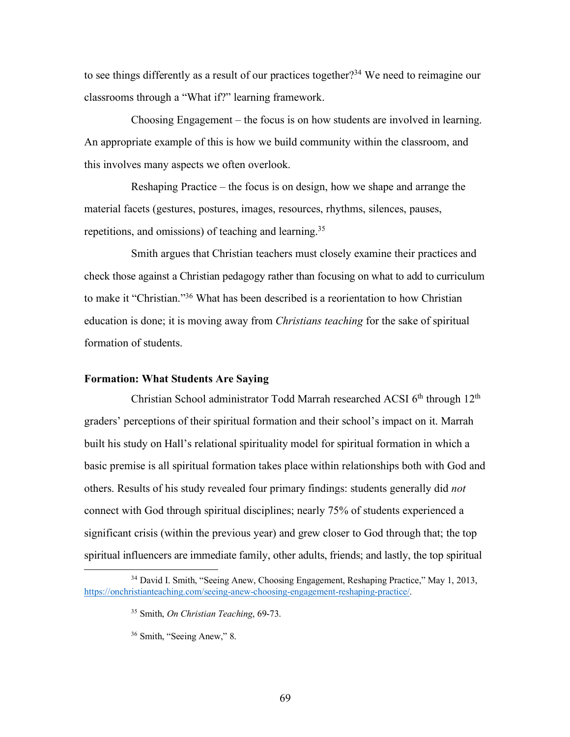to see things differently as a result of our practices together?34 We need to reimagine our classrooms through a "What if?" learning framework.

Choosing Engagement – the focus is on how students are involved in learning. An appropriate example of this is how we build community within the classroom, and this involves many aspects we often overlook.

Reshaping Practice – the focus is on design, how we shape and arrange the material facets (gestures, postures, images, resources, rhythms, silences, pauses, repetitions, and omissions) of teaching and learning.35

Smith argues that Christian teachers must closely examine their practices and check those against a Christian pedagogy rather than focusing on what to add to curriculum to make it "Christian."36 What has been described is a reorientation to how Christian education is done; it is moving away from *Christians teaching* for the sake of spiritual formation of students.

### **Formation: What Students Are Saying**

Christian School administrator Todd Marrah researched ACSI 6<sup>th</sup> through 12<sup>th</sup> graders' perceptions of their spiritual formation and their school's impact on it. Marrah built his study on Hall's relational spirituality model for spiritual formation in which a basic premise is all spiritual formation takes place within relationships both with God and others. Results of his study revealed four primary findings: students generally did *not* connect with God through spiritual disciplines; nearly 75% of students experienced a significant crisis (within the previous year) and grew closer to God through that; the top spiritual influencers are immediate family, other adults, friends; and lastly, the top spiritual

<sup>&</sup>lt;sup>34</sup> David I. Smith, "Seeing Anew, Choosing Engagement, Reshaping Practice," May 1, 2013, https://onchristianteaching.com/seeing-anew-choosing-engagement-reshaping-practice/.

<sup>35</sup> Smith, *On Christian Teaching*, 69-73.

<sup>36</sup> Smith, "Seeing Anew," 8.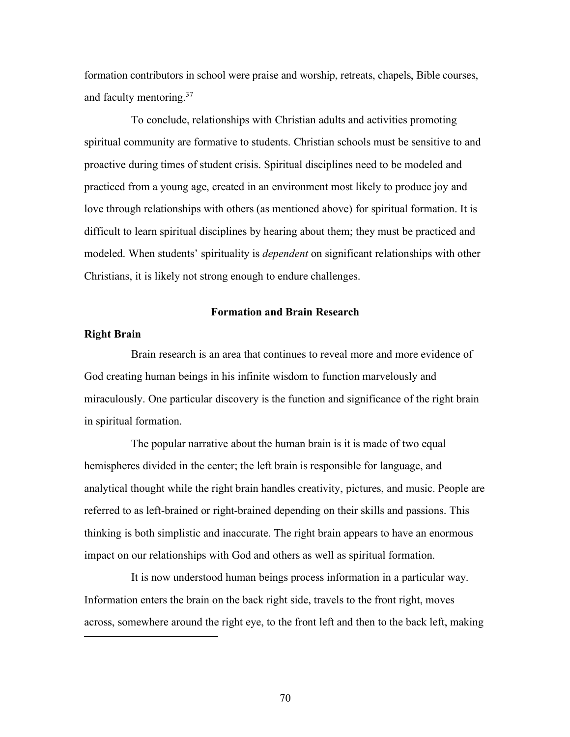formation contributors in school were praise and worship, retreats, chapels, Bible courses, and faculty mentoring.37

To conclude, relationships with Christian adults and activities promoting spiritual community are formative to students. Christian schools must be sensitive to and proactive during times of student crisis. Spiritual disciplines need to be modeled and practiced from a young age, created in an environment most likely to produce joy and love through relationships with others (as mentioned above) for spiritual formation. It is difficult to learn spiritual disciplines by hearing about them; they must be practiced and modeled. When students' spirituality is *dependent* on significant relationships with other Christians, it is likely not strong enough to endure challenges.

#### **Formation and Brain Research**

#### **Right Brain**

 $\overline{a}$ 

Brain research is an area that continues to reveal more and more evidence of God creating human beings in his infinite wisdom to function marvelously and miraculously. One particular discovery is the function and significance of the right brain in spiritual formation.

The popular narrative about the human brain is it is made of two equal hemispheres divided in the center; the left brain is responsible for language, and analytical thought while the right brain handles creativity, pictures, and music. People are referred to as left-brained or right-brained depending on their skills and passions. This thinking is both simplistic and inaccurate. The right brain appears to have an enormous impact on our relationships with God and others as well as spiritual formation.

It is now understood human beings process information in a particular way. Information enters the brain on the back right side, travels to the front right, moves across, somewhere around the right eye, to the front left and then to the back left, making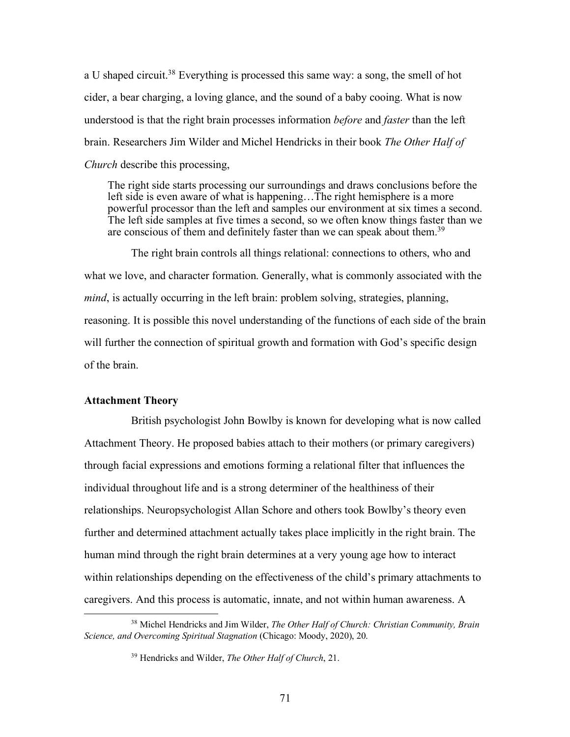a U shaped circuit.38 Everything is processed this same way: a song, the smell of hot cider, a bear charging, a loving glance, and the sound of a baby cooing. What is now understood is that the right brain processes information *before* and *faster* than the left brain. Researchers Jim Wilder and Michel Hendricks in their book *The Other Half of Church* describe this processing,

The right side starts processing our surroundings and draws conclusions before the left side is even aware of what is happening…The right hemisphere is a more powerful processor than the left and samples our environment at six times a second. The left side samples at five times a second, so we often know things faster than we are conscious of them and definitely faster than we can speak about them.<sup>39</sup>

The right brain controls all things relational: connections to others, who and what we love, and character formation. Generally, what is commonly associated with the *mind*, is actually occurring in the left brain: problem solving, strategies, planning, reasoning. It is possible this novel understanding of the functions of each side of the brain will further the connection of spiritual growth and formation with God's specific design of the brain.

### **Attachment Theory**

British psychologist John Bowlby is known for developing what is now called Attachment Theory. He proposed babies attach to their mothers (or primary caregivers) through facial expressions and emotions forming a relational filter that influences the individual throughout life and is a strong determiner of the healthiness of their relationships. Neuropsychologist Allan Schore and others took Bowlby's theory even further and determined attachment actually takes place implicitly in the right brain. The human mind through the right brain determines at a very young age how to interact within relationships depending on the effectiveness of the child's primary attachments to caregivers. And this process is automatic, innate, and not within human awareness. A

 <sup>38</sup> Michel Hendricks and Jim Wilder, *The Other Half of Church: Christian Community, Brain Science, and Overcoming Spiritual Stagnation* (Chicago: Moody, 2020), 20.

<sup>39</sup> Hendricks and Wilder, *The Other Half of Church*, 21.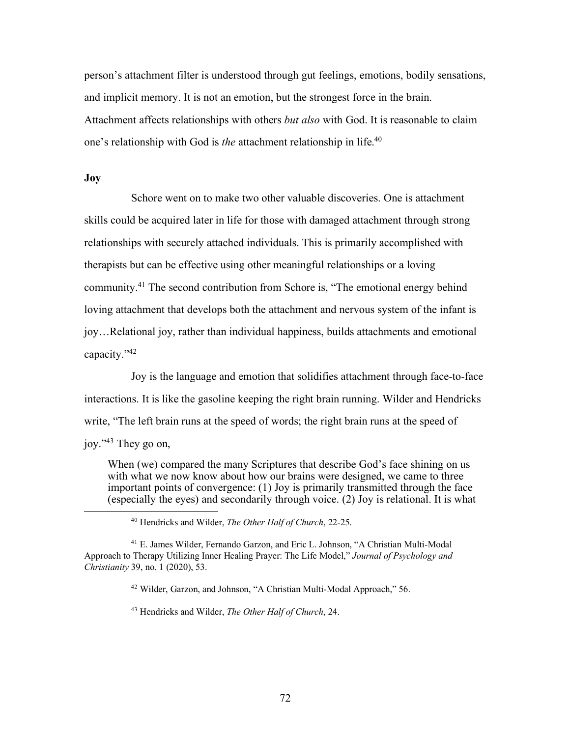person's attachment filter is understood through gut feelings, emotions, bodily sensations, and implicit memory. It is not an emotion, but the strongest force in the brain. Attachment affects relationships with others *but also* with God. It is reasonable to claim one's relationship with God is *the* attachment relationship in life.40

#### **Joy**

Schore went on to make two other valuable discoveries. One is attachment skills could be acquired later in life for those with damaged attachment through strong relationships with securely attached individuals. This is primarily accomplished with therapists but can be effective using other meaningful relationships or a loving community.41 The second contribution from Schore is, "The emotional energy behind loving attachment that develops both the attachment and nervous system of the infant is joy…Relational joy, rather than individual happiness, builds attachments and emotional capacity."42

Joy is the language and emotion that solidifies attachment through face-to-face interactions. It is like the gasoline keeping the right brain running. Wilder and Hendricks write, "The left brain runs at the speed of words; the right brain runs at the speed of joy."43 They go on,

When (we) compared the many Scriptures that describe God's face shining on us with what we now know about how our brains were designed, we came to three important points of convergence: (1) Joy is primarily transmitted through the face (especially the eyes) and secondarily through voice. (2) Joy is relational. It is what 40 Hendricks and Wilder, *The Other Half of Church*, 22-25.

<sup>42</sup> Wilder, Garzon, and Johnson, "A Christian Multi-Modal Approach," 56.

<sup>43</sup> Hendricks and Wilder, *The Other Half of Church*, 24.

<sup>41</sup> E. James Wilder, Fernando Garzon, and Eric L. Johnson, "A Christian Multi-Modal Approach to Therapy Utilizing Inner Healing Prayer: The Life Model," *Journal of Psychology and Christianity* 39, no. 1 (2020), 53.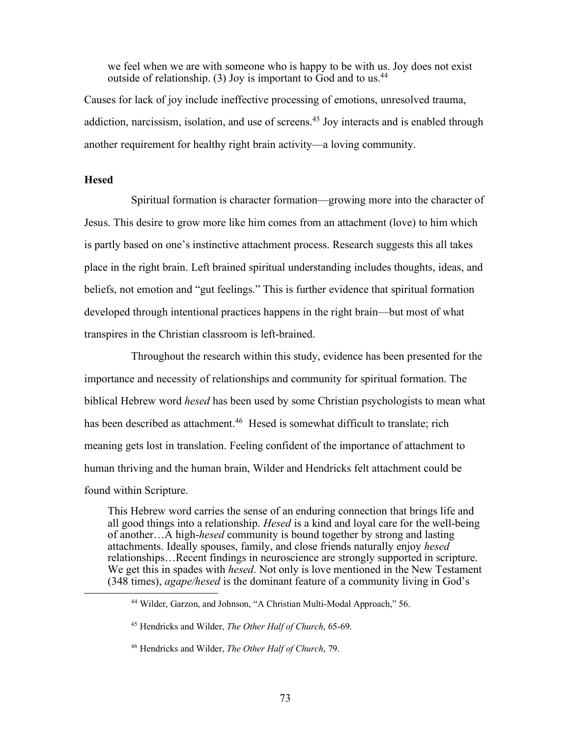we feel when we are with someone who is happy to be with us. Joy does not exist outside of relationship. (3) Joy is important to God and to us.44

Causes for lack of joy include ineffective processing of emotions, unresolved trauma, addiction, narcissism, isolation, and use of screens.<sup>45</sup> Joy interacts and is enabled through another requirement for healthy right brain activity—a loving community.

### **Hesed**

Spiritual formation is character formation—growing more into the character of Jesus. This desire to grow more like him comes from an attachment (love) to him which is partly based on one's instinctive attachment process. Research suggests this all takes place in the right brain. Left brained spiritual understanding includes thoughts, ideas, and beliefs, not emotion and "gut feelings." This is further evidence that spiritual formation developed through intentional practices happens in the right brain—but most of what transpires in the Christian classroom is left-brained.

Throughout the research within this study, evidence has been presented for the importance and necessity of relationships and community for spiritual formation. The biblical Hebrew word *hesed* has been used by some Christian psychologists to mean what has been described as attachment.<sup>46</sup> Hesed is somewhat difficult to translate; rich meaning gets lost in translation. Feeling confident of the importance of attachment to human thriving and the human brain, Wilder and Hendricks felt attachment could be found within Scripture.

This Hebrew word carries the sense of an enduring connection that brings life and all good things into a relationship. *Hesed* is a kind and loyal care for the well-being of another…A high-*hesed* community is bound together by strong and lasting attachments. Ideally spouses, family, and close friends naturally enjoy *hesed*  relationships…Recent findings in neuroscience are strongly supported in scripture. We get this in spades with *hesed*. Not only is love mentioned in the New Testament (348 times), *agape/hesed* is the dominant feature of a community living in God's

 <sup>44</sup> Wilder, Garzon, and Johnson, "A Christian Multi-Modal Approach," 56.

<sup>45</sup> Hendricks and Wilder, *The Other Half of Church*, 65-69.

<sup>46</sup> Hendricks and Wilder, *The Other Half of Church*, 79.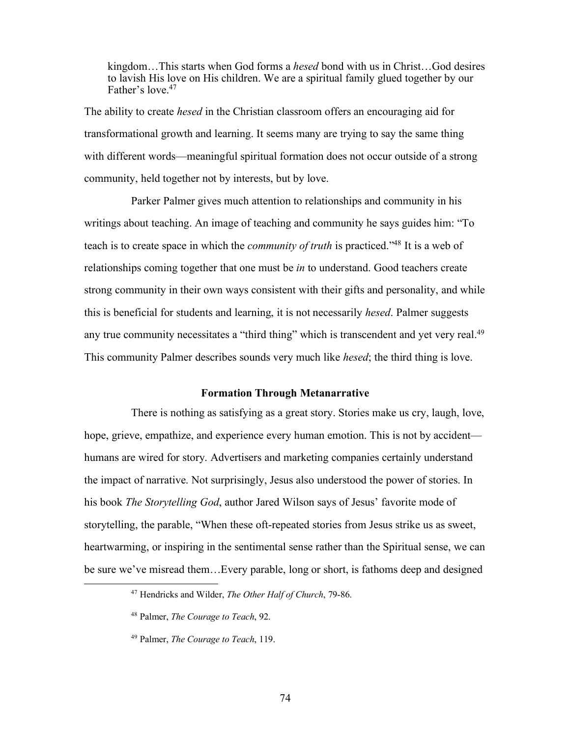kingdom…This starts when God forms a *hesed* bond with us in Christ…God desires to lavish His love on His children. We are a spiritual family glued together by our Father's love <sup>47</sup>

The ability to create *hesed* in the Christian classroom offers an encouraging aid for transformational growth and learning. It seems many are trying to say the same thing with different words—meaningful spiritual formation does not occur outside of a strong community, held together not by interests, but by love.

Parker Palmer gives much attention to relationships and community in his writings about teaching. An image of teaching and community he says guides him: "To teach is to create space in which the *community of truth* is practiced."48 It is a web of relationships coming together that one must be *in* to understand. Good teachers create strong community in their own ways consistent with their gifts and personality, and while this is beneficial for students and learning, it is not necessarily *hesed*. Palmer suggests any true community necessitates a "third thing" which is transcendent and yet very real.<sup>49</sup> This community Palmer describes sounds very much like *hesed*; the third thing is love.

### **Formation Through Metanarrative**

There is nothing as satisfying as a great story. Stories make us cry, laugh, love, hope, grieve, empathize, and experience every human emotion. This is not by accident humans are wired for story. Advertisers and marketing companies certainly understand the impact of narrative. Not surprisingly, Jesus also understood the power of stories. In his book *The Storytelling God*, author Jared Wilson says of Jesus' favorite mode of storytelling, the parable, "When these oft-repeated stories from Jesus strike us as sweet, heartwarming, or inspiring in the sentimental sense rather than the Spiritual sense, we can be sure we've misread them…Every parable, long or short, is fathoms deep and designed

 <sup>47</sup> Hendricks and Wilder, *The Other Half of Church*, 79-86.

<sup>48</sup> Palmer, *The Courage to Teach*, 92.

<sup>49</sup> Palmer, *The Courage to Teach*, 119.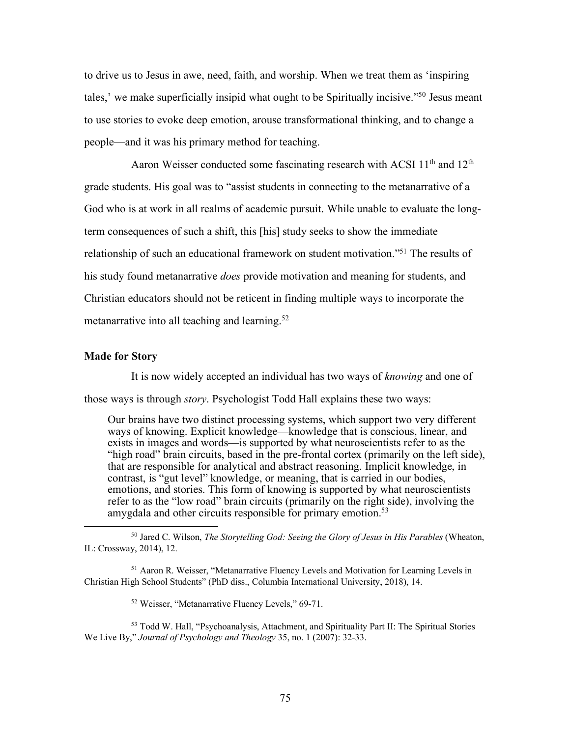to drive us to Jesus in awe, need, faith, and worship. When we treat them as 'inspiring tales,' we make superficially insipid what ought to be Spiritually incisive."50 Jesus meant to use stories to evoke deep emotion, arouse transformational thinking, and to change a people—and it was his primary method for teaching.

Aaron Weisser conducted some fascinating research with ACSI  $11<sup>th</sup>$  and  $12<sup>th</sup>$ grade students. His goal was to "assist students in connecting to the metanarrative of a God who is at work in all realms of academic pursuit. While unable to evaluate the longterm consequences of such a shift, this [his] study seeks to show the immediate relationship of such an educational framework on student motivation."51 The results of his study found metanarrative *does* provide motivation and meaning for students, and Christian educators should not be reticent in finding multiple ways to incorporate the metanarrative into all teaching and learning.<sup>52</sup>

#### **Made for Story**

It is now widely accepted an individual has two ways of *knowing* and one of those ways is through *story*. Psychologist Todd Hall explains these two ways:

Our brains have two distinct processing systems, which support two very different ways of knowing. Explicit knowledge—knowledge that is conscious, linear, and exists in images and words—is supported by what neuroscientists refer to as the "high road" brain circuits, based in the pre-frontal cortex (primarily on the left side), that are responsible for analytical and abstract reasoning. Implicit knowledge, in contrast, is "gut level" knowledge, or meaning, that is carried in our bodies, emotions, and stories. This form of knowing is supported by what neuroscientists refer to as the "low road" brain circuits (primarily on the right side), involving the amygdala and other circuits responsible for primary emotion.<sup>53</sup>

 <sup>50</sup> Jared C. Wilson, *The Storytelling God: Seeing the Glory of Jesus in His Parables* (Wheaton, IL: Crossway, 2014), 12.

<sup>&</sup>lt;sup>51</sup> Aaron R. Weisser, "Metanarrative Fluency Levels and Motivation for Learning Levels in Christian High School Students" (PhD diss., Columbia International University, 2018), 14.

<sup>52</sup> Weisser, "Metanarrative Fluency Levels," 69-71.

<sup>53</sup> Todd W. Hall, "Psychoanalysis, Attachment, and Spirituality Part II: The Spiritual Stories We Live By," *Journal of Psychology and Theology* 35, no. 1 (2007): 32-33.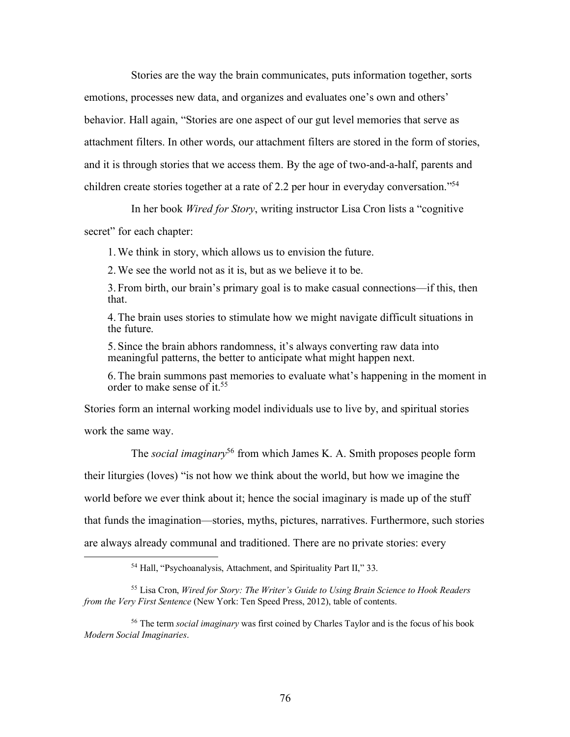Stories are the way the brain communicates, puts information together, sorts emotions, processes new data, and organizes and evaluates one's own and others' behavior. Hall again, "Stories are one aspect of our gut level memories that serve as attachment filters. In other words, our attachment filters are stored in the form of stories, and it is through stories that we access them. By the age of two-and-a-half, parents and children create stories together at a rate of 2.2 per hour in everyday conversation."54

In her book *Wired for Story*, writing instructor Lisa Cron lists a "cognitive

secret" for each chapter:

1.We think in story, which allows us to envision the future.

2.We see the world not as it is, but as we believe it to be.

3. From birth, our brain's primary goal is to make casual connections—if this, then that.

4.The brain uses stories to stimulate how we might navigate difficult situations in the future.

5. Since the brain abhors randomness, it's always converting raw data into meaningful patterns, the better to anticipate what might happen next.

6.The brain summons past memories to evaluate what's happening in the moment in order to make sense of it.55

Stories form an internal working model individuals use to live by, and spiritual stories work the same way.

The *social imaginary*<sup>56</sup> from which James K. A. Smith proposes people form their liturgies (loves) "is not how we think about the world, but how we imagine the world before we ever think about it; hence the social imaginary is made up of the stuff that funds the imagination—stories, myths, pictures, narratives. Furthermore, such stories are always already communal and traditioned. There are no private stories: every

 <sup>54</sup> Hall, "Psychoanalysis, Attachment, and Spirituality Part II," 33.

<sup>55</sup> Lisa Cron, *Wired for Story: The Writer's Guide to Using Brain Science to Hook Readers from the Very First Sentence* (New York: Ten Speed Press, 2012), table of contents.

<sup>56</sup> The term *social imaginary* was first coined by Charles Taylor and is the focus of his book *Modern Social Imaginaries*.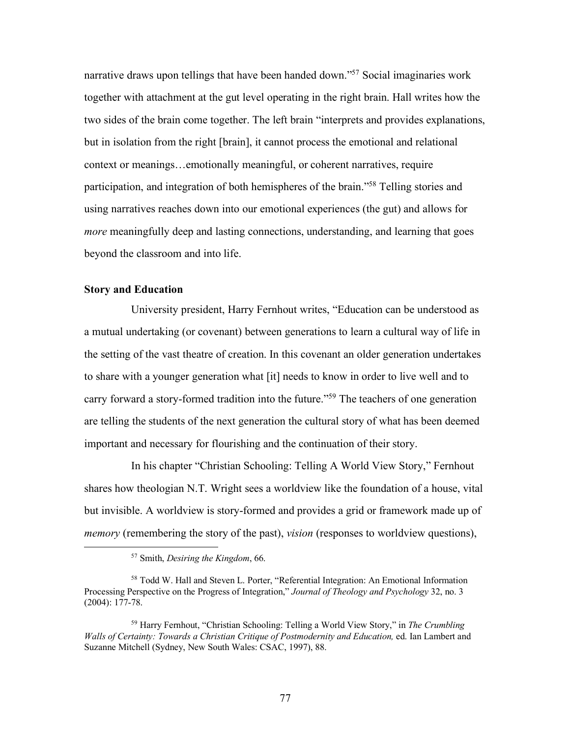narrative draws upon tellings that have been handed down."<sup>57</sup> Social imaginaries work together with attachment at the gut level operating in the right brain. Hall writes how the two sides of the brain come together. The left brain "interprets and provides explanations, but in isolation from the right [brain], it cannot process the emotional and relational context or meanings…emotionally meaningful, or coherent narratives, require participation, and integration of both hemispheres of the brain."58 Telling stories and using narratives reaches down into our emotional experiences (the gut) and allows for *more* meaningfully deep and lasting connections, understanding, and learning that goes beyond the classroom and into life.

### **Story and Education**

University president, Harry Fernhout writes, "Education can be understood as a mutual undertaking (or covenant) between generations to learn a cultural way of life in the setting of the vast theatre of creation. In this covenant an older generation undertakes to share with a younger generation what [it] needs to know in order to live well and to carry forward a story-formed tradition into the future."59 The teachers of one generation are telling the students of the next generation the cultural story of what has been deemed important and necessary for flourishing and the continuation of their story.

In his chapter "Christian Schooling: Telling A World View Story," Fernhout shares how theologian N.T. Wright sees a worldview like the foundation of a house, vital but invisible. A worldview is story-formed and provides a grid or framework made up of *memory* (remembering the story of the past), *vision* (responses to worldview questions),

 <sup>57</sup> Smith, *Desiring the Kingdom*, 66.

<sup>58</sup> Todd W. Hall and Steven L. Porter, "Referential Integration: An Emotional Information Processing Perspective on the Progress of Integration," *Journal of Theology and Psychology* 32, no. 3 (2004): 177-78.

<sup>59</sup> Harry Fernhout, "Christian Schooling: Telling a World View Story," in *The Crumbling Walls of Certainty: Towards a Christian Critique of Postmodernity and Education,* ed. Ian Lambert and Suzanne Mitchell (Sydney, New South Wales: CSAC, 1997), 88.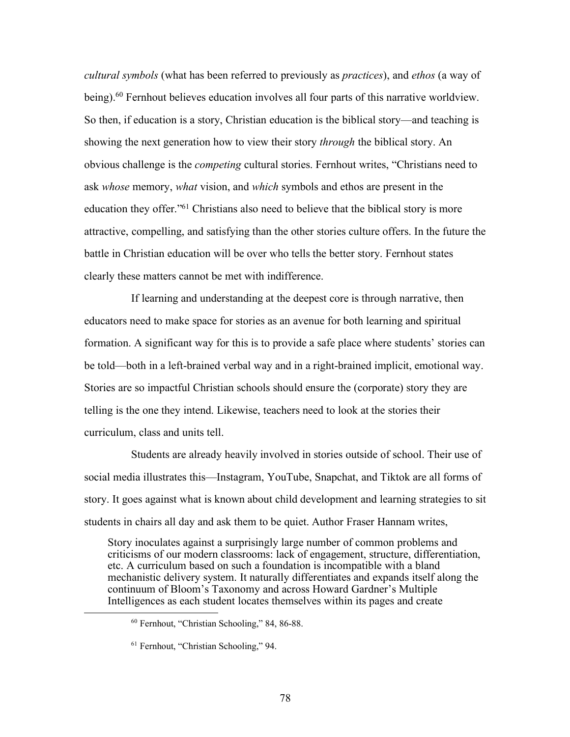*cultural symbols* (what has been referred to previously as *practices*), and *ethos* (a way of being).60 Fernhout believes education involves all four parts of this narrative worldview. So then, if education is a story, Christian education is the biblical story—and teaching is showing the next generation how to view their story *through* the biblical story. An obvious challenge is the *competing* cultural stories. Fernhout writes, "Christians need to ask *whose* memory, *what* vision, and *which* symbols and ethos are present in the education they offer."61 Christians also need to believe that the biblical story is more attractive, compelling, and satisfying than the other stories culture offers. In the future the battle in Christian education will be over who tells the better story. Fernhout states clearly these matters cannot be met with indifference.

If learning and understanding at the deepest core is through narrative, then educators need to make space for stories as an avenue for both learning and spiritual formation. A significant way for this is to provide a safe place where students' stories can be told—both in a left-brained verbal way and in a right-brained implicit, emotional way. Stories are so impactful Christian schools should ensure the (corporate) story they are telling is the one they intend. Likewise, teachers need to look at the stories their curriculum, class and units tell.

Students are already heavily involved in stories outside of school. Their use of social media illustrates this—Instagram, YouTube, Snapchat, and Tiktok are all forms of story. It goes against what is known about child development and learning strategies to sit students in chairs all day and ask them to be quiet. Author Fraser Hannam writes,

Story inoculates against a surprisingly large number of common problems and criticisms of our modern classrooms: lack of engagement, structure, differentiation, etc. A curriculum based on such a foundation is incompatible with a bland mechanistic delivery system. It naturally differentiates and expands itself along the continuum of Bloom's Taxonomy and across Howard Gardner's Multiple Intelligences as each student locates themselves within its pages and create

 <sup>60</sup> Fernhout, "Christian Schooling," 84, 86-88.

<sup>61</sup> Fernhout, "Christian Schooling," 94.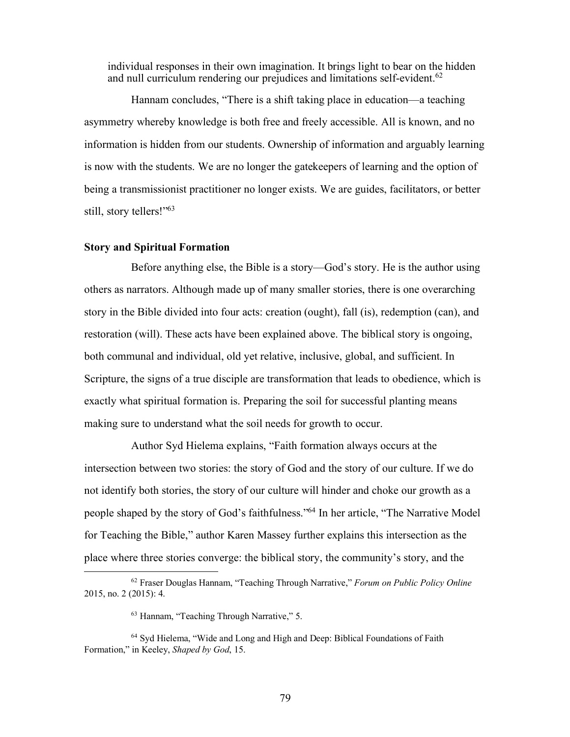individual responses in their own imagination. It brings light to bear on the hidden and null curriculum rendering our prejudices and limitations self-evident.<sup>62</sup>

Hannam concludes, "There is a shift taking place in education—a teaching asymmetry whereby knowledge is both free and freely accessible. All is known, and no information is hidden from our students. Ownership of information and arguably learning is now with the students. We are no longer the gatekeepers of learning and the option of being a transmissionist practitioner no longer exists. We are guides, facilitators, or better still, story tellers!"63

## **Story and Spiritual Formation**

Before anything else, the Bible is a story—God's story. He is the author using others as narrators. Although made up of many smaller stories, there is one overarching story in the Bible divided into four acts: creation (ought), fall (is), redemption (can), and restoration (will). These acts have been explained above. The biblical story is ongoing, both communal and individual, old yet relative, inclusive, global, and sufficient. In Scripture, the signs of a true disciple are transformation that leads to obedience, which is exactly what spiritual formation is. Preparing the soil for successful planting means making sure to understand what the soil needs for growth to occur.

Author Syd Hielema explains, "Faith formation always occurs at the intersection between two stories: the story of God and the story of our culture. If we do not identify both stories, the story of our culture will hinder and choke our growth as a people shaped by the story of God's faithfulness."64 In her article, "The Narrative Model for Teaching the Bible," author Karen Massey further explains this intersection as the place where three stories converge: the biblical story, the community's story, and the

 <sup>62</sup> Fraser Douglas Hannam, "Teaching Through Narrative," *Forum on Public Policy Online*  2015, no. 2 (2015): 4.

<sup>63</sup> Hannam, "Teaching Through Narrative," 5.

<sup>64</sup> Syd Hielema, "Wide and Long and High and Deep: Biblical Foundations of Faith Formation," in Keeley, *Shaped by God*, 15.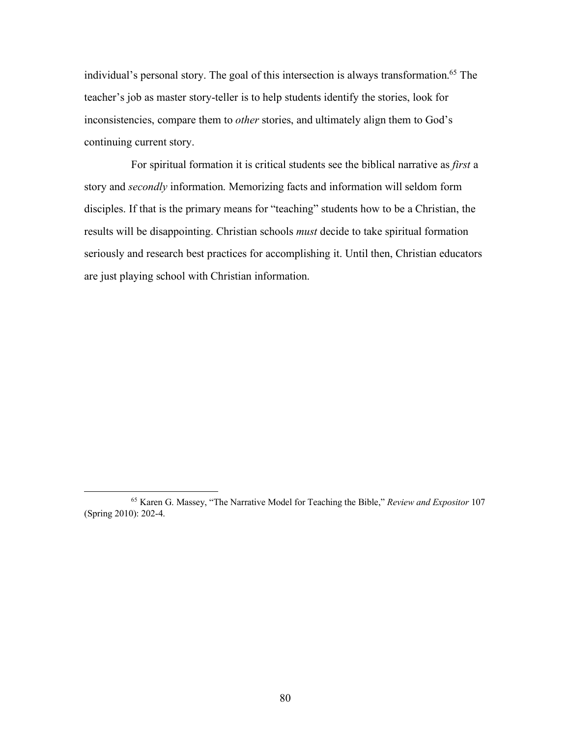individual's personal story. The goal of this intersection is always transformation.<sup>65</sup> The teacher's job as master story-teller is to help students identify the stories, look for inconsistencies, compare them to *other* stories, and ultimately align them to God's continuing current story.

For spiritual formation it is critical students see the biblical narrative as *first* a story and *secondly* information. Memorizing facts and information will seldom form disciples. If that is the primary means for "teaching" students how to be a Christian, the results will be disappointing. Christian schools *must* decide to take spiritual formation seriously and research best practices for accomplishing it. Until then, Christian educators are just playing school with Christian information.

 <sup>65</sup> Karen G. Massey, "The Narrative Model for Teaching the Bible," *Review and Expositor* <sup>107</sup> (Spring 2010): 202-4.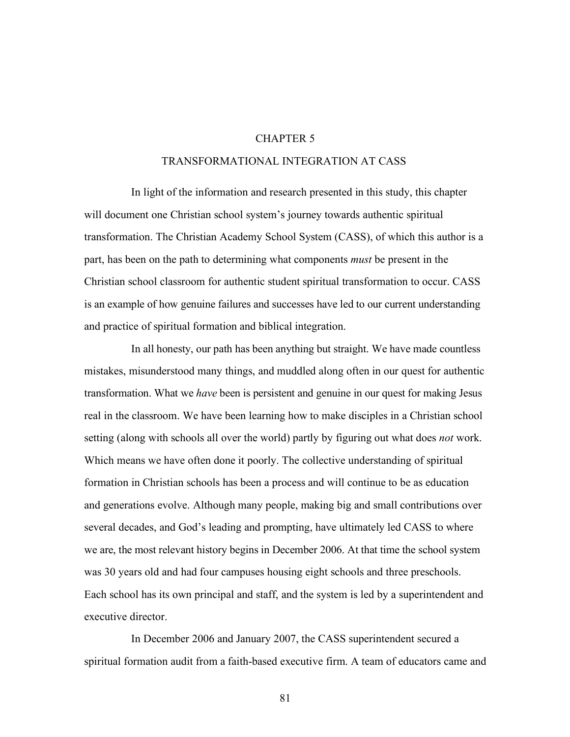## CHAPTER 5

### TRANSFORMATIONAL INTEGRATION AT CASS

In light of the information and research presented in this study, this chapter will document one Christian school system's journey towards authentic spiritual transformation. The Christian Academy School System (CASS), of which this author is a part, has been on the path to determining what components *must* be present in the Christian school classroom for authentic student spiritual transformation to occur. CASS is an example of how genuine failures and successes have led to our current understanding and practice of spiritual formation and biblical integration.

In all honesty, our path has been anything but straight. We have made countless mistakes, misunderstood many things, and muddled along often in our quest for authentic transformation. What we *have* been is persistent and genuine in our quest for making Jesus real in the classroom. We have been learning how to make disciples in a Christian school setting (along with schools all over the world) partly by figuring out what does *not* work. Which means we have often done it poorly. The collective understanding of spiritual formation in Christian schools has been a process and will continue to be as education and generations evolve. Although many people, making big and small contributions over several decades, and God's leading and prompting, have ultimately led CASS to where we are, the most relevant history begins in December 2006. At that time the school system was 30 years old and had four campuses housing eight schools and three preschools. Each school has its own principal and staff, and the system is led by a superintendent and executive director.

In December 2006 and January 2007, the CASS superintendent secured a spiritual formation audit from a faith-based executive firm. A team of educators came and

81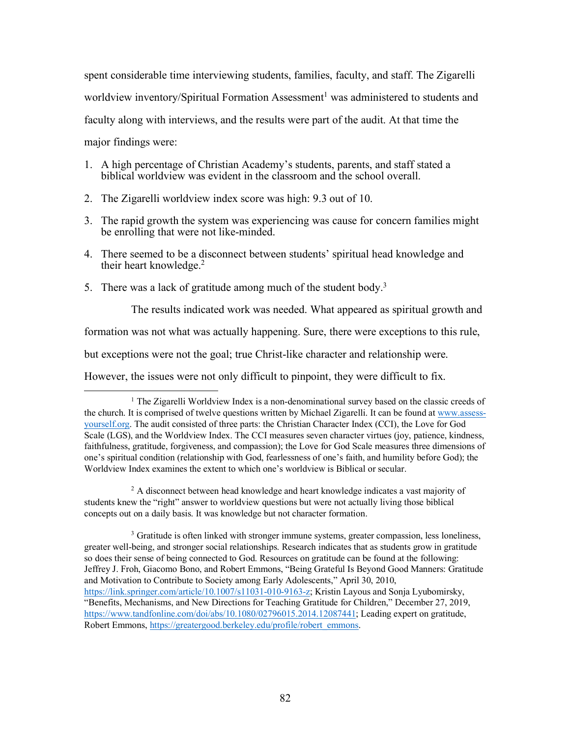spent considerable time interviewing students, families, faculty, and staff. The Zigarelli worldview inventory/Spiritual Formation Assessment<sup>1</sup> was administered to students and faculty along with interviews, and the results were part of the audit. At that time the major findings were:

- 1. A high percentage of Christian Academy's students, parents, and staff stated a biblical worldview was evident in the classroom and the school overall.
- 2. The Zigarelli worldview index score was high: 9.3 out of 10.
- 3. The rapid growth the system was experiencing was cause for concern families might be enrolling that were not like-minded.
- 4. There seemed to be a disconnect between students' spiritual head knowledge and their heart knowledge.2
- 5. There was a lack of gratitude among much of the student body.3

The results indicated work was needed. What appeared as spiritual growth and

formation was not what was actually happening. Sure, there were exceptions to this rule,

but exceptions were not the goal; true Christ-like character and relationship were.

However, the issues were not only difficult to pinpoint, they were difficult to fix.

<sup>2</sup> A disconnect between head knowledge and heart knowledge indicates a vast majority of students knew the "right" answer to worldview questions but were not actually living those biblical concepts out on a daily basis. It was knowledge but not character formation.

<sup>3</sup> Gratitude is often linked with stronger immune systems, greater compassion, less loneliness, greater well-being, and stronger social relationships. Research indicates that as students grow in gratitude so does their sense of being connected to God. Resources on gratitude can be found at the following: Jeffrey J. Froh, Giacomo Bono, and Robert Emmons, "Being Grateful Is Beyond Good Manners: Gratitude and Motivation to Contribute to Society among Early Adolescents," April 30, 2010, https://link.springer.com/article/10.1007/s11031-010-9163-z; Kristin Layous and Sonja Lyubomirsky, "Benefits, Mechanisms, and New Directions for Teaching Gratitude for Children," December 27, 2019, https://www.tandfonline.com/doi/abs/10.1080/02796015.2014.12087441; Leading expert on gratitude, Robert Emmons, https://greatergood.berkeley.edu/profile/robert\_emmons.

<sup>&</sup>lt;sup>1</sup> The Zigarelli Worldview Index is a non-denominational survey based on the classic creeds of the church. It is comprised of twelve questions written by Michael Zigarelli. It can be found at www.assessyourself.org. The audit consisted of three parts: the Christian Character Index (CCI), the Love for God Scale (LGS), and the Worldview Index. The CCI measures seven character virtues (joy, patience, kindness, faithfulness, gratitude, forgiveness, and compassion); the Love for God Scale measures three dimensions of one's spiritual condition (relationship with God, fearlessness of one's faith, and humility before God); the Worldview Index examines the extent to which one's worldview is Biblical or secular.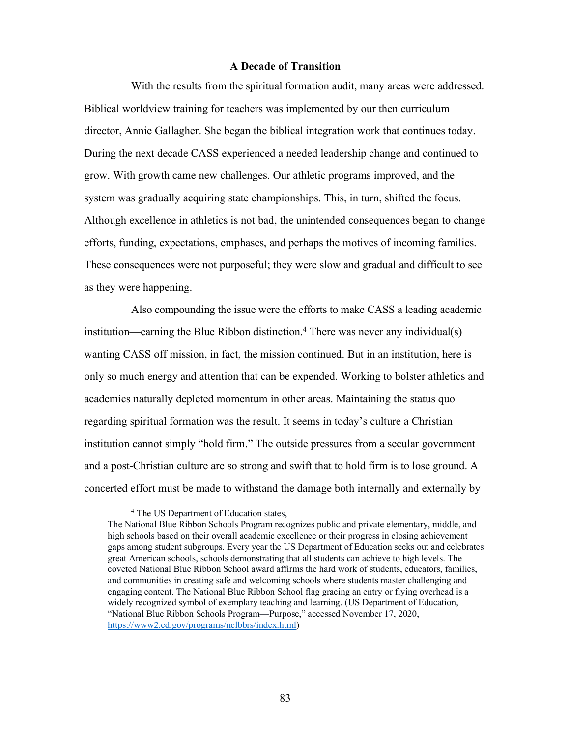## **A Decade of Transition**

With the results from the spiritual formation audit, many areas were addressed. Biblical worldview training for teachers was implemented by our then curriculum director, Annie Gallagher. She began the biblical integration work that continues today. During the next decade CASS experienced a needed leadership change and continued to grow. With growth came new challenges. Our athletic programs improved, and the system was gradually acquiring state championships. This, in turn, shifted the focus. Although excellence in athletics is not bad, the unintended consequences began to change efforts, funding, expectations, emphases, and perhaps the motives of incoming families. These consequences were not purposeful; they were slow and gradual and difficult to see as they were happening.

Also compounding the issue were the efforts to make CASS a leading academic institution—earning the Blue Ribbon distinction.<sup>4</sup> There was never any individual(s) wanting CASS off mission, in fact, the mission continued. But in an institution, here is only so much energy and attention that can be expended. Working to bolster athletics and academics naturally depleted momentum in other areas. Maintaining the status quo regarding spiritual formation was the result. It seems in today's culture a Christian institution cannot simply "hold firm." The outside pressures from a secular government and a post-Christian culture are so strong and swift that to hold firm is to lose ground. A concerted effort must be made to withstand the damage both internally and externally by

<sup>&</sup>lt;sup>4</sup> The US Department of Education states,

The National Blue Ribbon Schools Program recognizes public and private elementary, middle, and high schools based on their overall academic excellence or their progress in closing achievement gaps among student subgroups. Every year the US Department of Education seeks out and celebrates great American schools, schools demonstrating that all students can achieve to high levels. The coveted National Blue Ribbon School award affirms the hard work of students, educators, families, and communities in creating safe and welcoming schools where students master challenging and engaging content. The National Blue Ribbon School flag gracing an entry or flying overhead is a widely recognized symbol of exemplary teaching and learning. (US Department of Education, "National Blue Ribbon Schools Program—Purpose," accessed November 17, 2020, https://www2.ed.gov/programs/nclbbrs/index.html)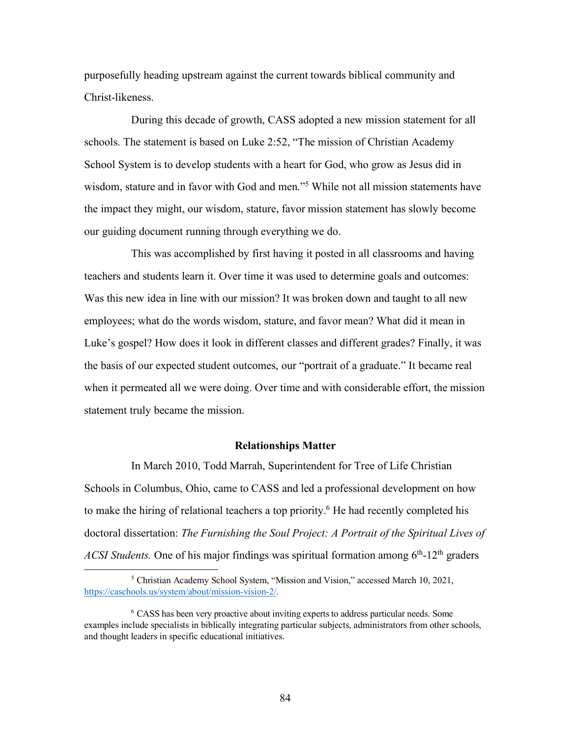purposefully heading upstream against the current towards biblical community and Christ-likeness.

During this decade of growth, CASS adopted a new mission statement for all schools. The statement is based on Luke 2:52, "The mission of Christian Academy School System is to develop students with a heart for God, who grow as Jesus did in wisdom, stature and in favor with God and men."5 While not all mission statements have the impact they might, our wisdom, stature, favor mission statement has slowly become our guiding document running through everything we do.

This was accomplished by first having it posted in all classrooms and having teachers and students learn it. Over time it was used to determine goals and outcomes: Was this new idea in line with our mission? It was broken down and taught to all new employees; what do the words wisdom, stature, and favor mean? What did it mean in Luke's gospel? How does it look in different classes and different grades? Finally, it was the basis of our expected student outcomes, our "portrait of a graduate." It became real when it permeated all we were doing. Over time and with considerable effort, the mission statement truly became the mission.

#### **Relationships Matter**

In March 2010, Todd Marrah, Superintendent for Tree of Life Christian Schools in Columbus, Ohio, came to CASS and led a professional development on how to make the hiring of relational teachers a top priority.<sup>6</sup> He had recently completed his doctoral dissertation: *The Furnishing the Soul Project: A Portrait of the Spiritual Lives of ACSI Students*. One of his major findings was spiritual formation among 6<sup>th</sup>-12<sup>th</sup> graders

 <sup>5</sup> Christian Academy School System, "Mission and Vision," accessed March 10, 2021, https://caschools.us/system/about/mission-vision-2/.

<sup>6</sup> CASS has been very proactive about inviting experts to address particular needs. Some examples include specialists in biblically integrating particular subjects, administrators from other schools, and thought leaders in specific educational initiatives.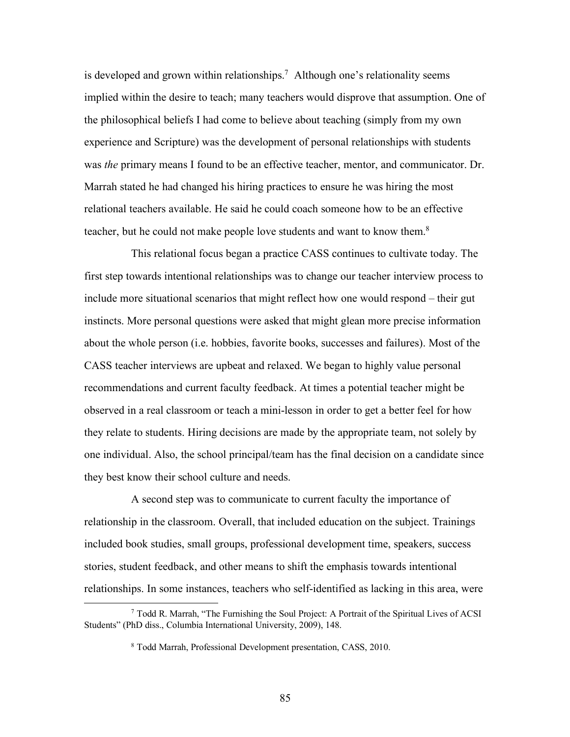is developed and grown within relationships.<sup>7</sup> Although one's relationality seems implied within the desire to teach; many teachers would disprove that assumption. One of the philosophical beliefs I had come to believe about teaching (simply from my own experience and Scripture) was the development of personal relationships with students was *the* primary means I found to be an effective teacher, mentor, and communicator. Dr. Marrah stated he had changed his hiring practices to ensure he was hiring the most relational teachers available. He said he could coach someone how to be an effective teacher, but he could not make people love students and want to know them.8

This relational focus began a practice CASS continues to cultivate today. The first step towards intentional relationships was to change our teacher interview process to include more situational scenarios that might reflect how one would respond – their gut instincts. More personal questions were asked that might glean more precise information about the whole person (i.e. hobbies, favorite books, successes and failures). Most of the CASS teacher interviews are upbeat and relaxed. We began to highly value personal recommendations and current faculty feedback. At times a potential teacher might be observed in a real classroom or teach a mini-lesson in order to get a better feel for how they relate to students. Hiring decisions are made by the appropriate team, not solely by one individual. Also, the school principal/team has the final decision on a candidate since they best know their school culture and needs.

A second step was to communicate to current faculty the importance of relationship in the classroom. Overall, that included education on the subject. Trainings included book studies, small groups, professional development time, speakers, success stories, student feedback, and other means to shift the emphasis towards intentional relationships. In some instances, teachers who self-identified as lacking in this area, were

 <sup>7</sup> Todd R. Marrah, "The Furnishing the Soul Project: A Portrait of the Spiritual Lives of ACSI Students" (PhD diss., Columbia International University, 2009), 148.

<sup>8</sup> Todd Marrah, Professional Development presentation, CASS, 2010.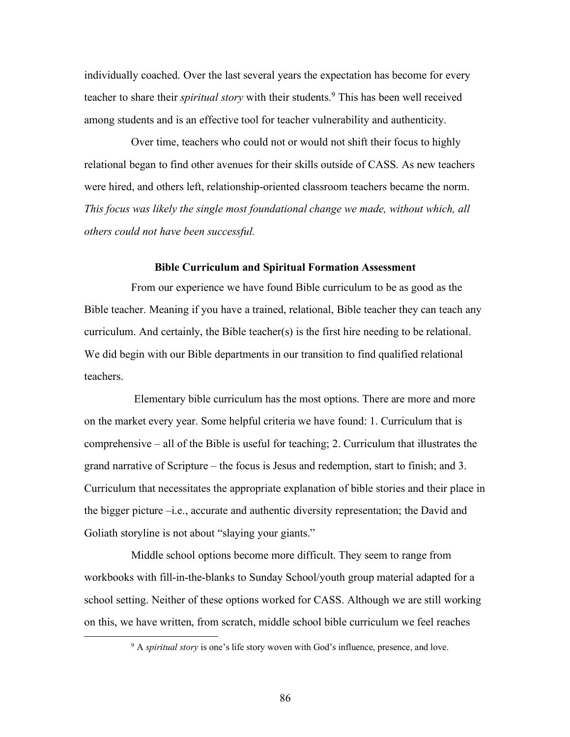individually coached. Over the last several years the expectation has become for every teacher to share their *spiritual story* with their students.<sup>9</sup> This has been well received among students and is an effective tool for teacher vulnerability and authenticity.

Over time, teachers who could not or would not shift their focus to highly relational began to find other avenues for their skills outside of CASS. As new teachers were hired, and others left, relationship-oriented classroom teachers became the norm. *This focus was likely the single most foundational change we made, without which, all others could not have been successful.*

## **Bible Curriculum and Spiritual Formation Assessment**

From our experience we have found Bible curriculum to be as good as the Bible teacher. Meaning if you have a trained, relational, Bible teacher they can teach any curriculum. And certainly, the Bible teacher(s) is the first hire needing to be relational. We did begin with our Bible departments in our transition to find qualified relational teachers.

Elementary bible curriculum has the most options. There are more and more on the market every year. Some helpful criteria we have found: 1. Curriculum that is comprehensive – all of the Bible is useful for teaching; 2. Curriculum that illustrates the grand narrative of Scripture – the focus is Jesus and redemption, start to finish; and 3. Curriculum that necessitates the appropriate explanation of bible stories and their place in the bigger picture –i.e., accurate and authentic diversity representation; the David and Goliath storyline is not about "slaying your giants."

Middle school options become more difficult. They seem to range from workbooks with fill-in-the-blanks to Sunday School/youth group material adapted for a school setting. Neither of these options worked for CASS. Although we are still working on this, we have written, from scratch, middle school bible curriculum we feel reaches

 <sup>9</sup> <sup>A</sup>*spiritual story* is one's life story woven with God's influence, presence, and love.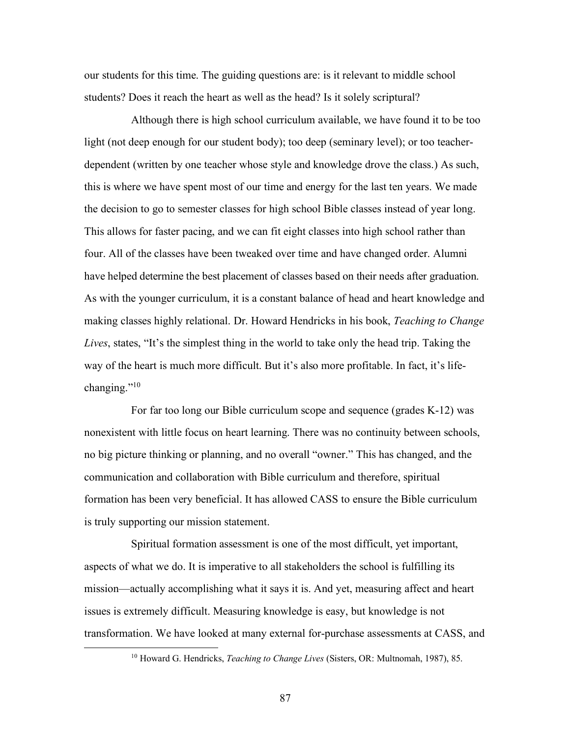our students for this time. The guiding questions are: is it relevant to middle school students? Does it reach the heart as well as the head? Is it solely scriptural?

Although there is high school curriculum available, we have found it to be too light (not deep enough for our student body); too deep (seminary level); or too teacherdependent (written by one teacher whose style and knowledge drove the class.) As such, this is where we have spent most of our time and energy for the last ten years. We made the decision to go to semester classes for high school Bible classes instead of year long. This allows for faster pacing, and we can fit eight classes into high school rather than four. All of the classes have been tweaked over time and have changed order. Alumni have helped determine the best placement of classes based on their needs after graduation. As with the younger curriculum, it is a constant balance of head and heart knowledge and making classes highly relational. Dr. Howard Hendricks in his book, *Teaching to Change Lives*, states, "It's the simplest thing in the world to take only the head trip. Taking the way of the heart is much more difficult. But it's also more profitable. In fact, it's lifechanging."10

For far too long our Bible curriculum scope and sequence (grades K-12) was nonexistent with little focus on heart learning. There was no continuity between schools, no big picture thinking or planning, and no overall "owner." This has changed, and the communication and collaboration with Bible curriculum and therefore, spiritual formation has been very beneficial. It has allowed CASS to ensure the Bible curriculum is truly supporting our mission statement.

Spiritual formation assessment is one of the most difficult, yet important, aspects of what we do. It is imperative to all stakeholders the school is fulfilling its mission—actually accomplishing what it says it is. And yet, measuring affect and heart issues is extremely difficult. Measuring knowledge is easy, but knowledge is not transformation. We have looked at many external for-purchase assessments at CASS, and

 <sup>10</sup> Howard G. Hendricks, *Teaching to Change Lives* (Sisters, OR: Multnomah, 1987), 85.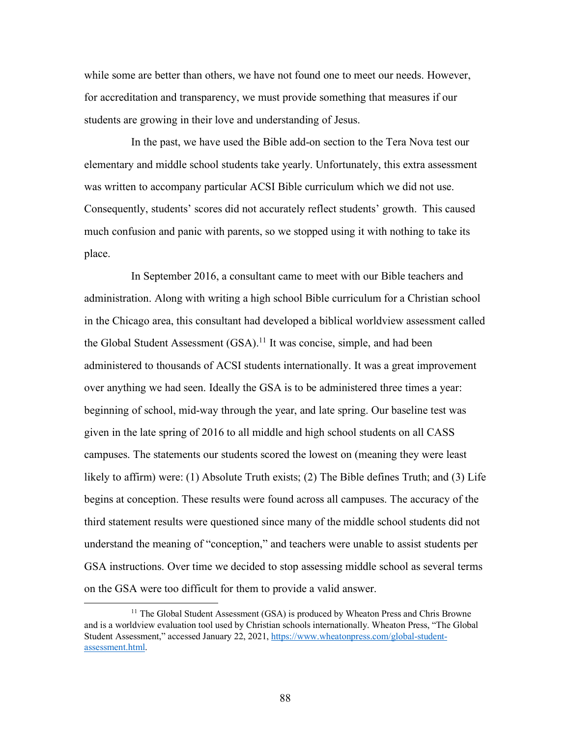while some are better than others, we have not found one to meet our needs. However, for accreditation and transparency, we must provide something that measures if our students are growing in their love and understanding of Jesus.

In the past, we have used the Bible add-on section to the Tera Nova test our elementary and middle school students take yearly. Unfortunately, this extra assessment was written to accompany particular ACSI Bible curriculum which we did not use. Consequently, students' scores did not accurately reflect students' growth. This caused much confusion and panic with parents, so we stopped using it with nothing to take its place.

In September 2016, a consultant came to meet with our Bible teachers and administration. Along with writing a high school Bible curriculum for a Christian school in the Chicago area, this consultant had developed a biblical worldview assessment called the Global Student Assessment  $(GSA)$ .<sup>11</sup> It was concise, simple, and had been administered to thousands of ACSI students internationally. It was a great improvement over anything we had seen. Ideally the GSA is to be administered three times a year: beginning of school, mid-way through the year, and late spring. Our baseline test was given in the late spring of 2016 to all middle and high school students on all CASS campuses. The statements our students scored the lowest on (meaning they were least likely to affirm) were: (1) Absolute Truth exists; (2) The Bible defines Truth; and (3) Life begins at conception. These results were found across all campuses. The accuracy of the third statement results were questioned since many of the middle school students did not understand the meaning of "conception," and teachers were unable to assist students per GSA instructions. Over time we decided to stop assessing middle school as several terms on the GSA were too difficult for them to provide a valid answer.

 $11$  The Global Student Assessment (GSA) is produced by Wheaton Press and Chris Browne and is a worldview evaluation tool used by Christian schools internationally. Wheaton Press, "The Global Student Assessment," accessed January 22, 2021, https://www.wheatonpress.com/global-studentassessment.html.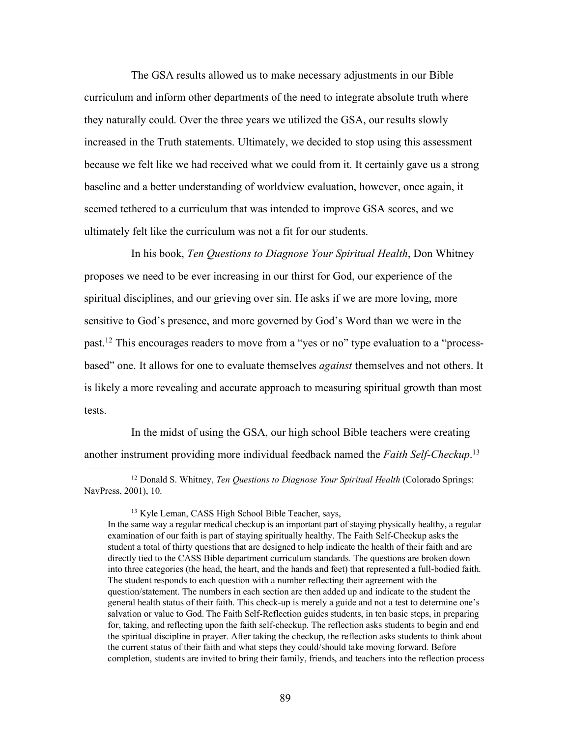The GSA results allowed us to make necessary adjustments in our Bible curriculum and inform other departments of the need to integrate absolute truth where they naturally could. Over the three years we utilized the GSA, our results slowly increased in the Truth statements. Ultimately, we decided to stop using this assessment because we felt like we had received what we could from it. It certainly gave us a strong baseline and a better understanding of worldview evaluation, however, once again, it seemed tethered to a curriculum that was intended to improve GSA scores, and we ultimately felt like the curriculum was not a fit for our students.

In his book, *Ten Questions to Diagnose Your Spiritual Health*, Don Whitney proposes we need to be ever increasing in our thirst for God, our experience of the spiritual disciplines, and our grieving over sin. He asks if we are more loving, more sensitive to God's presence, and more governed by God's Word than we were in the past.12 This encourages readers to move from a "yes or no" type evaluation to a "processbased" one. It allows for one to evaluate themselves *against* themselves and not others. It is likely a more revealing and accurate approach to measuring spiritual growth than most tests.

In the midst of using the GSA, our high school Bible teachers were creating another instrument providing more individual feedback named the *Faith Self-Checkup*. 13

 12 Donald S. Whitney, *Ten Questions to Diagnose Your Spiritual Health* (Colorado Springs: NavPress, 2001), 10.

<sup>13</sup> Kyle Leman, CASS High School Bible Teacher, says,

In the same way a regular medical checkup is an important part of staying physically healthy, a regular examination of our faith is part of staying spiritually healthy. The Faith Self-Checkup asks the student a total of thirty questions that are designed to help indicate the health of their faith and are directly tied to the CASS Bible department curriculum standards. The questions are broken down into three categories (the head, the heart, and the hands and feet) that represented a full-bodied faith. The student responds to each question with a number reflecting their agreement with the question/statement. The numbers in each section are then added up and indicate to the student the general health status of their faith. This check-up is merely a guide and not a test to determine one's salvation or value to God. The Faith Self-Reflection guides students, in ten basic steps, in preparing for, taking, and reflecting upon the faith self-checkup. The reflection asks students to begin and end the spiritual discipline in prayer. After taking the checkup, the reflection asks students to think about the current status of their faith and what steps they could/should take moving forward. Before completion, students are invited to bring their family, friends, and teachers into the reflection process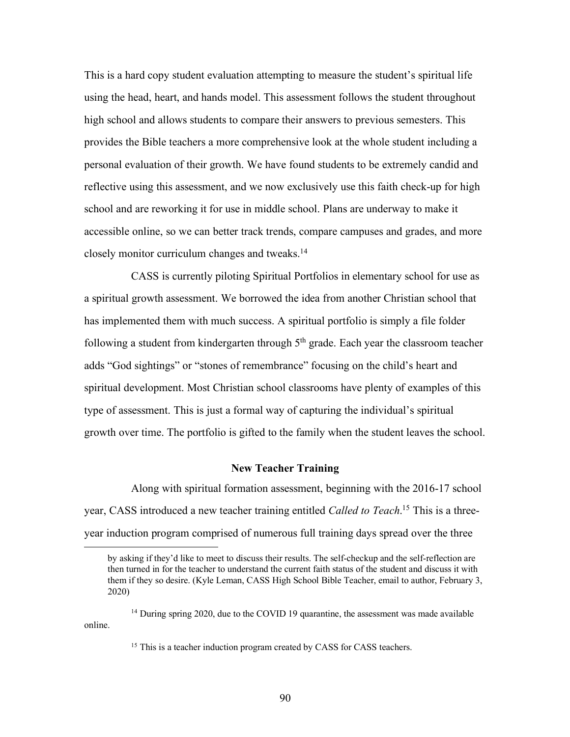This is a hard copy student evaluation attempting to measure the student's spiritual life using the head, heart, and hands model. This assessment follows the student throughout high school and allows students to compare their answers to previous semesters. This provides the Bible teachers a more comprehensive look at the whole student including a personal evaluation of their growth. We have found students to be extremely candid and reflective using this assessment, and we now exclusively use this faith check-up for high school and are reworking it for use in middle school. Plans are underway to make it accessible online, so we can better track trends, compare campuses and grades, and more closely monitor curriculum changes and tweaks.14

CASS is currently piloting Spiritual Portfolios in elementary school for use as a spiritual growth assessment. We borrowed the idea from another Christian school that has implemented them with much success. A spiritual portfolio is simply a file folder following a student from kindergarten through  $5<sup>th</sup>$  grade. Each year the classroom teacher adds "God sightings" or "stones of remembrance" focusing on the child's heart and spiritual development. Most Christian school classrooms have plenty of examples of this type of assessment. This is just a formal way of capturing the individual's spiritual growth over time. The portfolio is gifted to the family when the student leaves the school.

#### **New Teacher Training**

Along with spiritual formation assessment, beginning with the 2016-17 school year, CASS introduced a new teacher training entitled *Called to Teach*. <sup>15</sup> This is a threeyear induction program comprised of numerous full training days spread over the three

by asking if they'd like to meet to discuss their results. The self-checkup and the self-reflection are then turned in for the teacher to understand the current faith status of the student and discuss it with them if they so desire. (Kyle Leman, CASS High School Bible Teacher, email to author, February 3, 2020)

<sup>&</sup>lt;sup>14</sup> During spring 2020, due to the COVID 19 quarantine, the assessment was made available online.

<sup>&</sup>lt;sup>15</sup> This is a teacher induction program created by CASS for CASS teachers.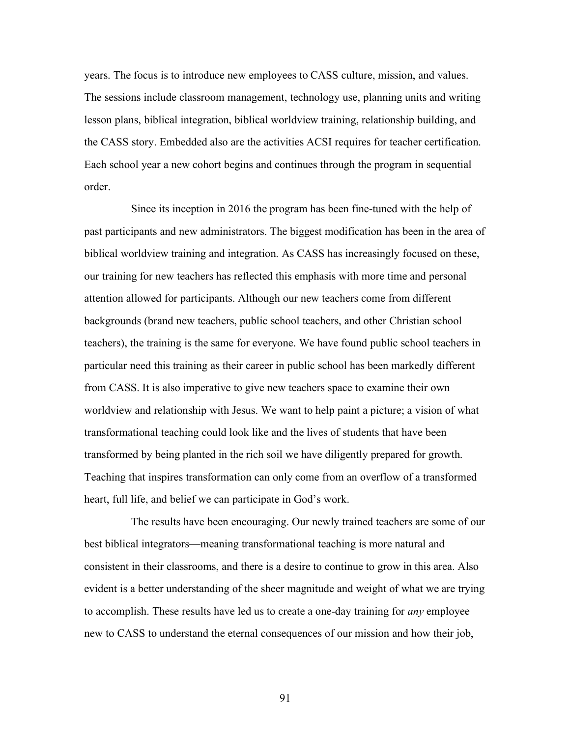years. The focus is to introduce new employees to CASS culture, mission, and values. The sessions include classroom management, technology use, planning units and writing lesson plans, biblical integration, biblical worldview training, relationship building, and the CASS story. Embedded also are the activities ACSI requires for teacher certification. Each school year a new cohort begins and continues through the program in sequential order.

Since its inception in 2016 the program has been fine-tuned with the help of past participants and new administrators. The biggest modification has been in the area of biblical worldview training and integration. As CASS has increasingly focused on these, our training for new teachers has reflected this emphasis with more time and personal attention allowed for participants. Although our new teachers come from different backgrounds (brand new teachers, public school teachers, and other Christian school teachers), the training is the same for everyone. We have found public school teachers in particular need this training as their career in public school has been markedly different from CASS. It is also imperative to give new teachers space to examine their own worldview and relationship with Jesus. We want to help paint a picture; a vision of what transformational teaching could look like and the lives of students that have been transformed by being planted in the rich soil we have diligently prepared for growth. Teaching that inspires transformation can only come from an overflow of a transformed heart, full life, and belief we can participate in God's work.

The results have been encouraging. Our newly trained teachers are some of our best biblical integrators—meaning transformational teaching is more natural and consistent in their classrooms, and there is a desire to continue to grow in this area. Also evident is a better understanding of the sheer magnitude and weight of what we are trying to accomplish. These results have led us to create a one-day training for *any* employee new to CASS to understand the eternal consequences of our mission and how their job,

91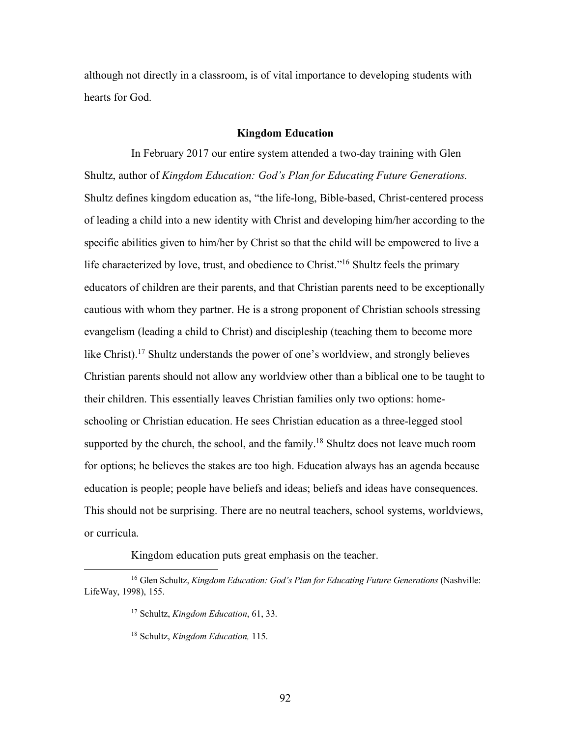although not directly in a classroom, is of vital importance to developing students with hearts for God.

### **Kingdom Education**

In February 2017 our entire system attended a two-day training with Glen Shultz, author of *Kingdom Education: God's Plan for Educating Future Generations.*  Shultz defines kingdom education as, "the life-long, Bible-based, Christ-centered process of leading a child into a new identity with Christ and developing him/her according to the specific abilities given to him/her by Christ so that the child will be empowered to live a life characterized by love, trust, and obedience to Christ."<sup>16</sup> Shultz feels the primary educators of children are their parents, and that Christian parents need to be exceptionally cautious with whom they partner. He is a strong proponent of Christian schools stressing evangelism (leading a child to Christ) and discipleship (teaching them to become more like Christ).<sup>17</sup> Shultz understands the power of one's worldview, and strongly believes Christian parents should not allow any worldview other than a biblical one to be taught to their children. This essentially leaves Christian families only two options: homeschooling or Christian education. He sees Christian education as a three-legged stool supported by the church, the school, and the family.<sup>18</sup> Shultz does not leave much room for options; he believes the stakes are too high. Education always has an agenda because education is people; people have beliefs and ideas; beliefs and ideas have consequences. This should not be surprising. There are no neutral teachers, school systems, worldviews, or curricula.

Kingdom education puts great emphasis on the teacher.

 <sup>16</sup> Glen Schultz, *Kingdom Education: God's Plan for Educating Future Generations* (Nashville: LifeWay, 1998), 155.

<sup>17</sup> Schultz, *Kingdom Education*, 61, 33.

<sup>18</sup> Schultz, *Kingdom Education,* 115.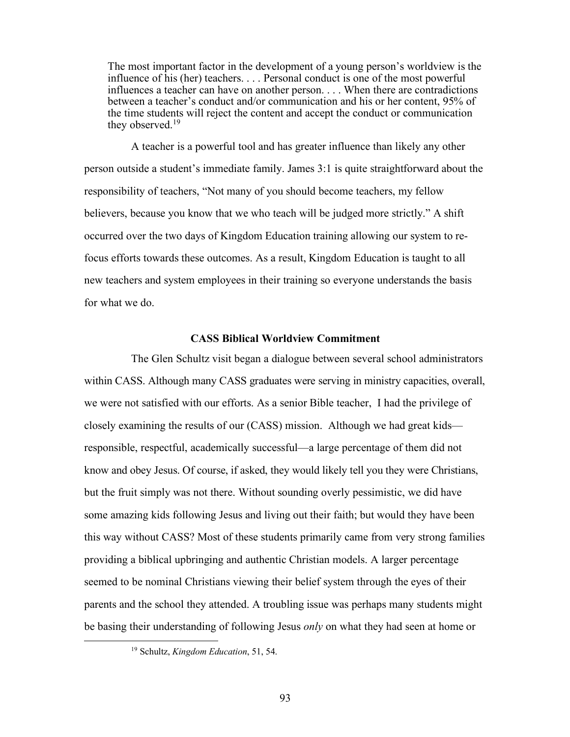The most important factor in the development of a young person's worldview is the influence of his (her) teachers. . . . Personal conduct is one of the most powerful influences a teacher can have on another person. . . . When there are contradictions between a teacher's conduct and/or communication and his or her content, 95% of the time students will reject the content and accept the conduct or communication they observed.<sup>19</sup>

A teacher is a powerful tool and has greater influence than likely any other person outside a student's immediate family. James 3:1 is quite straightforward about the responsibility of teachers, "Not many of you should become teachers, my fellow believers, because you know that we who teach will be judged more strictly." A shift occurred over the two days of Kingdom Education training allowing our system to refocus efforts towards these outcomes. As a result, Kingdom Education is taught to all new teachers and system employees in their training so everyone understands the basis for what we do.

## **CASS Biblical Worldview Commitment**

The Glen Schultz visit began a dialogue between several school administrators within CASS. Although many CASS graduates were serving in ministry capacities, overall, we were not satisfied with our efforts. As a senior Bible teacher, I had the privilege of closely examining the results of our (CASS) mission. Although we had great kids responsible, respectful, academically successful—a large percentage of them did not know and obey Jesus. Of course, if asked, they would likely tell you they were Christians, but the fruit simply was not there. Without sounding overly pessimistic, we did have some amazing kids following Jesus and living out their faith; but would they have been this way without CASS? Most of these students primarily came from very strong families providing a biblical upbringing and authentic Christian models. A larger percentage seemed to be nominal Christians viewing their belief system through the eyes of their parents and the school they attended. A troubling issue was perhaps many students might be basing their understanding of following Jesus *only* on what they had seen at home or

 <sup>19</sup> Schultz, *Kingdom Education*, 51, 54.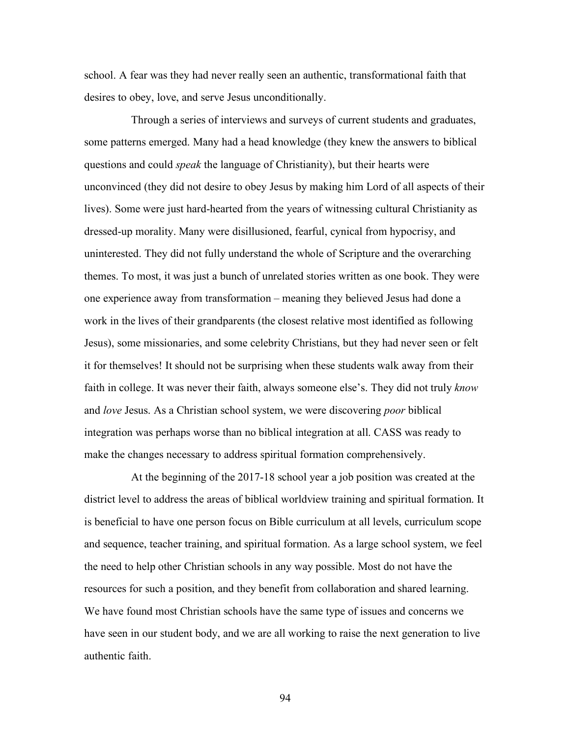school. A fear was they had never really seen an authentic, transformational faith that desires to obey, love, and serve Jesus unconditionally.

Through a series of interviews and surveys of current students and graduates, some patterns emerged. Many had a head knowledge (they knew the answers to biblical questions and could *speak* the language of Christianity), but their hearts were unconvinced (they did not desire to obey Jesus by making him Lord of all aspects of their lives). Some were just hard-hearted from the years of witnessing cultural Christianity as dressed-up morality. Many were disillusioned, fearful, cynical from hypocrisy, and uninterested. They did not fully understand the whole of Scripture and the overarching themes. To most, it was just a bunch of unrelated stories written as one book. They were one experience away from transformation – meaning they believed Jesus had done a work in the lives of their grandparents (the closest relative most identified as following Jesus), some missionaries, and some celebrity Christians, but they had never seen or felt it for themselves! It should not be surprising when these students walk away from their faith in college. It was never their faith, always someone else's. They did not truly *know* and *love* Jesus. As a Christian school system, we were discovering *poor* biblical integration was perhaps worse than no biblical integration at all. CASS was ready to make the changes necessary to address spiritual formation comprehensively.

At the beginning of the 2017-18 school year a job position was created at the district level to address the areas of biblical worldview training and spiritual formation. It is beneficial to have one person focus on Bible curriculum at all levels, curriculum scope and sequence, teacher training, and spiritual formation. As a large school system, we feel the need to help other Christian schools in any way possible. Most do not have the resources for such a position, and they benefit from collaboration and shared learning. We have found most Christian schools have the same type of issues and concerns we have seen in our student body, and we are all working to raise the next generation to live authentic faith.

94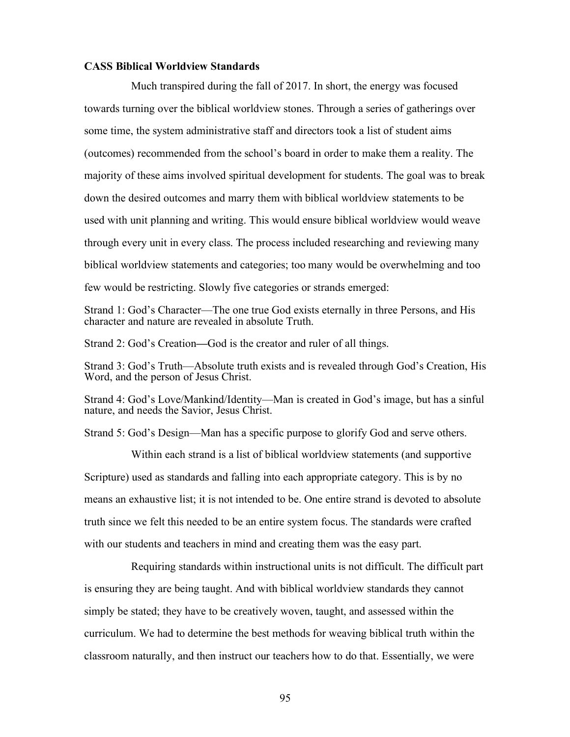#### **CASS Biblical Worldview Standards**

Much transpired during the fall of 2017. In short, the energy was focused towards turning over the biblical worldview stones. Through a series of gatherings over some time, the system administrative staff and directors took a list of student aims (outcomes) recommended from the school's board in order to make them a reality. The majority of these aims involved spiritual development for students. The goal was to break down the desired outcomes and marry them with biblical worldview statements to be used with unit planning and writing. This would ensure biblical worldview would weave through every unit in every class. The process included researching and reviewing many biblical worldview statements and categories; too many would be overwhelming and too few would be restricting. Slowly five categories or strands emerged:

Strand 1: God's Character—The one true God exists eternally in three Persons, and His character and nature are revealed in absolute Truth.

Strand 2: God's Creation**—**God is the creator and ruler of all things.

Strand 3: God's Truth—Absolute truth exists and is revealed through God's Creation, His Word, and the person of Jesus Christ.

Strand 4: God's Love/Mankind/Identity—Man is created in God's image, but has a sinful nature, and needs the Savior, Jesus Christ.

Strand 5: God's Design—Man has a specific purpose to glorify God and serve others.

Within each strand is a list of biblical worldview statements (and supportive Scripture) used as standards and falling into each appropriate category. This is by no means an exhaustive list; it is not intended to be. One entire strand is devoted to absolute truth since we felt this needed to be an entire system focus. The standards were crafted with our students and teachers in mind and creating them was the easy part.

Requiring standards within instructional units is not difficult. The difficult part is ensuring they are being taught. And with biblical worldview standards they cannot simply be stated; they have to be creatively woven, taught, and assessed within the curriculum. We had to determine the best methods for weaving biblical truth within the classroom naturally, and then instruct our teachers how to do that. Essentially, we were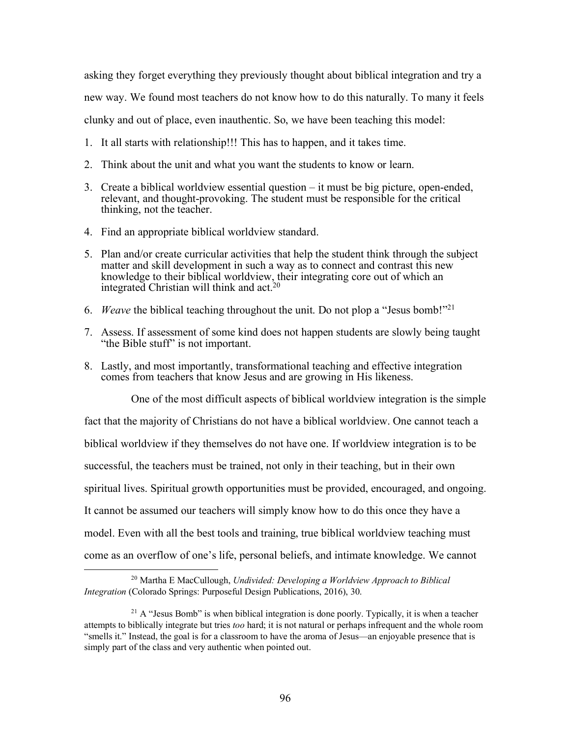asking they forget everything they previously thought about biblical integration and try a new way. We found most teachers do not know how to do this naturally. To many it feels clunky and out of place, even inauthentic. So, we have been teaching this model:

- 1. It all starts with relationship!!! This has to happen, and it takes time.
- 2. Think about the unit and what you want the students to know or learn.
- 3. Create a biblical worldview essential question it must be big picture, open-ended, relevant, and thought-provoking. The student must be responsible for the critical thinking, not the teacher.
- 4. Find an appropriate biblical worldview standard.
- 5. Plan and/or create curricular activities that help the student think through the subject matter and skill development in such a way as to connect and contrast this new knowledge to their biblical worldview, their integrating core out of which an integrated Christian will think and  $act.^{20}$
- 6. *Weave* the biblical teaching throughout the unit. Do not plop a "Jesus bomb!"21
- 7. Assess. If assessment of some kind does not happen students are slowly being taught "the Bible stuff" is not important.
- 8. Lastly, and most importantly, transformational teaching and effective integration comes from teachers that know Jesus and are growing in His likeness.

One of the most difficult aspects of biblical worldview integration is the simple fact that the majority of Christians do not have a biblical worldview. One cannot teach a biblical worldview if they themselves do not have one. If worldview integration is to be successful, the teachers must be trained, not only in their teaching, but in their own spiritual lives. Spiritual growth opportunities must be provided, encouraged, and ongoing. It cannot be assumed our teachers will simply know how to do this once they have a model. Even with all the best tools and training, true biblical worldview teaching must come as an overflow of one's life, personal beliefs, and intimate knowledge. We cannot

 <sup>20</sup> Martha E MacCullough, *Undivided: Developing a Worldview Approach to Biblical Integration* (Colorado Springs: Purposeful Design Publications, 2016), 30.

 $21$  A "Jesus Bomb" is when biblical integration is done poorly. Typically, it is when a teacher attempts to biblically integrate but tries *too* hard; it is not natural or perhaps infrequent and the whole room "smells it." Instead, the goal is for a classroom to have the aroma of Jesus—an enjoyable presence that is simply part of the class and very authentic when pointed out.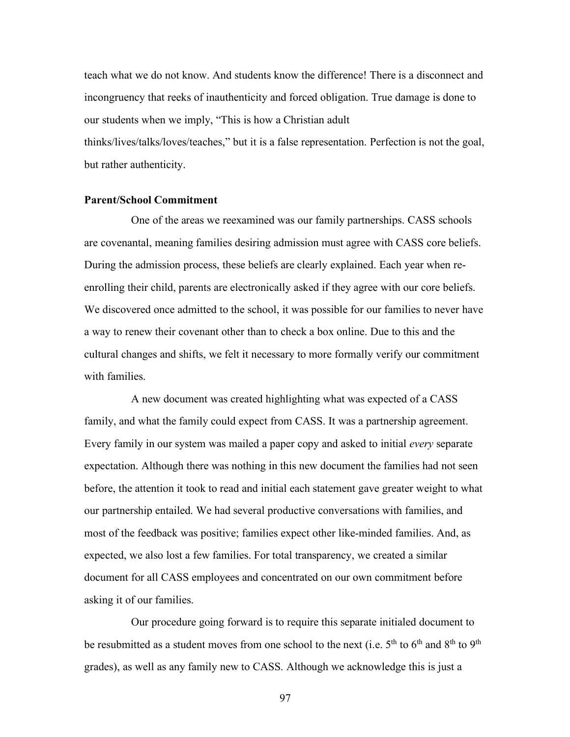teach what we do not know. And students know the difference! There is a disconnect and incongruency that reeks of inauthenticity and forced obligation. True damage is done to our students when we imply, "This is how a Christian adult thinks/lives/talks/loves/teaches," but it is a false representation. Perfection is not the goal, but rather authenticity.

## **Parent/School Commitment**

One of the areas we reexamined was our family partnerships. CASS schools are covenantal, meaning families desiring admission must agree with CASS core beliefs. During the admission process, these beliefs are clearly explained. Each year when reenrolling their child, parents are electronically asked if they agree with our core beliefs. We discovered once admitted to the school, it was possible for our families to never have a way to renew their covenant other than to check a box online. Due to this and the cultural changes and shifts, we felt it necessary to more formally verify our commitment with families.

A new document was created highlighting what was expected of a CASS family, and what the family could expect from CASS. It was a partnership agreement. Every family in our system was mailed a paper copy and asked to initial *every* separate expectation. Although there was nothing in this new document the families had not seen before, the attention it took to read and initial each statement gave greater weight to what our partnership entailed. We had several productive conversations with families, and most of the feedback was positive; families expect other like-minded families. And, as expected, we also lost a few families. For total transparency, we created a similar document for all CASS employees and concentrated on our own commitment before asking it of our families.

Our procedure going forward is to require this separate initialed document to be resubmitted as a student moves from one school to the next (i.e.  $5<sup>th</sup>$  to  $6<sup>th</sup>$  and  $8<sup>th</sup>$  to  $9<sup>th</sup>$ grades), as well as any family new to CASS. Although we acknowledge this is just a

97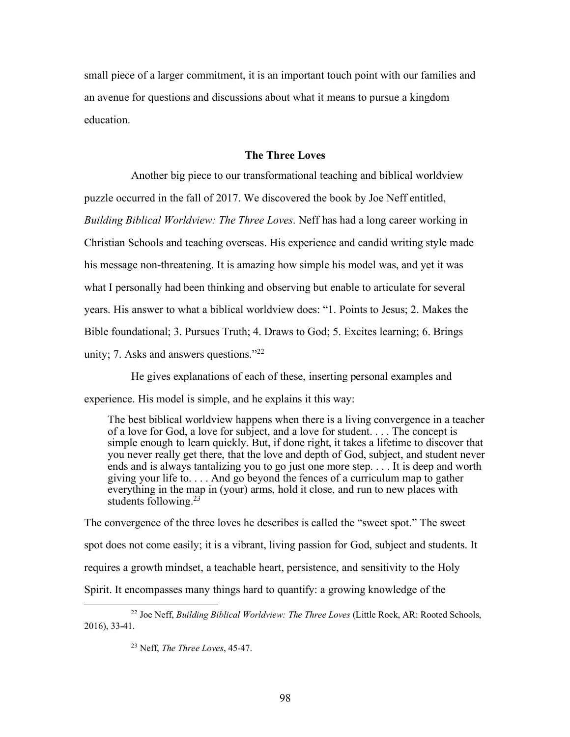small piece of a larger commitment, it is an important touch point with our families and an avenue for questions and discussions about what it means to pursue a kingdom education.

### **The Three Loves**

Another big piece to our transformational teaching and biblical worldview puzzle occurred in the fall of 2017. We discovered the book by Joe Neff entitled, *Building Biblical Worldview: The Three Loves*. Neff has had a long career working in Christian Schools and teaching overseas. His experience and candid writing style made his message non-threatening. It is amazing how simple his model was, and yet it was what I personally had been thinking and observing but enable to articulate for several years. His answer to what a biblical worldview does: "1. Points to Jesus; 2. Makes the Bible foundational; 3. Pursues Truth; 4. Draws to God; 5. Excites learning; 6. Brings unity; 7. Asks and answers questions."22

He gives explanations of each of these, inserting personal examples and experience. His model is simple, and he explains it this way:

The best biblical worldview happens when there is a living convergence in a teacher of a love for God, a love for subject, and a love for student. . . . The concept is simple enough to learn quickly. But, if done right, it takes a lifetime to discover that you never really get there, that the love and depth of God, subject, and student never ends and is always tantalizing you to go just one more step. . . . It is deep and worth giving your life to. . . . And go beyond the fences of a curriculum map to gather everything in the map in (your) arms, hold it close, and run to new places with students following.<sup>23</sup>

The convergence of the three loves he describes is called the "sweet spot." The sweet spot does not come easily; it is a vibrant, living passion for God, subject and students. It requires a growth mindset, a teachable heart, persistence, and sensitivity to the Holy Spirit. It encompasses many things hard to quantify: a growing knowledge of the

 <sup>22</sup> Joe Neff, *Building Biblical Worldview: The Three Loves* (Little Rock, AR: Rooted Schools, 2016), 33-41.

<sup>23</sup> Neff, *The Three Loves*, 45-47.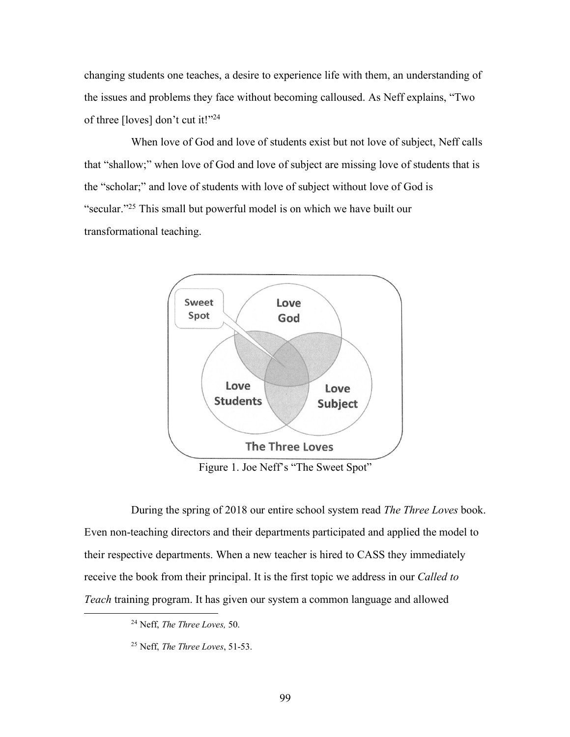changing students one teaches, a desire to experience life with them, an understanding of the issues and problems they face without becoming calloused. As Neff explains, "Two of three [loves] don't cut it!"24

When love of God and love of students exist but not love of subject, Neff calls that "shallow;" when love of God and love of subject are missing love of students that is the "scholar;" and love of students with love of subject without love of God is "secular."25 This small but powerful model is on which we have built our transformational teaching.



Figure 1. Joe Neff's "The Sweet Spot"

During the spring of 2018 our entire school system read *The Three Loves* book. Even non-teaching directors and their departments participated and applied the model to their respective departments. When a new teacher is hired to CASS they immediately receive the book from their principal. It is the first topic we address in our *Called to Teach* training program. It has given our system a common language and allowed

 <sup>24</sup> Neff, *The Three Loves,* 50.

<sup>25</sup> Neff, *The Three Loves*, 51-53.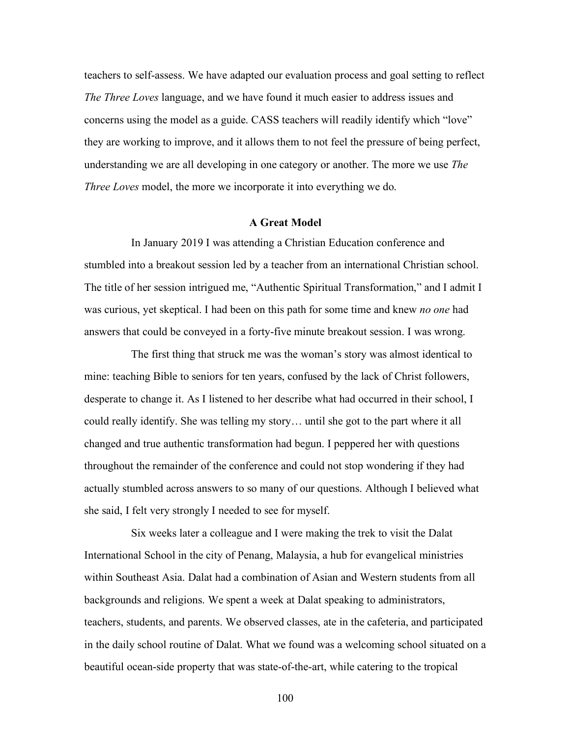teachers to self-assess. We have adapted our evaluation process and goal setting to reflect *The Three Loves* language, and we have found it much easier to address issues and concerns using the model as a guide. CASS teachers will readily identify which "love" they are working to improve, and it allows them to not feel the pressure of being perfect, understanding we are all developing in one category or another. The more we use *The Three Loves* model, the more we incorporate it into everything we do.

### **A Great Model**

In January 2019 I was attending a Christian Education conference and stumbled into a breakout session led by a teacher from an international Christian school. The title of her session intrigued me, "Authentic Spiritual Transformation," and I admit I was curious, yet skeptical. I had been on this path for some time and knew *no one* had answers that could be conveyed in a forty-five minute breakout session. I was wrong.

The first thing that struck me was the woman's story was almost identical to mine: teaching Bible to seniors for ten years, confused by the lack of Christ followers, desperate to change it. As I listened to her describe what had occurred in their school, I could really identify. She was telling my story… until she got to the part where it all changed and true authentic transformation had begun. I peppered her with questions throughout the remainder of the conference and could not stop wondering if they had actually stumbled across answers to so many of our questions. Although I believed what she said, I felt very strongly I needed to see for myself.

Six weeks later a colleague and I were making the trek to visit the Dalat International School in the city of Penang, Malaysia, a hub for evangelical ministries within Southeast Asia. Dalat had a combination of Asian and Western students from all backgrounds and religions. We spent a week at Dalat speaking to administrators, teachers, students, and parents. We observed classes, ate in the cafeteria, and participated in the daily school routine of Dalat. What we found was a welcoming school situated on a beautiful ocean-side property that was state-of-the-art, while catering to the tropical

100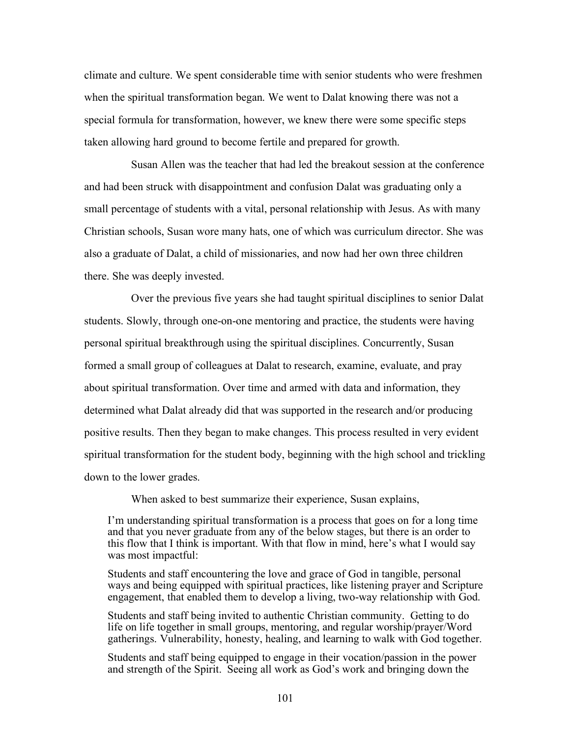climate and culture. We spent considerable time with senior students who were freshmen when the spiritual transformation began. We went to Dalat knowing there was not a special formula for transformation, however, we knew there were some specific steps taken allowing hard ground to become fertile and prepared for growth.

Susan Allen was the teacher that had led the breakout session at the conference and had been struck with disappointment and confusion Dalat was graduating only a small percentage of students with a vital, personal relationship with Jesus. As with many Christian schools, Susan wore many hats, one of which was curriculum director. She was also a graduate of Dalat, a child of missionaries, and now had her own three children there. She was deeply invested.

Over the previous five years she had taught spiritual disciplines to senior Dalat students. Slowly, through one-on-one mentoring and practice, the students were having personal spiritual breakthrough using the spiritual disciplines. Concurrently, Susan formed a small group of colleagues at Dalat to research, examine, evaluate, and pray about spiritual transformation. Over time and armed with data and information, they determined what Dalat already did that was supported in the research and/or producing positive results. Then they began to make changes. This process resulted in very evident spiritual transformation for the student body, beginning with the high school and trickling down to the lower grades.

When asked to best summarize their experience, Susan explains,

I'm understanding spiritual transformation is a process that goes on for a long time and that you never graduate from any of the below stages, but there is an order to this flow that I think is important. With that flow in mind, here's what I would say was most impactful:

Students and staff encountering the love and grace of God in tangible, personal ways and being equipped with spiritual practices, like listening prayer and Scripture engagement, that enabled them to develop a living, two-way relationship with God.

Students and staff being invited to authentic Christian community. Getting to do life on life together in small groups, mentoring, and regular worship/prayer/Word gatherings. Vulnerability, honesty, healing, and learning to walk with God together.

Students and staff being equipped to engage in their vocation/passion in the power and strength of the Spirit. Seeing all work as God's work and bringing down the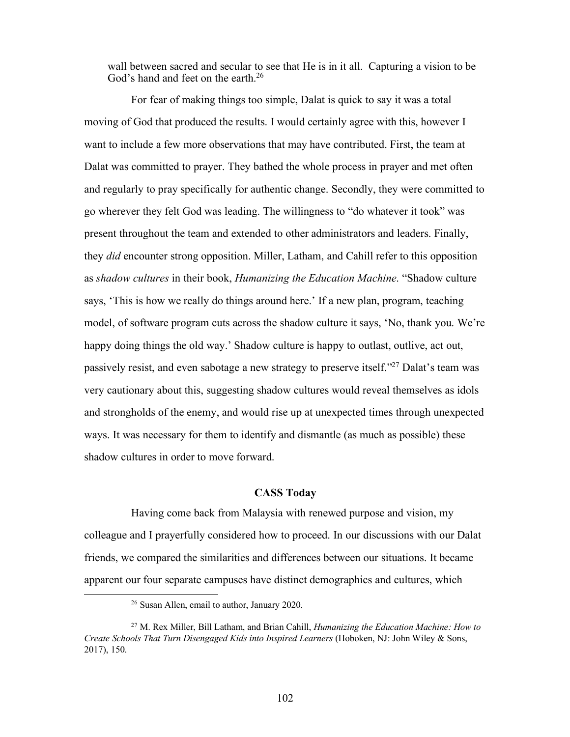wall between sacred and secular to see that He is in it all. Capturing a vision to be God's hand and feet on the earth.<sup>26</sup>

For fear of making things too simple, Dalat is quick to say it was a total moving of God that produced the results. I would certainly agree with this, however I want to include a few more observations that may have contributed. First, the team at Dalat was committed to prayer. They bathed the whole process in prayer and met often and regularly to pray specifically for authentic change. Secondly, they were committed to go wherever they felt God was leading. The willingness to "do whatever it took" was present throughout the team and extended to other administrators and leaders. Finally, they *did* encounter strong opposition. Miller, Latham, and Cahill refer to this opposition as *shadow cultures* in their book, *Humanizing the Education Machine*. "Shadow culture says, 'This is how we really do things around here.' If a new plan, program, teaching model, of software program cuts across the shadow culture it says, 'No, thank you. We're happy doing things the old way.' Shadow culture is happy to outlast, outlive, act out, passively resist, and even sabotage a new strategy to preserve itself."27 Dalat's team was very cautionary about this, suggesting shadow cultures would reveal themselves as idols and strongholds of the enemy, and would rise up at unexpected times through unexpected ways. It was necessary for them to identify and dismantle (as much as possible) these shadow cultures in order to move forward.

## **CASS Today**

Having come back from Malaysia with renewed purpose and vision, my colleague and I prayerfully considered how to proceed. In our discussions with our Dalat friends, we compared the similarities and differences between our situations. It became apparent our four separate campuses have distinct demographics and cultures, which

 <sup>26</sup> Susan Allen, email to author, January 2020.

<sup>27</sup> M. Rex Miller, Bill Latham, and Brian Cahill, *Humanizing the Education Machine: How to Create Schools That Turn Disengaged Kids into Inspired Learners* (Hoboken, NJ: John Wiley & Sons, 2017), 150.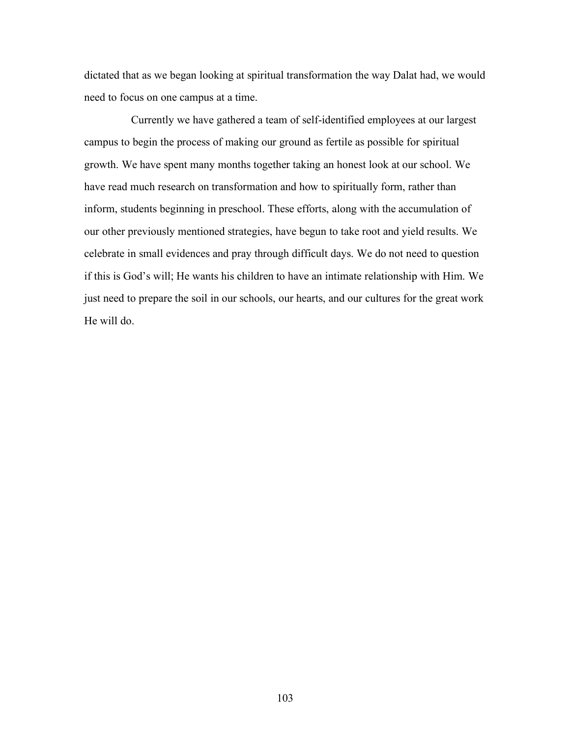dictated that as we began looking at spiritual transformation the way Dalat had, we would need to focus on one campus at a time.

Currently we have gathered a team of self-identified employees at our largest campus to begin the process of making our ground as fertile as possible for spiritual growth. We have spent many months together taking an honest look at our school. We have read much research on transformation and how to spiritually form, rather than inform, students beginning in preschool. These efforts, along with the accumulation of our other previously mentioned strategies, have begun to take root and yield results. We celebrate in small evidences and pray through difficult days. We do not need to question if this is God's will; He wants his children to have an intimate relationship with Him. We just need to prepare the soil in our schools, our hearts, and our cultures for the great work He will do.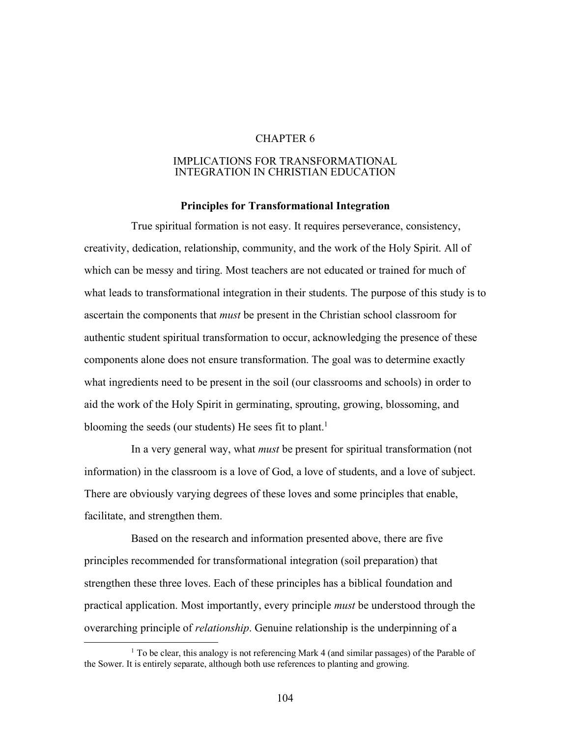# CHAPTER 6

## IMPLICATIONS FOR TRANSFORMATIONAL INTEGRATION IN CHRISTIAN EDUCATION

# **Principles for Transformational Integration**

True spiritual formation is not easy. It requires perseverance, consistency, creativity, dedication, relationship, community, and the work of the Holy Spirit. All of which can be messy and tiring. Most teachers are not educated or trained for much of what leads to transformational integration in their students. The purpose of this study is to ascertain the components that *must* be present in the Christian school classroom for authentic student spiritual transformation to occur, acknowledging the presence of these components alone does not ensure transformation. The goal was to determine exactly what ingredients need to be present in the soil (our classrooms and schools) in order to aid the work of the Holy Spirit in germinating, sprouting, growing, blossoming, and blooming the seeds (our students) He sees fit to plant.<sup>1</sup>

In a very general way, what *must* be present for spiritual transformation (not information) in the classroom is a love of God, a love of students, and a love of subject. There are obviously varying degrees of these loves and some principles that enable, facilitate, and strengthen them.

Based on the research and information presented above, there are five principles recommended for transformational integration (soil preparation) that strengthen these three loves. Each of these principles has a biblical foundation and practical application. Most importantly, every principle *must* be understood through the overarching principle of *relationship*. Genuine relationship is the underpinning of a

<sup>&</sup>lt;sup>1</sup> To be clear, this analogy is not referencing Mark 4 (and similar passages) of the Parable of the Sower. It is entirely separate, although both use references to planting and growing.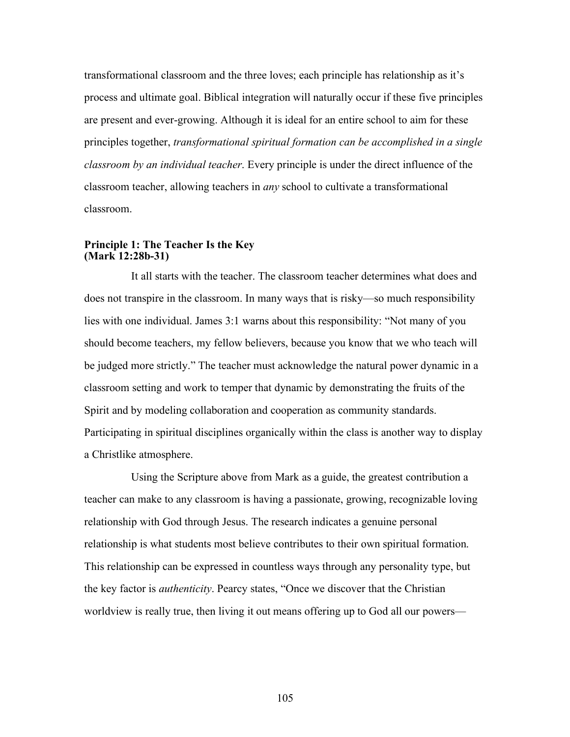transformational classroom and the three loves; each principle has relationship as it's process and ultimate goal. Biblical integration will naturally occur if these five principles are present and ever-growing. Although it is ideal for an entire school to aim for these principles together, *transformational spiritual formation can be accomplished in a single classroom by an individual teacher*. Every principle is under the direct influence of the classroom teacher, allowing teachers in *any* school to cultivate a transformational classroom.

# **Principle 1: The Teacher Is the Key (Mark 12:28b-31)**

It all starts with the teacher. The classroom teacher determines what does and does not transpire in the classroom. In many ways that is risky—so much responsibility lies with one individual. James 3:1 warns about this responsibility: "Not many of you should become teachers, my fellow believers, because you know that we who teach will be judged more strictly." The teacher must acknowledge the natural power dynamic in a classroom setting and work to temper that dynamic by demonstrating the fruits of the Spirit and by modeling collaboration and cooperation as community standards. Participating in spiritual disciplines organically within the class is another way to display a Christlike atmosphere.

Using the Scripture above from Mark as a guide, the greatest contribution a teacher can make to any classroom is having a passionate, growing, recognizable loving relationship with God through Jesus. The research indicates a genuine personal relationship is what students most believe contributes to their own spiritual formation. This relationship can be expressed in countless ways through any personality type, but the key factor is *authenticity*. Pearcy states, "Once we discover that the Christian worldview is really true, then living it out means offering up to God all our powers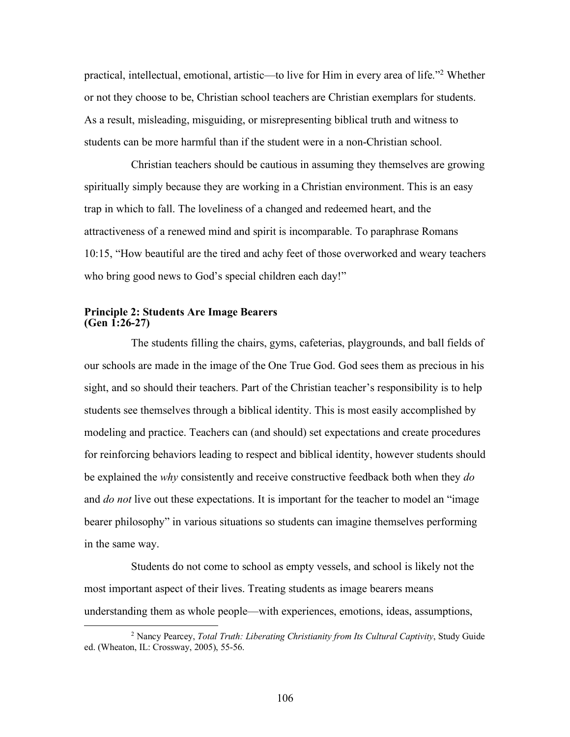practical, intellectual, emotional, artistic—to live for Him in every area of life."2 Whether or not they choose to be, Christian school teachers are Christian exemplars for students. As a result, misleading, misguiding, or misrepresenting biblical truth and witness to students can be more harmful than if the student were in a non-Christian school.

Christian teachers should be cautious in assuming they themselves are growing spiritually simply because they are working in a Christian environment. This is an easy trap in which to fall. The loveliness of a changed and redeemed heart, and the attractiveness of a renewed mind and spirit is incomparable. To paraphrase Romans 10:15, "How beautiful are the tired and achy feet of those overworked and weary teachers who bring good news to God's special children each day!"

## **Principle 2: Students Are Image Bearers (Gen 1:26-27)**

The students filling the chairs, gyms, cafeterias, playgrounds, and ball fields of our schools are made in the image of the One True God. God sees them as precious in his sight, and so should their teachers. Part of the Christian teacher's responsibility is to help students see themselves through a biblical identity. This is most easily accomplished by modeling and practice. Teachers can (and should) set expectations and create procedures for reinforcing behaviors leading to respect and biblical identity, however students should be explained the *why* consistently and receive constructive feedback both when they *do* and *do not* live out these expectations. It is important for the teacher to model an "image bearer philosophy" in various situations so students can imagine themselves performing in the same way.

Students do not come to school as empty vessels, and school is likely not the most important aspect of their lives. Treating students as image bearers means understanding them as whole people—with experiences, emotions, ideas, assumptions,

 <sup>2</sup> Nancy Pearcey, *Total Truth: Liberating Christianity from Its Cultural Captivity*, Study Guide ed. (Wheaton, IL: Crossway, 2005), 55-56.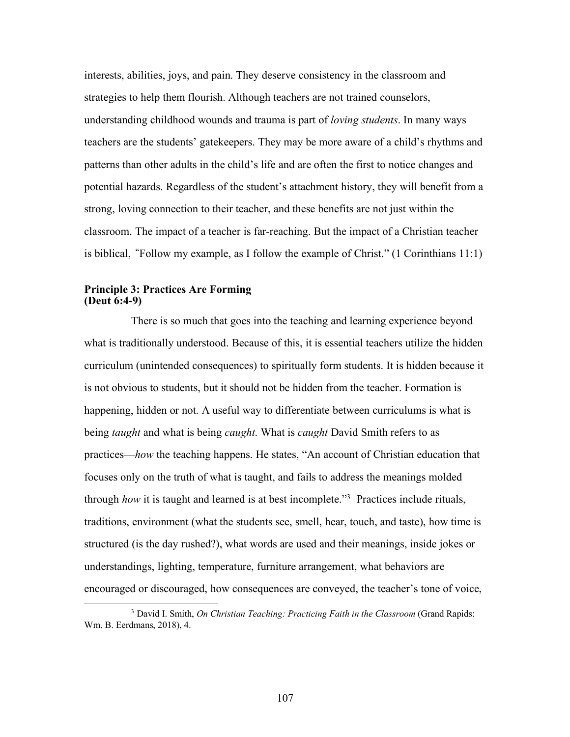interests, abilities, joys, and pain. They deserve consistency in the classroom and strategies to help them flourish. Although teachers are not trained counselors, understanding childhood wounds and trauma is part of *loving students*. In many ways teachers are the students' gatekeepers. They may be more aware of a child's rhythms and patterns than other adults in the child's life and are often the first to notice changes and potential hazards. Regardless of the student's attachment history, they will benefit from a strong, loving connection to their teacher, and these benefits are not just within the classroom. The impact of a teacher is far-reaching. But the impact of a Christian teacher is biblical, **"**Follow my example, as I follow the example of Christ." (1 Corinthians 11:1)

#### **Principle 3: Practices Are Forming (Deut 6:4-9)**

There is so much that goes into the teaching and learning experience beyond what is traditionally understood. Because of this, it is essential teachers utilize the hidden curriculum (unintended consequences) to spiritually form students. It is hidden because it is not obvious to students, but it should not be hidden from the teacher. Formation is happening, hidden or not. A useful way to differentiate between curriculums is what is being *taught* and what is being *caught*. What is *caught* David Smith refers to as practices—*how* the teaching happens. He states, "An account of Christian education that focuses only on the truth of what is taught, and fails to address the meanings molded through *how* it is taught and learned is at best incomplete."3 Practices include rituals, traditions, environment (what the students see, smell, hear, touch, and taste), how time is structured (is the day rushed?), what words are used and their meanings, inside jokes or understandings, lighting, temperature, furniture arrangement, what behaviors are encouraged or discouraged, how consequences are conveyed, the teacher's tone of voice,

 <sup>3</sup> David I. Smith, *On Christian Teaching: Practicing Faith in the Classroom* (Grand Rapids: Wm. B. Eerdmans, 2018), 4.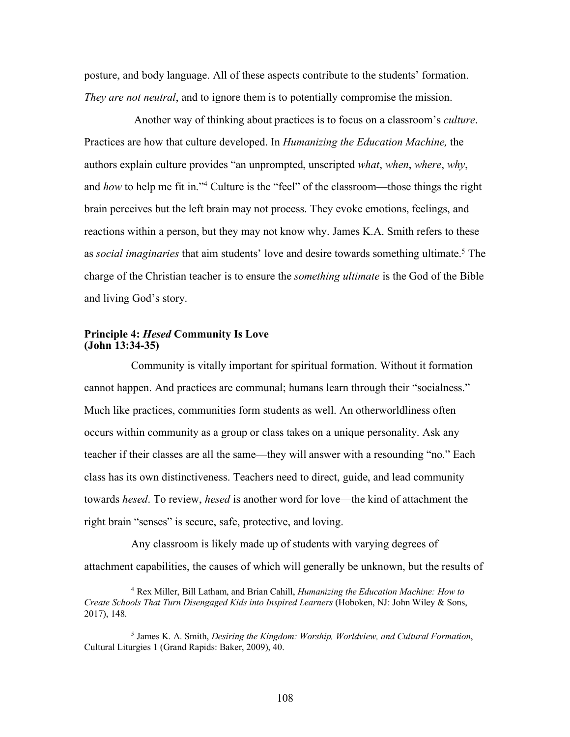posture, and body language. All of these aspects contribute to the students' formation. *They are not neutral*, and to ignore them is to potentially compromise the mission.

Another way of thinking about practices is to focus on a classroom's *culture*. Practices are how that culture developed. In *Humanizing the Education Machine,* the authors explain culture provides "an unprompted, unscripted *what*, *when*, *where*, *why*, and *how* to help me fit in."<sup>4</sup> Culture is the "feel" of the classroom—those things the right brain perceives but the left brain may not process. They evoke emotions, feelings, and reactions within a person, but they may not know why. James K.A. Smith refers to these as *social imaginaries* that aim students' love and desire towards something ultimate.5 The charge of the Christian teacher is to ensure the *something ultimate* is the God of the Bible and living God's story.

#### **Principle 4:** *Hesed* **Community Is Love (John 13:34-35)**

Community is vitally important for spiritual formation. Without it formation cannot happen. And practices are communal; humans learn through their "socialness." Much like practices, communities form students as well. An otherworldliness often occurs within community as a group or class takes on a unique personality. Ask any teacher if their classes are all the same—they will answer with a resounding "no." Each class has its own distinctiveness. Teachers need to direct, guide, and lead community towards *hesed*. To review, *hesed* is another word for love—the kind of attachment the right brain "senses" is secure, safe, protective, and loving.

Any classroom is likely made up of students with varying degrees of attachment capabilities, the causes of which will generally be unknown, but the results of

 <sup>4</sup> Rex Miller, Bill Latham, and Brian Cahill, *Humanizing the Education Machine: How to Create Schools That Turn Disengaged Kids into Inspired Learners* (Hoboken, NJ: John Wiley & Sons, 2017), 148.

<sup>5</sup> James K. A. Smith, *Desiring the Kingdom: Worship, Worldview, and Cultural Formation*, Cultural Liturgies 1 (Grand Rapids: Baker, 2009), 40.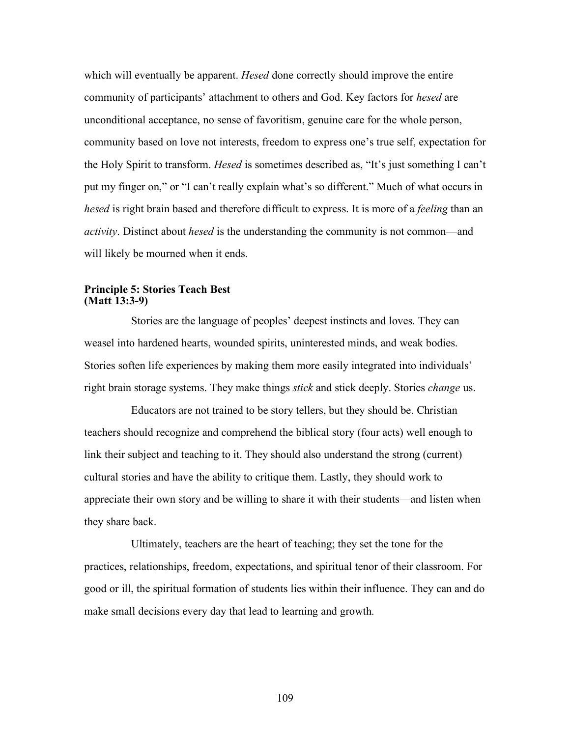which will eventually be apparent. *Hesed* done correctly should improve the entire community of participants' attachment to others and God. Key factors for *hesed* are unconditional acceptance, no sense of favoritism, genuine care for the whole person, community based on love not interests, freedom to express one's true self, expectation for the Holy Spirit to transform. *Hesed* is sometimes described as, "It's just something I can't put my finger on," or "I can't really explain what's so different." Much of what occurs in *hesed* is right brain based and therefore difficult to express. It is more of a *feeling* than an *activity*. Distinct about *hesed* is the understanding the community is not common—and will likely be mourned when it ends.

## **Principle 5: Stories Teach Best (Matt 13:3-9)**

Stories are the language of peoples' deepest instincts and loves. They can weasel into hardened hearts, wounded spirits, uninterested minds, and weak bodies. Stories soften life experiences by making them more easily integrated into individuals' right brain storage systems. They make things *stick* and stick deeply. Stories *change* us.

Educators are not trained to be story tellers, but they should be. Christian teachers should recognize and comprehend the biblical story (four acts) well enough to link their subject and teaching to it. They should also understand the strong (current) cultural stories and have the ability to critique them. Lastly, they should work to appreciate their own story and be willing to share it with their students—and listen when they share back.

Ultimately, teachers are the heart of teaching; they set the tone for the practices, relationships, freedom, expectations, and spiritual tenor of their classroom. For good or ill, the spiritual formation of students lies within their influence. They can and do make small decisions every day that lead to learning and growth.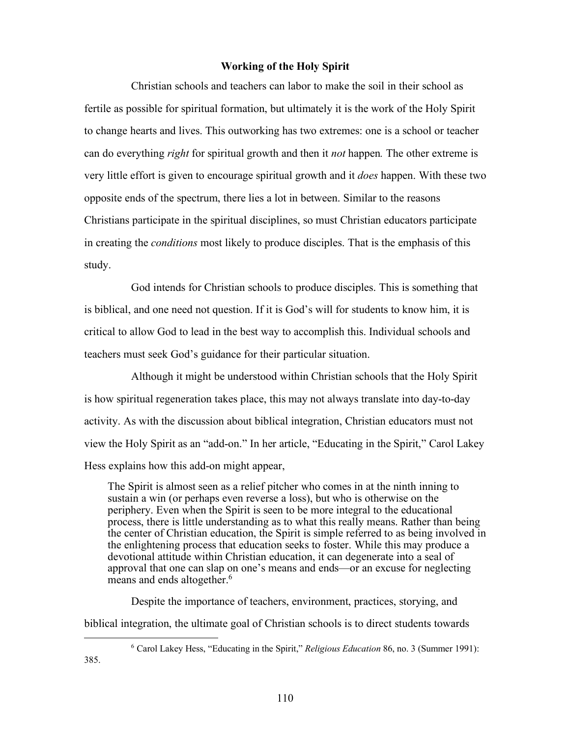## **Working of the Holy Spirit**

Christian schools and teachers can labor to make the soil in their school as fertile as possible for spiritual formation, but ultimately it is the work of the Holy Spirit to change hearts and lives. This outworking has two extremes: one is a school or teacher can do everything *right* for spiritual growth and then it *not* happen*.* The other extreme is very little effort is given to encourage spiritual growth and it *does* happen. With these two opposite ends of the spectrum, there lies a lot in between. Similar to the reasons Christians participate in the spiritual disciplines, so must Christian educators participate in creating the *conditions* most likely to produce disciples. That is the emphasis of this study.

God intends for Christian schools to produce disciples. This is something that is biblical, and one need not question. If it is God's will for students to know him, it is critical to allow God to lead in the best way to accomplish this. Individual schools and teachers must seek God's guidance for their particular situation.

Although it might be understood within Christian schools that the Holy Spirit is how spiritual regeneration takes place, this may not always translate into day-to-day activity. As with the discussion about biblical integration, Christian educators must not view the Holy Spirit as an "add-on." In her article, "Educating in the Spirit," Carol Lakey Hess explains how this add-on might appear,

The Spirit is almost seen as a relief pitcher who comes in at the ninth inning to sustain a win (or perhaps even reverse a loss), but who is otherwise on the periphery. Even when the Spirit is seen to be more integral to the educational process, there is little understanding as to what this really means. Rather than being the center of Christian education, the Spirit is simple referred to as being involved in the enlightening process that education seeks to foster. While this may produce a devotional attitude within Christian education, it can degenerate into a seal of approval that one can slap on one's means and ends—or an excuse for neglecting means and ends altogether.<sup>6</sup>

Despite the importance of teachers, environment, practices, storying, and biblical integration, the ultimate goal of Christian schools is to direct students towards

 <sup>6</sup> Carol Lakey Hess, "Educating in the Spirit," *Religious Education* 86, no. 3 (Summer 1991): 385.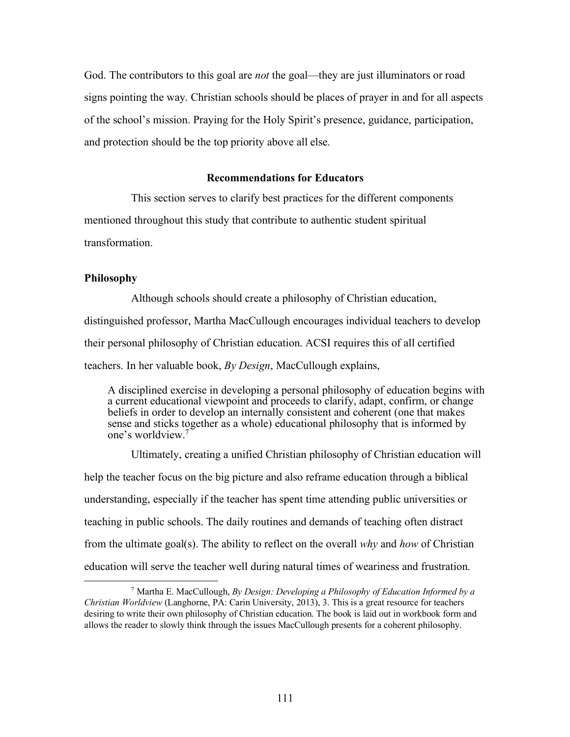God. The contributors to this goal are *not* the goal—they are just illuminators or road signs pointing the way. Christian schools should be places of prayer in and for all aspects of the school's mission. Praying for the Holy Spirit's presence, guidance, participation, and protection should be the top priority above all else.

#### **Recommendations for Educators**

This section serves to clarify best practices for the different components

mentioned throughout this study that contribute to authentic student spiritual

transformation.

## **Philosophy**

Although schools should create a philosophy of Christian education, distinguished professor, Martha MacCullough encourages individual teachers to develop their personal philosophy of Christian education. ACSI requires this of all certified teachers. In her valuable book, *By Design*, MacCullough explains,

A disciplined exercise in developing a personal philosophy of education begins with a current educational viewpoint and proceeds to clarify, adapt, confirm, or change beliefs in order to develop an internally consistent and coherent (one that makes sense and sticks together as a whole) educational philosophy that is informed by one's worldview.7

Ultimately, creating a unified Christian philosophy of Christian education will help the teacher focus on the big picture and also reframe education through a biblical understanding, especially if the teacher has spent time attending public universities or teaching in public schools. The daily routines and demands of teaching often distract from the ultimate goal(s). The ability to reflect on the overall *why* and *how* of Christian education will serve the teacher well during natural times of weariness and frustration.

 <sup>7</sup> Martha E. MacCullough, *By Design: Developing a Philosophy of Education Informed by a Christian Worldview* (Langhorne, PA: Carin University, 2013), 3. This is a great resource for teachers desiring to write their own philosophy of Christian education. The book is laid out in workbook form and allows the reader to slowly think through the issues MacCullough presents for a coherent philosophy.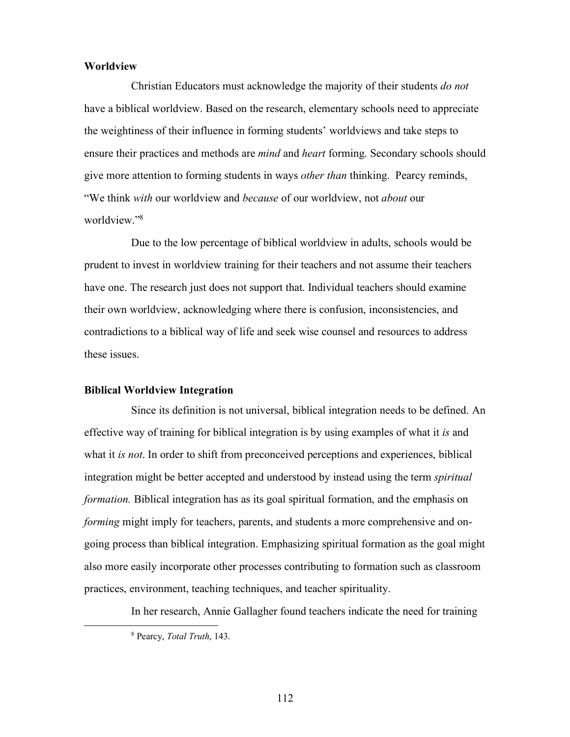#### **Worldview**

Christian Educators must acknowledge the majority of their students *do not* have a biblical worldview. Based on the research, elementary schools need to appreciate the weightiness of their influence in forming students' worldviews and take steps to ensure their practices and methods are *mind* and *heart* forming. Secondary schools should give more attention to forming students in ways *other than* thinking. Pearcy reminds, "We think *with* our worldview and *because* of our worldview, not *about* our worldview."8

Due to the low percentage of biblical worldview in adults, schools would be prudent to invest in worldview training for their teachers and not assume their teachers have one. The research just does not support that. Individual teachers should examine their own worldview, acknowledging where there is confusion, inconsistencies, and contradictions to a biblical way of life and seek wise counsel and resources to address these issues.

# **Biblical Worldview Integration**

Since its definition is not universal, biblical integration needs to be defined. An effective way of training for biblical integration is by using examples of what it *is* and what it *is not*. In order to shift from preconceived perceptions and experiences, biblical integration might be better accepted and understood by instead using the term *spiritual formation.* Biblical integration has as its goal spiritual formation, and the emphasis on *forming* might imply for teachers, parents, and students a more comprehensive and ongoing process than biblical integration. Emphasizing spiritual formation as the goal might also more easily incorporate other processes contributing to formation such as classroom practices, environment, teaching techniques, and teacher spirituality.

In her research, Annie Gallagher found teachers indicate the need for training

 <sup>8</sup> Pearcy, *Total Truth*, 143.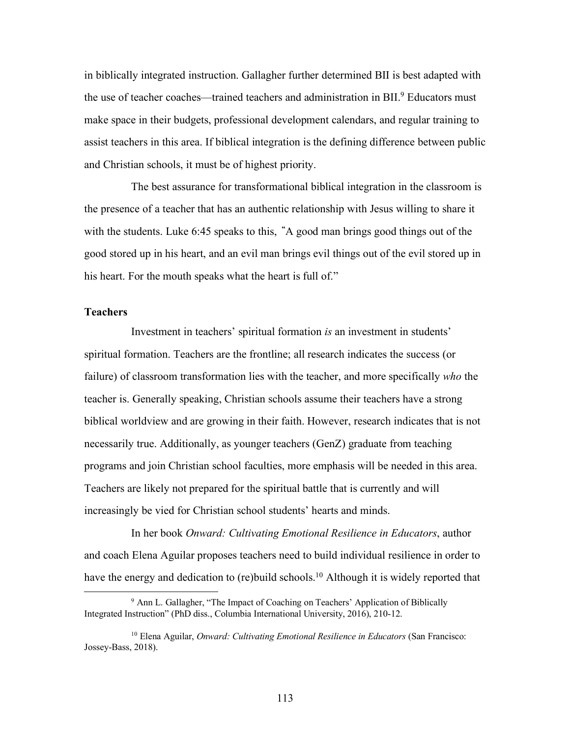in biblically integrated instruction. Gallagher further determined BII is best adapted with the use of teacher coaches—trained teachers and administration in BII.<sup>9</sup> Educators must make space in their budgets, professional development calendars, and regular training to assist teachers in this area. If biblical integration is the defining difference between public and Christian schools, it must be of highest priority.

The best assurance for transformational biblical integration in the classroom is the presence of a teacher that has an authentic relationship with Jesus willing to share it with the students. Luke 6:45 speaks to this, **"**A good man brings good things out of the good stored up in his heart, and an evil man brings evil things out of the evil stored up in his heart. For the mouth speaks what the heart is full of."

## **Teachers**

Investment in teachers' spiritual formation *is* an investment in students' spiritual formation. Teachers are the frontline; all research indicates the success (or failure) of classroom transformation lies with the teacher, and more specifically *who* the teacher is. Generally speaking, Christian schools assume their teachers have a strong biblical worldview and are growing in their faith. However, research indicates that is not necessarily true. Additionally, as younger teachers (GenZ) graduate from teaching programs and join Christian school faculties, more emphasis will be needed in this area. Teachers are likely not prepared for the spiritual battle that is currently and will increasingly be vied for Christian school students' hearts and minds.

In her book *Onward: Cultivating Emotional Resilience in Educators*, author and coach Elena Aguilar proposes teachers need to build individual resilience in order to have the energy and dedication to (re)build schools.<sup>10</sup> Although it is widely reported that

<sup>&</sup>lt;sup>9</sup> Ann L. Gallagher, "The Impact of Coaching on Teachers' Application of Biblically Integrated Instruction" (PhD diss., Columbia International University, 2016), 210-12.

<sup>10</sup> Elena Aguilar, *Onward: Cultivating Emotional Resilience in Educators* (San Francisco: Jossey-Bass, 2018).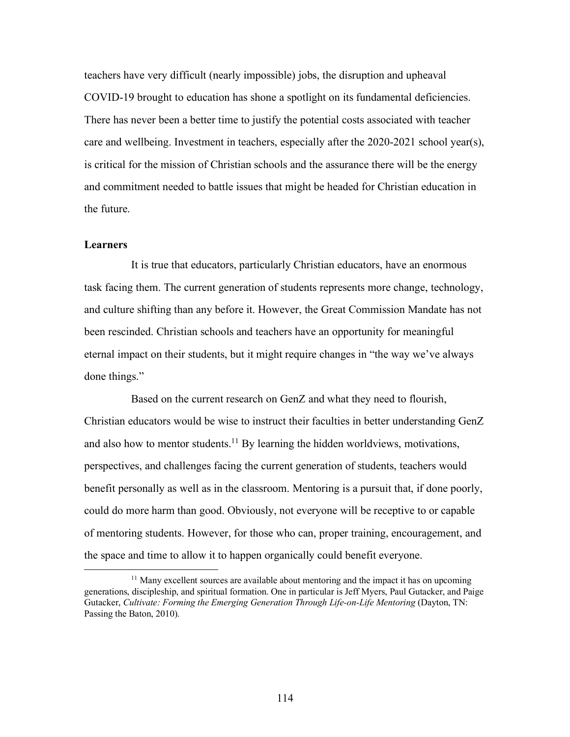teachers have very difficult (nearly impossible) jobs, the disruption and upheaval COVID-19 brought to education has shone a spotlight on its fundamental deficiencies. There has never been a better time to justify the potential costs associated with teacher care and wellbeing. Investment in teachers, especially after the 2020-2021 school year(s), is critical for the mission of Christian schools and the assurance there will be the energy and commitment needed to battle issues that might be headed for Christian education in the future.

## **Learners**

It is true that educators, particularly Christian educators, have an enormous task facing them. The current generation of students represents more change, technology, and culture shifting than any before it. However, the Great Commission Mandate has not been rescinded. Christian schools and teachers have an opportunity for meaningful eternal impact on their students, but it might require changes in "the way we've always done things."

Based on the current research on GenZ and what they need to flourish, Christian educators would be wise to instruct their faculties in better understanding GenZ and also how to mentor students.<sup>11</sup> By learning the hidden worldviews, motivations, perspectives, and challenges facing the current generation of students, teachers would benefit personally as well as in the classroom. Mentoring is a pursuit that, if done poorly, could do more harm than good. Obviously, not everyone will be receptive to or capable of mentoring students. However, for those who can, proper training, encouragement, and the space and time to allow it to happen organically could benefit everyone.

<sup>&</sup>lt;sup>11</sup> Many excellent sources are available about mentoring and the impact it has on upcoming generations, discipleship, and spiritual formation. One in particular is Jeff Myers, Paul Gutacker, and Paige Gutacker, *Cultivate: Forming the Emerging Generation Through Life-on-Life Mentoring* (Dayton, TN: Passing the Baton, 2010).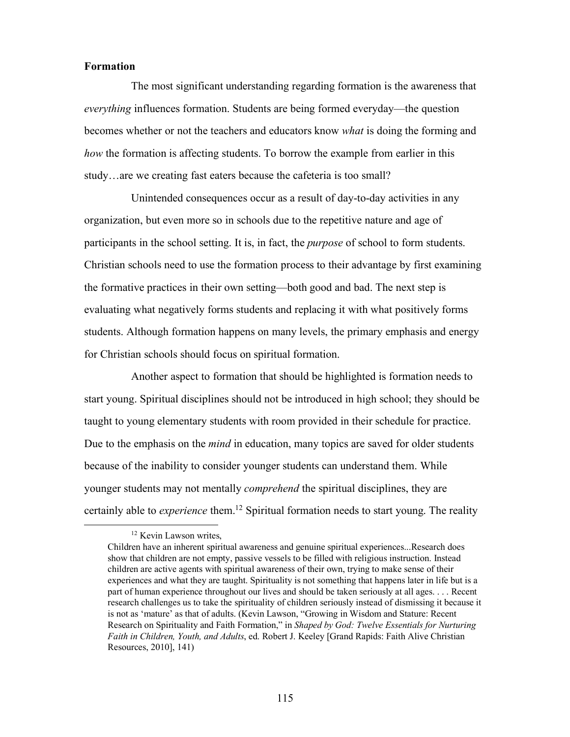## **Formation**

The most significant understanding regarding formation is the awareness that *everything* influences formation. Students are being formed everyday—the question becomes whether or not the teachers and educators know *what* is doing the forming and *how* the formation is affecting students. To borrow the example from earlier in this study…are we creating fast eaters because the cafeteria is too small?

Unintended consequences occur as a result of day-to-day activities in any organization, but even more so in schools due to the repetitive nature and age of participants in the school setting. It is, in fact, the *purpose* of school to form students. Christian schools need to use the formation process to their advantage by first examining the formative practices in their own setting—both good and bad. The next step is evaluating what negatively forms students and replacing it with what positively forms students. Although formation happens on many levels, the primary emphasis and energy for Christian schools should focus on spiritual formation.

Another aspect to formation that should be highlighted is formation needs to start young. Spiritual disciplines should not be introduced in high school; they should be taught to young elementary students with room provided in their schedule for practice. Due to the emphasis on the *mind* in education, many topics are saved for older students because of the inability to consider younger students can understand them. While younger students may not mentally *comprehend* the spiritual disciplines, they are certainly able to *experience* them.<sup>12</sup> Spiritual formation needs to start young. The reality

<sup>&</sup>lt;sup>12</sup> Kevin Lawson writes,

Children have an inherent spiritual awareness and genuine spiritual experiences...Research does show that children are not empty, passive vessels to be filled with religious instruction. Instead children are active agents with spiritual awareness of their own, trying to make sense of their experiences and what they are taught. Spirituality is not something that happens later in life but is a part of human experience throughout our lives and should be taken seriously at all ages. . . . Recent research challenges us to take the spirituality of children seriously instead of dismissing it because it is not as 'mature' as that of adults. (Kevin Lawson, "Growing in Wisdom and Stature: Recent Research on Spirituality and Faith Formation," in *Shaped by God: Twelve Essentials for Nurturing Faith in Children, Youth, and Adults*, ed. Robert J. Keeley [Grand Rapids: Faith Alive Christian Resources, 2010], 141)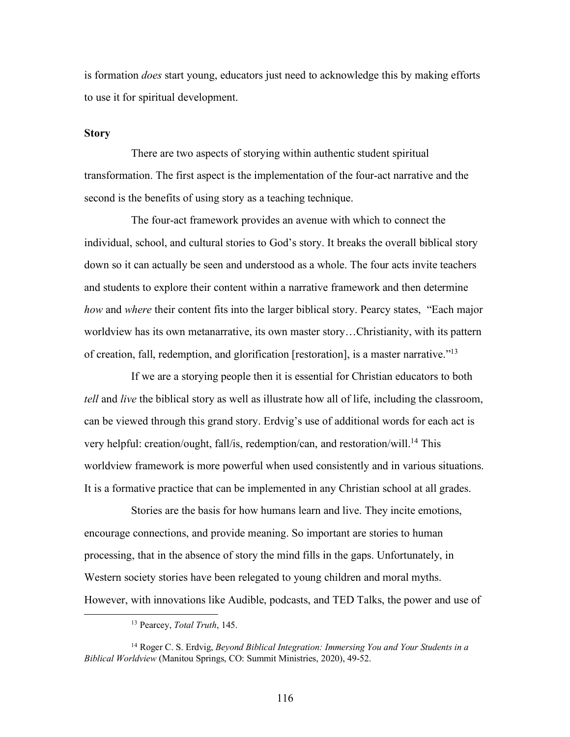is formation *does* start young, educators just need to acknowledge this by making efforts to use it for spiritual development.

## **Story**

There are two aspects of storying within authentic student spiritual transformation. The first aspect is the implementation of the four-act narrative and the second is the benefits of using story as a teaching technique.

The four-act framework provides an avenue with which to connect the individual, school, and cultural stories to God's story. It breaks the overall biblical story down so it can actually be seen and understood as a whole. The four acts invite teachers and students to explore their content within a narrative framework and then determine *how* and *where* their content fits into the larger biblical story. Pearcy states, "Each major worldview has its own metanarrative, its own master story…Christianity, with its pattern of creation, fall, redemption, and glorification [restoration], is a master narrative."13

If we are a storying people then it is essential for Christian educators to both *tell* and *live* the biblical story as well as illustrate how all of life, including the classroom, can be viewed through this grand story. Erdvig's use of additional words for each act is very helpful: creation/ought, fall/is, redemption/can, and restoration/will.<sup>14</sup> This worldview framework is more powerful when used consistently and in various situations. It is a formative practice that can be implemented in any Christian school at all grades.

Stories are the basis for how humans learn and live. They incite emotions, encourage connections, and provide meaning. So important are stories to human processing, that in the absence of story the mind fills in the gaps. Unfortunately, in Western society stories have been relegated to young children and moral myths. However, with innovations like Audible, podcasts, and TED Talks, the power and use of

 <sup>13</sup> Pearcey, *Total Truth*, 145.

<sup>14</sup> Roger C. S. Erdvig, *Beyond Biblical Integration: Immersing You and Your Students in a Biblical Worldview* (Manitou Springs, CO: Summit Ministries, 2020), 49-52.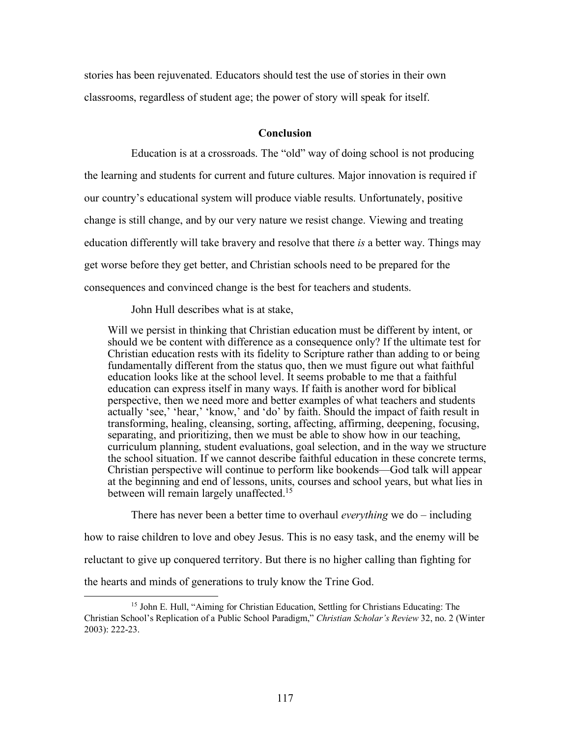stories has been rejuvenated. Educators should test the use of stories in their own classrooms, regardless of student age; the power of story will speak for itself.

# **Conclusion**

Education is at a crossroads. The "old" way of doing school is not producing the learning and students for current and future cultures. Major innovation is required if our country's educational system will produce viable results. Unfortunately, positive change is still change, and by our very nature we resist change. Viewing and treating education differently will take bravery and resolve that there *is* a better way. Things may get worse before they get better, and Christian schools need to be prepared for the consequences and convinced change is the best for teachers and students.

John Hull describes what is at stake,

Will we persist in thinking that Christian education must be different by intent, or should we be content with difference as a consequence only? If the ultimate test for Christian education rests with its fidelity to Scripture rather than adding to or being fundamentally different from the status quo, then we must figure out what faithful education looks like at the school level. It seems probable to me that a faithful education can express itself in many ways. If faith is another word for biblical perspective, then we need more and better examples of what teachers and students actually 'see,' 'hear,' 'know,' and 'do' by faith. Should the impact of faith result in transforming, healing, cleansing, sorting, affecting, affirming, deepening, focusing, separating, and prioritizing, then we must be able to show how in our teaching, curriculum planning, student evaluations, goal selection, and in the way we structure the school situation. If we cannot describe faithful education in these concrete terms, Christian perspective will continue to perform like bookends—God talk will appear at the beginning and end of lessons, units, courses and school years, but what lies in between will remain largely unaffected.<sup>15</sup>

There has never been a better time to overhaul *everything* we do – including how to raise children to love and obey Jesus. This is no easy task, and the enemy will be reluctant to give up conquered territory. But there is no higher calling than fighting for the hearts and minds of generations to truly know the Trine God.

 <sup>15</sup> John E. Hull, "Aiming for Christian Education, Settling for Christians Educating: The Christian School's Replication of a Public School Paradigm," *Christian Scholar's Review* 32, no. 2 (Winter 2003): 222-23.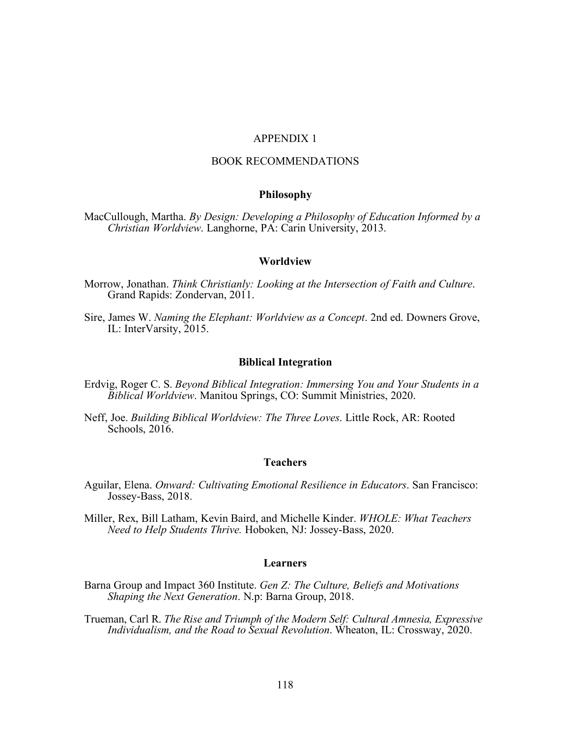## APPENDIX 1

## BOOK RECOMMENDATIONS

## **Philosophy**

MacCullough, Martha. *By Design: Developing a Philosophy of Education Informed by a Christian Worldview*. Langhorne, PA: Carin University, 2013.

#### **Worldview**

- Morrow, Jonathan. *Think Christianly: Looking at the Intersection of Faith and Culture*. Grand Rapids: Zondervan, 2011.
- Sire, James W. *Naming the Elephant: Worldview as a Concept*. 2nd ed. Downers Grove, IL: InterVarsity, 2015.

#### **Biblical Integration**

- Erdvig, Roger C. S. *Beyond Biblical Integration: Immersing You and Your Students in a Biblical Worldview*. Manitou Springs, CO: Summit Ministries, 2020.
- Neff, Joe. *Building Biblical Worldview: The Three Loves*. Little Rock, AR: Rooted Schools, 2016.

#### **Teachers**

- Aguilar, Elena. *Onward: Cultivating Emotional Resilience in Educators*. San Francisco: Jossey-Bass, 2018.
- Miller, Rex, Bill Latham, Kevin Baird, and Michelle Kinder. *WHOLE: What Teachers Need to Help Students Thrive.* Hoboken, NJ: Jossey-Bass, 2020.

#### **Learners**

- Barna Group and Impact 360 Institute. *Gen Z: The Culture, Beliefs and Motivations Shaping the Next Generation*. N.p: Barna Group, 2018.
- Trueman, Carl R. *The Rise and Triumph of the Modern Self: Cultural Amnesia, Expressive Individualism, and the Road to Sexual Revolution*. Wheaton, IL: Crossway, 2020.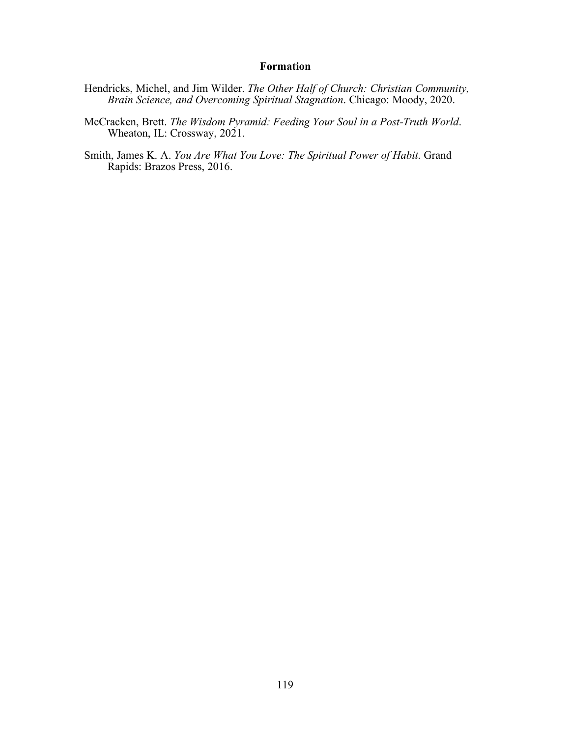# **Formation**

- Hendricks, Michel, and Jim Wilder. *The Other Half of Church: Christian Community, Brain Science, and Overcoming Spiritual Stagnation*. Chicago: Moody, 2020.
- McCracken, Brett. *The Wisdom Pyramid: Feeding Your Soul in a Post-Truth World*. Wheaton, IL: Crossway, 2021.
- Smith, James K. A. *You Are What You Love: The Spiritual Power of Habit*. Grand Rapids: Brazos Press, 2016.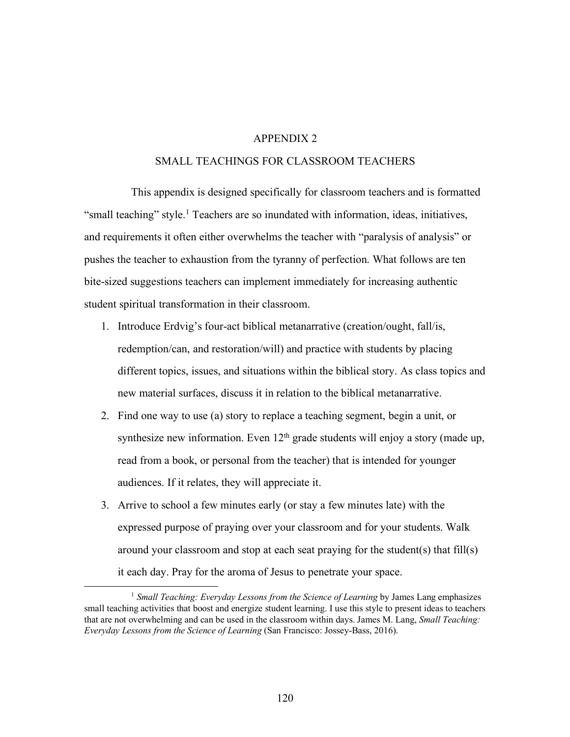# APPENDIX 2

## SMALL TEACHINGS FOR CLASSROOM TEACHERS

This appendix is designed specifically for classroom teachers and is formatted "small teaching" style.<sup>1</sup> Teachers are so inundated with information, ideas, initiatives, and requirements it often either overwhelms the teacher with "paralysis of analysis" or pushes the teacher to exhaustion from the tyranny of perfection. What follows are ten bite-sized suggestions teachers can implement immediately for increasing authentic student spiritual transformation in their classroom.

- 1. Introduce Erdvig's four-act biblical metanarrative (creation/ought, fall/is, redemption/can, and restoration/will) and practice with students by placing different topics, issues, and situations within the biblical story. As class topics and new material surfaces, discuss it in relation to the biblical metanarrative.
- 2. Find one way to use (a) story to replace a teaching segment, begin a unit, or synthesize new information. Even  $12<sup>th</sup>$  grade students will enjoy a story (made up, read from a book, or personal from the teacher) that is intended for younger audiences. If it relates, they will appreciate it.
- 3. Arrive to school a few minutes early (or stay a few minutes late) with the expressed purpose of praying over your classroom and for your students. Walk around your classroom and stop at each seat praying for the student(s) that fill(s) it each day. Pray for the aroma of Jesus to penetrate your space.

<sup>&</sup>lt;sup>1</sup> *Small Teaching: Everyday Lessons from the Science of Learning* by James Lang emphasizes small teaching activities that boost and energize student learning. I use this style to present ideas to teachers that are not overwhelming and can be used in the classroom within days. James M. Lang, *Small Teaching: Everyday Lessons from the Science of Learning* (San Francisco: Jossey-Bass, 2016).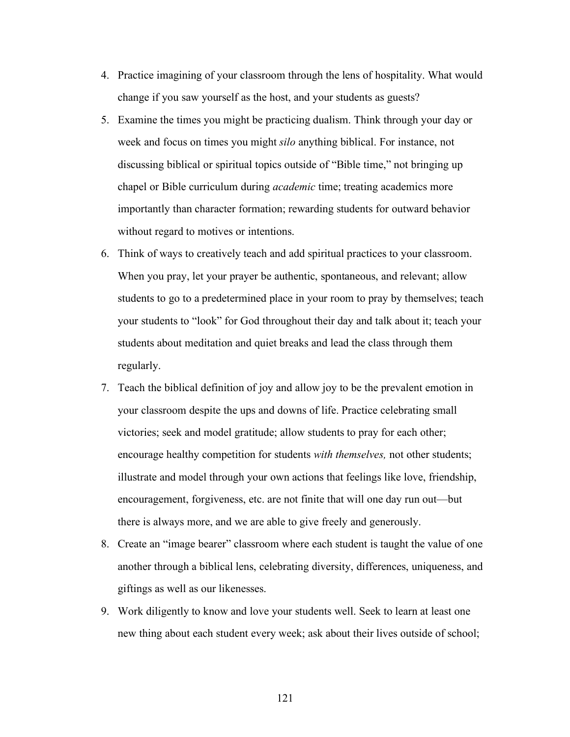- 4. Practice imagining of your classroom through the lens of hospitality. What would change if you saw yourself as the host, and your students as guests?
- 5. Examine the times you might be practicing dualism. Think through your day or week and focus on times you might *silo* anything biblical. For instance, not discussing biblical or spiritual topics outside of "Bible time," not bringing up chapel or Bible curriculum during *academic* time; treating academics more importantly than character formation; rewarding students for outward behavior without regard to motives or intentions.
- 6. Think of ways to creatively teach and add spiritual practices to your classroom. When you pray, let your prayer be authentic, spontaneous, and relevant; allow students to go to a predetermined place in your room to pray by themselves; teach your students to "look" for God throughout their day and talk about it; teach your students about meditation and quiet breaks and lead the class through them regularly.
- 7. Teach the biblical definition of joy and allow joy to be the prevalent emotion in your classroom despite the ups and downs of life. Practice celebrating small victories; seek and model gratitude; allow students to pray for each other; encourage healthy competition for students *with themselves,* not other students; illustrate and model through your own actions that feelings like love, friendship, encouragement, forgiveness, etc. are not finite that will one day run out—but there is always more, and we are able to give freely and generously.
- 8. Create an "image bearer" classroom where each student is taught the value of one another through a biblical lens, celebrating diversity, differences, uniqueness, and giftings as well as our likenesses.
- 9. Work diligently to know and love your students well. Seek to learn at least one new thing about each student every week; ask about their lives outside of school;

121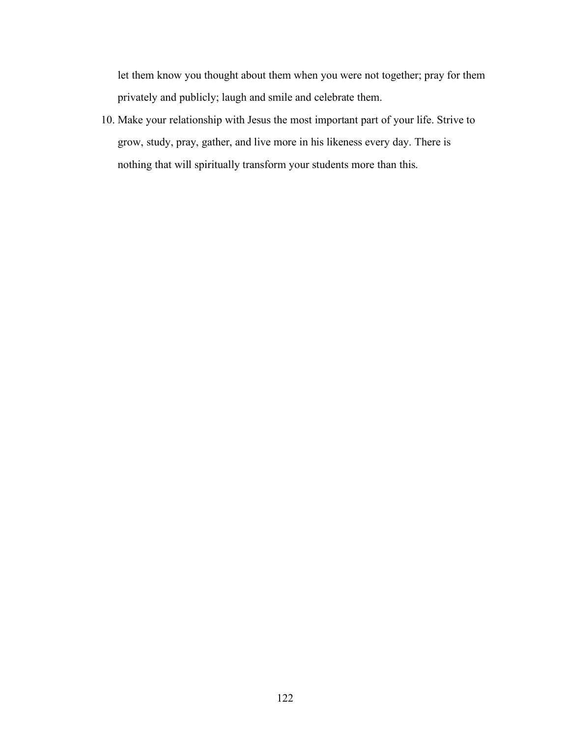let them know you thought about them when you were not together; pray for them privately and publicly; laugh and smile and celebrate them.

10. Make your relationship with Jesus the most important part of your life. Strive to grow, study, pray, gather, and live more in his likeness every day. There is nothing that will spiritually transform your students more than this.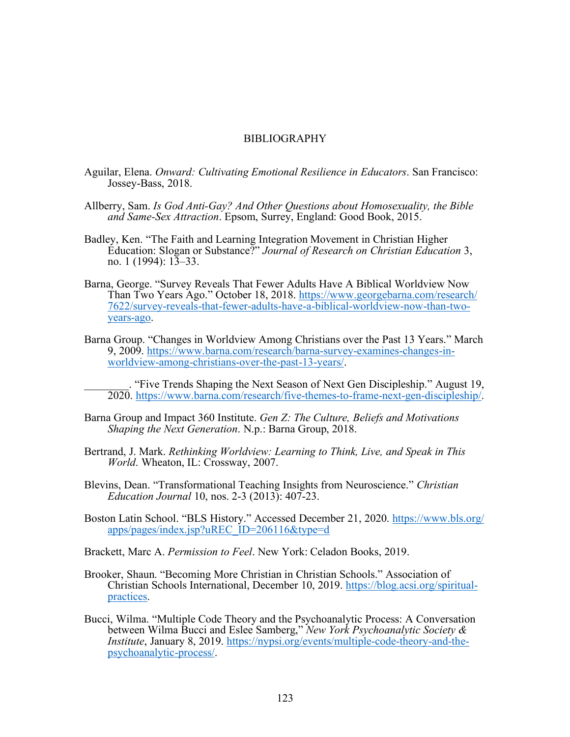#### BIBLIOGRAPHY

- Aguilar, Elena. *Onward: Cultivating Emotional Resilience in Educators*. San Francisco: Jossey-Bass, 2018.
- Allberry, Sam. *Is God Anti-Gay? And Other Questions about Homosexuality, the Bible and Same-Sex Attraction*. Epsom, Surrey, England: Good Book, 2015.
- Badley, Ken. "The Faith and Learning Integration Movement in Christian Higher Education: Slogan or Substance?" *Journal of Research on Christian Education* 3, no. 1 (1994):  $13-33$ .
- Barna, George. "Survey Reveals That Fewer Adults Have A Biblical Worldview Now Than Two Years Ago." October 18, 2018. https://www.georgebarna.com/research/ 7622/survey-reveals-that-fewer-adults-have-a-biblical-worldview-now-than-twoyears-ago.
- Barna Group. "Changes in Worldview Among Christians over the Past 13 Years." March 9, 2009. https://www.barna.com/research/barna-survey-examines-changes-inworldview-among-christians-over-the-past-13-years/.

\_\_\_\_\_\_\_\_. "Five Trends Shaping the Next Season of Next Gen Discipleship." August 19, 2020. https://www.barna.com/research/five-themes-to-frame-next-gen-discipleship/.

- Barna Group and Impact 360 Institute. *Gen Z: The Culture, Beliefs and Motivations Shaping the Next Generation*. N.p.: Barna Group, 2018.
- Bertrand, J. Mark. *Rethinking Worldview: Learning to Think, Live, and Speak in This World*. Wheaton, IL: Crossway, 2007.
- Blevins, Dean. "Transformational Teaching Insights from Neuroscience." *Christian Education Journal* 10, nos. 2-3 (2013): 407-23.
- Boston Latin School. "BLS History." Accessed December 21, 2020. https://www.bls.org/ apps/pages/index.jsp?uREC\_ID=206116&type=d
- Brackett, Marc A. *Permission to Feel*. New York: Celadon Books, 2019.
- Brooker, Shaun. "Becoming More Christian in Christian Schools." Association of Christian Schools International, December 10, 2019. https://blog.acsi.org/spiritual-<br>practices.
- Bucci, Wilma. "Multiple Code Theory and the Psychoanalytic Process: A Conversation between Wilma Bucci and Eslee Samberg," *New York Psychoanalytic Society & Institute*, January 8, 2019. https://nypsi.org/events/multiple-code-theory-and-the-<br>psychoanalytic-process/.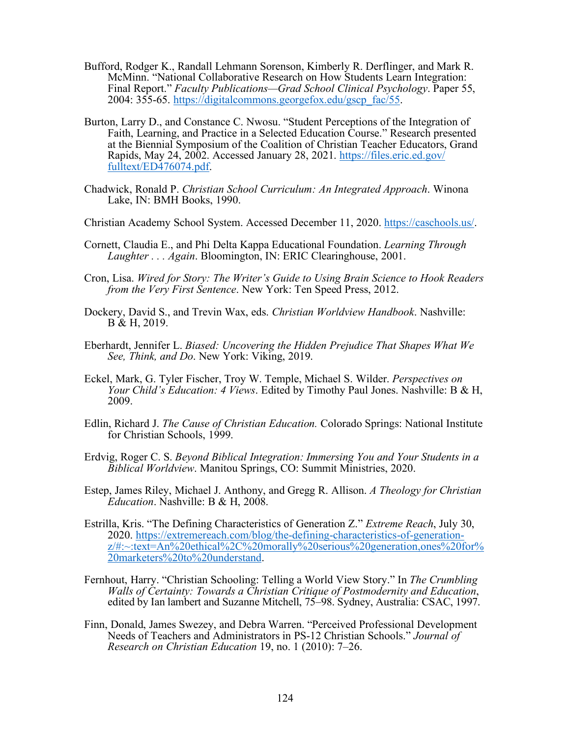- Bufford, Rodger K., Randall Lehmann Sorenson, Kimberly R. Derflinger, and Mark R. McMinn. "National Collaborative Research on How Students Learn Integration: Final Report." *Faculty Publications—Grad School Clinical Psychology*. Paper 55, 2004: 355-65. https://digitalcommons.georgefox.edu/gscp\_fac/55.
- Burton, Larry D., and Constance C. Nwosu. "Student Perceptions of the Integration of Faith, Learning, and Practice in a Selected Education Course." Research presented at the Biennial Symposium of the Coalition of Christian Teacher Educators, Grand Rapids, May 24, 2002. Accessed January 28, 2021. https://files.eric.ed.gov/ fulltext/ED476074.pdf.
- Chadwick, Ronald P. *Christian School Curriculum: An Integrated Approach*. Winona Lake, IN: BMH Books, 1990.
- Christian Academy School System. Accessed December 11, 2020. https://caschools.us/.
- Cornett, Claudia E., and Phi Delta Kappa Educational Foundation. *Learning Through Laughter . . . Again*. Bloomington, IN: ERIC Clearinghouse, 2001.
- Cron, Lisa. *Wired for Story: The Writer's Guide to Using Brain Science to Hook Readers from the Very First Sentence*. New York: Ten Speed Press, 2012.
- Dockery, David S., and Trevin Wax, eds. *Christian Worldview Handbook*. Nashville: B & H, 2019.
- Eberhardt, Jennifer L. *Biased: Uncovering the Hidden Prejudice That Shapes What We See, Think, and Do*. New York: Viking, 2019.
- Eckel, Mark, G. Tyler Fischer, Troy W. Temple, Michael S. Wilder. *Perspectives on Your Child's Education: 4 Views*. Edited by Timothy Paul Jones. Nashville: B & H, 2009.
- Edlin, Richard J. *The Cause of Christian Education.* Colorado Springs: National Institute for Christian Schools, 1999.
- Erdvig, Roger C. S. *Beyond Biblical Integration: Immersing You and Your Students in a Biblical Worldview*. Manitou Springs, CO: Summit Ministries, 2020.
- Estep, James Riley, Michael J. Anthony, and Gregg R. Allison. *A Theology for Christian Education*. Nashville: B & H, 2008.
- Estrilla, Kris. "The Defining Characteristics of Generation Z." *Extreme Reach*, July 30,  $z/\nmid\!\!\pm\!\!\sim$ :text=An%20ethical%2C%20morally%20serious%20generation,ones%20for% 20marketers%20to%20understand.
- Fernhout, Harry. "Christian Schooling: Telling a World View Story." In *The Crumbling edited by Ian lambert and Suzanne Mitchell, 75–98. Sydney, Australia: CSAC, 1997.*
- Finn, Donald, James Swezey, and Debra Warren. "Perceived Professional Development Needs of Teachers and Administrators in PS-12 Christian Schools." *Journal of Research on Christian Education* 19, no. 1 (2010): 7–26.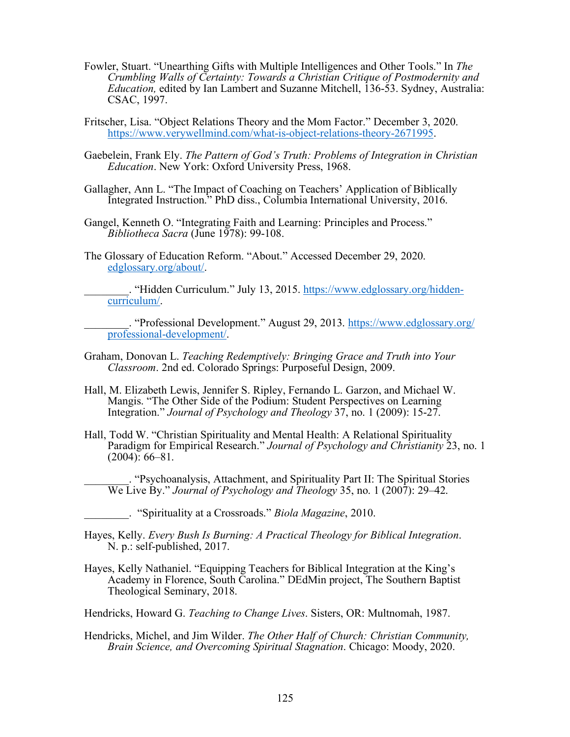- Fowler, Stuart. "Unearthing Gifts with Multiple Intelligences and Other Tools." In *The Crumbling Walls of Certainty: Towards a Christian Critique of Postmodernity and Education,* edited by Ian Lambert and Suzanne Mitchell, 136-53. Sydney, Australia: CSAC, 1997.
- Fritscher, Lisa. "Object Relations Theory and the Mom Factor." December 3, 2020. https://www.verywellmind.com/what-is-object-relations-theory-2671995.
- Gaebelein, Frank Ely. *The Pattern of God's Truth: Problems of Integration in Christian Education*. New York: Oxford University Press, 1968.
- Gallagher, Ann L. "The Impact of Coaching on Teachers' Application of Biblically Integrated Instruction." PhD diss., Columbia International University, 2016.
- Gangel, Kenneth O. "Integrating Faith and Learning: Principles and Process." *Bibliotheca Sacra* (June 1978): 99-108.
- The Glossary of Education Reform. "About." Accessed December 29, 2020. edglossary.org/about/.

\_\_\_\_\_\_\_\_. "Hidden Curriculum." July 13, 2015. https://www.edglossary.org/hiddencurriculum/.

\_\_\_\_\_\_\_\_. "Professional Development." August 29, 2013. https://www.edglossary.org/ professional-development/.

- Graham, Donovan L. *Teaching Redemptively: Bringing Grace and Truth into Your Classroom*. 2nd ed. Colorado Springs: Purposeful Design, 2009.
- Hall, M. Elizabeth Lewis, Jennifer S. Ripley, Fernando L. Garzon, and Michael W. Mangis. "The Other Side of the Podium: Student Perspectives on Learning Integration." *Journal of Psychology and Theology* 37, no. 1 (2009): 15-27.
- Hall, Todd W. "Christian Spirituality and Mental Health: A Relational Spirituality Paradigm for Empirical Research." *Journal of Psychology and Christianity* 23, no. 1  $(2004): 66-81.$

\_\_\_\_\_\_\_\_. "Psychoanalysis, Attachment, and Spirituality Part II: The Spiritual Stories We Live By." *Journal of Psychology and Theology* 35, no. 1 (2007): 29–42.

- Hayes, Kelly. *Every Bush Is Burning: A Practical Theology for Biblical Integration*. N. p.: self-published, 2017.
- Hayes, Kelly Nathaniel. "Equipping Teachers for Biblical Integration at the King's Academy in Florence, South Carolina." DEdMin project, The Southern Baptist Theological Seminary, 2018.

Hendricks, Howard G. *Teaching to Change Lives*. Sisters, OR: Multnomah, 1987.

Hendricks, Michel, and Jim Wilder. *The Other Half of Church: Christian Community, Brain Science, and Overcoming Spiritual Stagnation*. Chicago: Moody, 2020.

\_\_\_\_\_\_\_\_. "Spirituality at a Crossroads." *Biola Magazine*, 2010.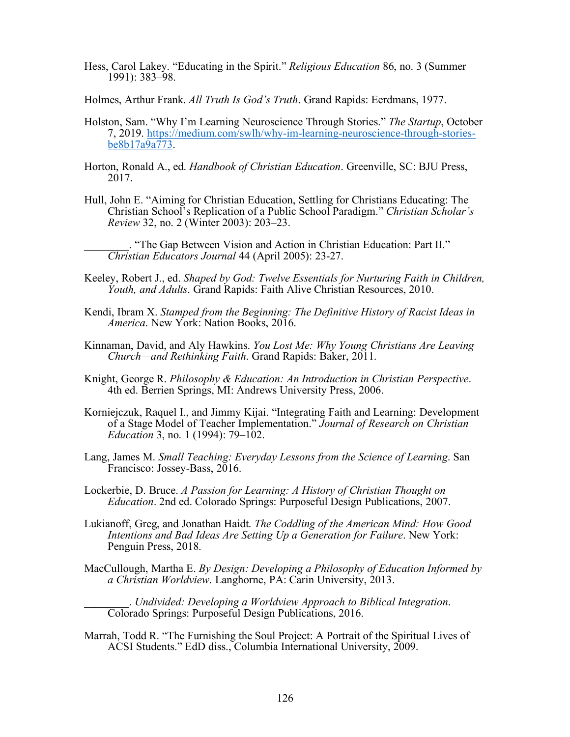- Hess, Carol Lakey. "Educating in the Spirit." *Religious Education* 86, no. 3 (Summer 1991): 383–98.
- Holmes, Arthur Frank. *All Truth Is God's Truth*. Grand Rapids: Eerdmans, 1977.
- Holston, Sam. "Why I'm Learning Neuroscience Through Stories." *The Startup*, October 7, 2019. https://medium.com/swlh/why-im-learning-neuroscience-through-storiesbe8b17a9a773.
- Horton, Ronald A., ed. *Handbook of Christian Education*. Greenville, SC: BJU Press, 2017.
- Hull, John E. "Aiming for Christian Education, Settling for Christians Educating: The Christian School's Replication of a Public School Paradigm." *Christian Scholar's Review* 32, no. 2 (Winter 2003): 203–23.

\_\_\_\_\_\_\_\_. "The Gap Between Vision and Action in Christian Education: Part II." *Christian Educators Journal* 44 (April 2005): 23-27.

- Keeley, Robert J., ed. *Shaped by God: Twelve Essentials for Nurturing Faith in Children, Youth, and Adults*. Grand Rapids: Faith Alive Christian Resources, 2010.
- Kendi, Ibram X. *Stamped from the Beginning: The Definitive History of Racist Ideas in America*. New York: Nation Books, 2016.
- Kinnaman, David, and Aly Hawkins. *You Lost Me: Why Young Christians Are Leaving Church—and Rethinking Faith*. Grand Rapids: Baker, 2011.
- Knight, George R. *Philosophy & Education: An Introduction in Christian Perspective*. 4th ed. Berrien Springs, MI: Andrews University Press, 2006.
- Korniejczuk, Raquel I., and Jimmy Kijai. "Integrating Faith and Learning: Development of a Stage Model of Teacher Implementation." *Journal of Research on Christian Education* 3, no. 1 (1994): 79–102.
- Lang, James M. *Small Teaching: Everyday Lessons from the Science of Learning*. San Francisco: Jossey-Bass, 2016.

Lockerbie, D. Bruce. *A Passion for Learning: A History of Christian Thought on Education*. 2nd ed. Colorado Springs: Purposeful Design Publications, 2007.

- Lukianoff, Greg, and Jonathan Haidt. *The Coddling of the American Mind: How Good Intentions and Bad Ideas Are Setting Up a Generation for Failure*. New York: Penguin Press, 2018.
- MacCullough, Martha E. *By Design: Developing a Philosophy of Education Informed by a Christian Worldview*. Langhorne, PA: Carin University, 2013.

\_\_\_\_\_\_\_\_. *Undivided: Developing a Worldview Approach to Biblical Integration*. Colorado Springs: Purposeful Design Publications, 2016.

Marrah, Todd R. "The Furnishing the Soul Project: A Portrait of the Spiritual Lives of ACSI Students." EdD diss., Columbia International University, 2009.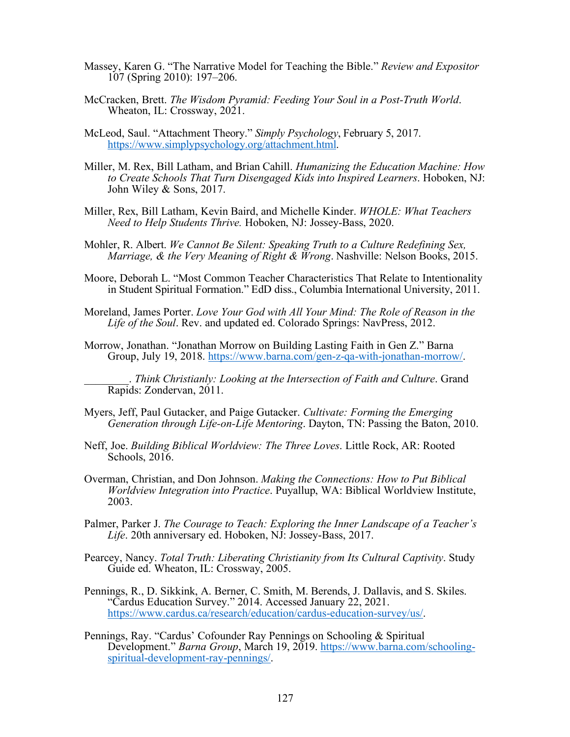- Massey, Karen G. "The Narrative Model for Teaching the Bible." *Review and Expositor* 107 (Spring 2010): 197–206.
- McCracken, Brett. *The Wisdom Pyramid: Feeding Your Soul in a Post-Truth World*. Wheaton, IL: Crossway, 2021.
- McLeod, Saul. "Attachment Theory." *Simply Psychology*, February 5, 2017. https://www.simplypsychology.org/attachment.html.
- Miller, M. Rex, Bill Latham, and Brian Cahill. *Humanizing the Education Machine: How to Create Schools That Turn Disengaged Kids into Inspired Learners*. Hoboken, NJ: John Wiley & Sons, 2017.
- Miller, Rex, Bill Latham, Kevin Baird, and Michelle Kinder. *WHOLE: What Teachers Need to Help Students Thrive.* Hoboken, NJ: Jossey-Bass, 2020.
- Mohler, R. Albert. *We Cannot Be Silent: Speaking Truth to a Culture Redefining Sex, Marriage, & the Very Meaning of Right & Wrong*. Nashville: Nelson Books, 2015.
- Moore, Deborah L. "Most Common Teacher Characteristics That Relate to Intentionality in Student Spiritual Formation." EdD diss., Columbia International University, 2011.
- Moreland, James Porter. *Love Your God with All Your Mind: The Role of Reason in the Life of the Soul*. Rev. and updated ed. Colorado Springs: NavPress, 2012.
- Morrow, Jonathan. "Jonathan Morrow on Building Lasting Faith in Gen Z." Barna Group, July 19, 2018. https://www.barna.com/gen-z-qa-with-jonathan-morrow/.

\_\_\_\_\_\_\_\_. *Think Christianly: Looking at the Intersection of Faith and Culture*. Grand Rapids: Zondervan, 2011.

- Myers, Jeff, Paul Gutacker, and Paige Gutacker. *Cultivate: Forming the Emerging Generation through Life-on-Life Mentoring*. Dayton, TN: Passing the Baton, 2010.
- Neff, Joe. *Building Biblical Worldview: The Three Loves*. Little Rock, AR: Rooted Schools, 2016.
- Overman, Christian, and Don Johnson. *Making the Connections: How to Put Biblical Worldview Integration into Practice*. Puyallup, WA: Biblical Worldview Institute, 2003.
- Palmer, Parker J. *The Courage to Teach: Exploring the Inner Landscape of a Teacher's Life*. 20th anniversary ed. Hoboken, NJ: Jossey-Bass, 2017.
- Pearcey, Nancy. *Total Truth: Liberating Christianity from Its Cultural Captivity*. Study Guide ed. Wheaton, IL: Crossway, 2005.
- Pennings, R., D. Sikkink, A. Berner, C. Smith, M. Berends, J. Dallavis, and S. Skiles. "Cardus Education Survey." 2014. Accessed January 22, 2021. https://www.cardus.ca/research/education/cardus-education-survey/us/.
- Pennings, Ray. "Cardus' Cofounder Ray Pennings on Schooling & Spiritual Development." *Barna Group*, March 19, 2019. https://www.barna.com/schoolingspiritual-development-ray-pennings/.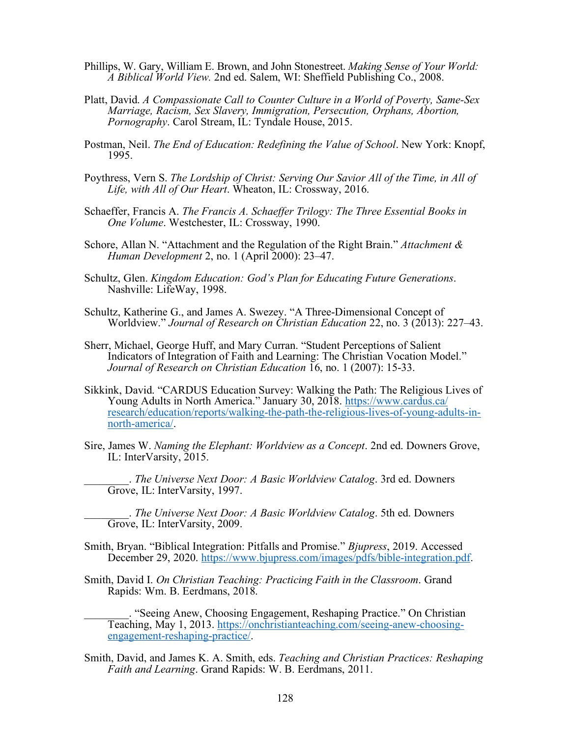- Phillips, W. Gary, William E. Brown, and John Stonestreet. *Making Sense of Your World: A Biblical World View.* 2nd ed. Salem, WI: Sheffield Publishing Co., 2008.
- Platt, David. *A Compassionate Call to Counter Culture in a World of Poverty, Same-Sex Marriage, Racism, Sex Slavery, Immigration, Persecution, Orphans, Abortion, Pornography*. Carol Stream, IL: Tyndale House, 2015.
- Postman, Neil. *The End of Education: Redefining the Value of School*. New York: Knopf, 1995.
- Poythress, Vern S. *The Lordship of Christ: Serving Our Savior All of the Time, in All of Life, with All of Our Heart*. Wheaton, IL: Crossway, 2016.
- Schaeffer, Francis A. *The Francis A. Schaeffer Trilogy: The Three Essential Books in One Volume*. Westchester, IL: Crossway, 1990.
- Schore, Allan N. "Attachment and the Regulation of the Right Brain." *Attachment & Human Development* 2, no. 1 (April 2000): 23–47.
- Schultz, Glen. *Kingdom Education: God's Plan for Educating Future Generations*. Nashville: LifeWay, 1998.
- Schultz, Katherine G., and James A. Swezey. "A Three-Dimensional Concept of Worldview." *Journal of Research on Christian Education* 22, no. 3 (2013): 227–43.
- Sherr, Michael, George Huff, and Mary Curran. "Student Perceptions of Salient Indicators of Integration of Faith and Learning: The Christian Vocation Model." *Journal of Research on Christian Education* 16, no. 1 (2007): 15-33.
- Sikkink, David. "CARDUS Education Survey: Walking the Path: The Religious Lives of Young Adults in North America." January 30, 2018. https://www.cardus.ca/ research/education/reports/walking-the-path-the-religious-lives-of-young-adults-innorth-america/.
- Sire, James W. *Naming the Elephant: Worldview as a Concept*. 2nd ed. Downers Grove, IL: InterVarsity, 2015.
	- \_\_\_\_\_\_\_\_. *The Universe Next Door: A Basic Worldview Catalog*. 3rd ed. Downers Grove, IL: InterVarsity, 1997.

\_\_\_\_\_\_\_\_. *The Universe Next Door: A Basic Worldview Catalog*. 5th ed. Downers Grove, IL: InterVarsity, 2009.

- Smith, Bryan. "Biblical Integration: Pitfalls and Promise." *Bjupress*, 2019. Accessed December 29, 2020. https://www.bjupress.com/images/pdfs/bible-integration.pdf.
- Smith, David I. *On Christian Teaching: Practicing Faith in the Classroom*. Grand Rapids: Wm. B. Eerdmans, 2018.

\_\_\_\_\_\_\_\_. "Seeing Anew, Choosing Engagement, Reshaping Practice." On Christian Teaching, May 1, 2013. https://onchristianteaching.com/seeing-anew-choosing- engagement-reshaping-practice/.

Smith, David, and James K. A. Smith, eds. *Teaching and Christian Practices: Reshaping Faith and Learning*. Grand Rapids: W. B. Eerdmans, 2011.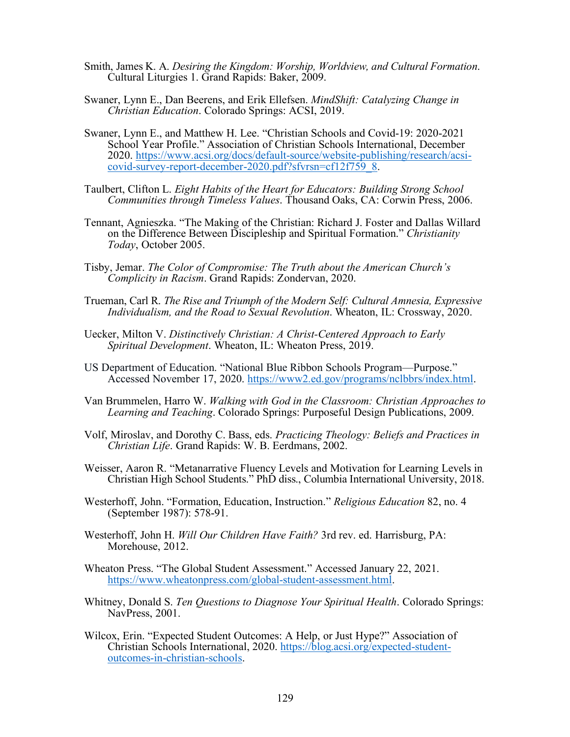- Smith, James K. A. *Desiring the Kingdom: Worship, Worldview, and Cultural Formation*. Cultural Liturgies 1. Grand Rapids: Baker, 2009.
- Swaner, Lynn E., Dan Beerens, and Erik Ellefsen. *MindShift: Catalyzing Change in Christian Education*. Colorado Springs: ACSI, 2019.
- Swaner, Lynn E., and Matthew H. Lee. "Christian Schools and Covid-19: 2020-2021 School Year Profile." Association of Christian Schools International, December 2020. https://www.acsi.org/docs/default-source/website-publishing/research/acsicovid-survey-report-december-2020.pdf?sfvrsn=cf12f759\_8.
- Taulbert, Clifton L. *Eight Habits of the Heart for Educators: Building Strong School Communities through Timeless Values*. Thousand Oaks, CA: Corwin Press, 2006.
- Tennant, Agnieszka. "The Making of the Christian: Richard J. Foster and Dallas Willard on the Difference Between Discipleship and Spiritual Formation." *Christianity Today*, October 2005.
- Tisby, Jemar. *The Color of Compromise: The Truth about the American Church's Complicity in Racism*. Grand Rapids: Zondervan, 2020.
- Trueman, Carl R. *The Rise and Triumph of the Modern Self: Cultural Amnesia, Expressive Individualism, and the Road to Sexual Revolution*. Wheaton, IL: Crossway, 2020.
- Uecker, Milton V. *Distinctively Christian: A Christ-Centered Approach to Early Spiritual Development*. Wheaton, IL: Wheaton Press, 2019.
- US Department of Education. "National Blue Ribbon Schools Program—Purpose." Accessed November 17, 2020. https://www2.ed.gov/programs/nclbbrs/index.html.
- Van Brummelen, Harro W. *Walking with God in the Classroom: Christian Approaches to Learning and Teaching*. Colorado Springs: Purposeful Design Publications, 2009.
- Volf, Miroslav, and Dorothy C. Bass, eds. *Practicing Theology: Beliefs and Practices in Christian Life*. Grand Rapids: W. B. Eerdmans, 2002.
- Weisser, Aaron R. "Metanarrative Fluency Levels and Motivation for Learning Levels in Christian High School Students." PhD diss., Columbia International University, 2018.
- Westerhoff, John. "Formation, Education, Instruction." *Religious Education* 82, no. 4 (September 1987): 578-91.
- Westerhoff, John H. *Will Our Children Have Faith?* 3rd rev. ed. Harrisburg, PA: Morehouse, 2012.
- Wheaton Press. "The Global Student Assessment." Accessed January 22, 2021. https://www.wheatonpress.com/global-student-assessment.html.
- Whitney, Donald S. *Ten Questions to Diagnose Your Spiritual Health*. Colorado Springs: NavPress, 2001.
- Wilcox, Erin. "Expected Student Outcomes: A Help, or Just Hype?" Association of Christian Schools International, 2020. https://blog.acsi.org/expected-studentoutcomes-in-christian-schools.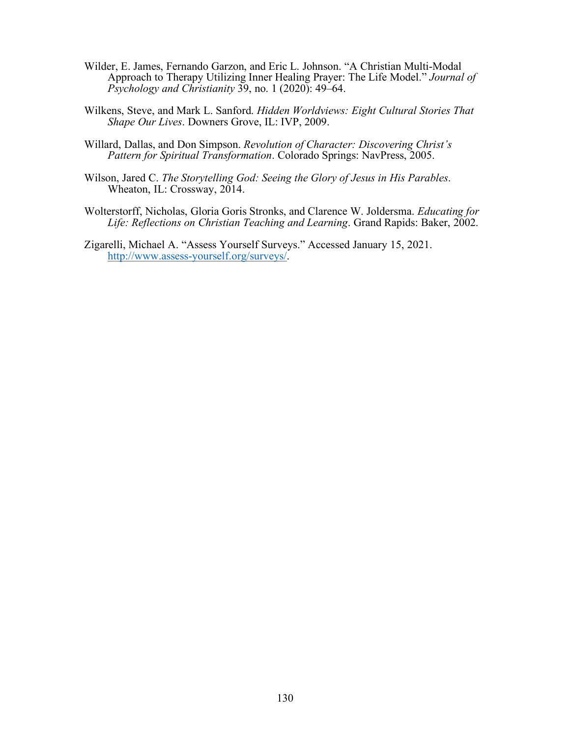- Wilder, E. James, Fernando Garzon, and Eric L. Johnson. "A Christian Multi-Modal Approach to Therapy Utilizing Inner Healing Prayer: The Life Model." *Journal of Psychology and Christianity* 39, no. 1 (2020): 49–64.
- Wilkens, Steve, and Mark L. Sanford. *Hidden Worldviews: Eight Cultural Stories That Shape Our Lives*. Downers Grove, IL: IVP, 2009.
- Willard, Dallas, and Don Simpson. *Revolution of Character: Discovering Christ's Pattern for Spiritual Transformation*. Colorado Springs: NavPress, 2005.
- Wilson, Jared C. *The Storytelling God: Seeing the Glory of Jesus in His Parables*. Wheaton, IL: Crossway, 2014.
- Wolterstorff, Nicholas, Gloria Goris Stronks, and Clarence W. Joldersma. *Educating for Life: Reflections on Christian Teaching and Learning*. Grand Rapids: Baker, 2002.
- Zigarelli, Michael A. "Assess Yourself Surveys." Accessed January 15, 2021. http://www.assess-yourself.org/surveys/.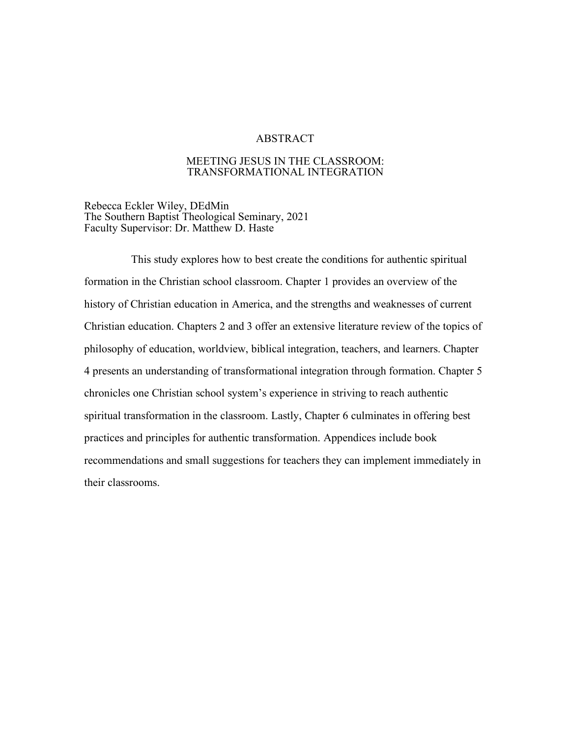# ABSTRACT

# MEETING JESUS IN THE CLASSROOM: TRANSFORMATIONAL INTEGRATION

Rebecca Eckler Wiley, DEdMin The Southern Baptist Theological Seminary, 2021 Faculty Supervisor: Dr. Matthew D. Haste

This study explores how to best create the conditions for authentic spiritual formation in the Christian school classroom. Chapter 1 provides an overview of the history of Christian education in America, and the strengths and weaknesses of current Christian education. Chapters 2 and 3 offer an extensive literature review of the topics of philosophy of education, worldview, biblical integration, teachers, and learners. Chapter 4 presents an understanding of transformational integration through formation. Chapter 5 chronicles one Christian school system's experience in striving to reach authentic spiritual transformation in the classroom. Lastly, Chapter 6 culminates in offering best practices and principles for authentic transformation. Appendices include book recommendations and small suggestions for teachers they can implement immediately in their classrooms.